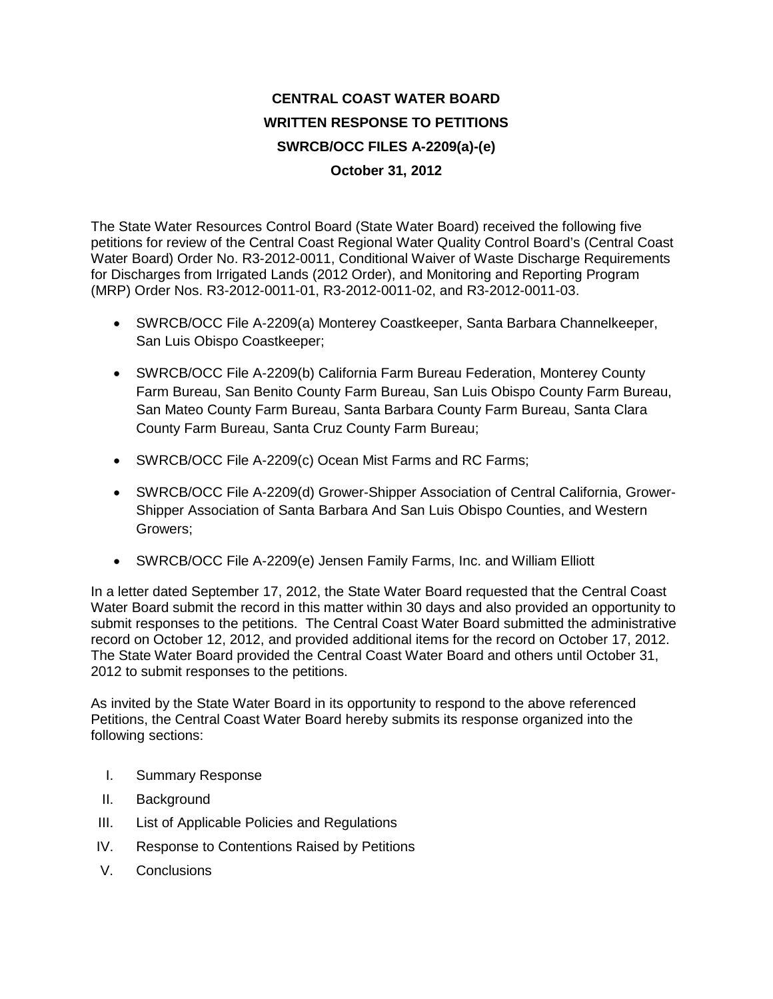# **CENTRAL COAST WATER BOARD WRITTEN RESPONSE TO PETITIONS SWRCB/OCC FILES A-2209(a)-(e) October 31, 2012**

The State Water Resources Control Board (State Water Board) received the following five petitions for review of the Central Coast Regional Water Quality Control Board's (Central Coast Water Board) Order No. R3-2012-0011, Conditional Waiver of Waste Discharge Requirements for Discharges from Irrigated Lands (2012 Order), and Monitoring and Reporting Program (MRP) Order Nos. R3-2012-0011-01, R3-2012-0011-02, and R3-2012-0011-03.

- SWRCB/OCC File A-2209(a) Monterey Coastkeeper, Santa Barbara Channelkeeper, San Luis Obispo Coastkeeper;
- SWRCB/OCC File A-2209(b) California Farm Bureau Federation, Monterey County Farm Bureau, San Benito County Farm Bureau, San Luis Obispo County Farm Bureau, San Mateo County Farm Bureau, Santa Barbara County Farm Bureau, Santa Clara County Farm Bureau, Santa Cruz County Farm Bureau;
- SWRCB/OCC File A-2209(c) Ocean Mist Farms and RC Farms;
- SWRCB/OCC File A-2209(d) Grower-Shipper Association of Central California, Grower-Shipper Association of Santa Barbara And San Luis Obispo Counties, and Western Growers;
- SWRCB/OCC File A-2209(e) Jensen Family Farms, Inc. and William Elliott

In a letter dated September 17, 2012, the State Water Board requested that the Central Coast Water Board submit the record in this matter within 30 days and also provided an opportunity to submit responses to the petitions. The Central Coast Water Board submitted the administrative record on October 12, 2012, and provided additional items for the record on October 17, 2012. The State Water Board provided the Central Coast Water Board and others until October 31, 2012 to submit responses to the petitions.

As invited by the State Water Board in its opportunity to respond to the above referenced Petitions, the Central Coast Water Board hereby submits its response organized into the following sections:

- I. Summary Response
- II. Background
- III. List of Applicable Policies and Regulations
- IV. Response to Contentions Raised by Petitions
- V. Conclusions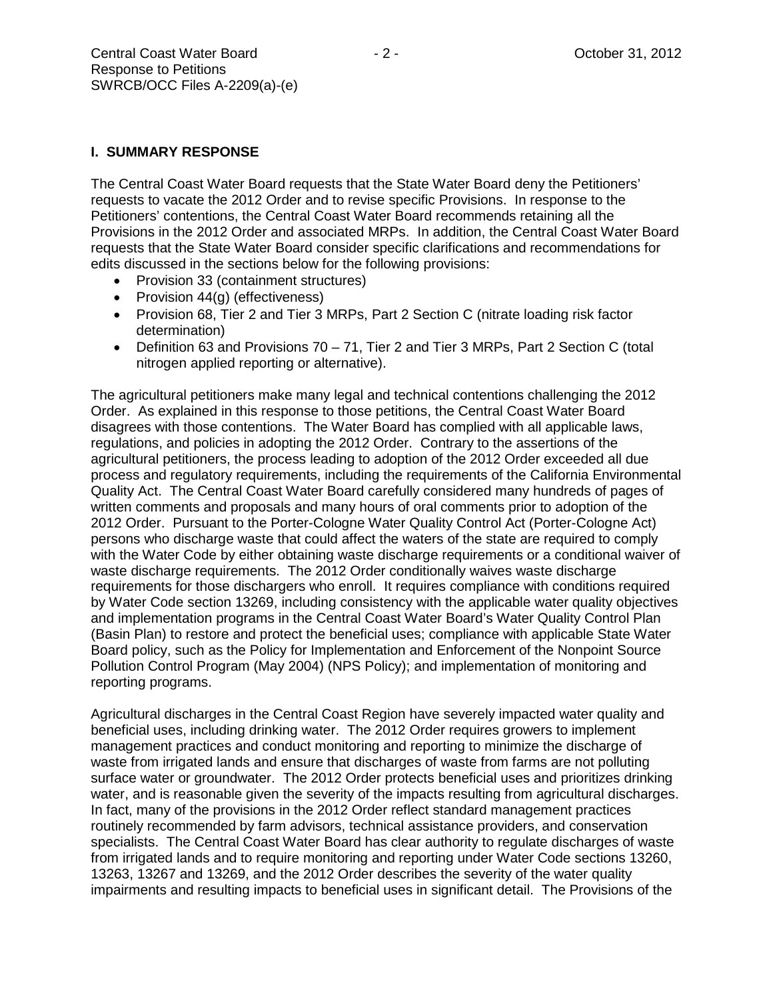## **I. SUMMARY RESPONSE**

The Central Coast Water Board requests that the State Water Board deny the Petitioners' requests to vacate the 2012 Order and to revise specific Provisions. In response to the Petitioners' contentions, the Central Coast Water Board recommends retaining all the Provisions in the 2012 Order and associated MRPs. In addition, the Central Coast Water Board requests that the State Water Board consider specific clarifications and recommendations for edits discussed in the sections below for the following provisions:

- Provision 33 (containment structures)
- Provision 44(g) (effectiveness)
- Provision 68, Tier 2 and Tier 3 MRPs, Part 2 Section C (nitrate loading risk factor determination)
- Definition 63 and Provisions 70 71, Tier 2 and Tier 3 MRPs, Part 2 Section C (total nitrogen applied reporting or alternative).

The agricultural petitioners make many legal and technical contentions challenging the 2012 Order. As explained in this response to those petitions, the Central Coast Water Board disagrees with those contentions. The Water Board has complied with all applicable laws, regulations, and policies in adopting the 2012 Order. Contrary to the assertions of the agricultural petitioners, the process leading to adoption of the 2012 Order exceeded all due process and regulatory requirements, including the requirements of the California Environmental Quality Act. The Central Coast Water Board carefully considered many hundreds of pages of written comments and proposals and many hours of oral comments prior to adoption of the 2012 Order. Pursuant to the Porter-Cologne Water Quality Control Act (Porter-Cologne Act) persons who discharge waste that could affect the waters of the state are required to comply with the Water Code by either obtaining waste discharge requirements or a conditional waiver of waste discharge requirements. The 2012 Order conditionally waives waste discharge requirements for those dischargers who enroll. It requires compliance with conditions required by Water Code section 13269, including consistency with the applicable water quality objectives and implementation programs in the Central Coast Water Board's Water Quality Control Plan (Basin Plan) to restore and protect the beneficial uses; compliance with applicable State Water Board policy, such as the Policy for Implementation and Enforcement of the Nonpoint Source Pollution Control Program (May 2004) (NPS Policy); and implementation of monitoring and reporting programs.

Agricultural discharges in the Central Coast Region have severely impacted water quality and beneficial uses, including drinking water. The 2012 Order requires growers to implement management practices and conduct monitoring and reporting to minimize the discharge of waste from irrigated lands and ensure that discharges of waste from farms are not polluting surface water or groundwater. The 2012 Order protects beneficial uses and prioritizes drinking water, and is reasonable given the severity of the impacts resulting from agricultural discharges. In fact, many of the provisions in the 2012 Order reflect standard management practices routinely recommended by farm advisors, technical assistance providers, and conservation specialists. The Central Coast Water Board has clear authority to regulate discharges of waste from irrigated lands and to require monitoring and reporting under Water Code sections 13260, 13263, 13267 and 13269, and the 2012 Order describes the severity of the water quality impairments and resulting impacts to beneficial uses in significant detail. The Provisions of the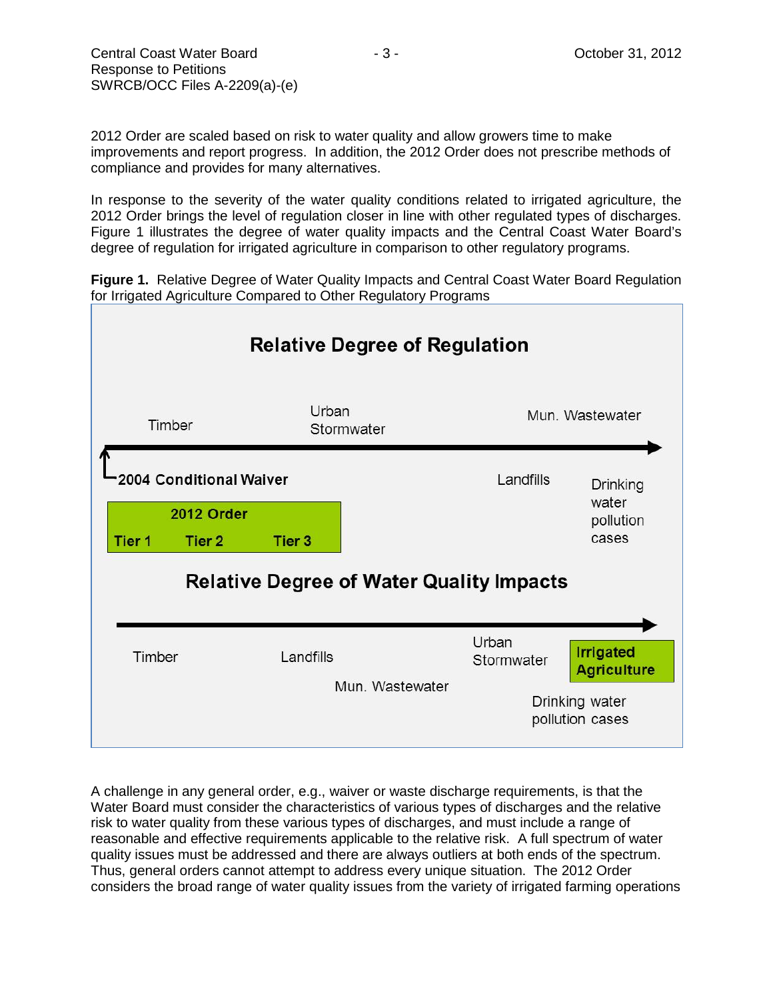2012 Order are scaled based on risk to water quality and allow growers time to make improvements and report progress. In addition, the 2012 Order does not prescribe methods of compliance and provides for many alternatives.

In response to the severity of the water quality conditions related to irrigated agriculture, the 2012 Order brings the level of regulation closer in line with other regulated types of discharges. Figure 1 illustrates the degree of water quality impacts and the Central Coast Water Board's degree of regulation for irrigated agriculture in comparison to other regulatory programs.

**Figure 1.** Relative Degree of Water Quality Impacts and Central Coast Water Board Regulation for Irrigated Agriculture Compared to Other Regulatory Programs



A challenge in any general order, e.g., waiver or waste discharge requirements, is that the Water Board must consider the characteristics of various types of discharges and the relative risk to water quality from these various types of discharges, and must include a range of reasonable and effective requirements applicable to the relative risk. A full spectrum of water quality issues must be addressed and there are always outliers at both ends of the spectrum. Thus, general orders cannot attempt to address every unique situation. The 2012 Order considers the broad range of water quality issues from the variety of irrigated farming operations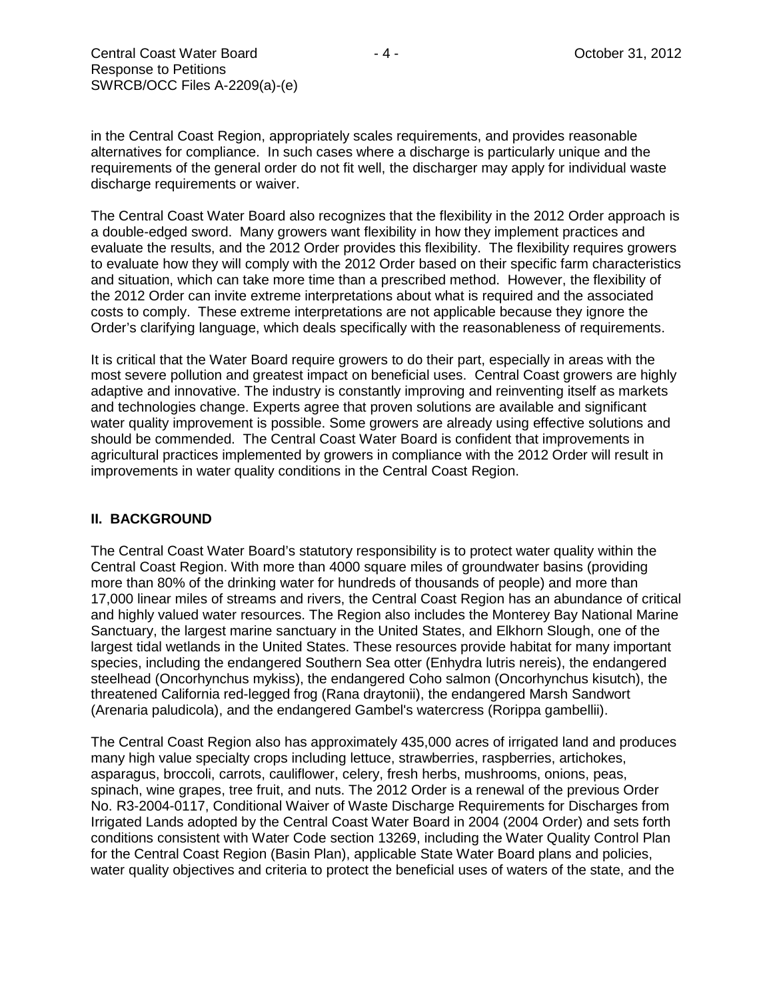in the Central Coast Region, appropriately scales requirements, and provides reasonable alternatives for compliance. In such cases where a discharge is particularly unique and the requirements of the general order do not fit well, the discharger may apply for individual waste discharge requirements or waiver.

The Central Coast Water Board also recognizes that the flexibility in the 2012 Order approach is a double-edged sword. Many growers want flexibility in how they implement practices and evaluate the results, and the 2012 Order provides this flexibility. The flexibility requires growers to evaluate how they will comply with the 2012 Order based on their specific farm characteristics and situation, which can take more time than a prescribed method. However, the flexibility of the 2012 Order can invite extreme interpretations about what is required and the associated costs to comply. These extreme interpretations are not applicable because they ignore the Order's clarifying language, which deals specifically with the reasonableness of requirements.

It is critical that the Water Board require growers to do their part, especially in areas with the most severe pollution and greatest impact on beneficial uses. Central Coast growers are highly adaptive and innovative. The industry is constantly improving and reinventing itself as markets and technologies change. Experts agree that proven solutions are available and significant water quality improvement is possible. Some growers are already using effective solutions and should be commended. The Central Coast Water Board is confident that improvements in agricultural practices implemented by growers in compliance with the 2012 Order will result in improvements in water quality conditions in the Central Coast Region.

#### **II. BACKGROUND**

The Central Coast Water Board's statutory responsibility is to protect water quality within the Central Coast Region. With more than 4000 square miles of groundwater basins (providing more than 80% of the drinking water for hundreds of thousands of people) and more than 17,000 linear miles of streams and rivers, the Central Coast Region has an abundance of critical and highly valued water resources. The Region also includes the Monterey Bay National Marine Sanctuary, the largest marine sanctuary in the United States, and Elkhorn Slough, one of the largest tidal wetlands in the United States. These resources provide habitat for many important species, including the endangered Southern Sea otter (Enhydra lutris nereis), the endangered steelhead (Oncorhynchus mykiss), the endangered Coho salmon (Oncorhynchus kisutch), the threatened California red-legged frog (Rana draytonii), the endangered Marsh Sandwort (Arenaria paludicola), and the endangered Gambel's watercress (Rorippa gambellii).

The Central Coast Region also has approximately 435,000 acres of irrigated land and produces many high value specialty crops including lettuce, strawberries, raspberries, artichokes, asparagus, broccoli, carrots, cauliflower, celery, fresh herbs, mushrooms, onions, peas, spinach, wine grapes, tree fruit, and nuts. The 2012 Order is a renewal of the previous Order No. R3-2004-0117, Conditional Waiver of Waste Discharge Requirements for Discharges from Irrigated Lands adopted by the Central Coast Water Board in 2004 (2004 Order) and sets forth conditions consistent with Water Code section 13269, including the Water Quality Control Plan for the Central Coast Region (Basin Plan), applicable State Water Board plans and policies, water quality objectives and criteria to protect the beneficial uses of waters of the state, and the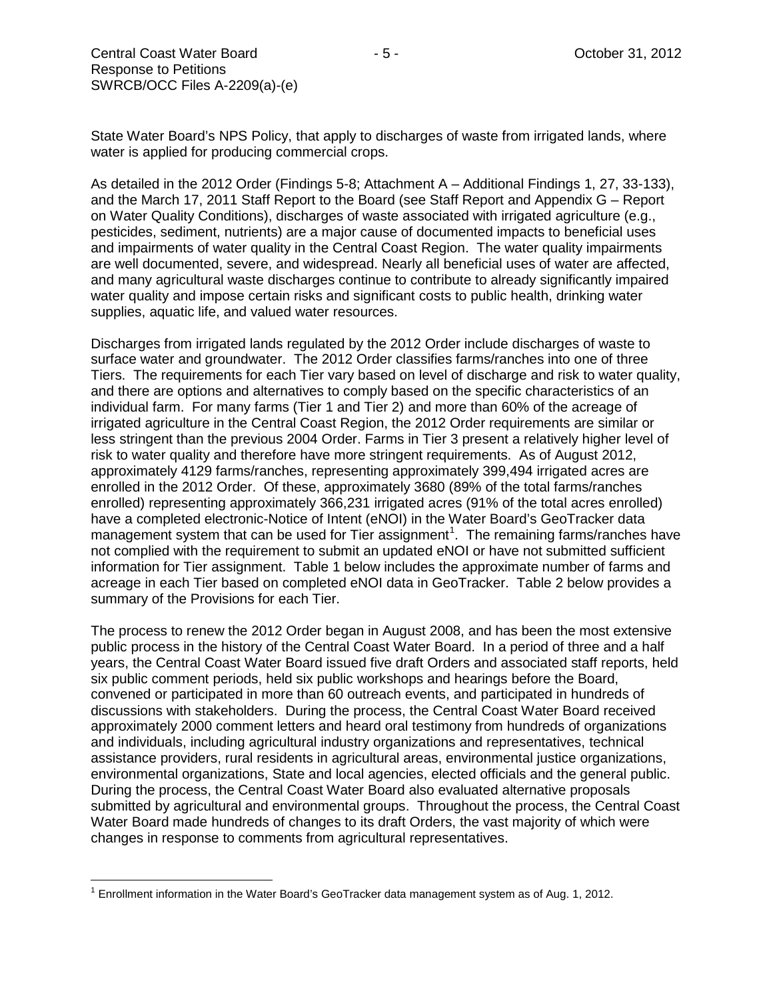State Water Board's NPS Policy, that apply to discharges of waste from irrigated lands, where water is applied for producing commercial crops.

As detailed in the 2012 Order (Findings 5-8; Attachment A – Additional Findings 1, 27, 33-133), and the March 17, 2011 Staff Report to the Board (see Staff Report and Appendix G – Report on Water Quality Conditions), discharges of waste associated with irrigated agriculture (e.g., pesticides, sediment, nutrients) are a major cause of documented impacts to beneficial uses and impairments of water quality in the Central Coast Region. The water quality impairments are well documented, severe, and widespread. Nearly all beneficial uses of water are affected, and many agricultural waste discharges continue to contribute to already significantly impaired water quality and impose certain risks and significant costs to public health, drinking water supplies, aquatic life, and valued water resources.

Discharges from irrigated lands regulated by the 2012 Order include discharges of waste to surface water and groundwater. The 2012 Order classifies farms/ranches into one of three Tiers. The requirements for each Tier vary based on level of discharge and risk to water quality, and there are options and alternatives to comply based on the specific characteristics of an individual farm. For many farms (Tier 1 and Tier 2) and more than 60% of the acreage of irrigated agriculture in the Central Coast Region, the 2012 Order requirements are similar or less stringent than the previous 2004 Order. Farms in Tier 3 present a relatively higher level of risk to water quality and therefore have more stringent requirements. As of August 2012, approximately 4129 farms/ranches, representing approximately 399,494 irrigated acres are enrolled in the 2012 Order. Of these, approximately 3680 (89% of the total farms/ranches enrolled) representing approximately 366,231 irrigated acres (91% of the total acres enrolled) have a completed electronic-Notice of Intent (eNOI) in the Water Board's GeoTracker data management system that can be used for Tier assignment<sup>[1](#page-4-0)</sup>. The remaining farms/ranches have not complied with the requirement to submit an updated eNOI or have not submitted sufficient information for Tier assignment. Table 1 below includes the approximate number of farms and acreage in each Tier based on completed eNOI data in GeoTracker. Table 2 below provides a summary of the Provisions for each Tier.

The process to renew the 2012 Order began in August 2008, and has been the most extensive public process in the history of the Central Coast Water Board. In a period of three and a half years, the Central Coast Water Board issued five draft Orders and associated staff reports, held six public comment periods, held six public workshops and hearings before the Board, convened or participated in more than 60 outreach events, and participated in hundreds of discussions with stakeholders. During the process, the Central Coast Water Board received approximately 2000 comment letters and heard oral testimony from hundreds of organizations and individuals, including agricultural industry organizations and representatives, technical assistance providers, rural residents in agricultural areas, environmental justice organizations, environmental organizations, State and local agencies, elected officials and the general public. During the process, the Central Coast Water Board also evaluated alternative proposals submitted by agricultural and environmental groups. Throughout the process, the Central Coast Water Board made hundreds of changes to its draft Orders, the vast majority of which were changes in response to comments from agricultural representatives.

<span id="page-4-0"></span> $1$  Enrollment information in the Water Board's GeoTracker data management system as of Aug. 1, 2012.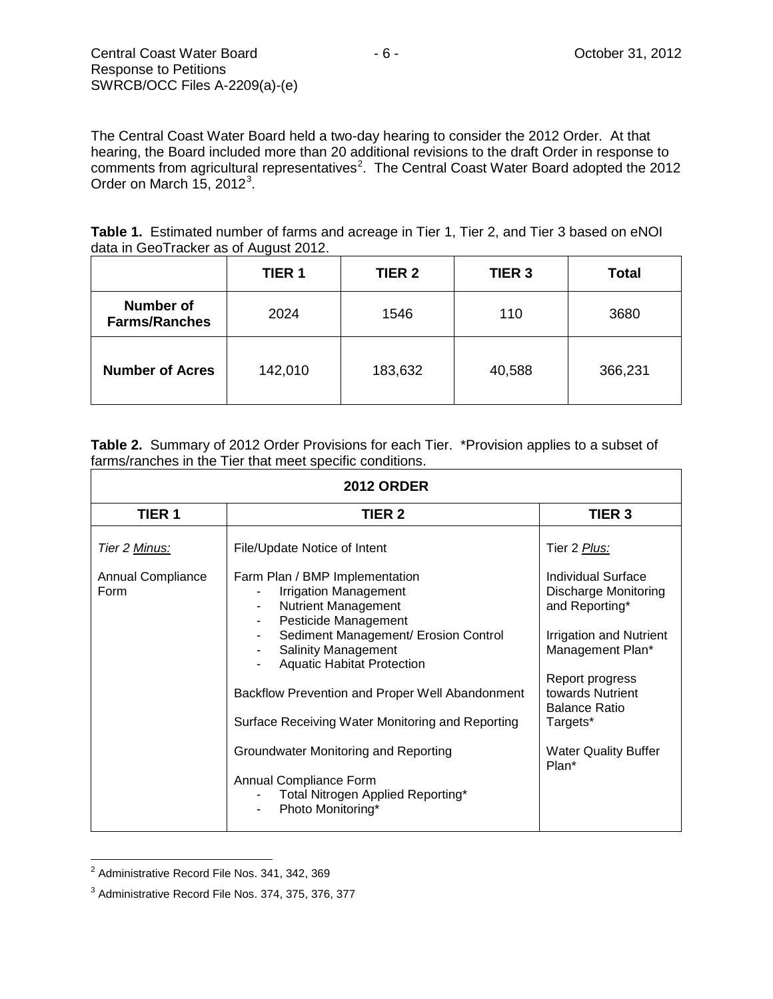The Central Coast Water Board held a two-day hearing to consider the 2012 Order. At that hearing, the Board included more than 20 additional revisions to the draft Order in response to comments from agricultural representatives<sup>[2](#page-5-0)</sup>. The Central Coast Water Board adopted the 2012 Order on March 15, 2012 $^3$  $^3$ .

Table 1. Estimated number of farms and acreage in Tier 1, Tier 2, and Tier 3 based on eNOI data in GeoTracker as of August 2012.

|                                          | <b>TIER 1</b> | <b>TIER 2</b> | TIER <sub>3</sub> | <b>Total</b> |
|------------------------------------------|---------------|---------------|-------------------|--------------|
| <b>Number of</b><br><b>Farms/Ranches</b> | 2024          | 1546          | 110               | 3680         |
| <b>Number of Acres</b>                   | 142,010       | 183,632       | 40,588            | 366,231      |

**Table 2.** Summary of 2012 Order Provisions for each Tier. \*Provision applies to a subset of farms/ranches in the Tier that meet specific conditions.

| <b>2012 ORDER</b>                |                                                                                                                                                                                                                                                                                                                                                                                                                                                                                           |                                                                                                                                                                                                                                              |  |  |  |
|----------------------------------|-------------------------------------------------------------------------------------------------------------------------------------------------------------------------------------------------------------------------------------------------------------------------------------------------------------------------------------------------------------------------------------------------------------------------------------------------------------------------------------------|----------------------------------------------------------------------------------------------------------------------------------------------------------------------------------------------------------------------------------------------|--|--|--|
| <b>TIER 1</b>                    | TIER 2                                                                                                                                                                                                                                                                                                                                                                                                                                                                                    | <b>TIER 3</b>                                                                                                                                                                                                                                |  |  |  |
| Tier 2 Minus:                    | File/Update Notice of Intent                                                                                                                                                                                                                                                                                                                                                                                                                                                              | Tier 2 Plus:                                                                                                                                                                                                                                 |  |  |  |
| <b>Annual Compliance</b><br>Form | Farm Plan / BMP Implementation<br><b>Irrigation Management</b><br><b>Nutrient Management</b><br>٠<br>Pesticide Management<br>$\blacksquare$<br>Sediment Management/ Erosion Control<br><b>Salinity Management</b><br><b>Aquatic Habitat Protection</b><br>Backflow Prevention and Proper Well Abandonment<br>Surface Receiving Water Monitoring and Reporting<br>Groundwater Monitoring and Reporting<br>Annual Compliance Form<br>Total Nitrogen Applied Reporting*<br>Photo Monitoring* | Individual Surface<br><b>Discharge Monitoring</b><br>and Reporting*<br><b>Irrigation and Nutrient</b><br>Management Plan*<br>Report progress<br>towards Nutrient<br><b>Balance Ratio</b><br>Targets*<br><b>Water Quality Buffer</b><br>Plan* |  |  |  |

<span id="page-5-0"></span><sup>&</sup>lt;sup>2</sup> Administrative Record File Nos. 341, 342, 369

<span id="page-5-1"></span><sup>3</sup> Administrative Record File Nos. 374, 375, 376, 377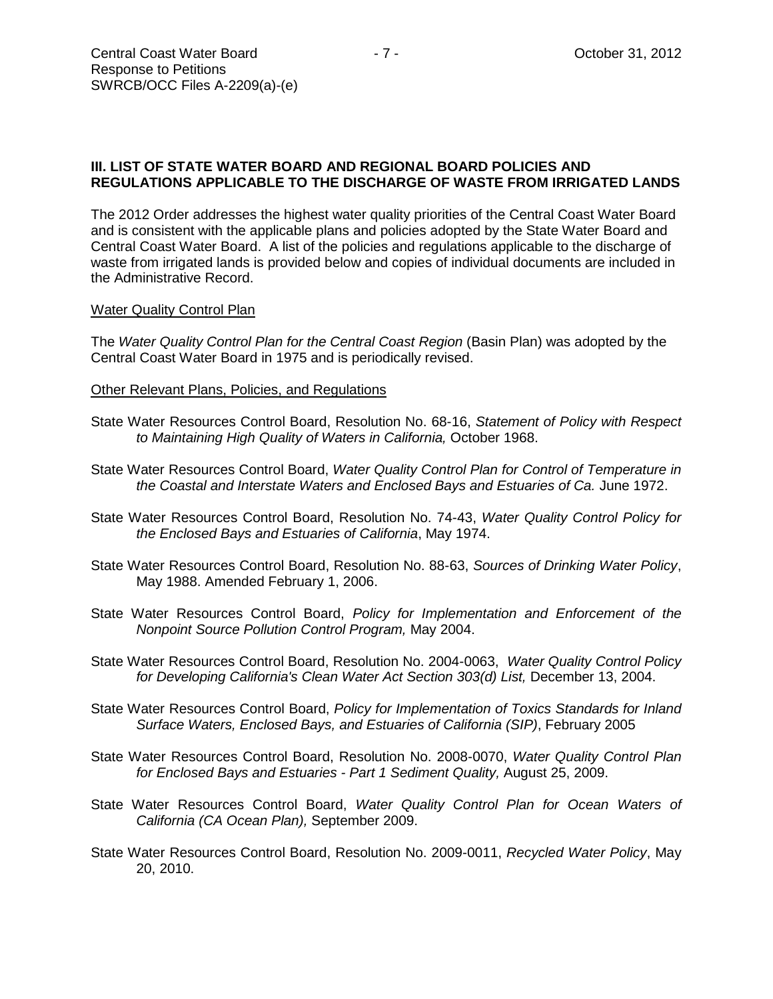## **III. LIST OF STATE WATER BOARD AND REGIONAL BOARD POLICIES AND REGULATIONS APPLICABLE TO THE DISCHARGE OF WASTE FROM IRRIGATED LANDS**

The 2012 Order addresses the highest water quality priorities of the Central Coast Water Board and is consistent with the applicable plans and policies adopted by the State Water Board and Central Coast Water Board. A list of the policies and regulations applicable to the discharge of waste from irrigated lands is provided below and copies of individual documents are included in the Administrative Record.

#### Water Quality Control Plan

The *Water Quality Control Plan for the Central Coast Region* (Basin Plan) was adopted by the Central Coast Water Board in 1975 and is periodically revised.

#### Other Relevant Plans, Policies, and Regulations

- State Water Resources Control Board, Resolution No. 68-16, *Statement of Policy with Respect to Maintaining High Quality of Waters in California,* October 1968.
- State Water Resources Control Board, *Water Quality Control Plan for Control of Temperature in the Coastal and Interstate Waters and Enclosed Bays and Estuaries of Ca.* June 1972.
- State Water Resources Control Board, Resolution No. 74-43, *Water Quality Control Policy for the Enclosed Bays and Estuaries of California*, May 1974.
- State Water Resources Control Board, Resolution No. 88-63, *Sources of Drinking Water Policy*, May 1988. Amended February 1, 2006.
- State Water Resources Control Board, *Policy for Implementation and Enforcement of the Nonpoint Source Pollution Control Program,* May 2004.
- State Water Resources Control Board, Resolution No. 2004-0063, *Water Quality Control Policy for Developing California's Clean Water Act Section 303(d) List,* December 13, 2004.
- State Water Resources Control Board, *Policy for Implementation of Toxics Standards for Inland Surface Waters, Enclosed Bays, and Estuaries of California (SIP)*, February 2005
- State Water Resources Control Board, Resolution No. 2008-0070, *Water Quality Control Plan for Enclosed Bays and Estuaries - Part 1 Sediment Quality,* August 25, 2009.
- State Water Resources Control Board, *Water Quality Control Plan for Ocean Waters of California (CA Ocean Plan),* September 2009.
- State Water Resources Control Board, Resolution No. 2009-0011, *Recycled Water Policy*, May 20, 2010.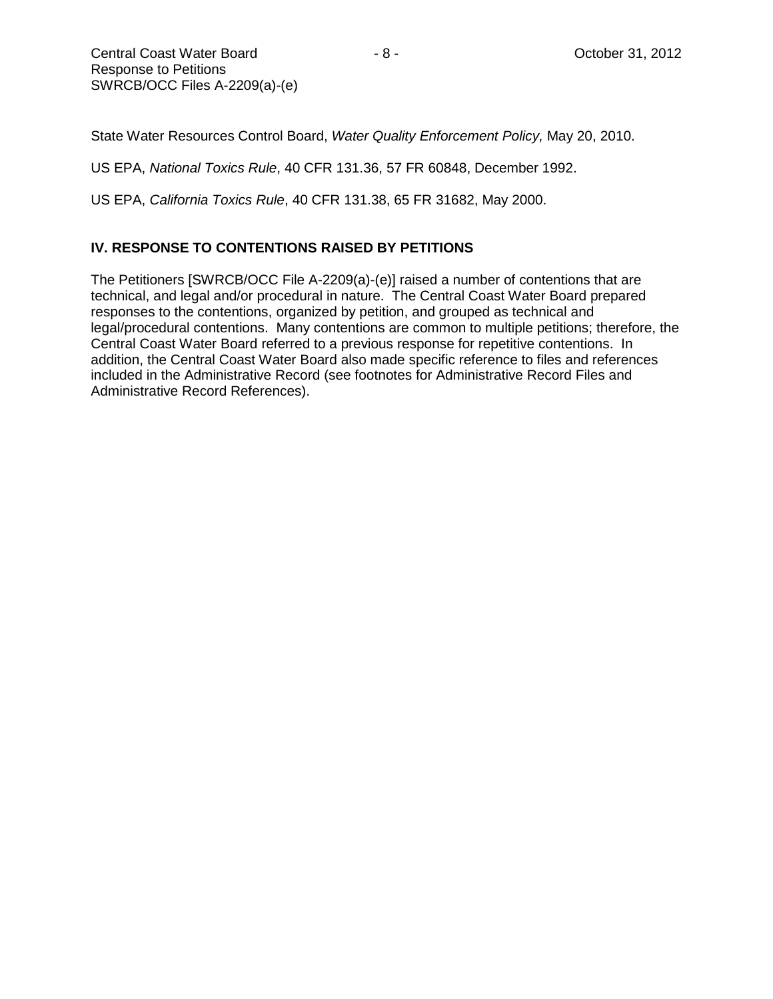State Water Resources Control Board, *Water Quality Enforcement Policy,* May 20, 2010.

US EPA, *National Toxics Rule*, 40 CFR 131.36, 57 FR 60848, December 1992.

US EPA, *California Toxics Rule*, 40 CFR 131.38, 65 FR 31682, May 2000.

## **IV. RESPONSE TO CONTENTIONS RAISED BY PETITIONS**

The Petitioners [SWRCB/OCC File A-2209(a)-(e)] raised a number of contentions that are technical, and legal and/or procedural in nature. The Central Coast Water Board prepared responses to the contentions, organized by petition, and grouped as technical and legal/procedural contentions. Many contentions are common to multiple petitions; therefore, the Central Coast Water Board referred to a previous response for repetitive contentions. In addition, the Central Coast Water Board also made specific reference to files and references included in the Administrative Record (see footnotes for Administrative Record Files and Administrative Record References).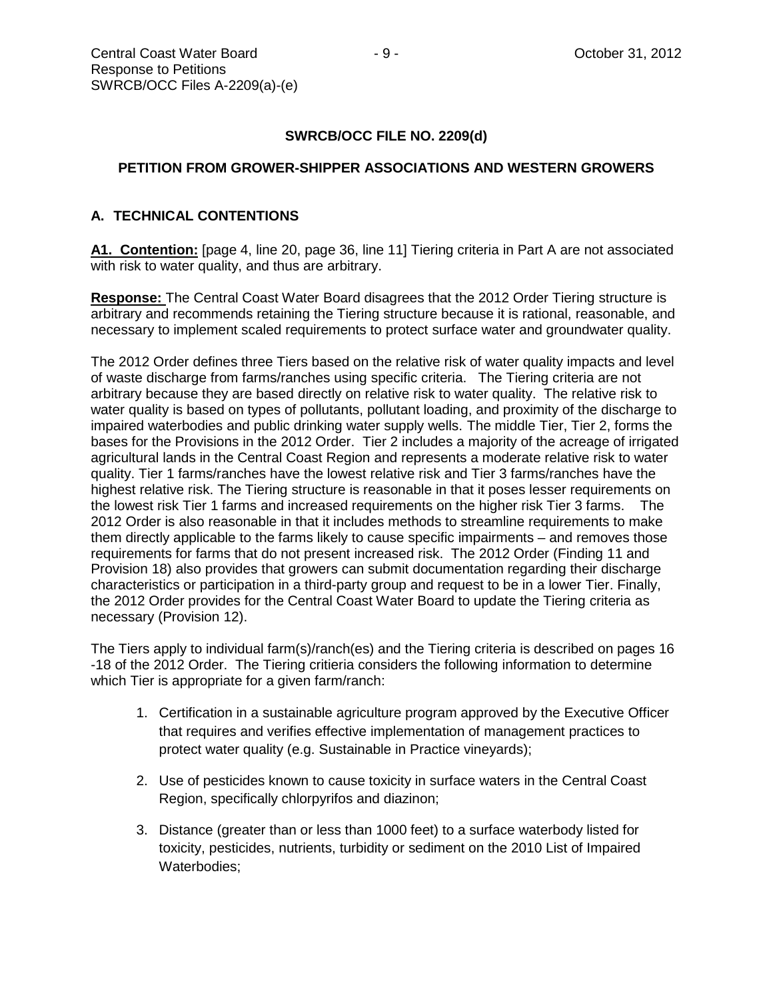## **SWRCB/OCC FILE NO. 2209(d)**

## **PETITION FROM GROWER-SHIPPER ASSOCIATIONS AND WESTERN GROWERS**

## **A. TECHNICAL CONTENTIONS**

**A1. Contention:** [page 4, line 20, page 36, line 11] Tiering criteria in Part A are not associated with risk to water quality, and thus are arbitrary.

**Response:** The Central Coast Water Board disagrees that the 2012 Order Tiering structure is arbitrary and recommends retaining the Tiering structure because it is rational, reasonable, and necessary to implement scaled requirements to protect surface water and groundwater quality.

The 2012 Order defines three Tiers based on the relative risk of water quality impacts and level of waste discharge from farms/ranches using specific criteria. The Tiering criteria are not arbitrary because they are based directly on relative risk to water quality. The relative risk to water quality is based on types of pollutants, pollutant loading, and proximity of the discharge to impaired waterbodies and public drinking water supply wells. The middle Tier, Tier 2, forms the bases for the Provisions in the 2012 Order. Tier 2 includes a majority of the acreage of irrigated agricultural lands in the Central Coast Region and represents a moderate relative risk to water quality. Tier 1 farms/ranches have the lowest relative risk and Tier 3 farms/ranches have the highest relative risk. The Tiering structure is reasonable in that it poses lesser requirements on the lowest risk Tier 1 farms and increased requirements on the higher risk Tier 3 farms. The 2012 Order is also reasonable in that it includes methods to streamline requirements to make them directly applicable to the farms likely to cause specific impairments – and removes those requirements for farms that do not present increased risk. The 2012 Order (Finding 11 and Provision 18) also provides that growers can submit documentation regarding their discharge characteristics or participation in a third-party group and request to be in a lower Tier. Finally, the 2012 Order provides for the Central Coast Water Board to update the Tiering criteria as necessary (Provision 12).

The Tiers apply to individual farm(s)/ranch(es) and the Tiering criteria is described on pages 16 -18 of the 2012 Order. The Tiering critieria considers the following information to determine which Tier is appropriate for a given farm/ranch:

- 1. Certification in a sustainable agriculture program approved by the Executive Officer that requires and verifies effective implementation of management practices to protect water quality (e.g. Sustainable in Practice vineyards);
- 2. Use of pesticides known to cause toxicity in surface waters in the Central Coast Region, specifically chlorpyrifos and diazinon;
- 3. Distance (greater than or less than 1000 feet) to a surface waterbody listed for toxicity, pesticides, nutrients, turbidity or sediment on the 2010 List of Impaired Waterbodies;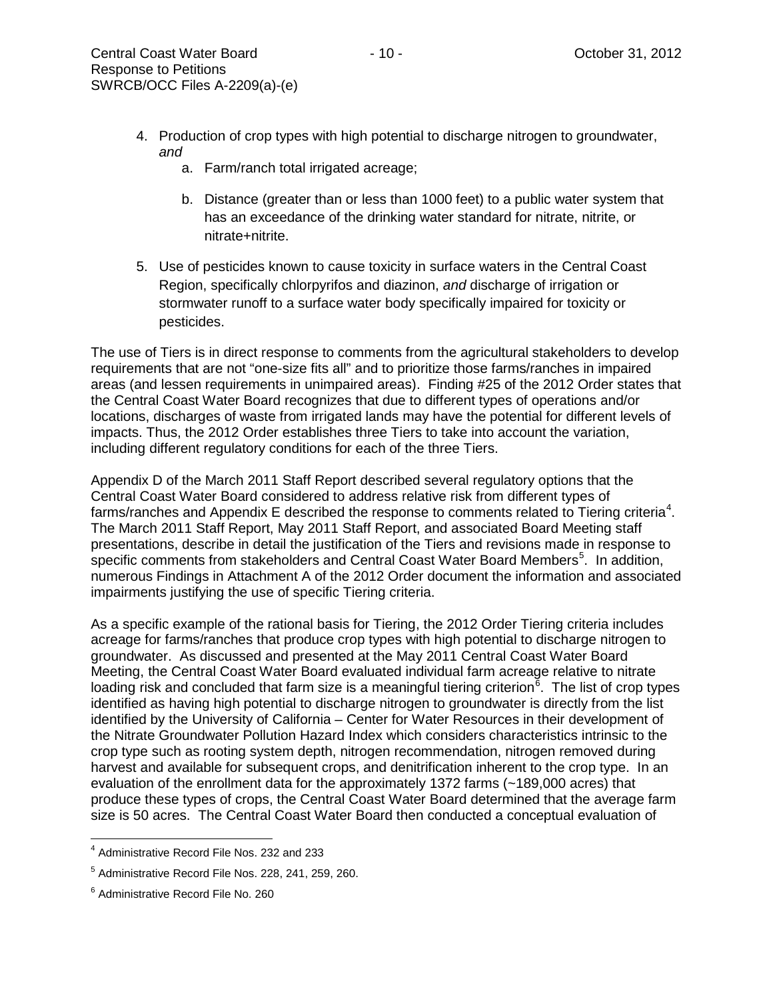- 4. Production of crop types with high potential to discharge nitrogen to groundwater, *and*
	- a. Farm/ranch total irrigated acreage;
	- b. Distance (greater than or less than 1000 feet) to a public water system that has an exceedance of the drinking water standard for nitrate, nitrite, or nitrate+nitrite.
- 5. Use of pesticides known to cause toxicity in surface waters in the Central Coast Region, specifically chlorpyrifos and diazinon, *and* discharge of irrigation or stormwater runoff to a surface water body specifically impaired for toxicity or pesticides.

The use of Tiers is in direct response to comments from the agricultural stakeholders to develop requirements that are not "one-size fits all" and to prioritize those farms/ranches in impaired areas (and lessen requirements in unimpaired areas). Finding #25 of the 2012 Order states that the Central Coast Water Board recognizes that due to different types of operations and/or locations, discharges of waste from irrigated lands may have the potential for different levels of impacts. Thus, the 2012 Order establishes three Tiers to take into account the variation, including different regulatory conditions for each of the three Tiers.

Appendix D of the March 2011 Staff Report described several regulatory options that the Central Coast Water Board considered to address relative risk from different types of farms/ranches and Appendix E described the response to comments related to Tiering criteria<sup>[4](#page-9-0)</sup>. The March 2011 Staff Report, May 2011 Staff Report, and associated Board Meeting staff presentations, describe in detail the justification of the Tiers and revisions made in response to specific comments from stakeholders and Central Coast Water Board Members<sup>[5](#page-9-1)</sup>. In addition, numerous Findings in Attachment A of the 2012 Order document the information and associated impairments justifying the use of specific Tiering criteria.

As a specific example of the rational basis for Tiering, the 2012 Order Tiering criteria includes acreage for farms/ranches that produce crop types with high potential to discharge nitrogen to groundwater. As discussed and presented at the May 2011 Central Coast Water Board Meeting, the Central Coast Water Board evaluated individual farm acreage relative to nitrate loading risk and concluded that farm size is a meaningful tiering criterion<sup>[6](#page-9-2)</sup>. The list of crop types identified as having high potential to discharge nitrogen to groundwater is directly from the list identified by the University of California – Center for Water Resources in their development of the Nitrate Groundwater Pollution Hazard Index which considers characteristics intrinsic to the crop type such as rooting system depth, nitrogen recommendation, nitrogen removed during harvest and available for subsequent crops, and denitrification inherent to the crop type. In an evaluation of the enrollment data for the approximately 1372 farms (~189,000 acres) that produce these types of crops, the Central Coast Water Board determined that the average farm size is 50 acres. The Central Coast Water Board then conducted a conceptual evaluation of

<span id="page-9-0"></span> $<sup>4</sup>$  Administrative Record File Nos. 232 and 233</sup>

<span id="page-9-1"></span><sup>5</sup> Administrative Record File Nos. 228, 241, 259, 260.

<span id="page-9-2"></span><sup>6</sup> Administrative Record File No. 260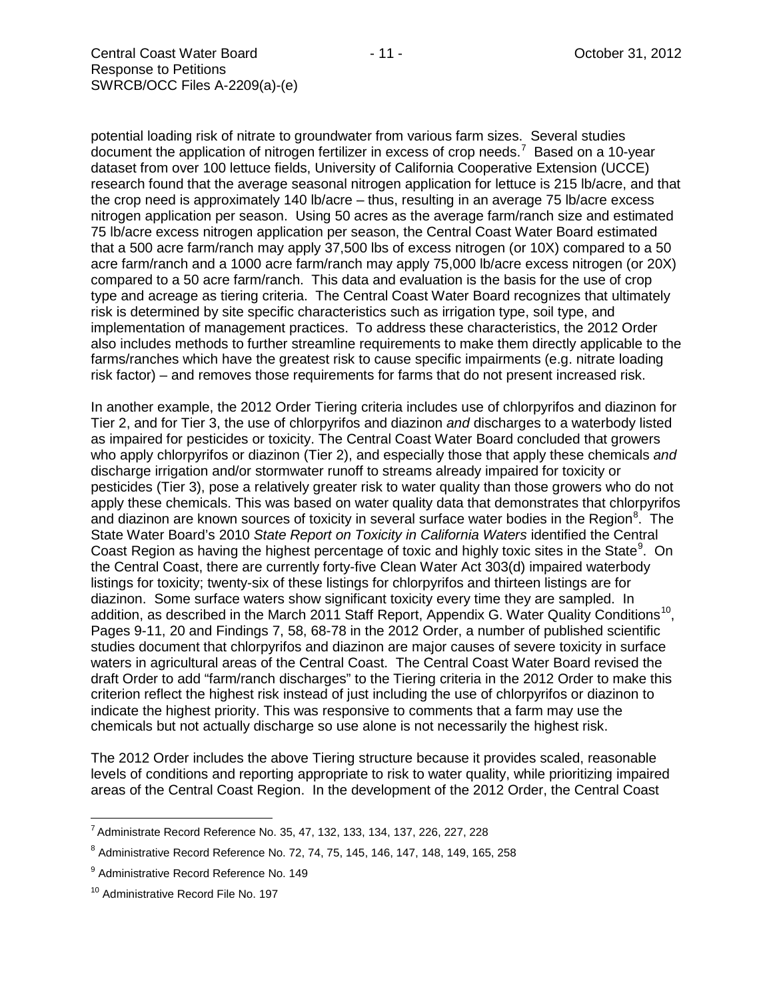potential loading risk of nitrate to groundwater from various farm sizes. Several studies document the application of nitrogen fertilizer in excess of crop needs.<sup>[7](#page-10-0)</sup> Based on a 10-year dataset from over 100 lettuce fields, University of California Cooperative Extension (UCCE) research found that the average seasonal nitrogen application for lettuce is 215 lb/acre, and that the crop need is approximately 140 lb/acre – thus, resulting in an average 75 lb/acre excess nitrogen application per season. Using 50 acres as the average farm/ranch size and estimated 75 lb/acre excess nitrogen application per season, the Central Coast Water Board estimated that a 500 acre farm/ranch may apply 37,500 lbs of excess nitrogen (or 10X) compared to a 50 acre farm/ranch and a 1000 acre farm/ranch may apply 75,000 lb/acre excess nitrogen (or 20X) compared to a 50 acre farm/ranch. This data and evaluation is the basis for the use of crop type and acreage as tiering criteria. The Central Coast Water Board recognizes that ultimately risk is determined by site specific characteristics such as irrigation type, soil type, and implementation of management practices. To address these characteristics, the 2012 Order also includes methods to further streamline requirements to make them directly applicable to the

farms/ranches which have the greatest risk to cause specific impairments (e.g. nitrate loading risk factor) – and removes those requirements for farms that do not present increased risk.

In another example, the 2012 Order Tiering criteria includes use of chlorpyrifos and diazinon for Tier 2, and for Tier 3, the use of chlorpyrifos and diazinon *and* discharges to a waterbody listed as impaired for pesticides or toxicity. The Central Coast Water Board concluded that growers who apply chlorpyrifos or diazinon (Tier 2), and especially those that apply these chemicals *and* discharge irrigation and/or stormwater runoff to streams already impaired for toxicity or pesticides (Tier 3), pose a relatively greater risk to water quality than those growers who do not apply these chemicals. This was based on water quality data that demonstrates that chlorpyrifos and diazinon are known sources of toxicity in several surface water bodies in the Region<sup>[8](#page-10-1)</sup>. The State Water Board's 2010 *State Report on Toxicity in California Waters* identified the Central Coast Region as having the highest percentage of toxic and highly toxic sites in the State<sup>[9](#page-10-2)</sup>. On the Central Coast, there are currently forty-five Clean Water Act 303(d) impaired waterbody listings for toxicity; twenty-six of these listings for chlorpyrifos and thirteen listings are for diazinon. Some surface waters show significant toxicity every time they are sampled. In addition, as described in the March 2011 Staff Report, Appendix G. Water Quality Conditions<sup>[10](#page-10-3)</sup>, Pages 9-11, 20 and Findings 7, 58, 68-78 in the 2012 Order, a number of published scientific studies document that chlorpyrifos and diazinon are major causes of severe toxicity in surface waters in agricultural areas of the Central Coast. The Central Coast Water Board revised the draft Order to add "farm/ranch discharges" to the Tiering criteria in the 2012 Order to make this criterion reflect the highest risk instead of just including the use of chlorpyrifos or diazinon to indicate the highest priority. This was responsive to comments that a farm may use the chemicals but not actually discharge so use alone is not necessarily the highest risk.

The 2012 Order includes the above Tiering structure because it provides scaled, reasonable levels of conditions and reporting appropriate to risk to water quality, while prioritizing impaired areas of the Central Coast Region. In the development of the 2012 Order, the Central Coast

<span id="page-10-0"></span> $7$  Administrate Record Reference No. 35, 47, 132, 133, 134, 137, 226, 227, 228

<span id="page-10-1"></span><sup>8</sup> Administrative Record Reference No. 72, 74, 75, 145, 146, 147, 148, 149, 165, 258

<span id="page-10-2"></span><sup>&</sup>lt;sup>9</sup> Administrative Record Reference No. 149

<span id="page-10-3"></span><sup>&</sup>lt;sup>10</sup> Administrative Record File No. 197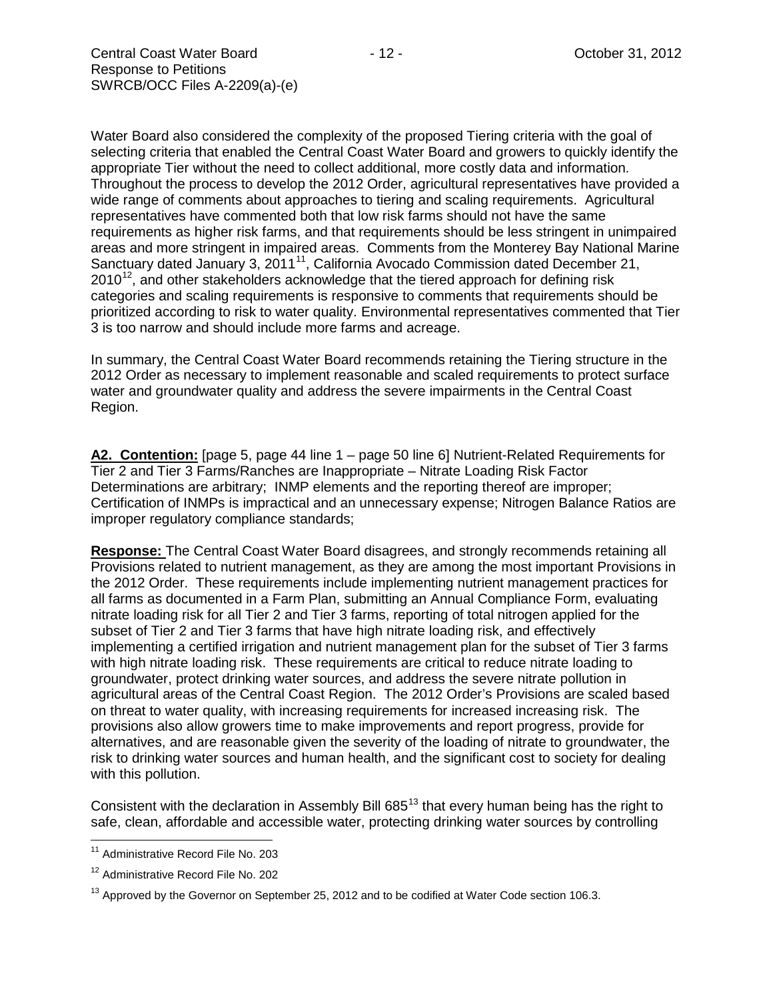Water Board also considered the complexity of the proposed Tiering criteria with the goal of selecting criteria that enabled the Central Coast Water Board and growers to quickly identify the appropriate Tier without the need to collect additional, more costly data and information. Throughout the process to develop the 2012 Order, agricultural representatives have provided a wide range of comments about approaches to tiering and scaling requirements. Agricultural representatives have commented both that low risk farms should not have the same requirements as higher risk farms, and that requirements should be less stringent in unimpaired areas and more stringent in impaired areas. Comments from the Monterey Bay National Marine Sanctuary dated January 3, 20[11](#page-11-0)<sup>11</sup>, California Avocado Commission dated December 21,  $2010^{12}$ , and other stakeholders acknowledge that the tiered approach for defining risk categories and scaling requirements is responsive to comments that requirements should be prioritized according to risk to water quality. Environmental representatives commented that Tier 3 is too narrow and should include more farms and acreage.

In summary, the Central Coast Water Board recommends retaining the Tiering structure in the 2012 Order as necessary to implement reasonable and scaled requirements to protect surface water and groundwater quality and address the severe impairments in the Central Coast Region.

**A2. Contention:** [page 5, page 44 line 1 – page 50 line 6] Nutrient-Related Requirements for Tier 2 and Tier 3 Farms/Ranches are Inappropriate – Nitrate Loading Risk Factor Determinations are arbitrary; INMP elements and the reporting thereof are improper; Certification of INMPs is impractical and an unnecessary expense; Nitrogen Balance Ratios are improper regulatory compliance standards;

**Response:** The Central Coast Water Board disagrees, and strongly recommends retaining all Provisions related to nutrient management, as they are among the most important Provisions in the 2012 Order. These requirements include implementing nutrient management practices for all farms as documented in a Farm Plan, submitting an Annual Compliance Form, evaluating nitrate loading risk for all Tier 2 and Tier 3 farms, reporting of total nitrogen applied for the subset of Tier 2 and Tier 3 farms that have high nitrate loading risk, and effectively implementing a certified irrigation and nutrient management plan for the subset of Tier 3 farms with high nitrate loading risk. These requirements are critical to reduce nitrate loading to groundwater, protect drinking water sources, and address the severe nitrate pollution in agricultural areas of the Central Coast Region. The 2012 Order's Provisions are scaled based on threat to water quality, with increasing requirements for increased increasing risk. The provisions also allow growers time to make improvements and report progress, provide for alternatives, and are reasonable given the severity of the loading of nitrate to groundwater, the risk to drinking water sources and human health, and the significant cost to society for dealing with this pollution.

Consistent with the declaration in Assembly Bill  $685^{13}$  $685^{13}$  $685^{13}$  that every human being has the right to safe, clean, affordable and accessible water, protecting drinking water sources by controlling

<span id="page-11-0"></span><sup>&</sup>lt;sup>11</sup> Administrative Record File No. 203

<span id="page-11-1"></span><sup>12</sup> Administrative Record File No. 202

<span id="page-11-2"></span> $13$  Approved by the Governor on September 25, 2012 and to be codified at Water Code section 106.3.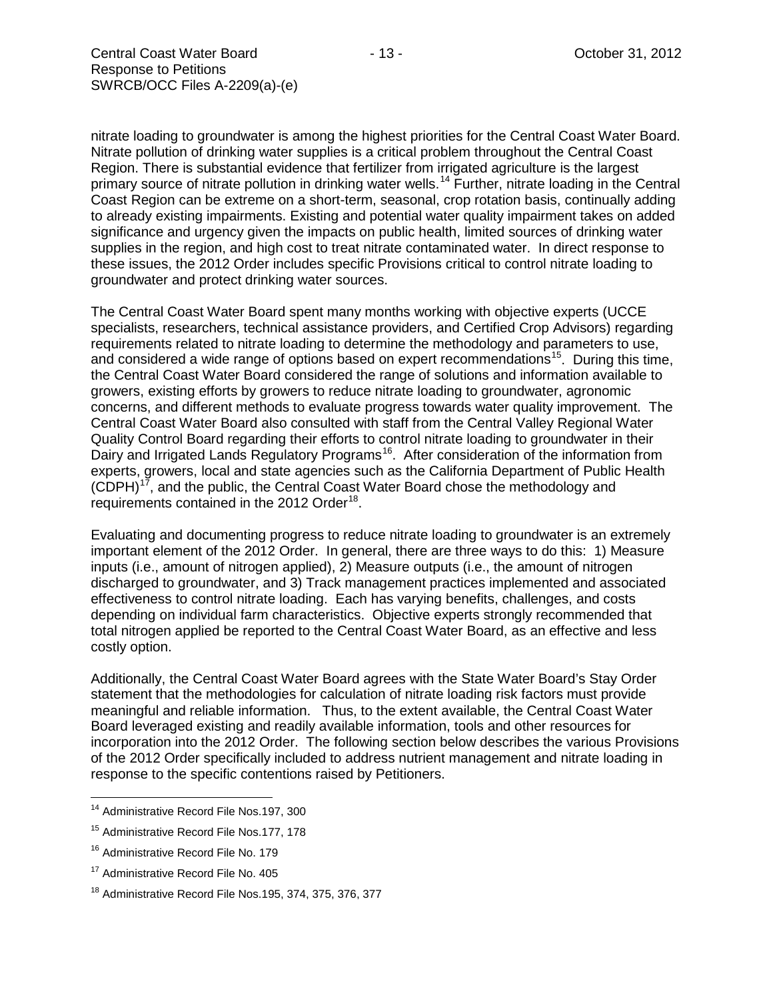nitrate loading to groundwater is among the highest priorities for the Central Coast Water Board. Nitrate pollution of drinking water supplies is a critical problem throughout the Central Coast Region. There is substantial evidence that fertilizer from irrigated agriculture is the largest primary source of nitrate pollution in drinking water wells.<sup>[14](#page-12-0)</sup> Further, nitrate loading in the Central Coast Region can be extreme on a short-term, seasonal, crop rotation basis, continually adding to already existing impairments. Existing and potential water quality impairment takes on added significance and urgency given the impacts on public health, limited sources of drinking water supplies in the region, and high cost to treat nitrate contaminated water. In direct response to these issues, the 2012 Order includes specific Provisions critical to control nitrate loading to groundwater and protect drinking water sources.

The Central Coast Water Board spent many months working with objective experts (UCCE specialists, researchers, technical assistance providers, and Certified Crop Advisors) regarding requirements related to nitrate loading to determine the methodology and parameters to use, and considered a wide range of options based on expert recommendations<sup>15</sup>. During this time, the Central Coast Water Board considered the range of solutions and information available to growers, existing efforts by growers to reduce nitrate loading to groundwater, agronomic concerns, and different methods to evaluate progress towards water quality improvement. The Central Coast Water Board also consulted with staff from the Central Valley Regional Water Quality Control Board regarding their efforts to control nitrate loading to groundwater in their Dairy and Irrigated Lands Regulatory Programs<sup>16</sup>. After consideration of the information from experts, growers, local and state agencies such as the California Department of Public Health  $(CDPH)^{17}$ , and the public, the Central Coast Water Board chose the methodology and requirements contained in the 2012 Order<sup>18</sup>.

Evaluating and documenting progress to reduce nitrate loading to groundwater is an extremely important element of the 2012 Order. In general, there are three ways to do this: 1) Measure inputs (i.e., amount of nitrogen applied), 2) Measure outputs (i.e., the amount of nitrogen discharged to groundwater, and 3) Track management practices implemented and associated effectiveness to control nitrate loading. Each has varying benefits, challenges, and costs depending on individual farm characteristics. Objective experts strongly recommended that total nitrogen applied be reported to the Central Coast Water Board, as an effective and less costly option.

Additionally, the Central Coast Water Board agrees with the State Water Board's Stay Order statement that the methodologies for calculation of nitrate loading risk factors must provide meaningful and reliable information. Thus, to the extent available, the Central Coast Water Board leveraged existing and readily available information, tools and other resources for incorporation into the 2012 Order. The following section below describes the various Provisions of the 2012 Order specifically included to address nutrient management and nitrate loading in response to the specific contentions raised by Petitioners.

<span id="page-12-0"></span><sup>&</sup>lt;sup>14</sup> Administrative Record File Nos.197, 300

<span id="page-12-1"></span><sup>&</sup>lt;sup>15</sup> Administrative Record File Nos.177, 178

<span id="page-12-2"></span><sup>&</sup>lt;sup>16</sup> Administrative Record File No. 179

<span id="page-12-3"></span><sup>&</sup>lt;sup>17</sup> Administrative Record File No. 405

<span id="page-12-4"></span><sup>&</sup>lt;sup>18</sup> Administrative Record File Nos.195, 374, 375, 376, 377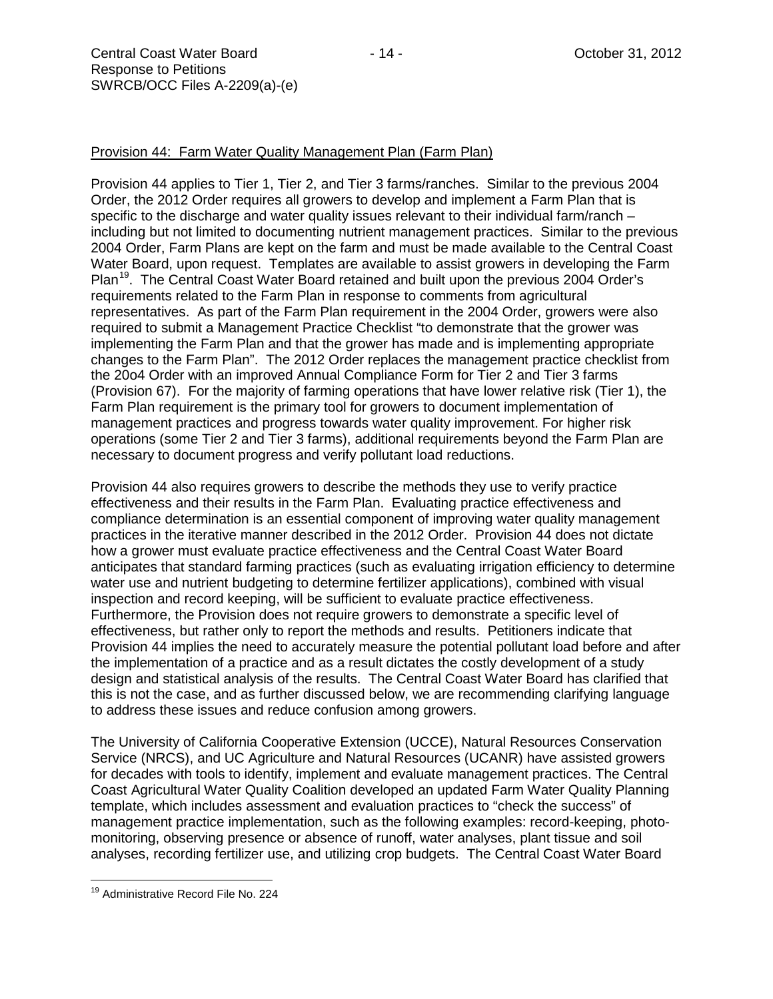Provision 44 applies to Tier 1, Tier 2, and Tier 3 farms/ranches. Similar to the previous 2004 Order, the 2012 Order requires all growers to develop and implement a Farm Plan that is specific to the discharge and water quality issues relevant to their individual farm/ranch – including but not limited to documenting nutrient management practices. Similar to the previous 2004 Order, Farm Plans are kept on the farm and must be made available to the Central Coast Water Board, upon request. Templates are available to assist growers in developing the Farm Plan<sup>[19](#page-13-0)</sup>. The Central Coast Water Board retained and built upon the previous 2004 Order's requirements related to the Farm Plan in response to comments from agricultural representatives. As part of the Farm Plan requirement in the 2004 Order, growers were also required to submit a Management Practice Checklist "to demonstrate that the grower was implementing the Farm Plan and that the grower has made and is implementing appropriate changes to the Farm Plan". The 2012 Order replaces the management practice checklist from the 20o4 Order with an improved Annual Compliance Form for Tier 2 and Tier 3 farms (Provision 67). For the majority of farming operations that have lower relative risk (Tier 1), the Farm Plan requirement is the primary tool for growers to document implementation of management practices and progress towards water quality improvement. For higher risk operations (some Tier 2 and Tier 3 farms), additional requirements beyond the Farm Plan are necessary to document progress and verify pollutant load reductions.

Provision 44 also requires growers to describe the methods they use to verify practice effectiveness and their results in the Farm Plan. Evaluating practice effectiveness and compliance determination is an essential component of improving water quality management practices in the iterative manner described in the 2012 Order. Provision 44 does not dictate how a grower must evaluate practice effectiveness and the Central Coast Water Board anticipates that standard farming practices (such as evaluating irrigation efficiency to determine water use and nutrient budgeting to determine fertilizer applications), combined with visual inspection and record keeping, will be sufficient to evaluate practice effectiveness. Furthermore, the Provision does not require growers to demonstrate a specific level of effectiveness, but rather only to report the methods and results. Petitioners indicate that Provision 44 implies the need to accurately measure the potential pollutant load before and after the implementation of a practice and as a result dictates the costly development of a study design and statistical analysis of the results. The Central Coast Water Board has clarified that this is not the case, and as further discussed below, we are recommending clarifying language to address these issues and reduce confusion among growers.

The University of California Cooperative Extension (UCCE), Natural Resources Conservation Service (NRCS), and UC Agriculture and Natural Resources (UCANR) have assisted growers for decades with tools to identify, implement and evaluate management practices. The Central Coast Agricultural Water Quality Coalition developed an updated Farm Water Quality Planning template, which includes assessment and evaluation practices to "check the success" of management practice implementation, such as the following examples: record-keeping, photomonitoring, observing presence or absence of runoff, water analyses, plant tissue and soil analyses, recording fertilizer use, and utilizing crop budgets. The Central Coast Water Board

<span id="page-13-0"></span><sup>19</sup> Administrative Record File No. <sup>224</sup>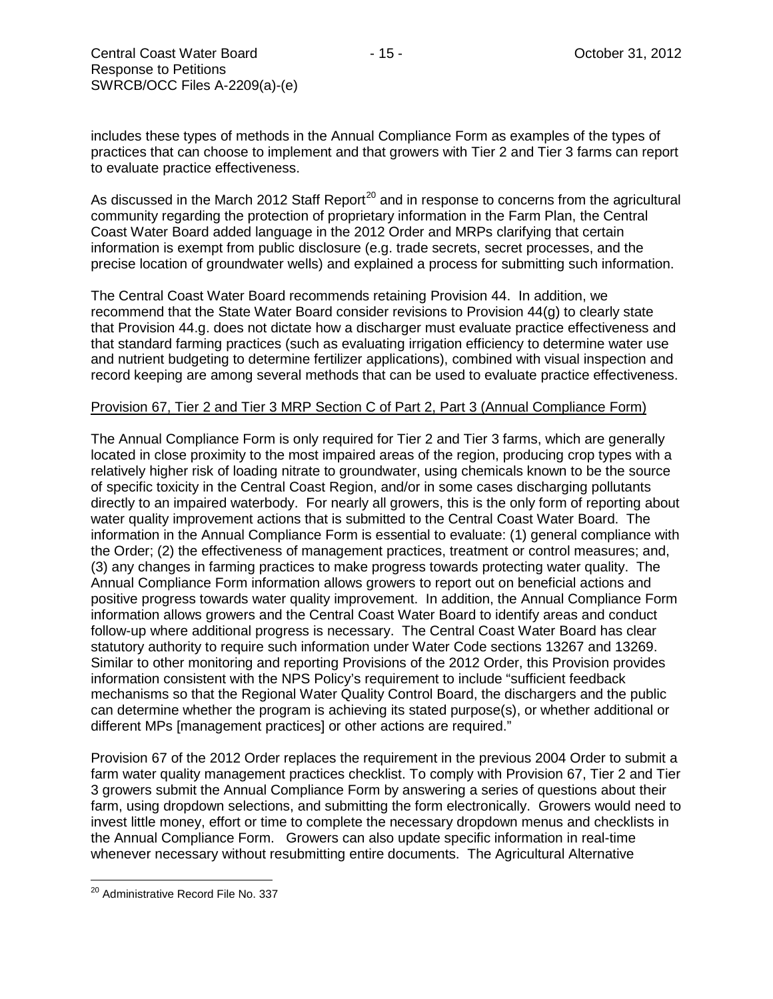includes these types of methods in the Annual Compliance Form as examples of the types of practices that can choose to implement and that growers with Tier 2 and Tier 3 farms can report to evaluate practice effectiveness.

As discussed in the March [20](#page-14-0)12 Staff Report<sup>20</sup> and in response to concerns from the agricultural community regarding the protection of proprietary information in the Farm Plan, the Central Coast Water Board added language in the 2012 Order and MRPs clarifying that certain information is exempt from public disclosure (e.g. trade secrets, secret processes, and the precise location of groundwater wells) and explained a process for submitting such information.

The Central Coast Water Board recommends retaining Provision 44. In addition, we recommend that the State Water Board consider revisions to Provision 44(g) to clearly state that Provision 44.g. does not dictate how a discharger must evaluate practice effectiveness and that standard farming practices (such as evaluating irrigation efficiency to determine water use and nutrient budgeting to determine fertilizer applications), combined with visual inspection and record keeping are among several methods that can be used to evaluate practice effectiveness.

#### Provision 67, Tier 2 and Tier 3 MRP Section C of Part 2, Part 3 (Annual Compliance Form)

The Annual Compliance Form is only required for Tier 2 and Tier 3 farms, which are generally located in close proximity to the most impaired areas of the region, producing crop types with a relatively higher risk of loading nitrate to groundwater, using chemicals known to be the source of specific toxicity in the Central Coast Region, and/or in some cases discharging pollutants directly to an impaired waterbody. For nearly all growers, this is the only form of reporting about water quality improvement actions that is submitted to the Central Coast Water Board. The information in the Annual Compliance Form is essential to evaluate: (1) general compliance with the Order; (2) the effectiveness of management practices, treatment or control measures; and, (3) any changes in farming practices to make progress towards protecting water quality. The Annual Compliance Form information allows growers to report out on beneficial actions and positive progress towards water quality improvement. In addition, the Annual Compliance Form information allows growers and the Central Coast Water Board to identify areas and conduct follow-up where additional progress is necessary. The Central Coast Water Board has clear statutory authority to require such information under Water Code sections 13267 and 13269. Similar to other monitoring and reporting Provisions of the 2012 Order, this Provision provides information consistent with the NPS Policy's requirement to include "sufficient feedback mechanisms so that the Regional Water Quality Control Board, the dischargers and the public can determine whether the program is achieving its stated purpose(s), or whether additional or different MPs [management practices] or other actions are required."

Provision 67 of the 2012 Order replaces the requirement in the previous 2004 Order to submit a farm water quality management practices checklist. To comply with Provision 67, Tier 2 and Tier 3 growers submit the Annual Compliance Form by answering a series of questions about their farm, using dropdown selections, and submitting the form electronically. Growers would need to invest little money, effort or time to complete the necessary dropdown menus and checklists in the Annual Compliance Form. Growers can also update specific information in real-time whenever necessary without resubmitting entire documents. The Agricultural Alternative

<span id="page-14-0"></span><sup>&</sup>lt;sup>20</sup> Administrative Record File No. 337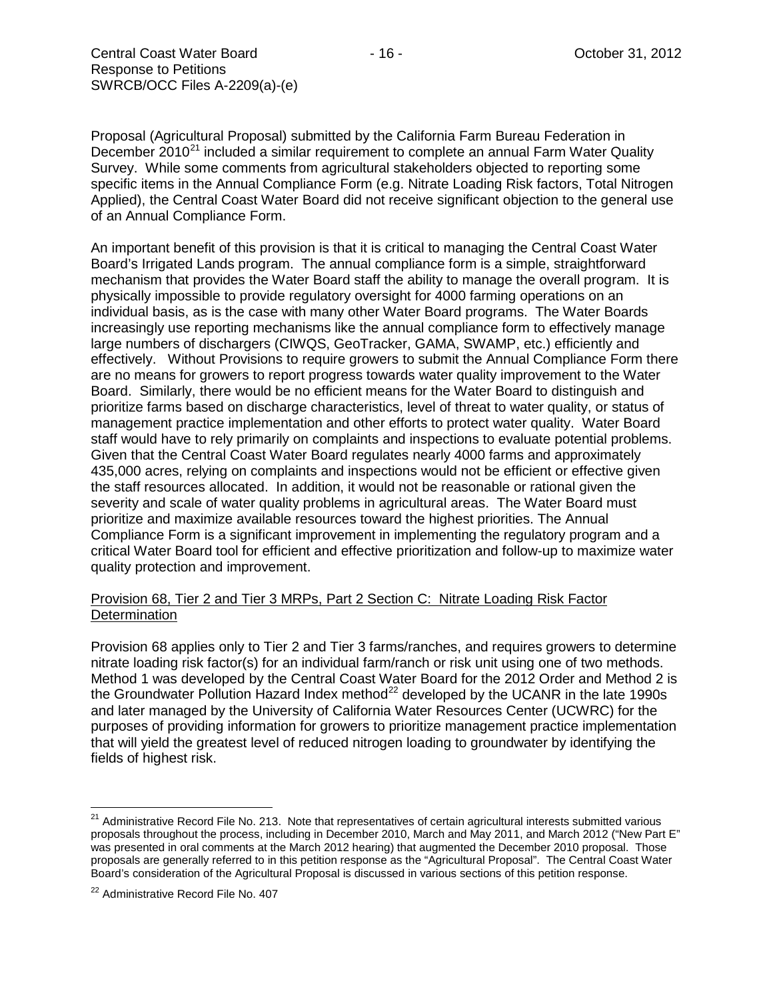Proposal (Agricultural Proposal) submitted by the California Farm Bureau Federation in December  $2010^{21}$  $2010^{21}$  $2010^{21}$  included a similar requirement to complete an annual Farm Water Quality Survey. While some comments from agricultural stakeholders objected to reporting some specific items in the Annual Compliance Form (e.g. Nitrate Loading Risk factors, Total Nitrogen Applied), the Central Coast Water Board did not receive significant objection to the general use of an Annual Compliance Form.

An important benefit of this provision is that it is critical to managing the Central Coast Water Board's Irrigated Lands program. The annual compliance form is a simple, straightforward mechanism that provides the Water Board staff the ability to manage the overall program. It is physically impossible to provide regulatory oversight for 4000 farming operations on an individual basis, as is the case with many other Water Board programs. The Water Boards increasingly use reporting mechanisms like the annual compliance form to effectively manage large numbers of dischargers (CIWQS, GeoTracker, GAMA, SWAMP, etc.) efficiently and effectively. Without Provisions to require growers to submit the Annual Compliance Form there are no means for growers to report progress towards water quality improvement to the Water Board. Similarly, there would be no efficient means for the Water Board to distinguish and prioritize farms based on discharge characteristics, level of threat to water quality, or status of management practice implementation and other efforts to protect water quality. Water Board staff would have to rely primarily on complaints and inspections to evaluate potential problems. Given that the Central Coast Water Board regulates nearly 4000 farms and approximately 435,000 acres, relying on complaints and inspections would not be efficient or effective given the staff resources allocated. In addition, it would not be reasonable or rational given the severity and scale of water quality problems in agricultural areas. The Water Board must prioritize and maximize available resources toward the highest priorities. The Annual Compliance Form is a significant improvement in implementing the regulatory program and a critical Water Board tool for efficient and effective prioritization and follow-up to maximize water quality protection and improvement.

## Provision 68, Tier 2 and Tier 3 MRPs, Part 2 Section C: Nitrate Loading Risk Factor **Determination**

Provision 68 applies only to Tier 2 and Tier 3 farms/ranches, and requires growers to determine nitrate loading risk factor(s) for an individual farm/ranch or risk unit using one of two methods. Method 1 was developed by the Central Coast Water Board for the 2012 Order and Method 2 is the Groundwater Pollution Hazard Index method $^{22}$  $^{22}$  $^{22}$  developed by the UCANR in the late 1990s and later managed by the University of California Water Resources Center (UCWRC) for the purposes of providing information for growers to prioritize management practice implementation that will yield the greatest level of reduced nitrogen loading to groundwater by identifying the fields of highest risk.

<span id="page-15-0"></span><sup>&</sup>lt;sup>21</sup> Administrative Record File No. 213. Note that representatives of certain agricultural interests submitted various proposals throughout the process, including in December 2010, March and May 2011, and March 2012 ("New Part E" was presented in oral comments at the March 2012 hearing) that augmented the December 2010 proposal. Those proposals are generally referred to in this petition response as the "Agricultural Proposal". The Central Coast Water Board's consideration of the Agricultural Proposal is discussed in various sections of this petition response.

<span id="page-15-1"></span><sup>22</sup> Administrative Record File No. 407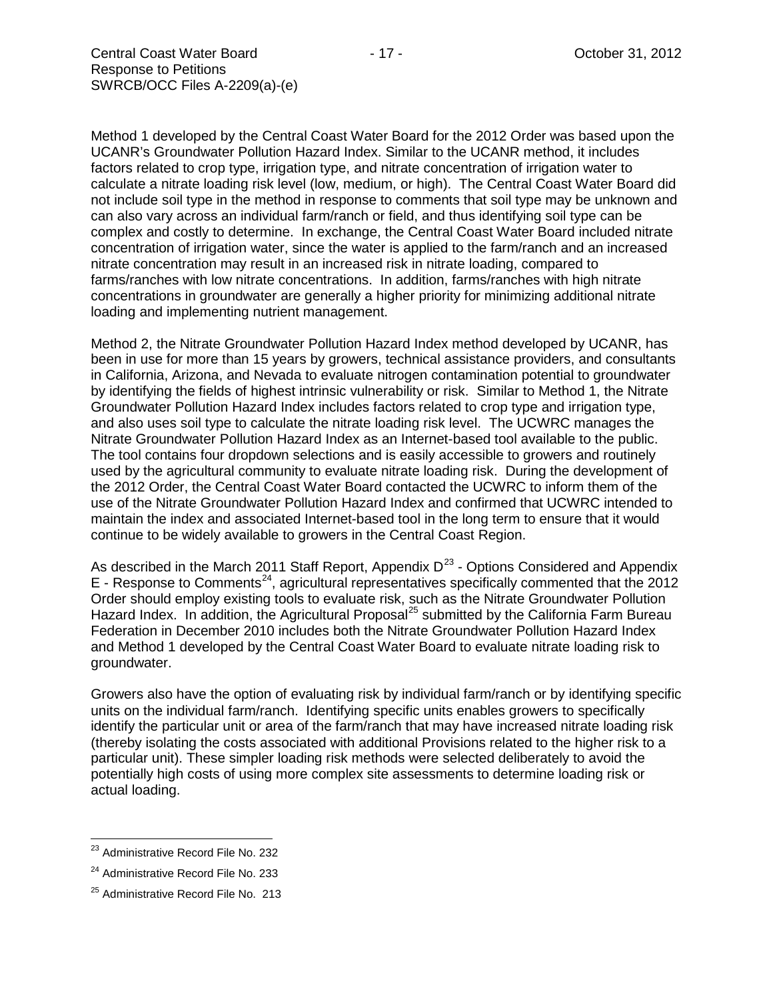Method 1 developed by the Central Coast Water Board for the 2012 Order was based upon the UCANR's Groundwater Pollution Hazard Index. Similar to the UCANR method, it includes factors related to crop type, irrigation type, and nitrate concentration of irrigation water to calculate a nitrate loading risk level (low, medium, or high). The Central Coast Water Board did not include soil type in the method in response to comments that soil type may be unknown and can also vary across an individual farm/ranch or field, and thus identifying soil type can be complex and costly to determine. In exchange, the Central Coast Water Board included nitrate concentration of irrigation water, since the water is applied to the farm/ranch and an increased nitrate concentration may result in an increased risk in nitrate loading, compared to farms/ranches with low nitrate concentrations. In addition, farms/ranches with high nitrate concentrations in groundwater are generally a higher priority for minimizing additional nitrate loading and implementing nutrient management.

Method 2, the Nitrate Groundwater Pollution Hazard Index method developed by UCANR, has been in use for more than 15 years by growers, technical assistance providers, and consultants in California, Arizona, and Nevada to evaluate nitrogen contamination potential to groundwater by identifying the fields of highest intrinsic vulnerability or risk. Similar to Method 1, the Nitrate Groundwater Pollution Hazard Index includes factors related to crop type and irrigation type, and also uses soil type to calculate the nitrate loading risk level. The UCWRC manages the Nitrate Groundwater Pollution Hazard Index as an Internet-based tool available to the public. The tool contains four dropdown selections and is easily accessible to growers and routinely used by the agricultural community to evaluate nitrate loading risk. During the development of the 2012 Order, the Central Coast Water Board contacted the UCWRC to inform them of the use of the Nitrate Groundwater Pollution Hazard Index and confirmed that UCWRC intended to maintain the index and associated Internet-based tool in the long term to ensure that it would continue to be widely available to growers in the Central Coast Region.

As described in the March 2011 Staff Report, Appendix  $D^{23}$  $D^{23}$  $D^{23}$  - Options Considered and Appendix  $E$  - Response to Comments<sup>[24](#page-16-1)</sup>, agricultural representatives specifically commented that the 2012 Order should employ existing tools to evaluate risk, such as the Nitrate Groundwater Pollution Hazard Index. In addition, the Agricultural Proposal<sup>[25](#page-16-2)</sup> submitted by the California Farm Bureau Federation in December 2010 includes both the Nitrate Groundwater Pollution Hazard Index and Method 1 developed by the Central Coast Water Board to evaluate nitrate loading risk to groundwater.

Growers also have the option of evaluating risk by individual farm/ranch or by identifying specific units on the individual farm/ranch. Identifying specific units enables growers to specifically identify the particular unit or area of the farm/ranch that may have increased nitrate loading risk (thereby isolating the costs associated with additional Provisions related to the higher risk to a particular unit). These simpler loading risk methods were selected deliberately to avoid the potentially high costs of using more complex site assessments to determine loading risk or actual loading.

<span id="page-16-0"></span><sup>&</sup>lt;sup>23</sup> Administrative Record File No. 232

<span id="page-16-1"></span><sup>&</sup>lt;sup>24</sup> Administrative Record File No. 233

<span id="page-16-2"></span><sup>&</sup>lt;sup>25</sup> Administrative Record File No. 213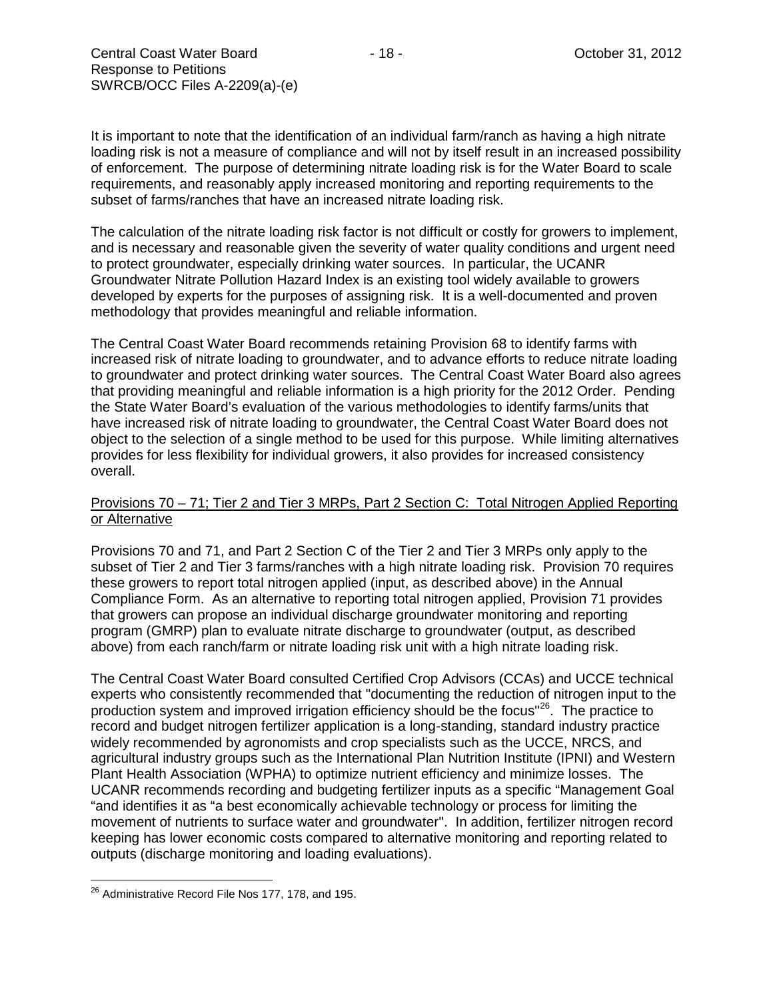It is important to note that the identification of an individual farm/ranch as having a high nitrate loading risk is not a measure of compliance and will not by itself result in an increased possibility of enforcement. The purpose of determining nitrate loading risk is for the Water Board to scale requirements, and reasonably apply increased monitoring and reporting requirements to the subset of farms/ranches that have an increased nitrate loading risk.

The calculation of the nitrate loading risk factor is not difficult or costly for growers to implement, and is necessary and reasonable given the severity of water quality conditions and urgent need to protect groundwater, especially drinking water sources. In particular, the UCANR Groundwater Nitrate Pollution Hazard Index is an existing tool widely available to growers developed by experts for the purposes of assigning risk. It is a well-documented and proven methodology that provides meaningful and reliable information.

The Central Coast Water Board recommends retaining Provision 68 to identify farms with increased risk of nitrate loading to groundwater, and to advance efforts to reduce nitrate loading to groundwater and protect drinking water sources. The Central Coast Water Board also agrees that providing meaningful and reliable information is a high priority for the 2012 Order. Pending the State Water Board's evaluation of the various methodologies to identify farms/units that have increased risk of nitrate loading to groundwater, the Central Coast Water Board does not object to the selection of a single method to be used for this purpose. While limiting alternatives provides for less flexibility for individual growers, it also provides for increased consistency overall.

## Provisions 70 – 71; Tier 2 and Tier 3 MRPs, Part 2 Section C: Total Nitrogen Applied Reporting or Alternative

Provisions 70 and 71, and Part 2 Section C of the Tier 2 and Tier 3 MRPs only apply to the subset of Tier 2 and Tier 3 farms/ranches with a high nitrate loading risk. Provision 70 requires these growers to report total nitrogen applied (input, as described above) in the Annual Compliance Form. As an alternative to reporting total nitrogen applied, Provision 71 provides that growers can propose an individual discharge groundwater monitoring and reporting program (GMRP) plan to evaluate nitrate discharge to groundwater (output, as described above) from each ranch/farm or nitrate loading risk unit with a high nitrate loading risk.

The Central Coast Water Board consulted Certified Crop Advisors (CCAs) and UCCE technical experts who consistently recommended that "documenting the reduction of nitrogen input to the production system and improved irrigation efficiency should be the focus<sup>"26</sup>. The practice to record and budget nitrogen fertilizer application is a long-standing, standard industry practice widely recommended by agronomists and crop specialists such as the UCCE, NRCS, and agricultural industry groups such as the International Plan Nutrition Institute (IPNI) and Western Plant Health Association (WPHA) to optimize nutrient efficiency and minimize losses. The UCANR recommends recording and budgeting fertilizer inputs as a specific "Management Goal "and identifies it as "a best economically achievable technology or process for limiting the movement of nutrients to surface water and groundwater". In addition, fertilizer nitrogen record keeping has lower economic costs compared to alternative monitoring and reporting related to outputs (discharge monitoring and loading evaluations).

<span id="page-17-0"></span><sup>&</sup>lt;sup>26</sup> Administrative Record File Nos 177, 178, and 195.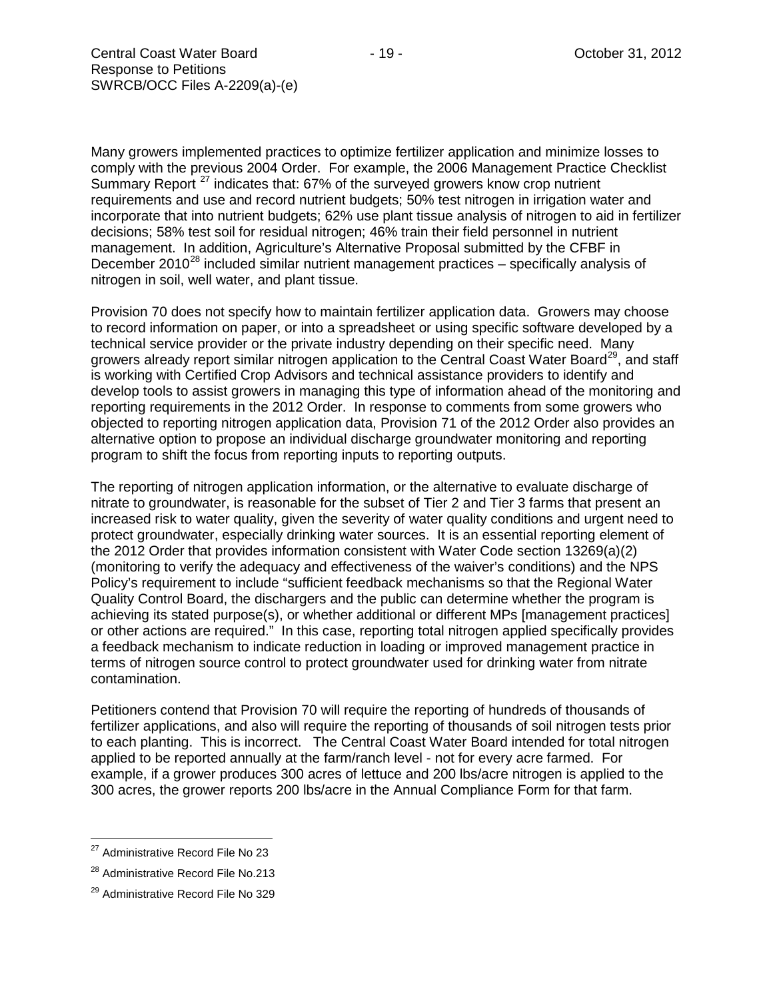Many growers implemented practices to optimize fertilizer application and minimize losses to comply with the previous 2004 Order. For example, the 2006 Management Practice Checklist Summary Report<sup>[27](#page-18-0)</sup> indicates that: 67% of the surveyed growers know crop nutrient requirements and use and record nutrient budgets; 50% test nitrogen in irrigation water and incorporate that into nutrient budgets; 62% use plant tissue analysis of nitrogen to aid in fertilizer decisions; 58% test soil for residual nitrogen; 46% train their field personnel in nutrient management. In addition, Agriculture's Alternative Proposal submitted by the CFBF in December 2010<sup>[28](#page-18-1)</sup> included similar nutrient management practices – specifically analysis of nitrogen in soil, well water, and plant tissue.

Provision 70 does not specify how to maintain fertilizer application data. Growers may choose to record information on paper, or into a spreadsheet or using specific software developed by a technical service provider or the private industry depending on their specific need. Many growers already report similar nitrogen application to the Central Coast Water Board<sup>[29](#page-18-2)</sup>, and staff is working with Certified Crop Advisors and technical assistance providers to identify and develop tools to assist growers in managing this type of information ahead of the monitoring and reporting requirements in the 2012 Order. In response to comments from some growers who objected to reporting nitrogen application data, Provision 71 of the 2012 Order also provides an alternative option to propose an individual discharge groundwater monitoring and reporting program to shift the focus from reporting inputs to reporting outputs.

The reporting of nitrogen application information, or the alternative to evaluate discharge of nitrate to groundwater, is reasonable for the subset of Tier 2 and Tier 3 farms that present an increased risk to water quality, given the severity of water quality conditions and urgent need to protect groundwater, especially drinking water sources. It is an essential reporting element of the 2012 Order that provides information consistent with Water Code section 13269(a)(2) (monitoring to verify the adequacy and effectiveness of the waiver's conditions) and the NPS Policy's requirement to include "sufficient feedback mechanisms so that the Regional Water Quality Control Board, the dischargers and the public can determine whether the program is achieving its stated purpose(s), or whether additional or different MPs [management practices] or other actions are required." In this case, reporting total nitrogen applied specifically provides a feedback mechanism to indicate reduction in loading or improved management practice in terms of nitrogen source control to protect groundwater used for drinking water from nitrate contamination.

Petitioners contend that Provision 70 will require the reporting of hundreds of thousands of fertilizer applications, and also will require the reporting of thousands of soil nitrogen tests prior to each planting. This is incorrect. The Central Coast Water Board intended for total nitrogen applied to be reported annually at the farm/ranch level - not for every acre farmed. For example, if a grower produces 300 acres of lettuce and 200 lbs/acre nitrogen is applied to the 300 acres, the grower reports 200 lbs/acre in the Annual Compliance Form for that farm.

<span id="page-18-0"></span><sup>&</sup>lt;sup>27</sup> Administrative Record File No 23

<span id="page-18-1"></span><sup>&</sup>lt;sup>28</sup> Administrative Record File No.213

<span id="page-18-2"></span><sup>&</sup>lt;sup>29</sup> Administrative Record File No 329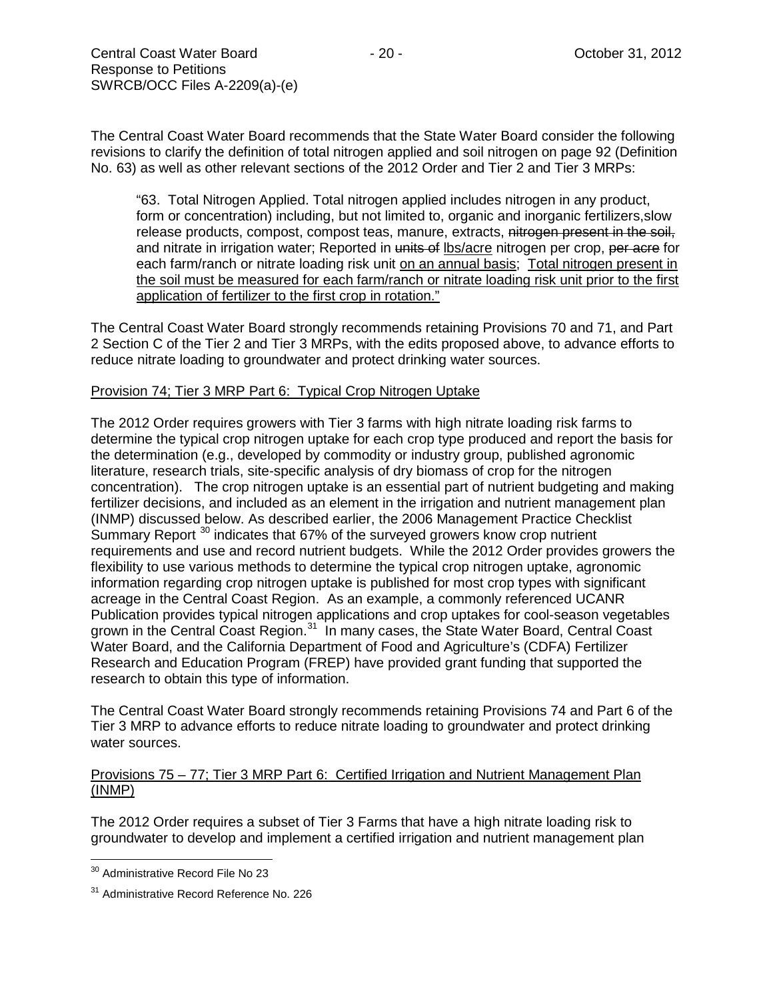The Central Coast Water Board recommends that the State Water Board consider the following revisions to clarify the definition of total nitrogen applied and soil nitrogen on page 92 (Definition No. 63) as well as other relevant sections of the 2012 Order and Tier 2 and Tier 3 MRPs:

"63. Total Nitrogen Applied. Total nitrogen applied includes nitrogen in any product, form or concentration) including, but not limited to, organic and inorganic fertilizers,slow release products, compost, compost teas, manure, extracts, nitrogen present in the soil, and nitrate in irrigation water; Reported in units of lbs/acre nitrogen per crop, per acre for each farm/ranch or nitrate loading risk unit on an annual basis; Total nitrogen present in the soil must be measured for each farm/ranch or nitrate loading risk unit prior to the first application of fertilizer to the first crop in rotation."

The Central Coast Water Board strongly recommends retaining Provisions 70 and 71, and Part 2 Section C of the Tier 2 and Tier 3 MRPs, with the edits proposed above, to advance efforts to reduce nitrate loading to groundwater and protect drinking water sources.

## Provision 74; Tier 3 MRP Part 6: Typical Crop Nitrogen Uptake

The 2012 Order requires growers with Tier 3 farms with high nitrate loading risk farms to determine the typical crop nitrogen uptake for each crop type produced and report the basis for the determination (e.g., developed by commodity or industry group, published agronomic literature, research trials, site-specific analysis of dry biomass of crop for the nitrogen concentration). The crop nitrogen uptake is an essential part of nutrient budgeting and making fertilizer decisions, and included as an element in the irrigation and nutrient management plan (INMP) discussed below. As described earlier, the 2006 Management Practice Checklist Summary Report<sup>[30](#page-19-0)</sup> indicates that 67% of the surveyed growers know crop nutrient requirements and use and record nutrient budgets. While the 2012 Order provides growers the flexibility to use various methods to determine the typical crop nitrogen uptake, agronomic information regarding crop nitrogen uptake is published for most crop types with significant acreage in the Central Coast Region. As an example, a commonly referenced UCANR Publication provides typical nitrogen applications and crop uptakes for cool-season vegetables grown in the Central Coast Region.<sup>[31](#page-19-1)</sup> In many cases, the State Water Board, Central Coast Water Board, and the California Department of Food and Agriculture's (CDFA) Fertilizer Research and Education Program (FREP) have provided grant funding that supported the research to obtain this type of information.

The Central Coast Water Board strongly recommends retaining Provisions 74 and Part 6 of the Tier 3 MRP to advance efforts to reduce nitrate loading to groundwater and protect drinking water sources.

## Provisions 75 – 77; Tier 3 MRP Part 6: Certified Irrigation and Nutrient Management Plan (INMP)

The 2012 Order requires a subset of Tier 3 Farms that have a high nitrate loading risk to groundwater to develop and implement a certified irrigation and nutrient management plan

<span id="page-19-0"></span><sup>&</sup>lt;sup>30</sup> Administrative Record File No 23

<span id="page-19-1"></span><sup>&</sup>lt;sup>31</sup> Administrative Record Reference No. 226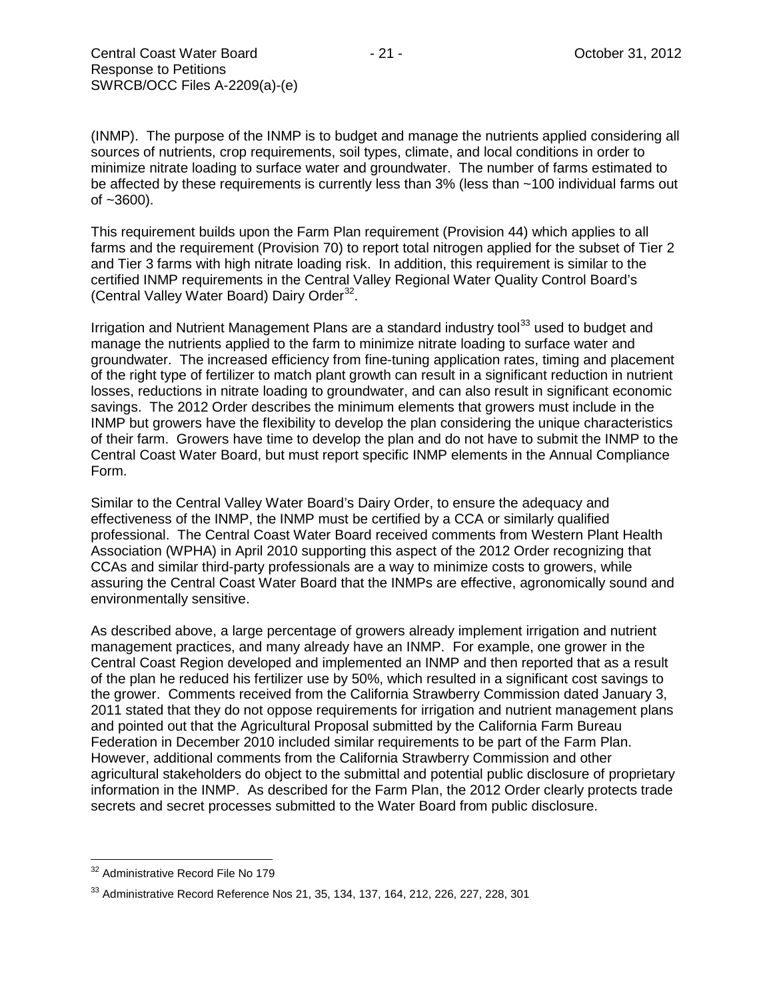(INMP). The purpose of the INMP is to budget and manage the nutrients applied considering all sources of nutrients, crop requirements, soil types, climate, and local conditions in order to minimize nitrate loading to surface water and groundwater. The number of farms estimated to be affected by these requirements is currently less than 3% (less than ~100 individual farms out  $of -3600$ ).

This requirement builds upon the Farm Plan requirement (Provision 44) which applies to all farms and the requirement (Provision 70) to report total nitrogen applied for the subset of Tier 2 and Tier 3 farms with high nitrate loading risk. In addition, this requirement is similar to the certified INMP requirements in the Central Valley Regional Water Quality Control Board's (Central Valley Water Board) Dairy Order<sup>32</sup>.

Irrigation and Nutrient Management Plans are a standard industry tool<sup>[33](#page-20-1)</sup> used to budget and manage the nutrients applied to the farm to minimize nitrate loading to surface water and groundwater. The increased efficiency from fine-tuning application rates, timing and placement of the right type of fertilizer to match plant growth can result in a significant reduction in nutrient losses, reductions in nitrate loading to groundwater, and can also result in significant economic savings. The 2012 Order describes the minimum elements that growers must include in the INMP but growers have the flexibility to develop the plan considering the unique characteristics of their farm. Growers have time to develop the plan and do not have to submit the INMP to the Central Coast Water Board, but must report specific INMP elements in the Annual Compliance Form.

Similar to the Central Valley Water Board's Dairy Order, to ensure the adequacy and effectiveness of the INMP, the INMP must be certified by a CCA or similarly qualified professional. The Central Coast Water Board received comments from Western Plant Health Association (WPHA) in April 2010 supporting this aspect of the 2012 Order recognizing that CCAs and similar third-party professionals are a way to minimize costs to growers, while assuring the Central Coast Water Board that the INMPs are effective, agronomically sound and environmentally sensitive.

As described above, a large percentage of growers already implement irrigation and nutrient management practices, and many already have an INMP. For example, one grower in the Central Coast Region developed and implemented an INMP and then reported that as a result of the plan he reduced his fertilizer use by 50%, which resulted in a significant cost savings to the grower. Comments received from the California Strawberry Commission dated January 3, 2011 stated that they do not oppose requirements for irrigation and nutrient management plans and pointed out that the Agricultural Proposal submitted by the California Farm Bureau Federation in December 2010 included similar requirements to be part of the Farm Plan. However, additional comments from the California Strawberry Commission and other agricultural stakeholders do object to the submittal and potential public disclosure of proprietary information in the INMP. As described for the Farm Plan, the 2012 Order clearly protects trade secrets and secret processes submitted to the Water Board from public disclosure.

<span id="page-20-0"></span><sup>&</sup>lt;sup>32</sup> Administrative Record File No 179

<span id="page-20-1"></span><sup>33</sup> Administrative Record Reference Nos 21, 35, 134, 137, 164, 212, 226, 227, 228, 301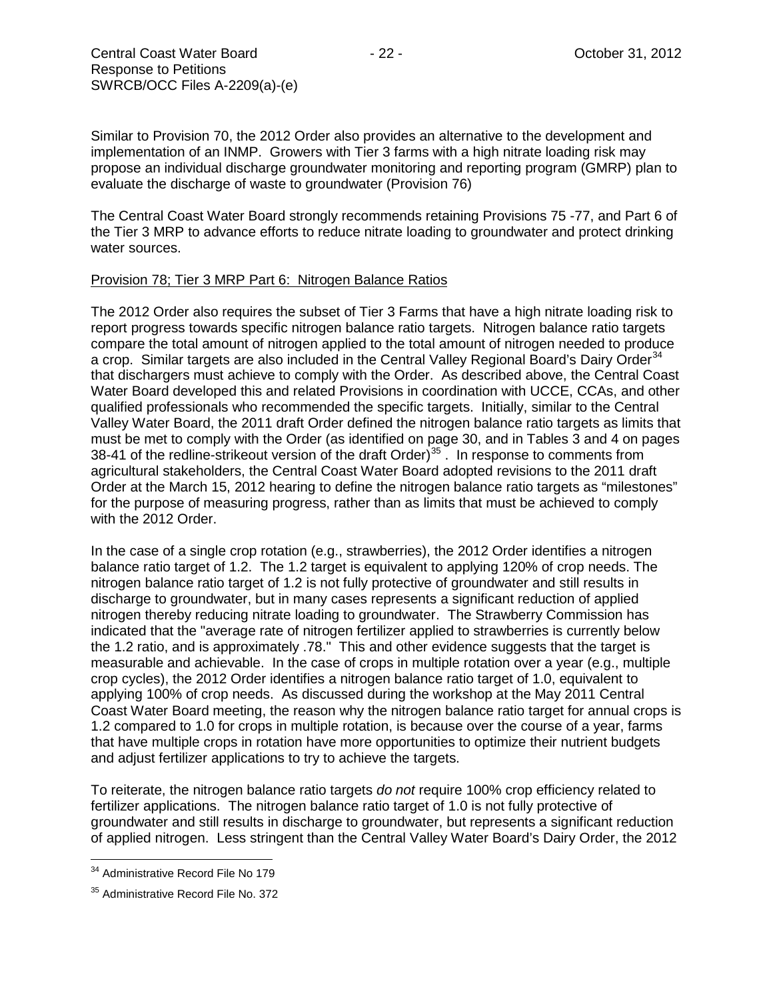Similar to Provision 70, the 2012 Order also provides an alternative to the development and implementation of an INMP. Growers with Tier 3 farms with a high nitrate loading risk may propose an individual discharge groundwater monitoring and reporting program (GMRP) plan to evaluate the discharge of waste to groundwater (Provision 76)

The Central Coast Water Board strongly recommends retaining Provisions 75 -77, and Part 6 of the Tier 3 MRP to advance efforts to reduce nitrate loading to groundwater and protect drinking water sources.

## Provision 78; Tier 3 MRP Part 6: Nitrogen Balance Ratios

The 2012 Order also requires the subset of Tier 3 Farms that have a high nitrate loading risk to report progress towards specific nitrogen balance ratio targets. Nitrogen balance ratio targets compare the total amount of nitrogen applied to the total amount of nitrogen needed to produce a crop. Similar targets are also included in the Central Valley Regional Board's Dairy Order<sup>[34](#page-21-0)</sup> that dischargers must achieve to comply with the Order. As described above, the Central Coast Water Board developed this and related Provisions in coordination with UCCE, CCAs, and other qualified professionals who recommended the specific targets. Initially, similar to the Central Valley Water Board, the 2011 draft Order defined the nitrogen balance ratio targets as limits that must be met to comply with the Order (as identified on page 30, and in Tables 3 and 4 on pages 38-41 of the redline-strikeout version of the draft Order)<sup>[35](#page-21-1)</sup>. In response to comments from agricultural stakeholders, the Central Coast Water Board adopted revisions to the 2011 draft Order at the March 15, 2012 hearing to define the nitrogen balance ratio targets as "milestones" for the purpose of measuring progress, rather than as limits that must be achieved to comply with the 2012 Order.

In the case of a single crop rotation (e.g., strawberries), the 2012 Order identifies a nitrogen balance ratio target of 1.2. The 1.2 target is equivalent to applying 120% of crop needs. The nitrogen balance ratio target of 1.2 is not fully protective of groundwater and still results in discharge to groundwater, but in many cases represents a significant reduction of applied nitrogen thereby reducing nitrate loading to groundwater. The Strawberry Commission has indicated that the "average rate of nitrogen fertilizer applied to strawberries is currently below the 1.2 ratio, and is approximately .78." This and other evidence suggests that the target is measurable and achievable. In the case of crops in multiple rotation over a year (e.g., multiple crop cycles), the 2012 Order identifies a nitrogen balance ratio target of 1.0, equivalent to applying 100% of crop needs. As discussed during the workshop at the May 2011 Central Coast Water Board meeting, the reason why the nitrogen balance ratio target for annual crops is 1.2 compared to 1.0 for crops in multiple rotation, is because over the course of a year, farms that have multiple crops in rotation have more opportunities to optimize their nutrient budgets and adjust fertilizer applications to try to achieve the targets.

To reiterate, the nitrogen balance ratio targets *do not* require 100% crop efficiency related to fertilizer applications. The nitrogen balance ratio target of 1.0 is not fully protective of groundwater and still results in discharge to groundwater, but represents a significant reduction of applied nitrogen. Less stringent than the Central Valley Water Board's Dairy Order, the 2012

<span id="page-21-0"></span><sup>&</sup>lt;sup>34</sup> Administrative Record File No 179

<span id="page-21-1"></span><sup>&</sup>lt;sup>35</sup> Administrative Record File No. 372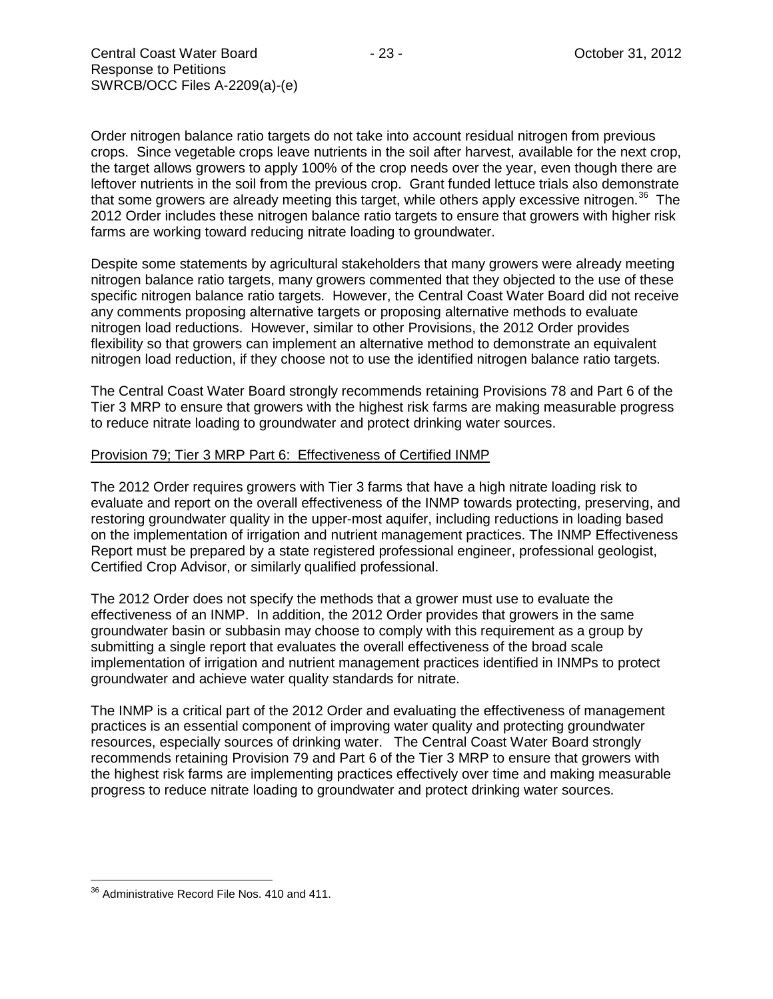Order nitrogen balance ratio targets do not take into account residual nitrogen from previous crops. Since vegetable crops leave nutrients in the soil after harvest, available for the next crop, the target allows growers to apply 100% of the crop needs over the year, even though there are leftover nutrients in the soil from the previous crop. Grant funded lettuce trials also demonstrate that some growers are already meeting this target, while others apply excessive nitrogen.<sup>36</sup> The 2012 Order includes these nitrogen balance ratio targets to ensure that growers with higher risk farms are working toward reducing nitrate loading to groundwater.

Despite some statements by agricultural stakeholders that many growers were already meeting nitrogen balance ratio targets, many growers commented that they objected to the use of these specific nitrogen balance ratio targets. However, the Central Coast Water Board did not receive any comments proposing alternative targets or proposing alternative methods to evaluate nitrogen load reductions. However, similar to other Provisions, the 2012 Order provides flexibility so that growers can implement an alternative method to demonstrate an equivalent nitrogen load reduction, if they choose not to use the identified nitrogen balance ratio targets.

The Central Coast Water Board strongly recommends retaining Provisions 78 and Part 6 of the Tier 3 MRP to ensure that growers with the highest risk farms are making measurable progress to reduce nitrate loading to groundwater and protect drinking water sources.

#### Provision 79; Tier 3 MRP Part 6: Effectiveness of Certified INMP

The 2012 Order requires growers with Tier 3 farms that have a high nitrate loading risk to evaluate and report on the overall effectiveness of the INMP towards protecting, preserving, and restoring groundwater quality in the upper-most aquifer, including reductions in loading based on the implementation of irrigation and nutrient management practices. The INMP Effectiveness Report must be prepared by a state registered professional engineer, professional geologist, Certified Crop Advisor, or similarly qualified professional.

The 2012 Order does not specify the methods that a grower must use to evaluate the effectiveness of an INMP. In addition, the 2012 Order provides that growers in the same groundwater basin or subbasin may choose to comply with this requirement as a group by submitting a single report that evaluates the overall effectiveness of the broad scale implementation of irrigation and nutrient management practices identified in INMPs to protect groundwater and achieve water quality standards for nitrate.

The INMP is a critical part of the 2012 Order and evaluating the effectiveness of management practices is an essential component of improving water quality and protecting groundwater resources, especially sources of drinking water. The Central Coast Water Board strongly recommends retaining Provision 79 and Part 6 of the Tier 3 MRP to ensure that growers with the highest risk farms are implementing practices effectively over time and making measurable progress to reduce nitrate loading to groundwater and protect drinking water sources.

<span id="page-22-0"></span><sup>&</sup>lt;sup>36</sup> Administrative Record File Nos. 410 and 411.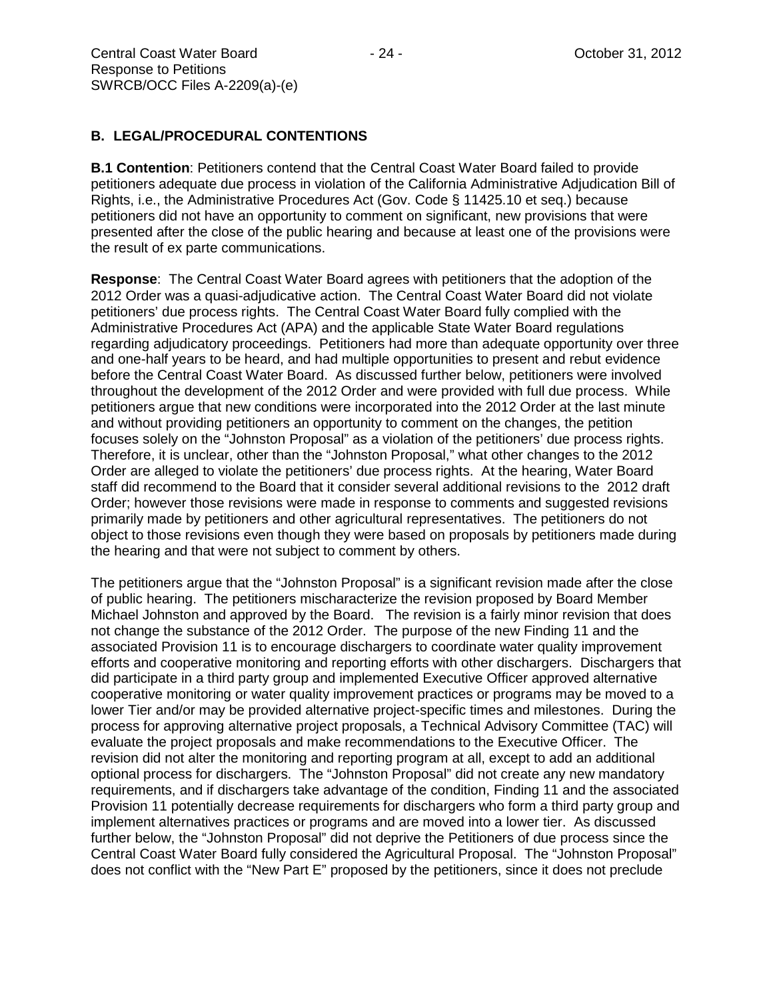## **B. LEGAL/PROCEDURAL CONTENTIONS**

**B.1 Contention**: Petitioners contend that the Central Coast Water Board failed to provide petitioners adequate due process in violation of the California Administrative Adjudication Bill of Rights, i.e., the Administrative Procedures Act (Gov. Code § 11425.10 et seq.) because petitioners did not have an opportunity to comment on significant, new provisions that were presented after the close of the public hearing and because at least one of the provisions were the result of ex parte communications.

**Response**: The Central Coast Water Board agrees with petitioners that the adoption of the 2012 Order was a quasi-adjudicative action. The Central Coast Water Board did not violate petitioners' due process rights. The Central Coast Water Board fully complied with the Administrative Procedures Act (APA) and the applicable State Water Board regulations regarding adjudicatory proceedings. Petitioners had more than adequate opportunity over three and one-half years to be heard, and had multiple opportunities to present and rebut evidence before the Central Coast Water Board. As discussed further below, petitioners were involved throughout the development of the 2012 Order and were provided with full due process. While petitioners argue that new conditions were incorporated into the 2012 Order at the last minute and without providing petitioners an opportunity to comment on the changes, the petition focuses solely on the "Johnston Proposal" as a violation of the petitioners' due process rights. Therefore, it is unclear, other than the "Johnston Proposal," what other changes to the 2012 Order are alleged to violate the petitioners' due process rights. At the hearing, Water Board staff did recommend to the Board that it consider several additional revisions to the 2012 draft Order: however those revisions were made in response to comments and suggested revisions primarily made by petitioners and other agricultural representatives. The petitioners do not object to those revisions even though they were based on proposals by petitioners made during the hearing and that were not subject to comment by others.

The petitioners argue that the "Johnston Proposal" is a significant revision made after the close of public hearing. The petitioners mischaracterize the revision proposed by Board Member Michael Johnston and approved by the Board. The revision is a fairly minor revision that does not change the substance of the 2012 Order. The purpose of the new Finding 11 and the associated Provision 11 is to encourage dischargers to coordinate water quality improvement efforts and cooperative monitoring and reporting efforts with other dischargers. Dischargers that did participate in a third party group and implemented Executive Officer approved alternative cooperative monitoring or water quality improvement practices or programs may be moved to a lower Tier and/or may be provided alternative project-specific times and milestones. During the process for approving alternative project proposals, a Technical Advisory Committee (TAC) will evaluate the project proposals and make recommendations to the Executive Officer. The revision did not alter the monitoring and reporting program at all, except to add an additional optional process for dischargers. The "Johnston Proposal" did not create any new mandatory requirements, and if dischargers take advantage of the condition, Finding 11 and the associated Provision 11 potentially decrease requirements for dischargers who form a third party group and implement alternatives practices or programs and are moved into a lower tier. As discussed further below, the "Johnston Proposal" did not deprive the Petitioners of due process since the Central Coast Water Board fully considered the Agricultural Proposal. The "Johnston Proposal" does not conflict with the "New Part E" proposed by the petitioners, since it does not preclude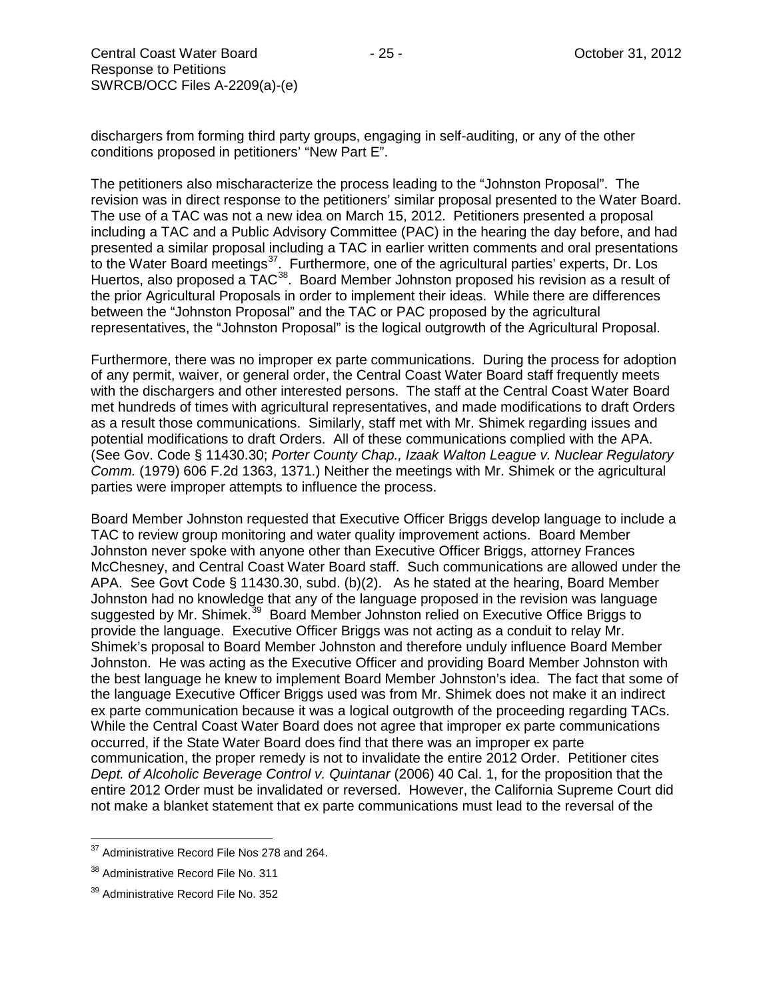dischargers from forming third party groups, engaging in self-auditing, or any of the other conditions proposed in petitioners' "New Part E".

The petitioners also mischaracterize the process leading to the "Johnston Proposal". The revision was in direct response to the petitioners' similar proposal presented to the Water Board. The use of a TAC was not a new idea on March 15, 2012. Petitioners presented a proposal including a TAC and a Public Advisory Committee (PAC) in the hearing the day before, and had presented a similar proposal including a TAC in earlier written comments and oral presentations to the Water Board meetings<sup>[37](#page-24-0)</sup>. Furthermore, one of the agricultural parties' experts, Dr. Los Huertos, also proposed a TAC<sup>[38](#page-24-1)</sup>. Board Member Johnston proposed his revision as a result of the prior Agricultural Proposals in order to implement their ideas. While there are differences between the "Johnston Proposal" and the TAC or PAC proposed by the agricultural representatives, the "Johnston Proposal" is the logical outgrowth of the Agricultural Proposal.

Furthermore, there was no improper ex parte communications. During the process for adoption of any permit, waiver, or general order, the Central Coast Water Board staff frequently meets with the dischargers and other interested persons. The staff at the Central Coast Water Board met hundreds of times with agricultural representatives, and made modifications to draft Orders as a result those communications. Similarly, staff met with Mr. Shimek regarding issues and potential modifications to draft Orders. All of these communications complied with the APA. (See Gov. Code § 11430.30; *Porter County Chap., Izaak Walton League v. Nuclear Regulatory Comm.* (1979) 606 F.2d 1363, 1371.) Neither the meetings with Mr. Shimek or the agricultural parties were improper attempts to influence the process.

Board Member Johnston requested that Executive Officer Briggs develop language to include a TAC to review group monitoring and water quality improvement actions. Board Member Johnston never spoke with anyone other than Executive Officer Briggs, attorney Frances McChesney, and Central Coast Water Board staff. Such communications are allowed under the APA. See Govt Code § 11430.30, subd. (b)(2). As he stated at the hearing, Board Member Johnston had no knowledge that any of the language proposed in the revision was language suggested by Mr. Shimek.<sup>[39](#page-24-2)</sup> Board Member Johnston relied on Executive Office Briggs to provide the language. Executive Officer Briggs was not acting as a conduit to relay Mr. Shimek's proposal to Board Member Johnston and therefore unduly influence Board Member Johnston. He was acting as the Executive Officer and providing Board Member Johnston with the best language he knew to implement Board Member Johnston's idea. The fact that some of the language Executive Officer Briggs used was from Mr. Shimek does not make it an indirect ex parte communication because it was a logical outgrowth of the proceeding regarding TACs. While the Central Coast Water Board does not agree that improper ex parte communications occurred, if the State Water Board does find that there was an improper ex parte communication, the proper remedy is not to invalidate the entire 2012 Order. Petitioner cites *Dept. of Alcoholic Beverage Control v. Quintanar* (2006) 40 Cal. 1, for the proposition that the entire 2012 Order must be invalidated or reversed. However, the California Supreme Court did not make a blanket statement that ex parte communications must lead to the reversal of the

<span id="page-24-0"></span><sup>&</sup>lt;sup>37</sup> Administrative Record File Nos 278 and 264.

<span id="page-24-1"></span><sup>&</sup>lt;sup>38</sup> Administrative Record File No. 311

<span id="page-24-2"></span><sup>&</sup>lt;sup>39</sup> Administrative Record File No. 352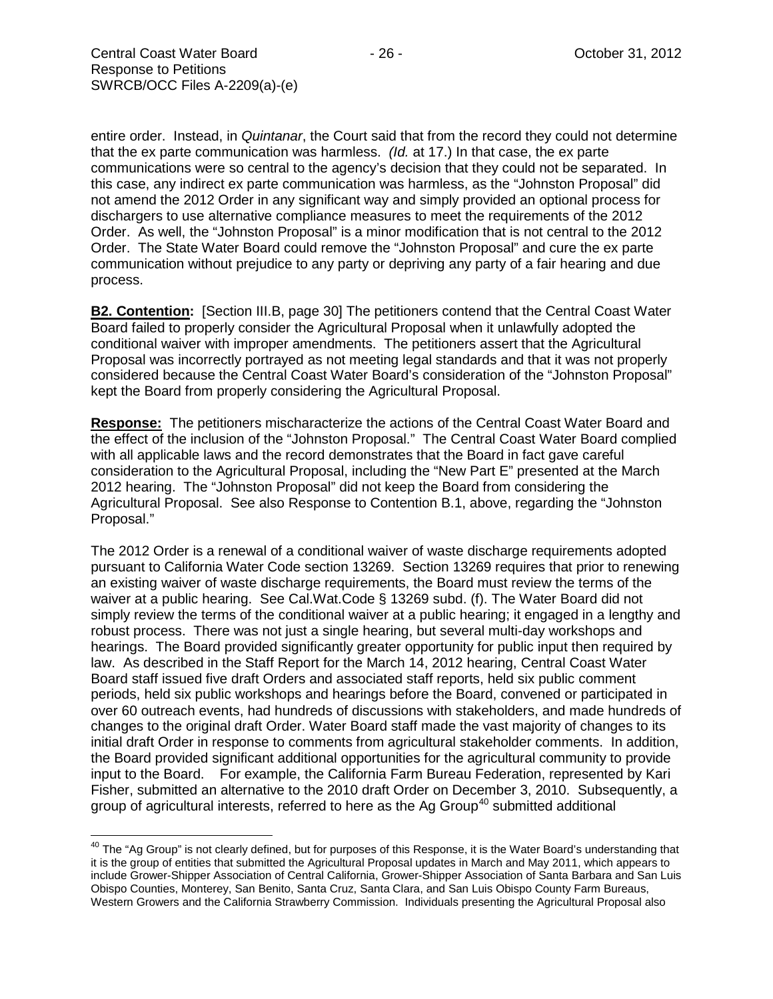entire order. Instead, in *Quintanar*, the Court said that from the record they could not determine that the ex parte communication was harmless. *(Id.* at 17.) In that case, the ex parte communications were so central to the agency's decision that they could not be separated. In this case, any indirect ex parte communication was harmless, as the "Johnston Proposal" did not amend the 2012 Order in any significant way and simply provided an optional process for dischargers to use alternative compliance measures to meet the requirements of the 2012 Order. As well, the "Johnston Proposal" is a minor modification that is not central to the 2012 Order. The State Water Board could remove the "Johnston Proposal" and cure the ex parte communication without prejudice to any party or depriving any party of a fair hearing and due process.

**B2. Contention:** [Section III.B, page 30] The petitioners contend that the Central Coast Water Board failed to properly consider the Agricultural Proposal when it unlawfully adopted the conditional waiver with improper amendments. The petitioners assert that the Agricultural Proposal was incorrectly portrayed as not meeting legal standards and that it was not properly considered because the Central Coast Water Board's consideration of the "Johnston Proposal" kept the Board from properly considering the Agricultural Proposal.

**Response:** The petitioners mischaracterize the actions of the Central Coast Water Board and the effect of the inclusion of the "Johnston Proposal." The Central Coast Water Board complied with all applicable laws and the record demonstrates that the Board in fact gave careful consideration to the Agricultural Proposal, including the "New Part E" presented at the March 2012 hearing. The "Johnston Proposal" did not keep the Board from considering the Agricultural Proposal. See also Response to Contention B.1, above, regarding the "Johnston Proposal."

The 2012 Order is a renewal of a conditional waiver of waste discharge requirements adopted pursuant to California Water Code section 13269. Section 13269 requires that prior to renewing an existing waiver of waste discharge requirements, the Board must review the terms of the waiver at a public hearing. See Cal.Wat.Code § 13269 subd. (f). The Water Board did not simply review the terms of the conditional waiver at a public hearing; it engaged in a lengthy and robust process. There was not just a single hearing, but several multi-day workshops and hearings. The Board provided significantly greater opportunity for public input then required by law. As described in the Staff Report for the March 14, 2012 hearing, Central Coast Water Board staff issued five draft Orders and associated staff reports, held six public comment periods, held six public workshops and hearings before the Board, convened or participated in over 60 outreach events, had hundreds of discussions with stakeholders, and made hundreds of changes to the original draft Order. Water Board staff made the vast majority of changes to its initial draft Order in response to comments from agricultural stakeholder comments. In addition, the Board provided significant additional opportunities for the agricultural community to provide input to the Board. For example, the California Farm Bureau Federation, represented by Kari Fisher, submitted an alternative to the 2010 draft Order on December 3, 2010. Subsequently, a group of agricultural interests, referred to here as the Ag Group<sup>[40](#page-25-0)</sup> submitted additional

<span id="page-25-0"></span><sup>&</sup>lt;sup>40</sup> The "Ag Group" is not clearly defined, but for purposes of this Response, it is the Water Board's understanding that it is the group of entities that submitted the Agricultural Proposal updates in March and May 2011, which appears to include Grower-Shipper Association of Central California, Grower-Shipper Association of Santa Barbara and San Luis Obispo Counties, Monterey, San Benito, Santa Cruz, Santa Clara, and San Luis Obispo County Farm Bureaus, Western Growers and the California Strawberry Commission. Individuals presenting the Agricultural Proposal also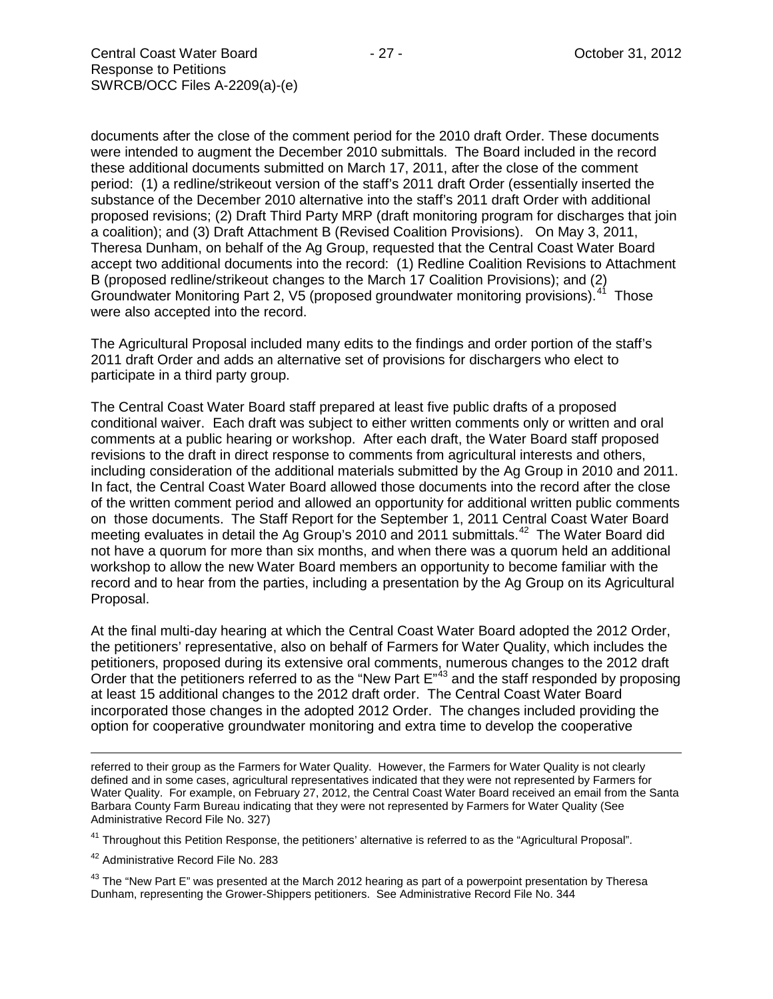documents after the close of the comment period for the 2010 draft Order. These documents were intended to augment the December 2010 submittals. The Board included in the record these additional documents submitted on March 17, 2011, after the close of the comment period: (1) a redline/strikeout version of the staff's 2011 draft Order (essentially inserted the substance of the December 2010 alternative into the staff's 2011 draft Order with additional proposed revisions; (2) Draft Third Party MRP (draft monitoring program for discharges that join a coalition); and (3) Draft Attachment B (Revised Coalition Provisions). On May 3, 2011, Theresa Dunham, on behalf of the Ag Group, requested that the Central Coast Water Board accept two additional documents into the record: (1) Redline Coalition Revisions to Attachment B (proposed redline/strikeout changes to the March 17 Coalition Provisions); and (2) Groundwater Monitoring Part 2, V5 (proposed groundwater monitoring provisions).<sup>41</sup> Those were also accepted into the record.

The Agricultural Proposal included many edits to the findings and order portion of the staff's 2011 draft Order and adds an alternative set of provisions for dischargers who elect to participate in a third party group.

The Central Coast Water Board staff prepared at least five public drafts of a proposed conditional waiver. Each draft was subject to either written comments only or written and oral comments at a public hearing or workshop. After each draft, the Water Board staff proposed revisions to the draft in direct response to comments from agricultural interests and others, including consideration of the additional materials submitted by the Ag Group in 2010 and 2011. In fact, the Central Coast Water Board allowed those documents into the record after the close of the written comment period and allowed an opportunity for additional written public comments on those documents. The Staff Report for the September 1, 2011 Central Coast Water Board meeting evaluates in detail the Ag Group's 2010 and 2011 submittals.<sup>[42](#page-26-1)</sup> The Water Board did not have a quorum for more than six months, and when there was a quorum held an additional workshop to allow the new Water Board members an opportunity to become familiar with the record and to hear from the parties, including a presentation by the Ag Group on its Agricultural Proposal.

At the final multi-day hearing at which the Central Coast Water Board adopted the 2012 Order, the petitioners' representative, also on behalf of Farmers for Water Quality, which includes the petitioners, proposed during its extensive oral comments, numerous changes to the 2012 draft Order that the petitioners referred to as the "New Part  $E^{43}$  $E^{43}$  $E^{43}$  and the staff responded by proposing at least 15 additional changes to the 2012 draft order. The Central Coast Water Board incorporated those changes in the adopted 2012 Order. The changes included providing the option for cooperative groundwater monitoring and extra time to develop the cooperative

referred to their group as the Farmers for Water Quality. However, the Farmers for Water Quality is not clearly defined and in some cases, agricultural representatives indicated that they were not represented by Farmers for Water Quality. For example, on February 27, 2012, the Central Coast Water Board received an email from the Santa Barbara County Farm Bureau indicating that they were not represented by Farmers for Water Quality (See Administrative Record File No. 327)

<span id="page-26-0"></span><sup>41</sup> Throughout this Petition Response, the petitioners' alternative is referred to as the "Agricultural Proposal".

<span id="page-26-1"></span><sup>42</sup> Administrative Record File No. 283

 $\overline{a}$ 

<span id="page-26-2"></span> $43$  The "New Part E" was presented at the March 2012 hearing as part of a powerpoint presentation by Theresa Dunham, representing the Grower-Shippers petitioners. See Administrative Record File No. 344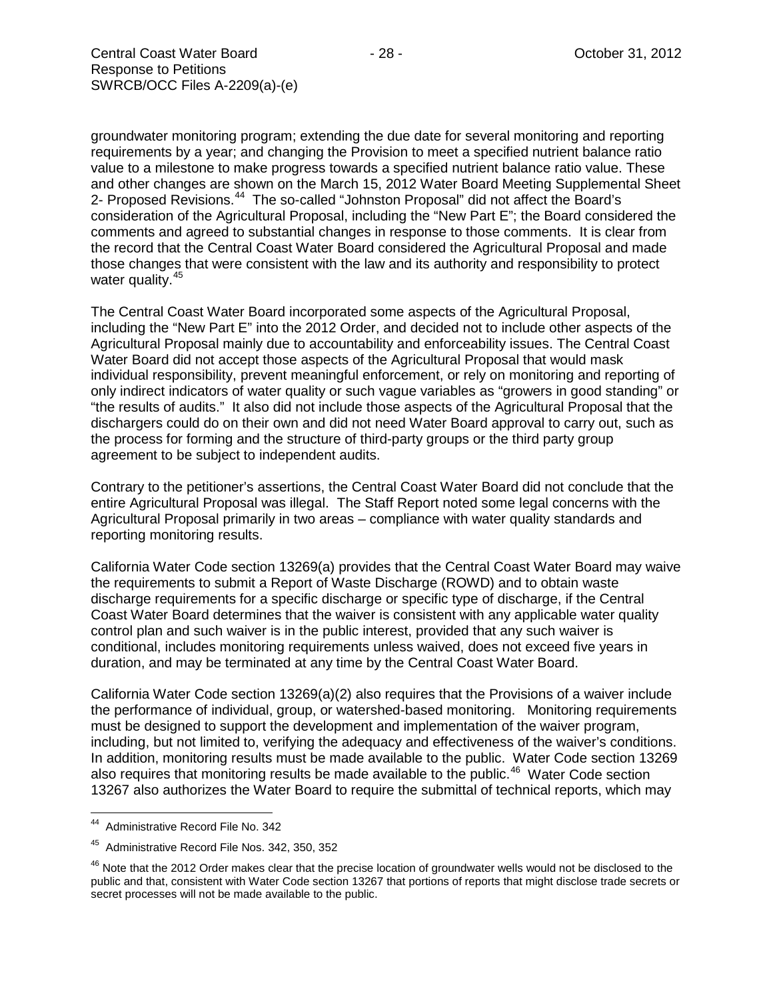groundwater monitoring program; extending the due date for several monitoring and reporting requirements by a year; and changing the Provision to meet a specified nutrient balance ratio value to a milestone to make progress towards a specified nutrient balance ratio value. These and other changes are shown on the March 15, 2012 Water Board Meeting Supplemental Sheet 2- Proposed Revisions.<sup>44</sup> The so-called "Johnston Proposal" did not affect the Board's consideration of the Agricultural Proposal, including the "New Part E"; the Board considered the comments and agreed to substantial changes in response to those comments. It is clear from the record that the Central Coast Water Board considered the Agricultural Proposal and made those changes that were consistent with the law and its authority and responsibility to protect water quality.<sup>45</sup>

The Central Coast Water Board incorporated some aspects of the Agricultural Proposal, including the "New Part E" into the 2012 Order, and decided not to include other aspects of the Agricultural Proposal mainly due to accountability and enforceability issues. The Central Coast Water Board did not accept those aspects of the Agricultural Proposal that would mask individual responsibility, prevent meaningful enforcement, or rely on monitoring and reporting of only indirect indicators of water quality or such vague variables as "growers in good standing" or "the results of audits." It also did not include those aspects of the Agricultural Proposal that the dischargers could do on their own and did not need Water Board approval to carry out, such as the process for forming and the structure of third-party groups or the third party group agreement to be subject to independent audits.

Contrary to the petitioner's assertions, the Central Coast Water Board did not conclude that the entire Agricultural Proposal was illegal. The Staff Report noted some legal concerns with the Agricultural Proposal primarily in two areas – compliance with water quality standards and reporting monitoring results.

California Water Code section 13269(a) provides that the Central Coast Water Board may waive the requirements to submit a Report of Waste Discharge (ROWD) and to obtain waste discharge requirements for a specific discharge or specific type of discharge, if the Central Coast Water Board determines that the waiver is consistent with any applicable water quality control plan and such waiver is in the public interest, provided that any such waiver is conditional, includes monitoring requirements unless waived, does not exceed five years in duration, and may be terminated at any time by the Central Coast Water Board.

California Water Code section 13269(a)(2) also requires that the Provisions of a waiver include the performance of individual, group, or watershed-based monitoring. Monitoring requirements must be designed to support the development and implementation of the waiver program, including, but not limited to, verifying the adequacy and effectiveness of the waiver's conditions. In addition, monitoring results must be made available to the public. Water Code section 13269 also requires that monitoring results be made available to the public.<sup>[46](#page-27-2)</sup> Water Code section 13267 also authorizes the Water Board to require the submittal of technical reports, which may

<span id="page-27-0"></span>44 Administrative Record File No. 342

<span id="page-27-1"></span><sup>45</sup> Administrative Record File Nos. 342, 350, 352

<span id="page-27-2"></span> $46$  Note that the 2012 Order makes clear that the precise location of groundwater wells would not be disclosed to the public and that, consistent with Water Code section 13267 that portions of reports that might disclose trade secrets or secret processes will not be made available to the public.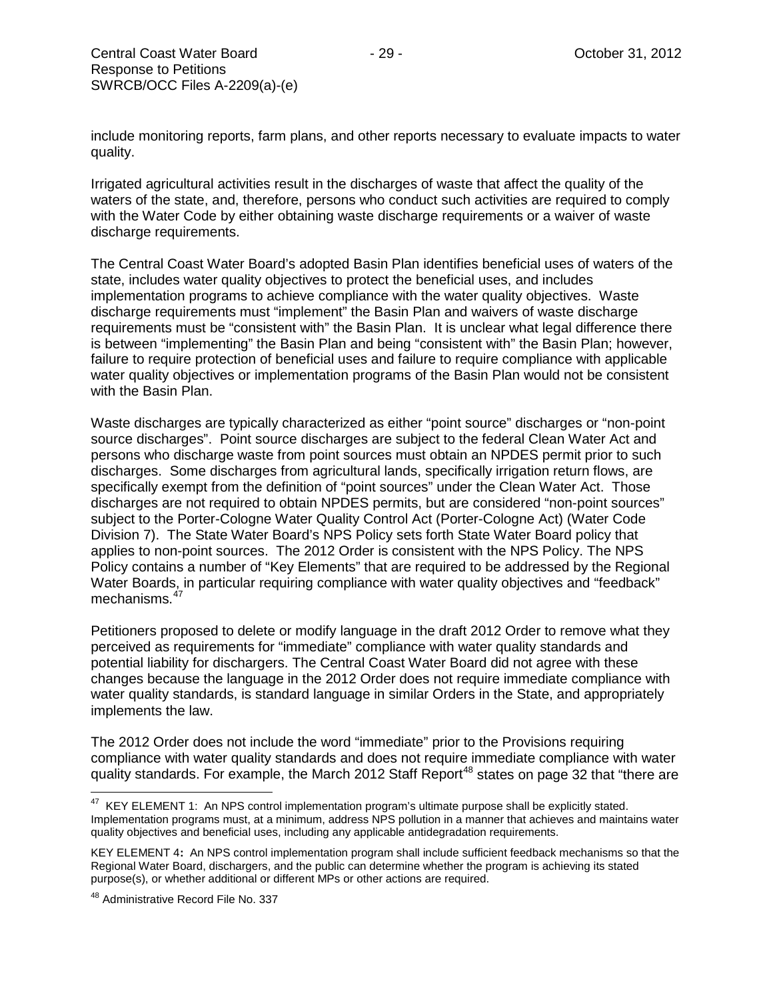include monitoring reports, farm plans, and other reports necessary to evaluate impacts to water quality.

Irrigated agricultural activities result in the discharges of waste that affect the quality of the waters of the state, and, therefore, persons who conduct such activities are required to comply with the Water Code by either obtaining waste discharge requirements or a waiver of waste discharge requirements.

The Central Coast Water Board's adopted Basin Plan identifies beneficial uses of waters of the state, includes water quality objectives to protect the beneficial uses, and includes implementation programs to achieve compliance with the water quality objectives. Waste discharge requirements must "implement" the Basin Plan and waivers of waste discharge requirements must be "consistent with" the Basin Plan. It is unclear what legal difference there is between "implementing" the Basin Plan and being "consistent with" the Basin Plan; however, failure to require protection of beneficial uses and failure to require compliance with applicable water quality objectives or implementation programs of the Basin Plan would not be consistent with the Basin Plan.

Waste discharges are typically characterized as either "point source" discharges or "non-point source discharges". Point source discharges are subject to the federal Clean Water Act and persons who discharge waste from point sources must obtain an NPDES permit prior to such discharges. Some discharges from agricultural lands, specifically irrigation return flows, are specifically exempt from the definition of "point sources" under the Clean Water Act. Those discharges are not required to obtain NPDES permits, but are considered "non-point sources" subject to the Porter-Cologne Water Quality Control Act (Porter-Cologne Act) (Water Code Division 7). The State Water Board's NPS Policy sets forth State Water Board policy that applies to non-point sources. The 2012 Order is consistent with the NPS Policy. The NPS Policy contains a number of "Key Elements" that are required to be addressed by the Regional Water Boards, in particular requiring compliance with water quality objectives and "feedback" mechanisms.<sup>[47](#page-28-0)</sup>

Petitioners proposed to delete or modify language in the draft 2012 Order to remove what they perceived as requirements for "immediate" compliance with water quality standards and potential liability for dischargers. The Central Coast Water Board did not agree with these changes because the language in the 2012 Order does not require immediate compliance with water quality standards, is standard language in similar Orders in the State, and appropriately implements the law.

The 2012 Order does not include the word "immediate" prior to the Provisions requiring compliance with water quality standards and does not require immediate compliance with water quality standards. For example, the March 2012 Staff Report<sup>[48](#page-28-1)</sup> states on page 32 that "there are

<span id="page-28-0"></span><sup>&</sup>lt;sup>47</sup> KEY ELEMENT 1: An NPS control implementation program's ultimate purpose shall be explicitly stated. Implementation programs must, at a minimum, address NPS pollution in a manner that achieves and maintains water quality objectives and beneficial uses, including any applicable antidegradation requirements.

KEY ELEMENT 4**:** An NPS control implementation program shall include sufficient feedback mechanisms so that the Regional Water Board, dischargers, and the public can determine whether the program is achieving its stated purpose(s), or whether additional or different MPs or other actions are required.

<span id="page-28-1"></span><sup>&</sup>lt;sup>48</sup> Administrative Record File No. 337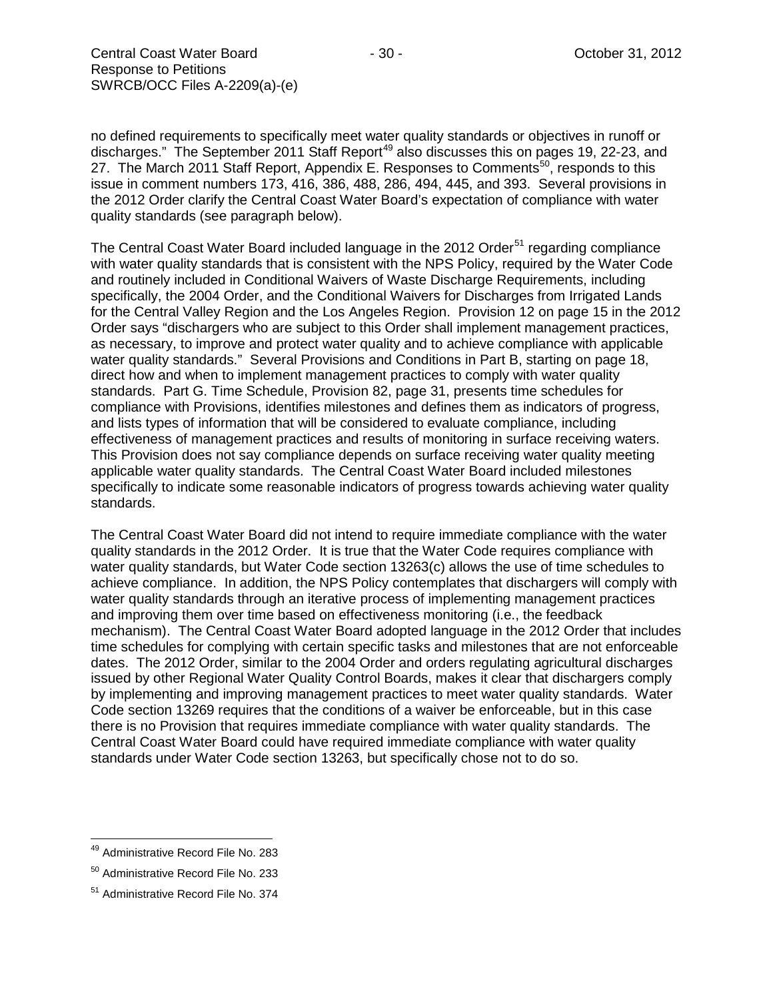no defined requirements to specifically meet water quality standards or objectives in runoff or discharges." The September 2011 Staff Report<sup>[49](#page-29-0)</sup> also discusses this on pages 19, 22-23, and 27. The March 2011 Staff Report, Appendix E. Responses to Comments<sup>[50](#page-29-1)</sup>, responds to this issue in comment numbers 173, 416, 386, 488, 286, 494, 445, and 393. Several provisions in the 2012 Order clarify the Central Coast Water Board's expectation of compliance with water quality standards (see paragraph below).

The Central Coast Water Board included language in the 2012 Order<sup>[51](#page-29-2)</sup> regarding compliance with water quality standards that is consistent with the NPS Policy, required by the Water Code and routinely included in Conditional Waivers of Waste Discharge Requirements, including specifically, the 2004 Order, and the Conditional Waivers for Discharges from Irrigated Lands for the Central Valley Region and the Los Angeles Region. Provision 12 on page 15 in the 2012 Order says "dischargers who are subject to this Order shall implement management practices, as necessary, to improve and protect water quality and to achieve compliance with applicable water quality standards." Several Provisions and Conditions in Part B, starting on page 18, direct how and when to implement management practices to comply with water quality standards. Part G. Time Schedule, Provision 82, page 31, presents time schedules for compliance with Provisions, identifies milestones and defines them as indicators of progress, and lists types of information that will be considered to evaluate compliance, including effectiveness of management practices and results of monitoring in surface receiving waters. This Provision does not say compliance depends on surface receiving water quality meeting applicable water quality standards. The Central Coast Water Board included milestones specifically to indicate some reasonable indicators of progress towards achieving water quality standards.

The Central Coast Water Board did not intend to require immediate compliance with the water quality standards in the 2012 Order. It is true that the Water Code requires compliance with water quality standards, but Water Code section 13263(c) allows the use of time schedules to achieve compliance. In addition, the NPS Policy contemplates that dischargers will comply with water quality standards through an iterative process of implementing management practices and improving them over time based on effectiveness monitoring (i.e., the feedback mechanism). The Central Coast Water Board adopted language in the 2012 Order that includes time schedules for complying with certain specific tasks and milestones that are not enforceable dates. The 2012 Order, similar to the 2004 Order and orders regulating agricultural discharges issued by other Regional Water Quality Control Boards, makes it clear that dischargers comply by implementing and improving management practices to meet water quality standards. Water Code section 13269 requires that the conditions of a waiver be enforceable, but in this case there is no Provision that requires immediate compliance with water quality standards. The Central Coast Water Board could have required immediate compliance with water quality standards under Water Code section 13263, but specifically chose not to do so.

<span id="page-29-0"></span><sup>&</sup>lt;sup>49</sup> Administrative Record File No. 283

<span id="page-29-1"></span><sup>50</sup> Administrative Record File No. 233

<span id="page-29-2"></span><sup>51</sup> Administrative Record File No. 374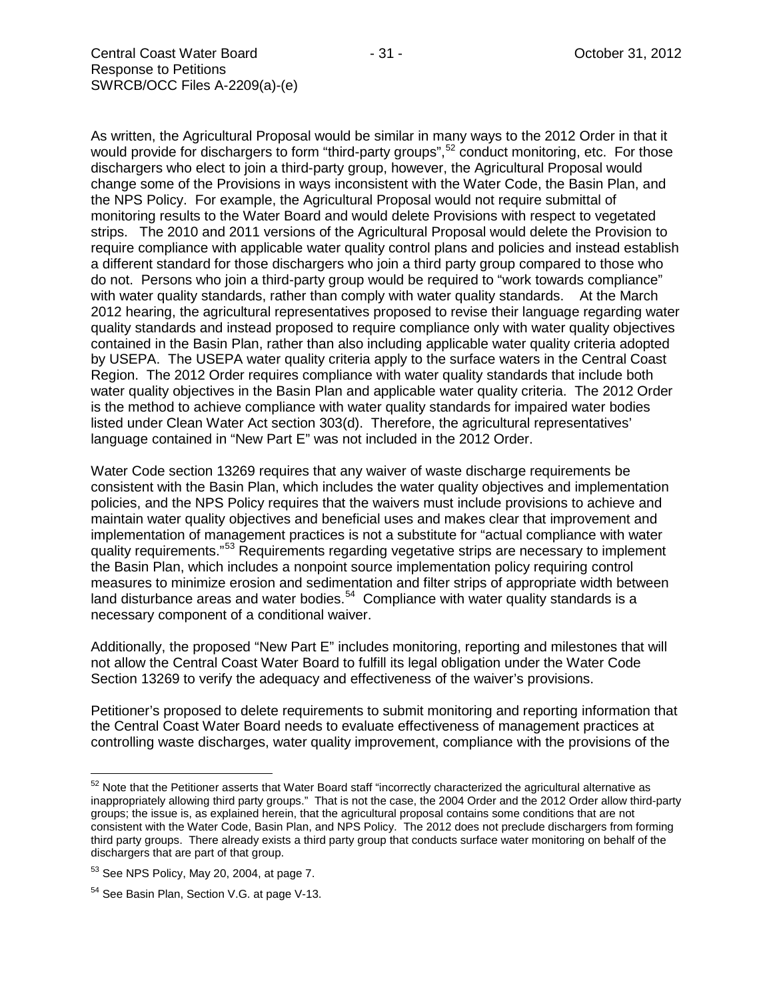As written, the Agricultural Proposal would be similar in many ways to the 2012 Order in that it would provide for dischargers to form "third-party groups",<sup>[52](#page-30-0)</sup> conduct monitoring, etc. For those dischargers who elect to join a third-party group, however, the Agricultural Proposal would change some of the Provisions in ways inconsistent with the Water Code, the Basin Plan, and the NPS Policy. For example, the Agricultural Proposal would not require submittal of monitoring results to the Water Board and would delete Provisions with respect to vegetated strips. The 2010 and 2011 versions of the Agricultural Proposal would delete the Provision to require compliance with applicable water quality control plans and policies and instead establish a different standard for those dischargers who join a third party group compared to those who do not. Persons who join a third-party group would be required to "work towards compliance" with water quality standards, rather than comply with water quality standards. At the March 2012 hearing, the agricultural representatives proposed to revise their language regarding water quality standards and instead proposed to require compliance only with water quality objectives contained in the Basin Plan, rather than also including applicable water quality criteria adopted by USEPA. The USEPA water quality criteria apply to the surface waters in the Central Coast Region. The 2012 Order requires compliance with water quality standards that include both water quality objectives in the Basin Plan and applicable water quality criteria. The 2012 Order is the method to achieve compliance with water quality standards for impaired water bodies listed under Clean Water Act section 303(d). Therefore, the agricultural representatives' language contained in "New Part E" was not included in the 2012 Order.

Water Code section 13269 requires that any waiver of waste discharge requirements be consistent with the Basin Plan, which includes the water quality objectives and implementation policies, and the NPS Policy requires that the waivers must include provisions to achieve and maintain water quality objectives and beneficial uses and makes clear that improvement and implementation of management practices is not a substitute for "actual compliance with water quality requirements."<sup>[53](#page-30-1)</sup> Requirements regarding vegetative strips are necessary to implement the Basin Plan, which includes a nonpoint source implementation policy requiring control measures to minimize erosion and sedimentation and filter strips of appropriate width between land disturbance areas and water bodies.<sup>[54](#page-30-2)</sup> Compliance with water quality standards is a necessary component of a conditional waiver.

Additionally, the proposed "New Part E" includes monitoring, reporting and milestones that will not allow the Central Coast Water Board to fulfill its legal obligation under the Water Code Section 13269 to verify the adequacy and effectiveness of the waiver's provisions.

Petitioner's proposed to delete requirements to submit monitoring and reporting information that the Central Coast Water Board needs to evaluate effectiveness of management practices at controlling waste discharges, water quality improvement, compliance with the provisions of the

<span id="page-30-0"></span><sup>52</sup> Note that the Petitioner asserts that Water Board staff "incorrectly characterized the agricultural alternative as inappropriately allowing third party groups." That is not the case, the 2004 Order and the 2012 Order allow third-party groups; the issue is, as explained herein, that the agricultural proposal contains some conditions that are not consistent with the Water Code, Basin Plan, and NPS Policy. The 2012 does not preclude dischargers from forming third party groups. There already exists a third party group that conducts surface water monitoring on behalf of the dischargers that are part of that group.

<span id="page-30-1"></span><sup>53</sup> See NPS Policy, May 20, 2004, at page 7.

<span id="page-30-2"></span><sup>54</sup> See Basin Plan, Section V.G. at page V-13.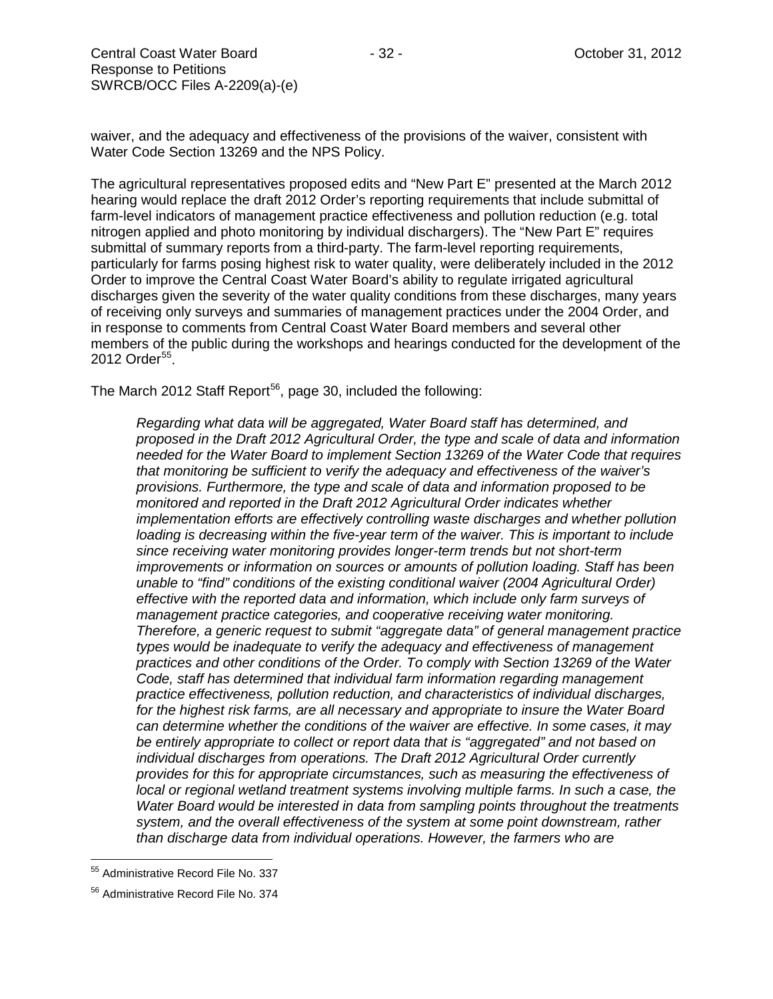waiver, and the adequacy and effectiveness of the provisions of the waiver, consistent with Water Code Section 13269 and the NPS Policy.

The agricultural representatives proposed edits and "New Part E" presented at the March 2012 hearing would replace the draft 2012 Order's reporting requirements that include submittal of farm-level indicators of management practice effectiveness and pollution reduction (e.g. total nitrogen applied and photo monitoring by individual dischargers). The "New Part E" requires submittal of summary reports from a third-party. The farm-level reporting requirements, particularly for farms posing highest risk to water quality, were deliberately included in the 2012 Order to improve the Central Coast Water Board's ability to regulate irrigated agricultural discharges given the severity of the water quality conditions from these discharges, many years of receiving only surveys and summaries of management practices under the 2004 Order, and in response to comments from Central Coast Water Board members and several other members of the public during the workshops and hearings conducted for the development of the 2012 Order<sup>55</sup>.

The March 2012 Staff Report<sup>[56](#page-31-1)</sup>, page 30, included the following:

*Regarding what data will be aggregated, Water Board staff has determined, and proposed in the Draft 2012 Agricultural Order, the type and scale of data and information needed for the Water Board to implement Section 13269 of the Water Code that requires that monitoring be sufficient to verify the adequacy and effectiveness of the waiver's provisions. Furthermore, the type and scale of data and information proposed to be monitored and reported in the Draft 2012 Agricultural Order indicates whether implementation efforts are effectively controlling waste discharges and whether pollution loading is decreasing within the five-year term of the waiver. This is important to include since receiving water monitoring provides longer-term trends but not short-term improvements or information on sources or amounts of pollution loading. Staff has been unable to "find" conditions of the existing conditional waiver (2004 Agricultural Order) effective with the reported data and information, which include only farm surveys of management practice categories, and cooperative receiving water monitoring. Therefore, a generic request to submit "aggregate data" of general management practice types would be inadequate to verify the adequacy and effectiveness of management practices and other conditions of the Order. To comply with Section 13269 of the Water Code, staff has determined that individual farm information regarding management practice effectiveness, pollution reduction, and characteristics of individual discharges, for the highest risk farms, are all necessary and appropriate to insure the Water Board can determine whether the conditions of the waiver are effective. In some cases, it may be entirely appropriate to collect or report data that is "aggregated" and not based on individual discharges from operations. The Draft 2012 Agricultural Order currently provides for this for appropriate circumstances, such as measuring the effectiveness of local or regional wetland treatment systems involving multiple farms. In such a case, the Water Board would be interested in data from sampling points throughout the treatments system, and the overall effectiveness of the system at some point downstream, rather than discharge data from individual operations. However, the farmers who are* 

<span id="page-31-0"></span><sup>55</sup> Administrative Record File No. 337

<span id="page-31-1"></span><sup>56</sup> Administrative Record File No. 374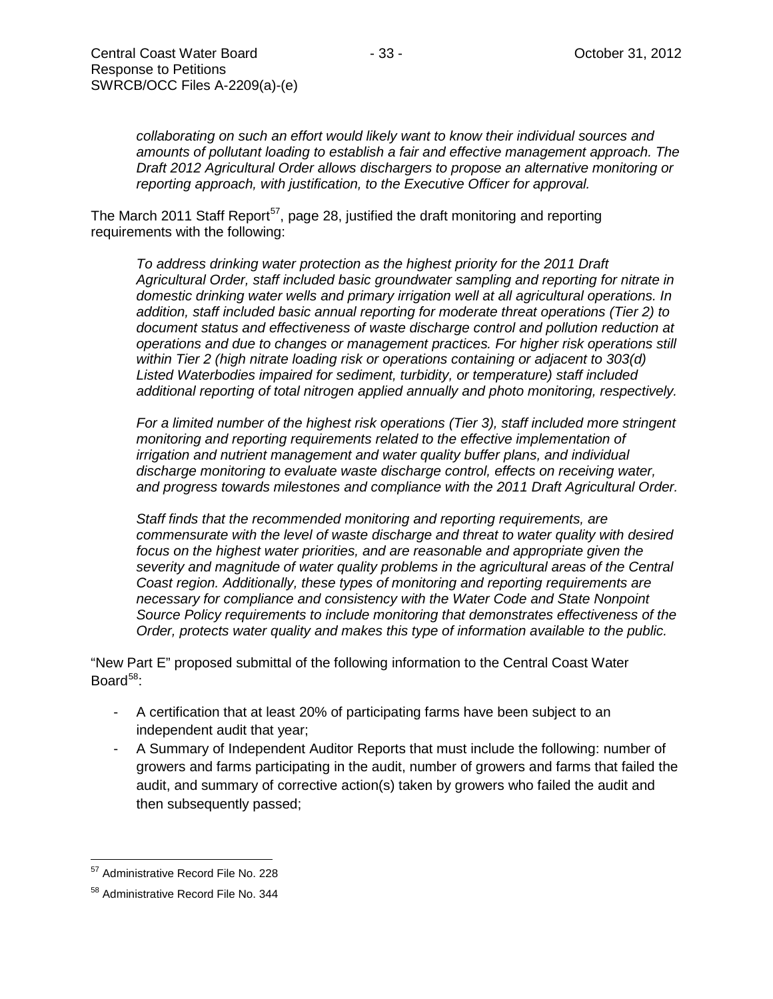*collaborating on such an effort would likely want to know their individual sources and amounts of pollutant loading to establish a fair and effective management approach. The Draft 2012 Agricultural Order allows dischargers to propose an alternative monitoring or reporting approach, with justification, to the Executive Officer for approval.*

The March 2011 Staff Report<sup>[57](#page-32-0)</sup>, page 28, justified the draft monitoring and reporting requirements with the following:

*To address drinking water protection as the highest priority for the 2011 Draft Agricultural Order, staff included basic groundwater sampling and reporting for nitrate in domestic drinking water wells and primary irrigation well at all agricultural operations. In addition, staff included basic annual reporting for moderate threat operations (Tier 2) to document status and effectiveness of waste discharge control and pollution reduction at operations and due to changes or management practices. For higher risk operations still within Tier 2 (high nitrate loading risk or operations containing or adjacent to 303(d) Listed Waterbodies impaired for sediment, turbidity, or temperature) staff included additional reporting of total nitrogen applied annually and photo monitoring, respectively.*

*For a limited number of the highest risk operations (Tier 3), staff included more stringent monitoring and reporting requirements related to the effective implementation of irrigation and nutrient management and water quality buffer plans, and individual discharge monitoring to evaluate waste discharge control, effects on receiving water, and progress towards milestones and compliance with the 2011 Draft Agricultural Order.* 

*Staff finds that the recommended monitoring and reporting requirements, are commensurate with the level of waste discharge and threat to water quality with desired focus on the highest water priorities, and are reasonable and appropriate given the severity and magnitude of water quality problems in the agricultural areas of the Central Coast region. Additionally, these types of monitoring and reporting requirements are necessary for compliance and consistency with the Water Code and State Nonpoint Source Policy requirements to include monitoring that demonstrates effectiveness of the Order, protects water quality and makes this type of information available to the public.*

"New Part E" proposed submittal of the following information to the Central Coast Water Board $58$ :

- A certification that at least 20% of participating farms have been subject to an independent audit that year;
- A Summary of Independent Auditor Reports that must include the following: number of growers and farms participating in the audit, number of growers and farms that failed the audit, and summary of corrective action(s) taken by growers who failed the audit and then subsequently passed;

<span id="page-32-0"></span><sup>57</sup> Administrative Record File No. 228

<span id="page-32-1"></span><sup>58</sup> Administrative Record File No. 344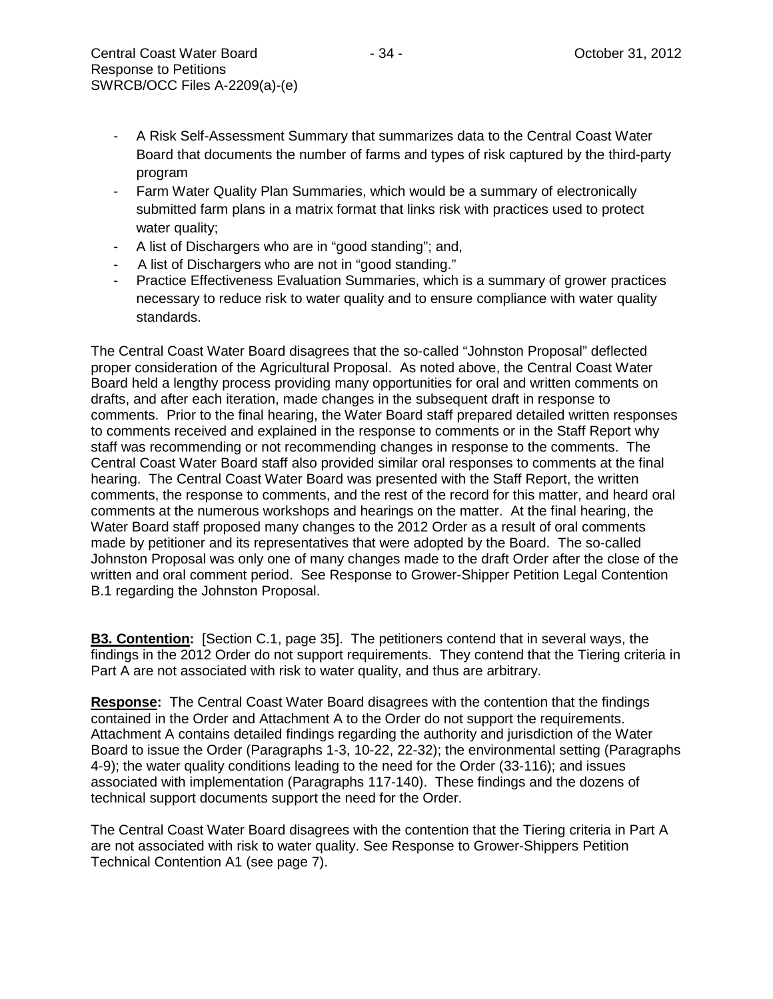- Farm Water Quality Plan Summaries, which would be a summary of electronically submitted farm plans in a matrix format that links risk with practices used to protect water quality;
- A list of Dischargers who are in "good standing"; and,
- A list of Dischargers who are not in "good standing."
- Practice Effectiveness Evaluation Summaries, which is a summary of grower practices necessary to reduce risk to water quality and to ensure compliance with water quality standards.

The Central Coast Water Board disagrees that the so-called "Johnston Proposal" deflected proper consideration of the Agricultural Proposal. As noted above, the Central Coast Water Board held a lengthy process providing many opportunities for oral and written comments on drafts, and after each iteration, made changes in the subsequent draft in response to comments. Prior to the final hearing, the Water Board staff prepared detailed written responses to comments received and explained in the response to comments or in the Staff Report why staff was recommending or not recommending changes in response to the comments. The Central Coast Water Board staff also provided similar oral responses to comments at the final hearing. The Central Coast Water Board was presented with the Staff Report, the written comments, the response to comments, and the rest of the record for this matter, and heard oral comments at the numerous workshops and hearings on the matter. At the final hearing, the Water Board staff proposed many changes to the 2012 Order as a result of oral comments made by petitioner and its representatives that were adopted by the Board. The so-called Johnston Proposal was only one of many changes made to the draft Order after the close of the written and oral comment period. See Response to Grower-Shipper Petition Legal Contention B.1 regarding the Johnston Proposal.

**B3. Contention:** [Section C.1, page 35]. The petitioners contend that in several ways, the findings in the 2012 Order do not support requirements. They contend that the Tiering criteria in Part A are not associated with risk to water quality, and thus are arbitrary.

**Response:** The Central Coast Water Board disagrees with the contention that the findings contained in the Order and Attachment A to the Order do not support the requirements. Attachment A contains detailed findings regarding the authority and jurisdiction of the Water Board to issue the Order (Paragraphs 1-3, 10-22, 22-32); the environmental setting (Paragraphs 4-9); the water quality conditions leading to the need for the Order (33-116); and issues associated with implementation (Paragraphs 117-140). These findings and the dozens of technical support documents support the need for the Order.

The Central Coast Water Board disagrees with the contention that the Tiering criteria in Part A are not associated with risk to water quality. See Response to Grower-Shippers Petition Technical Contention A1 (see page 7).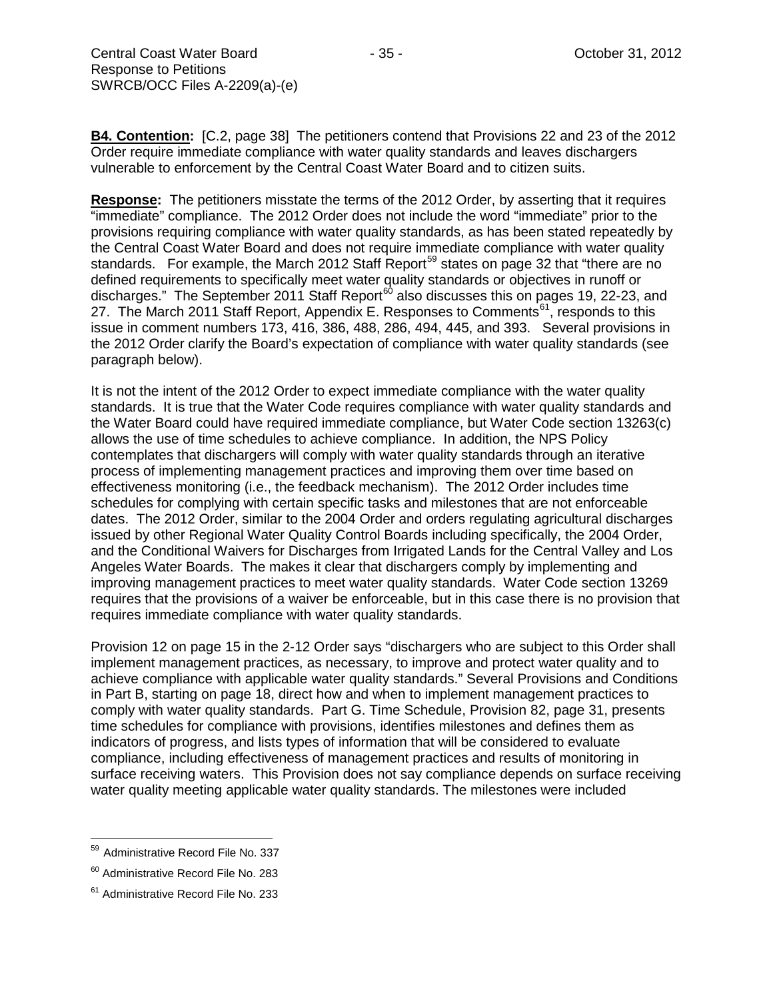**B4. Contention:** [C.2, page 38] The petitioners contend that Provisions 22 and 23 of the 2012 Order require immediate compliance with water quality standards and leaves dischargers vulnerable to enforcement by the Central Coast Water Board and to citizen suits.

**Response:** The petitioners misstate the terms of the 2012 Order, by asserting that it requires "immediate" compliance. The 2012 Order does not include the word "immediate" prior to the provisions requiring compliance with water quality standards, as has been stated repeatedly by the Central Coast Water Board and does not require immediate compliance with water quality standards. For example, the March 2012 Staff Report<sup>[59](#page-34-0)</sup> states on page 32 that "there are no defined requirements to specifically meet water quality standards or objectives in runoff or discharges." The September 2011 Staff Report<sup>[60](#page-34-1)</sup> also discusses this on pages 19, 22-23, and 27. The March 2011 Staff Report, Appendix E. Responses to Comments<sup>[61](#page-34-2)</sup>, responds to this issue in comment numbers 173, 416, 386, 488, 286, 494, 445, and 393. Several provisions in the 2012 Order clarify the Board's expectation of compliance with water quality standards (see paragraph below).

It is not the intent of the 2012 Order to expect immediate compliance with the water quality standards. It is true that the Water Code requires compliance with water quality standards and the Water Board could have required immediate compliance, but Water Code section 13263(c) allows the use of time schedules to achieve compliance. In addition, the NPS Policy contemplates that dischargers will comply with water quality standards through an iterative process of implementing management practices and improving them over time based on effectiveness monitoring (i.e., the feedback mechanism). The 2012 Order includes time schedules for complying with certain specific tasks and milestones that are not enforceable dates. The 2012 Order, similar to the 2004 Order and orders regulating agricultural discharges issued by other Regional Water Quality Control Boards including specifically, the 2004 Order, and the Conditional Waivers for Discharges from Irrigated Lands for the Central Valley and Los Angeles Water Boards. The makes it clear that dischargers comply by implementing and improving management practices to meet water quality standards. Water Code section 13269 requires that the provisions of a waiver be enforceable, but in this case there is no provision that requires immediate compliance with water quality standards.

Provision 12 on page 15 in the 2-12 Order says "dischargers who are subject to this Order shall implement management practices, as necessary, to improve and protect water quality and to achieve compliance with applicable water quality standards." Several Provisions and Conditions in Part B, starting on page 18, direct how and when to implement management practices to comply with water quality standards. Part G. Time Schedule, Provision 82, page 31, presents time schedules for compliance with provisions, identifies milestones and defines them as indicators of progress, and lists types of information that will be considered to evaluate compliance, including effectiveness of management practices and results of monitoring in surface receiving waters. This Provision does not say compliance depends on surface receiving water quality meeting applicable water quality standards. The milestones were included

<span id="page-34-0"></span><sup>&</sup>lt;sup>59</sup> Administrative Record File No. 337

<span id="page-34-1"></span><sup>&</sup>lt;sup>60</sup> Administrative Record File No. 283

<span id="page-34-2"></span><sup>&</sup>lt;sup>61</sup> Administrative Record File No. 233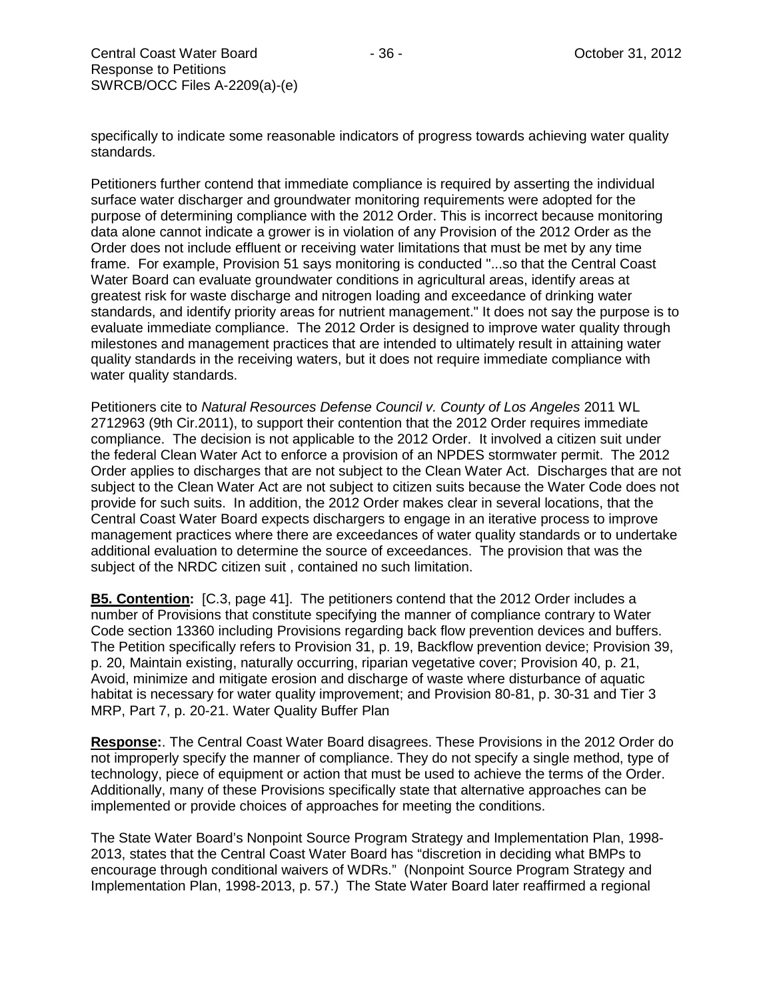specifically to indicate some reasonable indicators of progress towards achieving water quality standards.

Petitioners further contend that immediate compliance is required by asserting the individual surface water discharger and groundwater monitoring requirements were adopted for the purpose of determining compliance with the 2012 Order. This is incorrect because monitoring data alone cannot indicate a grower is in violation of any Provision of the 2012 Order as the Order does not include effluent or receiving water limitations that must be met by any time frame. For example, Provision 51 says monitoring is conducted "...so that the Central Coast Water Board can evaluate groundwater conditions in agricultural areas, identify areas at greatest risk for waste discharge and nitrogen loading and exceedance of drinking water standards, and identify priority areas for nutrient management." It does not say the purpose is to evaluate immediate compliance. The 2012 Order is designed to improve water quality through milestones and management practices that are intended to ultimately result in attaining water quality standards in the receiving waters, but it does not require immediate compliance with water quality standards.

Petitioners cite to *Natural Resources Defense Council v. County of Los Angeles* 2011 WL 2712963 (9th Cir.2011), to support their contention that the 2012 Order requires immediate compliance. The decision is not applicable to the 2012 Order. It involved a citizen suit under the federal Clean Water Act to enforce a provision of an NPDES stormwater permit. The 2012 Order applies to discharges that are not subject to the Clean Water Act. Discharges that are not subject to the Clean Water Act are not subject to citizen suits because the Water Code does not provide for such suits. In addition, the 2012 Order makes clear in several locations, that the Central Coast Water Board expects dischargers to engage in an iterative process to improve management practices where there are exceedances of water quality standards or to undertake additional evaluation to determine the source of exceedances. The provision that was the subject of the NRDC citizen suit , contained no such limitation.

**B5. Contention:** [C.3, page 41]. The petitioners contend that the 2012 Order includes a number of Provisions that constitute specifying the manner of compliance contrary to Water Code section 13360 including Provisions regarding back flow prevention devices and buffers. The Petition specifically refers to Provision 31, p. 19, Backflow prevention device; Provision 39, p. 20, Maintain existing, naturally occurring, riparian vegetative cover; Provision 40, p. 21, Avoid, minimize and mitigate erosion and discharge of waste where disturbance of aquatic habitat is necessary for water quality improvement; and Provision 80-81, p. 30-31 and Tier 3 MRP, Part 7, p. 20-21. Water Quality Buffer Plan

**Response:**. The Central Coast Water Board disagrees. These Provisions in the 2012 Order do not improperly specify the manner of compliance. They do not specify a single method, type of technology, piece of equipment or action that must be used to achieve the terms of the Order. Additionally, many of these Provisions specifically state that alternative approaches can be implemented or provide choices of approaches for meeting the conditions.

The State Water Board's Nonpoint Source Program Strategy and Implementation Plan, 1998- 2013, states that the Central Coast Water Board has "discretion in deciding what BMPs to encourage through conditional waivers of WDRs." (Nonpoint Source Program Strategy and Implementation Plan, 1998-2013, p. 57.) The State Water Board later reaffirmed a regional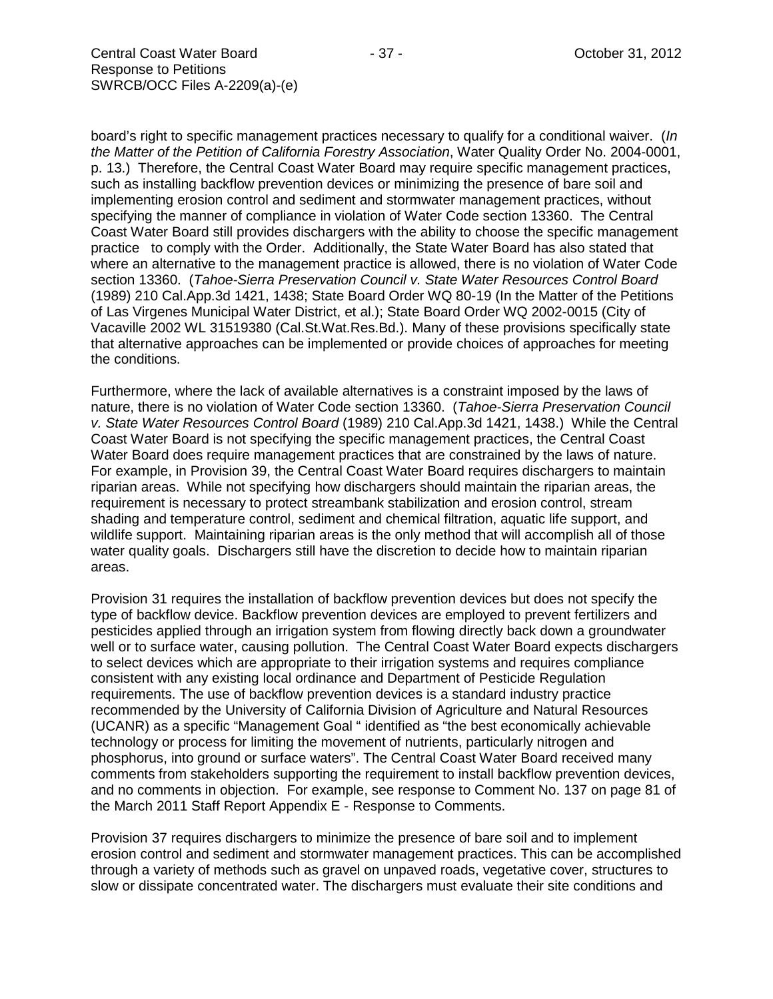board's right to specific management practices necessary to qualify for a conditional waiver. (*In the Matter of the Petition of California Forestry Association*, Water Quality Order No. 2004-0001, p. 13.) Therefore, the Central Coast Water Board may require specific management practices, such as installing backflow prevention devices or minimizing the presence of bare soil and implementing erosion control and sediment and stormwater management practices, without specifying the manner of compliance in violation of Water Code section 13360. The Central Coast Water Board still provides dischargers with the ability to choose the specific management practice to comply with the Order. Additionally, the State Water Board has also stated that where an alternative to the management practice is allowed, there is no violation of Water Code section 13360. (*Tahoe-Sierra Preservation Council v. State Water Resources Control Board*  (1989) 210 Cal.App.3d 1421, 1438; State Board Order WQ 80-19 (In the Matter of the Petitions of Las Virgenes Municipal Water District, et al.); State Board Order WQ 2002-0015 (City of Vacaville 2002 WL 31519380 (Cal.St.Wat.Res.Bd.). Many of these provisions specifically state that alternative approaches can be implemented or provide choices of approaches for meeting the conditions.

Furthermore, where the lack of available alternatives is a constraint imposed by the laws of nature, there is no violation of Water Code section 13360. (*Tahoe-Sierra Preservation Council v. State Water Resources Control Board* (1989) 210 Cal.App.3d 1421, 1438.) While the Central Coast Water Board is not specifying the specific management practices, the Central Coast Water Board does require management practices that are constrained by the laws of nature. For example, in Provision 39, the Central Coast Water Board requires dischargers to maintain riparian areas. While not specifying how dischargers should maintain the riparian areas, the requirement is necessary to protect streambank stabilization and erosion control, stream shading and temperature control, sediment and chemical filtration, aquatic life support, and wildlife support. Maintaining riparian areas is the only method that will accomplish all of those water quality goals. Dischargers still have the discretion to decide how to maintain riparian areas.

Provision 31 requires the installation of backflow prevention devices but does not specify the type of backflow device. Backflow prevention devices are employed to prevent fertilizers and pesticides applied through an irrigation system from flowing directly back down a groundwater well or to surface water, causing pollution. The Central Coast Water Board expects dischargers to select devices which are appropriate to their irrigation systems and requires compliance consistent with any existing local ordinance and Department of Pesticide Regulation requirements. The use of backflow prevention devices is a standard industry practice recommended by the University of California Division of Agriculture and Natural Resources (UCANR) as a specific "Management Goal " identified as "the best economically achievable technology or process for limiting the movement of nutrients, particularly nitrogen and phosphorus, into ground or surface waters". The Central Coast Water Board received many comments from stakeholders supporting the requirement to install backflow prevention devices, and no comments in objection. For example, see response to Comment No. 137 on page 81 of the March 2011 Staff Report Appendix E - Response to Comments.

Provision 37 requires dischargers to minimize the presence of bare soil and to implement erosion control and sediment and stormwater management practices. This can be accomplished through a variety of methods such as gravel on unpaved roads, vegetative cover, structures to slow or dissipate concentrated water. The dischargers must evaluate their site conditions and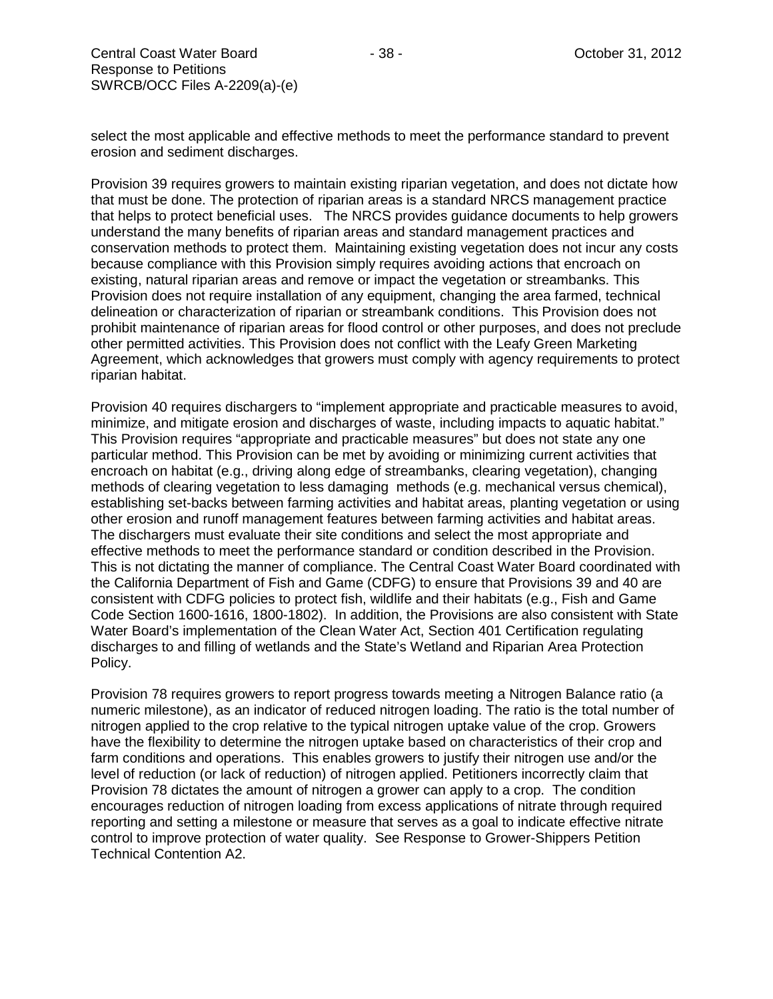select the most applicable and effective methods to meet the performance standard to prevent erosion and sediment discharges.

Provision 39 requires growers to maintain existing riparian vegetation, and does not dictate how that must be done. The protection of riparian areas is a standard NRCS management practice that helps to protect beneficial uses. The NRCS provides guidance documents to help growers understand the many benefits of riparian areas and standard management practices and conservation methods to protect them. Maintaining existing vegetation does not incur any costs because compliance with this Provision simply requires avoiding actions that encroach on existing, natural riparian areas and remove or impact the vegetation or streambanks. This Provision does not require installation of any equipment, changing the area farmed, technical delineation or characterization of riparian or streambank conditions. This Provision does not prohibit maintenance of riparian areas for flood control or other purposes, and does not preclude other permitted activities. This Provision does not conflict with the Leafy Green Marketing Agreement, which acknowledges that growers must comply with agency requirements to protect riparian habitat.

Provision 40 requires dischargers to "implement appropriate and practicable measures to avoid, minimize, and mitigate erosion and discharges of waste, including impacts to aquatic habitat." This Provision requires "appropriate and practicable measures" but does not state any one particular method. This Provision can be met by avoiding or minimizing current activities that encroach on habitat (e.g., driving along edge of streambanks, clearing vegetation), changing methods of clearing vegetation to less damaging methods (e.g. mechanical versus chemical), establishing set-backs between farming activities and habitat areas, planting vegetation or using other erosion and runoff management features between farming activities and habitat areas. The dischargers must evaluate their site conditions and select the most appropriate and effective methods to meet the performance standard or condition described in the Provision. This is not dictating the manner of compliance. The Central Coast Water Board coordinated with the California Department of Fish and Game (CDFG) to ensure that Provisions 39 and 40 are consistent with CDFG policies to protect fish, wildlife and their habitats (e.g., Fish and Game Code Section 1600-1616, 1800-1802). In addition, the Provisions are also consistent with State Water Board's implementation of the Clean Water Act, Section 401 Certification regulating discharges to and filling of wetlands and the State's Wetland and Riparian Area Protection Policy.

Provision 78 requires growers to report progress towards meeting a Nitrogen Balance ratio (a numeric milestone), as an indicator of reduced nitrogen loading. The ratio is the total number of nitrogen applied to the crop relative to the typical nitrogen uptake value of the crop. Growers have the flexibility to determine the nitrogen uptake based on characteristics of their crop and farm conditions and operations. This enables growers to justify their nitrogen use and/or the level of reduction (or lack of reduction) of nitrogen applied. Petitioners incorrectly claim that Provision 78 dictates the amount of nitrogen a grower can apply to a crop. The condition encourages reduction of nitrogen loading from excess applications of nitrate through required reporting and setting a milestone or measure that serves as a goal to indicate effective nitrate control to improve protection of water quality. See Response to Grower-Shippers Petition Technical Contention A2.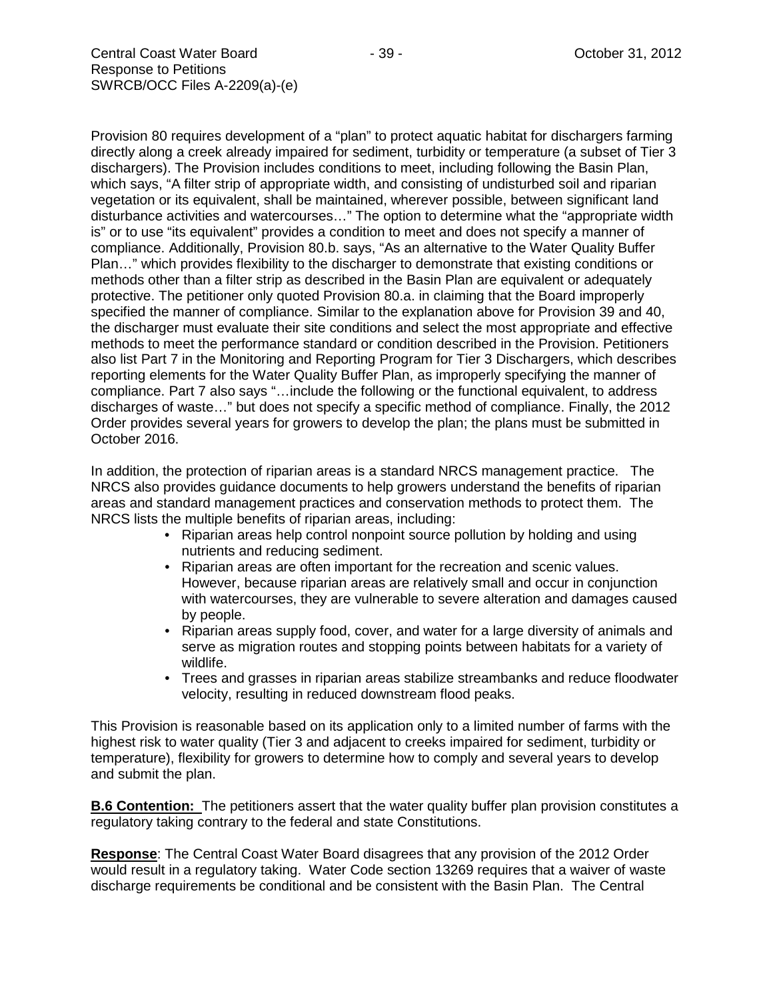Provision 80 requires development of a "plan" to protect aquatic habitat for dischargers farming directly along a creek already impaired for sediment, turbidity or temperature (a subset of Tier 3 dischargers). The Provision includes conditions to meet, including following the Basin Plan, which says, "A filter strip of appropriate width, and consisting of undisturbed soil and riparian vegetation or its equivalent, shall be maintained, wherever possible, between significant land disturbance activities and watercourses…" The option to determine what the "appropriate width is" or to use "its equivalent" provides a condition to meet and does not specify a manner of compliance. Additionally, Provision 80.b. says, "As an alternative to the Water Quality Buffer Plan…" which provides flexibility to the discharger to demonstrate that existing conditions or methods other than a filter strip as described in the Basin Plan are equivalent or adequately protective. The petitioner only quoted Provision 80.a. in claiming that the Board improperly specified the manner of compliance. Similar to the explanation above for Provision 39 and 40, the discharger must evaluate their site conditions and select the most appropriate and effective

methods to meet the performance standard or condition described in the Provision. Petitioners also list Part 7 in the Monitoring and Reporting Program for Tier 3 Dischargers, which describes reporting elements for the Water Quality Buffer Plan, as improperly specifying the manner of compliance. Part 7 also says "…include the following or the functional equivalent, to address discharges of waste…" but does not specify a specific method of compliance. Finally, the 2012 Order provides several years for growers to develop the plan; the plans must be submitted in October 2016.

In addition, the protection of riparian areas is a standard NRCS management practice. The NRCS also provides guidance documents to help growers understand the benefits of riparian areas and standard management practices and conservation methods to protect them. The NRCS lists the multiple benefits of riparian areas, including:

- Riparian areas help control nonpoint source pollution by holding and using nutrients and reducing sediment.
- Riparian areas are often important for the recreation and scenic values. However, because riparian areas are relatively small and occur in conjunction with watercourses, they are vulnerable to severe alteration and damages caused by people.
- Riparian areas supply food, cover, and water for a large diversity of animals and serve as migration routes and stopping points between habitats for a variety of wildlife.
- Trees and grasses in riparian areas stabilize streambanks and reduce floodwater velocity, resulting in reduced downstream flood peaks.

This Provision is reasonable based on its application only to a limited number of farms with the highest risk to water quality (Tier 3 and adjacent to creeks impaired for sediment, turbidity or temperature), flexibility for growers to determine how to comply and several years to develop and submit the plan.

**B.6 Contention:** The petitioners assert that the water quality buffer plan provision constitutes a regulatory taking contrary to the federal and state Constitutions.

**Response**: The Central Coast Water Board disagrees that any provision of the 2012 Order would result in a regulatory taking. Water Code section 13269 requires that a waiver of waste discharge requirements be conditional and be consistent with the Basin Plan. The Central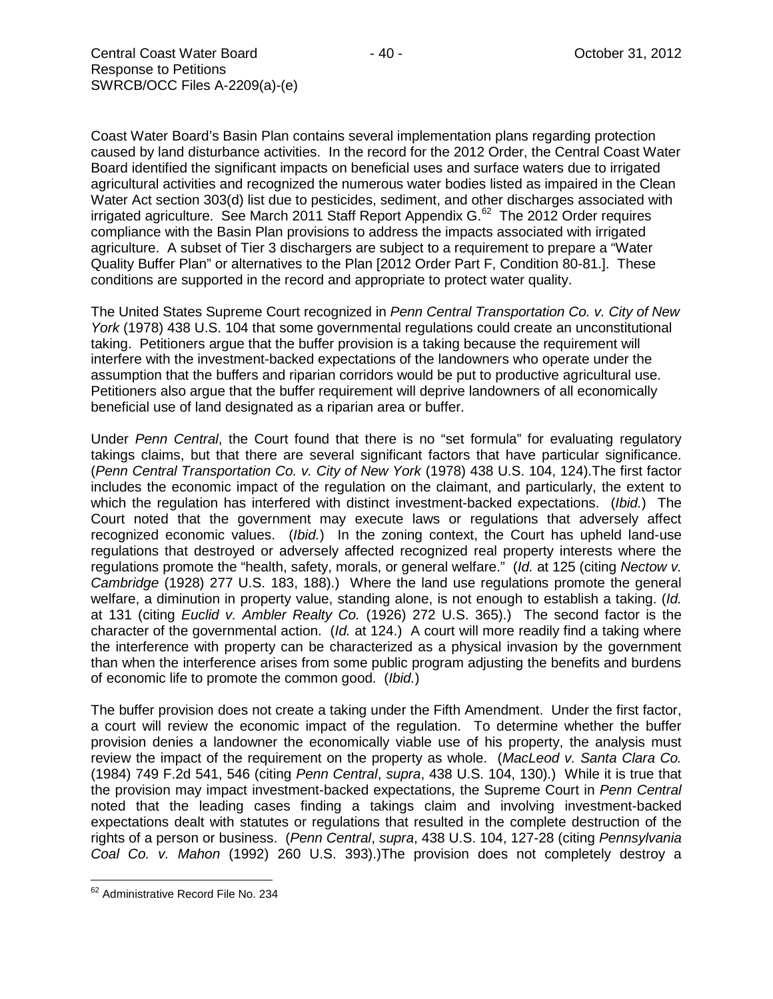Coast Water Board's Basin Plan contains several implementation plans regarding protection caused by land disturbance activities. In the record for the 2012 Order, the Central Coast Water Board identified the significant impacts on beneficial uses and surface waters due to irrigated agricultural activities and recognized the numerous water bodies listed as impaired in the Clean Water Act section 303(d) list due to pesticides, sediment, and other discharges associated with irrigated agriculture. See March 2011 Staff Report Appendix  $G<sup>62</sup>$  The 2012 Order requires compliance with the Basin Plan provisions to address the impacts associated with irrigated agriculture. A subset of Tier 3 dischargers are subject to a requirement to prepare a "Water Quality Buffer Plan" or alternatives to the Plan [2012 Order Part F, Condition 80-81.]. These conditions are supported in the record and appropriate to protect water quality.

The United States Supreme Court recognized in *Penn Central Transportation Co. v. City of New York* (1978) 438 U.S. 104 that some governmental regulations could create an unconstitutional taking. Petitioners argue that the buffer provision is a taking because the requirement will interfere with the investment-backed expectations of the landowners who operate under the assumption that the buffers and riparian corridors would be put to productive agricultural use. Petitioners also argue that the buffer requirement will deprive landowners of all economically beneficial use of land designated as a riparian area or buffer.

Under *Penn Central*, the Court found that there is no "set formula" for evaluating regulatory takings claims, but that there are several significant factors that have particular significance. (*Penn Central Transportation Co. v. City of New York* (1978) 438 U.S. 104, 124).The first factor includes the economic impact of the regulation on the claimant, and particularly, the extent to which the regulation has interfered with distinct investment-backed expectations. (*Ibid.*) The Court noted that the government may execute laws or regulations that adversely affect recognized economic values. (*Ibid.*) In the zoning context, the Court has upheld land-use regulations that destroyed or adversely affected recognized real property interests where the regulations promote the "health, safety, morals, or general welfare." (*Id.* at 125 (citing *Nectow v. Cambridge* (1928) 277 U.S. 183, 188).) Where the land use regulations promote the general welfare, a diminution in property value, standing alone, is not enough to establish a taking. (*Id.* at 131 (citing *Euclid v. Ambler Realty Co.* (1926) 272 U.S. 365).) The second factor is the character of the governmental action. (*Id.* at 124.) A court will more readily find a taking where the interference with property can be characterized as a physical invasion by the government than when the interference arises from some public program adjusting the benefits and burdens of economic life to promote the common good. (*Ibid.*)

The buffer provision does not create a taking under the Fifth Amendment. Under the first factor, a court will review the economic impact of the regulation. To determine whether the buffer provision denies a landowner the economically viable use of his property, the analysis must review the impact of the requirement on the property as whole. (*MacLeod v. Santa Clara Co.* (1984) 749 F.2d 541, 546 (citing *Penn Central*, *supra*, 438 U.S. 104, 130).) While it is true that the provision may impact investment-backed expectations, the Supreme Court in *Penn Central* noted that the leading cases finding a takings claim and involving investment-backed expectations dealt with statutes or regulations that resulted in the complete destruction of the rights of a person or business. (*Penn Central*, *supra*, 438 U.S. 104, 127-28 (citing *Pennsylvania Coal Co. v. Mahon* (1992) 260 U.S. 393).)The provision does not completely destroy a

<span id="page-39-0"></span><sup>62</sup> Administrative Record File No. 234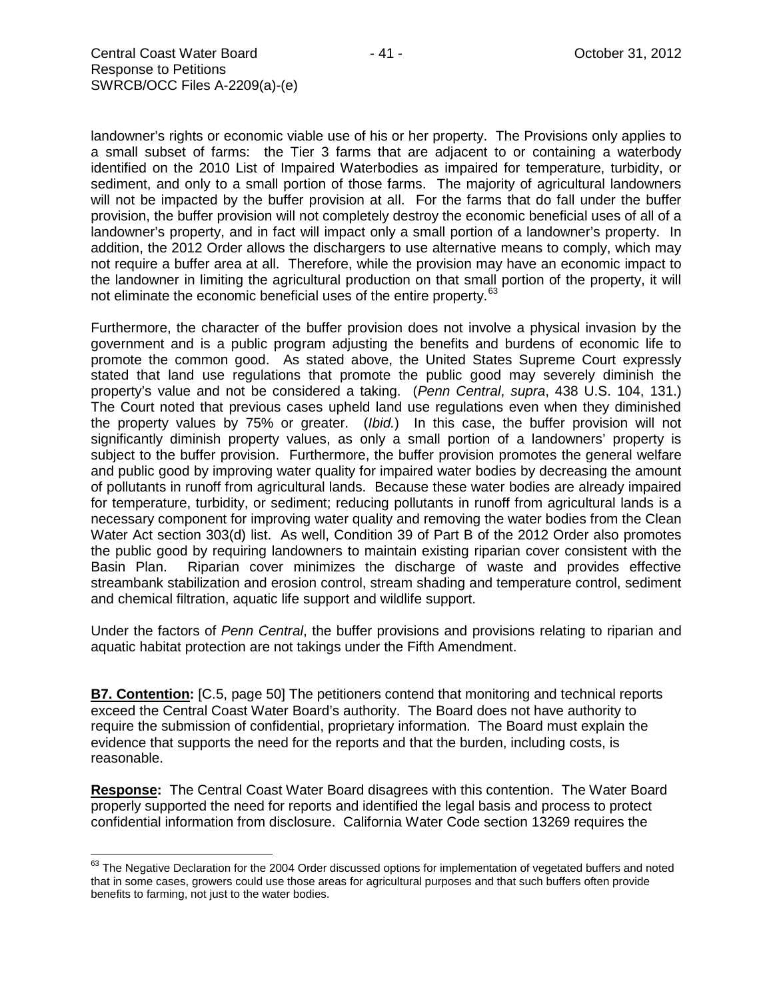landowner's rights or economic viable use of his or her property. The Provisions only applies to a small subset of farms: the Tier 3 farms that are adjacent to or containing a waterbody identified on the 2010 List of Impaired Waterbodies as impaired for temperature, turbidity, or sediment, and only to a small portion of those farms. The majority of agricultural landowners will not be impacted by the buffer provision at all. For the farms that do fall under the buffer provision, the buffer provision will not completely destroy the economic beneficial uses of all of a landowner's property, and in fact will impact only a small portion of a landowner's property. In addition, the 2012 Order allows the dischargers to use alternative means to comply, which may not require a buffer area at all. Therefore, while the provision may have an economic impact to the landowner in limiting the agricultural production on that small portion of the property, it will not eliminate the economic beneficial uses of the entire property.<sup>[63](#page-40-0)</sup>

Furthermore, the character of the buffer provision does not involve a physical invasion by the government and is a public program adjusting the benefits and burdens of economic life to promote the common good. As stated above, the United States Supreme Court expressly stated that land use regulations that promote the public good may severely diminish the property's value and not be considered a taking. (*Penn Central*, *supra*, 438 U.S. 104, 131.) The Court noted that previous cases upheld land use regulations even when they diminished the property values by 75% or greater. (*Ibid.*) In this case, the buffer provision will not significantly diminish property values, as only a small portion of a landowners' property is subject to the buffer provision. Furthermore, the buffer provision promotes the general welfare and public good by improving water quality for impaired water bodies by decreasing the amount of pollutants in runoff from agricultural lands. Because these water bodies are already impaired for temperature, turbidity, or sediment; reducing pollutants in runoff from agricultural lands is a necessary component for improving water quality and removing the water bodies from the Clean Water Act section 303(d) list. As well, Condition 39 of Part B of the 2012 Order also promotes the public good by requiring landowners to maintain existing riparian cover consistent with the Basin Plan. Riparian cover minimizes the discharge of waste and provides effective streambank stabilization and erosion control, stream shading and temperature control, sediment and chemical filtration, aquatic life support and wildlife support.

Under the factors of *Penn Central*, the buffer provisions and provisions relating to riparian and aquatic habitat protection are not takings under the Fifth Amendment.

**B7. Contention:** [C.5, page 50] The petitioners contend that monitoring and technical reports exceed the Central Coast Water Board's authority. The Board does not have authority to require the submission of confidential, proprietary information. The Board must explain the evidence that supports the need for the reports and that the burden, including costs, is reasonable.

**Response:** The Central Coast Water Board disagrees with this contention. The Water Board properly supported the need for reports and identified the legal basis and process to protect confidential information from disclosure. California Water Code section 13269 requires the

<span id="page-40-0"></span> $63$  The Negative Declaration for the 2004 Order discussed options for implementation of vegetated buffers and noted that in some cases, growers could use those areas for agricultural purposes and that such buffers often provide benefits to farming, not just to the water bodies.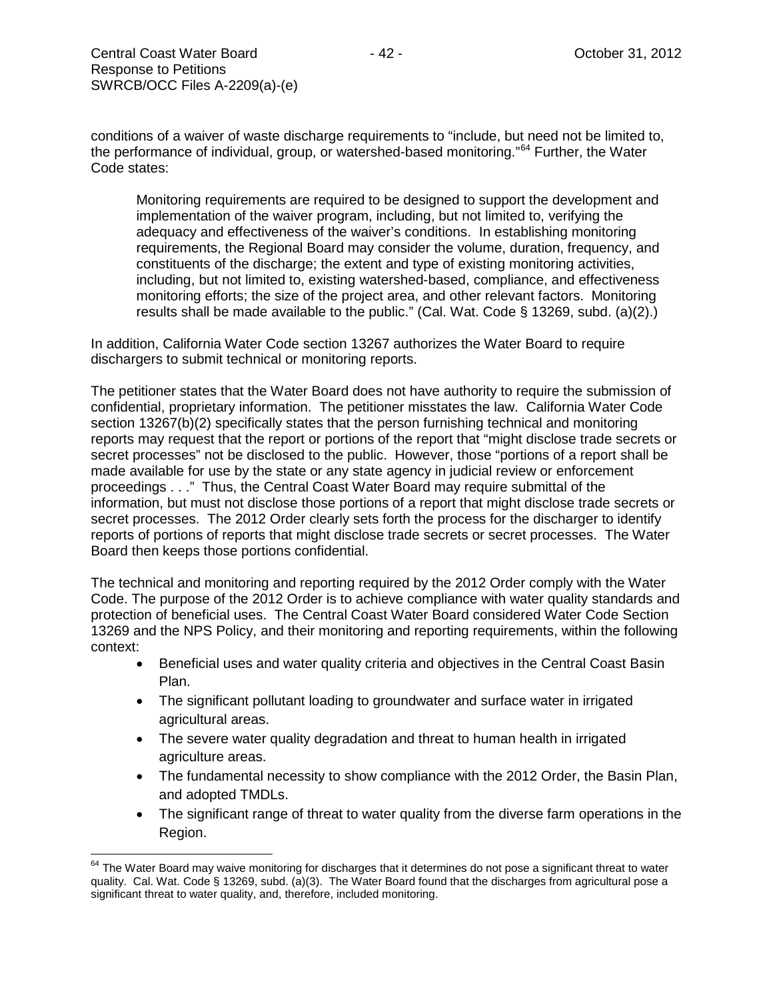conditions of a waiver of waste discharge requirements to "include, but need not be limited to, the performance of individual, group, or watershed-based monitoring."<sup>[64](#page-41-0)</sup> Further, the Water Code states:

Monitoring requirements are required to be designed to support the development and implementation of the waiver program, including, but not limited to, verifying the adequacy and effectiveness of the waiver's conditions. In establishing monitoring requirements, the Regional Board may consider the volume, duration, frequency, and constituents of the discharge; the extent and type of existing monitoring activities, including, but not limited to, existing watershed-based, compliance, and effectiveness monitoring efforts; the size of the project area, and other relevant factors. Monitoring results shall be made available to the public." (Cal. Wat. Code § 13269, subd. (a)(2).)

In addition, California Water Code section 13267 authorizes the Water Board to require dischargers to submit technical or monitoring reports.

The petitioner states that the Water Board does not have authority to require the submission of confidential, proprietary information. The petitioner misstates the law. California Water Code section 13267(b)(2) specifically states that the person furnishing technical and monitoring reports may request that the report or portions of the report that "might disclose trade secrets or secret processes" not be disclosed to the public. However, those "portions of a report shall be made available for use by the state or any state agency in judicial review or enforcement proceedings . . ." Thus, the Central Coast Water Board may require submittal of the information, but must not disclose those portions of a report that might disclose trade secrets or secret processes. The 2012 Order clearly sets forth the process for the discharger to identify reports of portions of reports that might disclose trade secrets or secret processes. The Water Board then keeps those portions confidential.

The technical and monitoring and reporting required by the 2012 Order comply with the Water Code. The purpose of the 2012 Order is to achieve compliance with water quality standards and protection of beneficial uses. The Central Coast Water Board considered Water Code Section 13269 and the NPS Policy, and their monitoring and reporting requirements, within the following context:

- Beneficial uses and water quality criteria and objectives in the Central Coast Basin Plan.
- The significant pollutant loading to groundwater and surface water in irrigated agricultural areas.
- The severe water quality degradation and threat to human health in irrigated agriculture areas.
- The fundamental necessity to show compliance with the 2012 Order, the Basin Plan, and adopted TMDLs.
- The significant range of threat to water quality from the diverse farm operations in the Region.

<span id="page-41-0"></span><sup>&</sup>lt;sup>64</sup> The Water Board may waive monitoring for discharges that it determines do not pose a significant threat to water quality. Cal. Wat. Code § 13269, subd. (a)(3). The Water Board found that the discharges from agricultural pose a significant threat to water quality, and, therefore, included monitoring.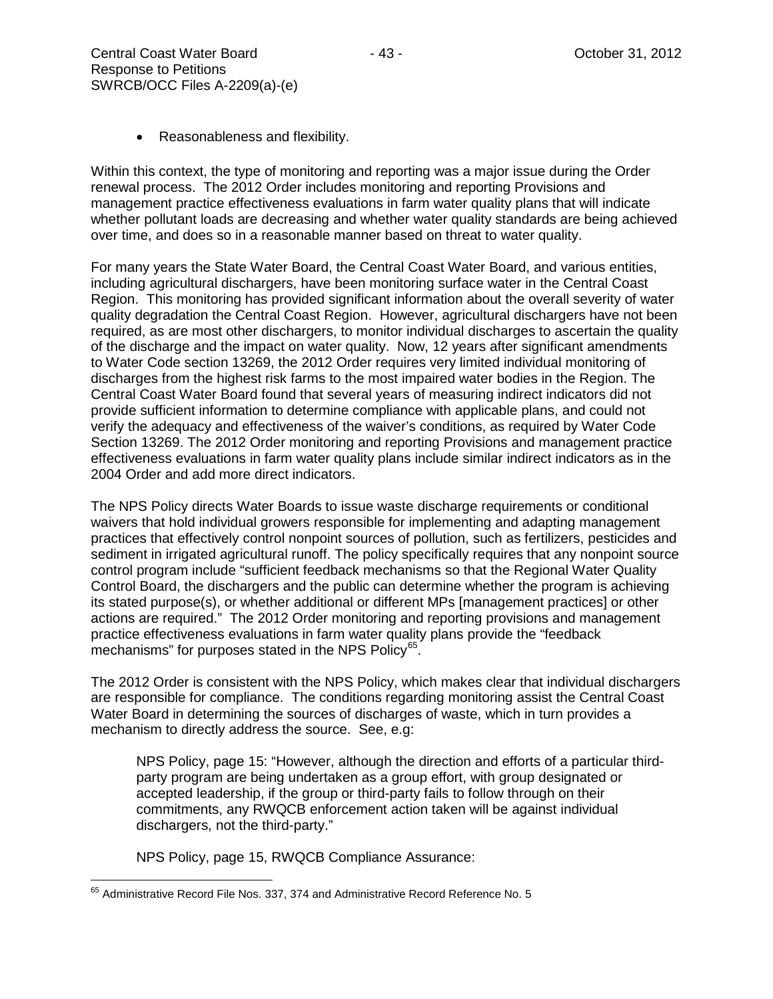Within this context, the type of monitoring and reporting was a major issue during the Order renewal process. The 2012 Order includes monitoring and reporting Provisions and management practice effectiveness evaluations in farm water quality plans that will indicate whether pollutant loads are decreasing and whether water quality standards are being achieved over time, and does so in a reasonable manner based on threat to water quality.

For many years the State Water Board, the Central Coast Water Board, and various entities, including agricultural dischargers, have been monitoring surface water in the Central Coast Region. This monitoring has provided significant information about the overall severity of water quality degradation the Central Coast Region. However, agricultural dischargers have not been required, as are most other dischargers, to monitor individual discharges to ascertain the quality of the discharge and the impact on water quality. Now, 12 years after significant amendments to Water Code section 13269, the 2012 Order requires very limited individual monitoring of discharges from the highest risk farms to the most impaired water bodies in the Region. The Central Coast Water Board found that several years of measuring indirect indicators did not provide sufficient information to determine compliance with applicable plans, and could not verify the adequacy and effectiveness of the waiver's conditions, as required by Water Code Section 13269. The 2012 Order monitoring and reporting Provisions and management practice effectiveness evaluations in farm water quality plans include similar indirect indicators as in the 2004 Order and add more direct indicators.

The NPS Policy directs Water Boards to issue waste discharge requirements or conditional waivers that hold individual growers responsible for implementing and adapting management practices that effectively control nonpoint sources of pollution, such as fertilizers, pesticides and sediment in irrigated agricultural runoff. The policy specifically requires that any nonpoint source control program include "sufficient feedback mechanisms so that the Regional Water Quality Control Board, the dischargers and the public can determine whether the program is achieving its stated purpose(s), or whether additional or different MPs [management practices] or other actions are required." The 2012 Order monitoring and reporting provisions and management practice effectiveness evaluations in farm water quality plans provide the "feedback mechanisms" for purposes stated in the NPS Policy<sup>65</sup>.

The 2012 Order is consistent with the NPS Policy, which makes clear that individual dischargers are responsible for compliance. The conditions regarding monitoring assist the Central Coast Water Board in determining the sources of discharges of waste, which in turn provides a mechanism to directly address the source. See, e.g:

NPS Policy, page 15: "However, although the direction and efforts of a particular thirdparty program are being undertaken as a group effort, with group designated or accepted leadership, if the group or third-party fails to follow through on their commitments, any RWQCB enforcement action taken will be against individual dischargers, not the third-party."

NPS Policy, page 15, RWQCB Compliance Assurance:

<span id="page-42-0"></span><sup>65</sup> Administrative Record File Nos. 337, 374 and Administrative Record Reference No. 5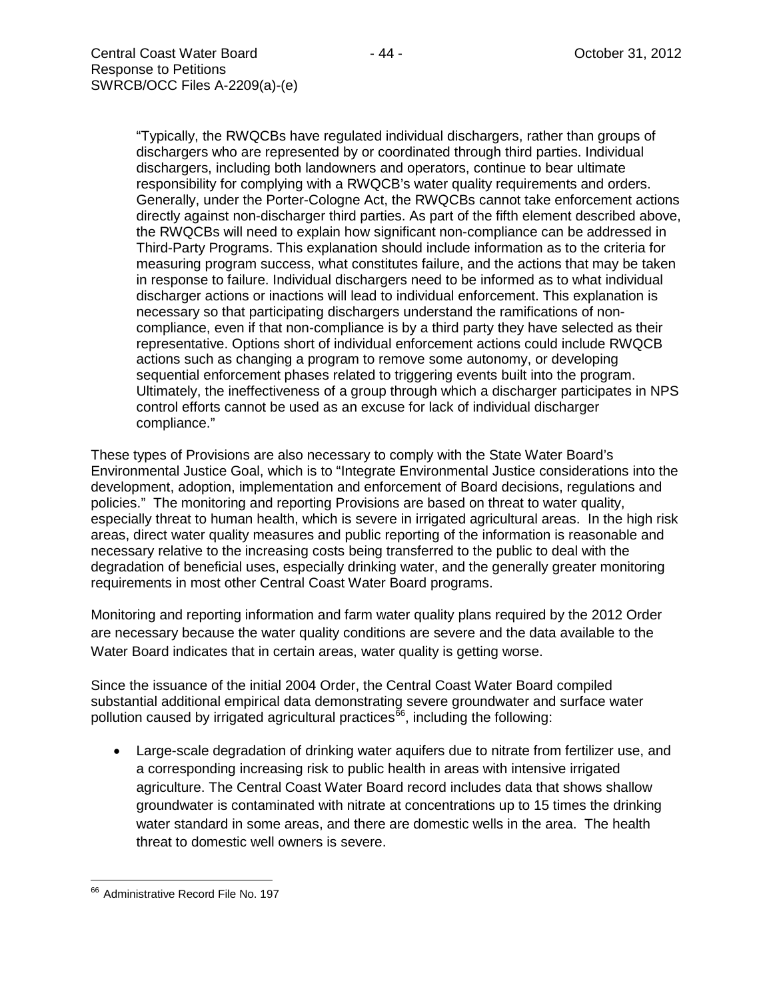"Typically, the RWQCBs have regulated individual dischargers, rather than groups of dischargers who are represented by or coordinated through third parties. Individual dischargers, including both landowners and operators, continue to bear ultimate responsibility for complying with a RWQCB's water quality requirements and orders. Generally, under the Porter-Cologne Act, the RWQCBs cannot take enforcement actions directly against non-discharger third parties. As part of the fifth element described above, the RWQCBs will need to explain how significant non-compliance can be addressed in Third-Party Programs. This explanation should include information as to the criteria for measuring program success, what constitutes failure, and the actions that may be taken in response to failure. Individual dischargers need to be informed as to what individual discharger actions or inactions will lead to individual enforcement. This explanation is necessary so that participating dischargers understand the ramifications of noncompliance, even if that non-compliance is by a third party they have selected as their representative. Options short of individual enforcement actions could include RWQCB actions such as changing a program to remove some autonomy, or developing sequential enforcement phases related to triggering events built into the program. Ultimately, the ineffectiveness of a group through which a discharger participates in NPS control efforts cannot be used as an excuse for lack of individual discharger compliance."

These types of Provisions are also necessary to comply with the State Water Board's Environmental Justice Goal, which is to "Integrate Environmental Justice considerations into the development, adoption, implementation and enforcement of Board decisions, regulations and policies." The monitoring and reporting Provisions are based on threat to water quality, especially threat to human health, which is severe in irrigated agricultural areas. In the high risk areas, direct water quality measures and public reporting of the information is reasonable and necessary relative to the increasing costs being transferred to the public to deal with the degradation of beneficial uses, especially drinking water, and the generally greater monitoring requirements in most other Central Coast Water Board programs.

Monitoring and reporting information and farm water quality plans required by the 2012 Order are necessary because the water quality conditions are severe and the data available to the Water Board indicates that in certain areas, water quality is getting worse.

Since the issuance of the initial 2004 Order, the Central Coast Water Board compiled substantial additional empirical data demonstrating severe groundwater and surface water pollution caused by irrigated agricultural practices<sup>[66](#page-43-0)</sup>, including the following:

• Large-scale degradation of drinking water aquifers due to nitrate from fertilizer use, and a corresponding increasing risk to public health in areas with intensive irrigated agriculture. The Central Coast Water Board record includes data that shows shallow groundwater is contaminated with nitrate at concentrations up to 15 times the drinking water standard in some areas, and there are domestic wells in the area. The health threat to domestic well owners is severe.

<span id="page-43-0"></span><sup>&</sup>lt;sup>66</sup> Administrative Record File No. 197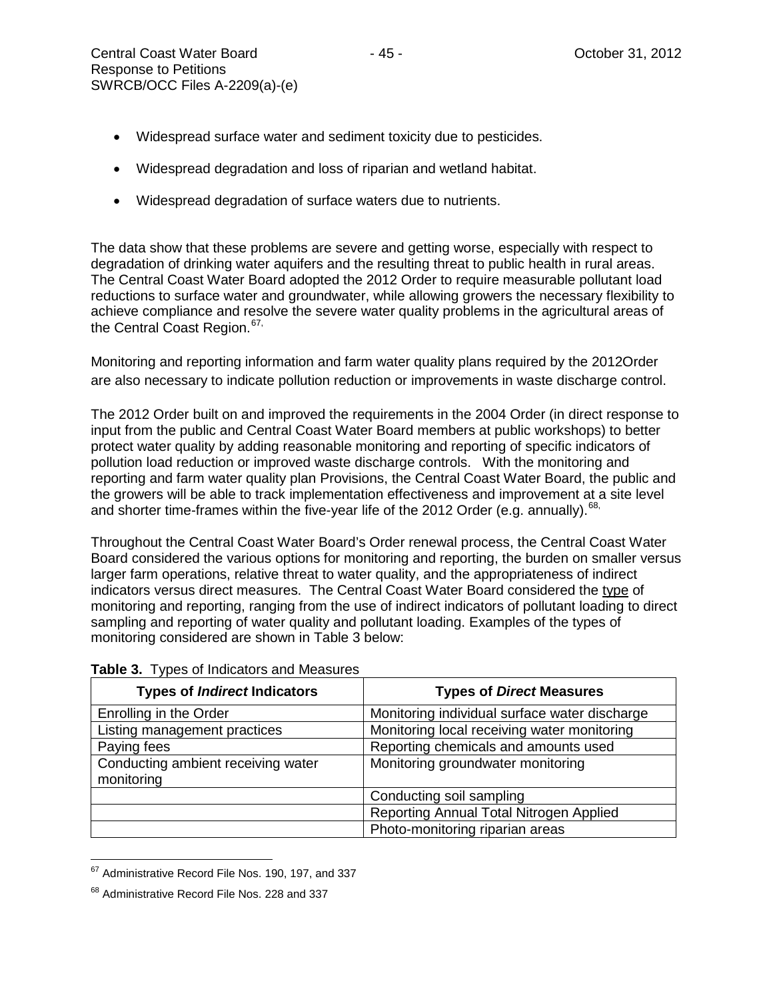- Widespread surface water and sediment toxicity due to pesticides.
- Widespread degradation and loss of riparian and wetland habitat.
- Widespread degradation of surface waters due to nutrients.

The data show that these problems are severe and getting worse, especially with respect to degradation of drinking water aquifers and the resulting threat to public health in rural areas. The Central Coast Water Board adopted the 2012 Order to require measurable pollutant load reductions to surface water and groundwater, while allowing growers the necessary flexibility to achieve compliance and resolve the severe water quality problems in the agricultural areas of the Central Coast Region.<sup>[67,](#page-44-0)</sup>

Monitoring and reporting information and farm water quality plans required by the 2012Order are also necessary to indicate pollution reduction or improvements in waste discharge control.

The 2012 Order built on and improved the requirements in the 2004 Order (in direct response to input from the public and Central Coast Water Board members at public workshops) to better protect water quality by adding reasonable monitoring and reporting of specific indicators of pollution load reduction or improved waste discharge controls. With the monitoring and reporting and farm water quality plan Provisions, the Central Coast Water Board, the public and the growers will be able to track implementation effectiveness and improvement at a site level and shorter time-frames within the five-year life of the 2012 Order (e.g. annually).<sup>[68](#page-44-1),</sup>

Throughout the Central Coast Water Board's Order renewal process, the Central Coast Water Board considered the various options for monitoring and reporting, the burden on smaller versus larger farm operations, relative threat to water quality, and the appropriateness of indirect indicators versus direct measures. The Central Coast Water Board considered the type of monitoring and reporting, ranging from the use of indirect indicators of pollutant loading to direct sampling and reporting of water quality and pollutant loading. Examples of the types of monitoring considered are shown in Table 3 below:

| <b>Types of Indirect Indicators</b>              | <b>Types of Direct Measures</b>               |
|--------------------------------------------------|-----------------------------------------------|
| Enrolling in the Order                           | Monitoring individual surface water discharge |
| Listing management practices                     | Monitoring local receiving water monitoring   |
| Paying fees                                      | Reporting chemicals and amounts used          |
| Conducting ambient receiving water<br>monitoring | Monitoring groundwater monitoring             |
|                                                  | Conducting soil sampling                      |
|                                                  | Reporting Annual Total Nitrogen Applied       |
|                                                  | Photo-monitoring riparian areas               |

### **Table 3.** Types of Indicators and Measures

<span id="page-44-0"></span><sup>&</sup>lt;sup>67</sup> Administrative Record File Nos. 190, 197, and 337

<span id="page-44-1"></span><sup>&</sup>lt;sup>68</sup> Administrative Record File Nos. 228 and 337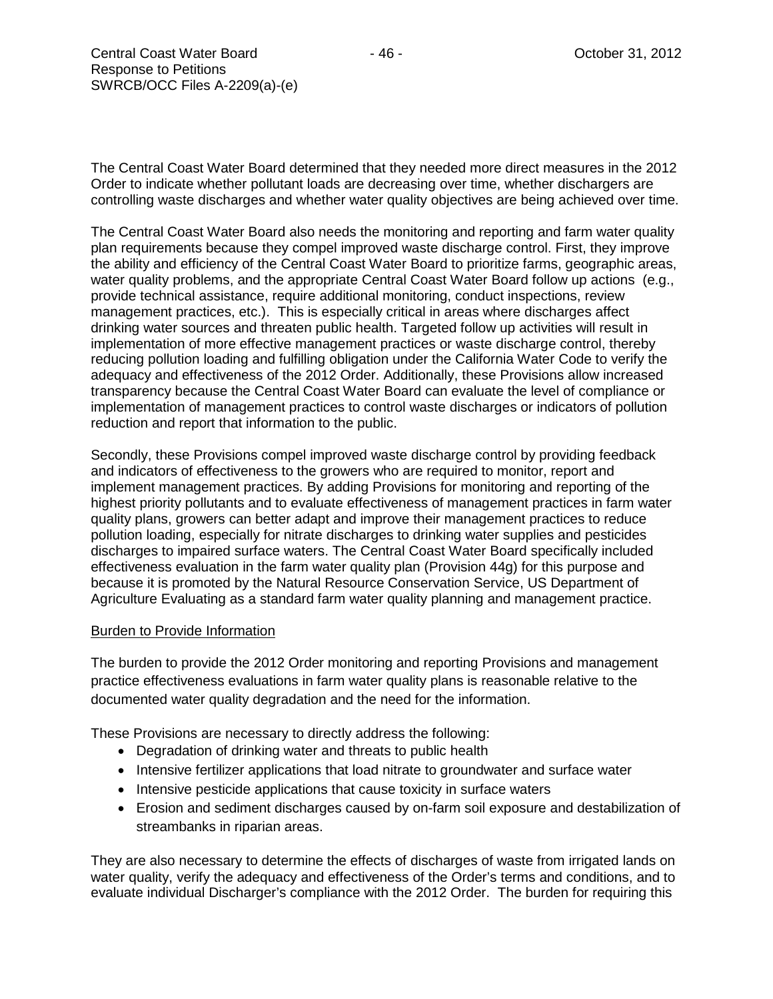The Central Coast Water Board determined that they needed more direct measures in the 2012 Order to indicate whether pollutant loads are decreasing over time, whether dischargers are controlling waste discharges and whether water quality objectives are being achieved over time.

The Central Coast Water Board also needs the monitoring and reporting and farm water quality plan requirements because they compel improved waste discharge control. First, they improve the ability and efficiency of the Central Coast Water Board to prioritize farms, geographic areas, water quality problems, and the appropriate Central Coast Water Board follow up actions (e.g., provide technical assistance, require additional monitoring, conduct inspections, review management practices, etc.). This is especially critical in areas where discharges affect drinking water sources and threaten public health. Targeted follow up activities will result in implementation of more effective management practices or waste discharge control, thereby reducing pollution loading and fulfilling obligation under the California Water Code to verify the adequacy and effectiveness of the 2012 Order. Additionally, these Provisions allow increased transparency because the Central Coast Water Board can evaluate the level of compliance or implementation of management practices to control waste discharges or indicators of pollution reduction and report that information to the public.

Secondly, these Provisions compel improved waste discharge control by providing feedback and indicators of effectiveness to the growers who are required to monitor, report and implement management practices. By adding Provisions for monitoring and reporting of the highest priority pollutants and to evaluate effectiveness of management practices in farm water quality plans, growers can better adapt and improve their management practices to reduce pollution loading, especially for nitrate discharges to drinking water supplies and pesticides discharges to impaired surface waters. The Central Coast Water Board specifically included effectiveness evaluation in the farm water quality plan (Provision 44g) for this purpose and because it is promoted by the Natural Resource Conservation Service, US Department of Agriculture Evaluating as a standard farm water quality planning and management practice.

### Burden to Provide Information

The burden to provide the 2012 Order monitoring and reporting Provisions and management practice effectiveness evaluations in farm water quality plans is reasonable relative to the documented water quality degradation and the need for the information.

These Provisions are necessary to directly address the following:

- Degradation of drinking water and threats to public health
- Intensive fertilizer applications that load nitrate to groundwater and surface water
- Intensive pesticide applications that cause toxicity in surface waters
- Erosion and sediment discharges caused by on-farm soil exposure and destabilization of streambanks in riparian areas.

They are also necessary to determine the effects of discharges of waste from irrigated lands on water quality, verify the adequacy and effectiveness of the Order's terms and conditions, and to evaluate individual Discharger's compliance with the 2012 Order. The burden for requiring this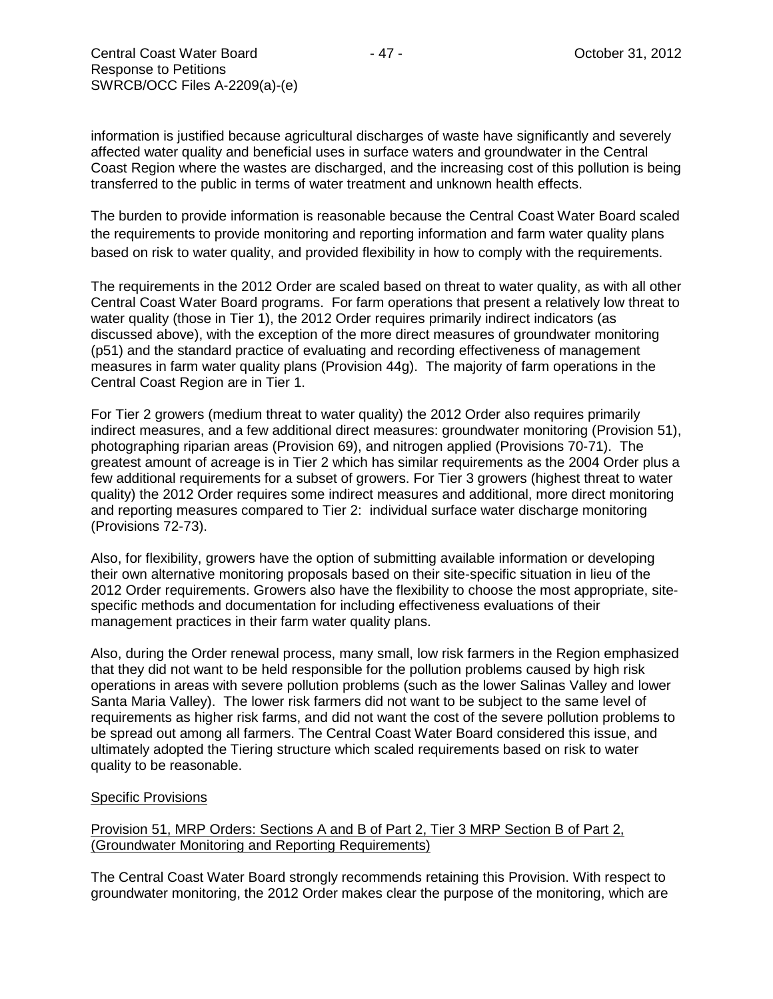information is justified because agricultural discharges of waste have significantly and severely affected water quality and beneficial uses in surface waters and groundwater in the Central Coast Region where the wastes are discharged, and the increasing cost of this pollution is being transferred to the public in terms of water treatment and unknown health effects.

The burden to provide information is reasonable because the Central Coast Water Board scaled the requirements to provide monitoring and reporting information and farm water quality plans based on risk to water quality, and provided flexibility in how to comply with the requirements.

The requirements in the 2012 Order are scaled based on threat to water quality, as with all other Central Coast Water Board programs. For farm operations that present a relatively low threat to water quality (those in Tier 1), the 2012 Order requires primarily indirect indicators (as discussed above), with the exception of the more direct measures of groundwater monitoring (p51) and the standard practice of evaluating and recording effectiveness of management measures in farm water quality plans (Provision 44g). The majority of farm operations in the Central Coast Region are in Tier 1.

For Tier 2 growers (medium threat to water quality) the 2012 Order also requires primarily indirect measures, and a few additional direct measures: groundwater monitoring (Provision 51), photographing riparian areas (Provision 69), and nitrogen applied (Provisions 70-71). The greatest amount of acreage is in Tier 2 which has similar requirements as the 2004 Order plus a few additional requirements for a subset of growers. For Tier 3 growers (highest threat to water quality) the 2012 Order requires some indirect measures and additional, more direct monitoring and reporting measures compared to Tier 2: individual surface water discharge monitoring (Provisions 72-73).

Also, for flexibility, growers have the option of submitting available information or developing their own alternative monitoring proposals based on their site-specific situation in lieu of the 2012 Order requirements. Growers also have the flexibility to choose the most appropriate, sitespecific methods and documentation for including effectiveness evaluations of their management practices in their farm water quality plans.

Also, during the Order renewal process, many small, low risk farmers in the Region emphasized that they did not want to be held responsible for the pollution problems caused by high risk operations in areas with severe pollution problems (such as the lower Salinas Valley and lower Santa Maria Valley). The lower risk farmers did not want to be subject to the same level of requirements as higher risk farms, and did not want the cost of the severe pollution problems to be spread out among all farmers. The Central Coast Water Board considered this issue, and ultimately adopted the Tiering structure which scaled requirements based on risk to water quality to be reasonable.

### Specific Provisions

Provision 51, MRP Orders: Sections A and B of Part 2, Tier 3 MRP Section B of Part 2, (Groundwater Monitoring and Reporting Requirements)

The Central Coast Water Board strongly recommends retaining this Provision. With respect to groundwater monitoring, the 2012 Order makes clear the purpose of the monitoring, which are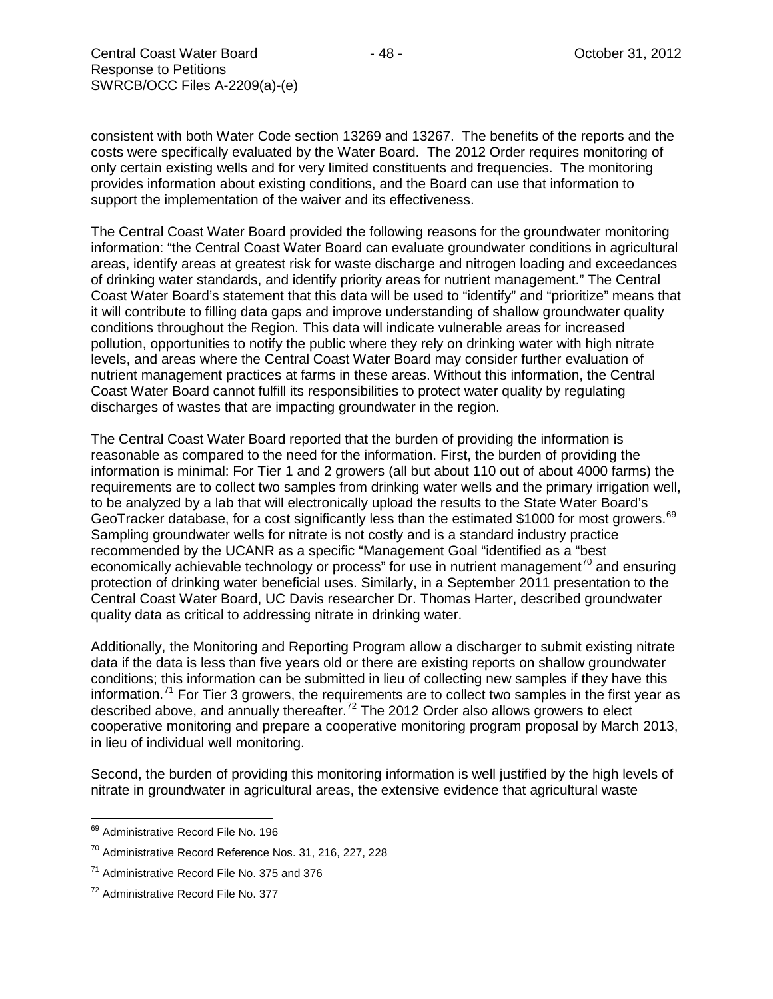consistent with both Water Code section 13269 and 13267. The benefits of the reports and the costs were specifically evaluated by the Water Board. The 2012 Order requires monitoring of only certain existing wells and for very limited constituents and frequencies. The monitoring provides information about existing conditions, and the Board can use that information to support the implementation of the waiver and its effectiveness.

The Central Coast Water Board provided the following reasons for the groundwater monitoring information: "the Central Coast Water Board can evaluate groundwater conditions in agricultural areas, identify areas at greatest risk for waste discharge and nitrogen loading and exceedances of drinking water standards, and identify priority areas for nutrient management." The Central Coast Water Board's statement that this data will be used to "identify" and "prioritize" means that it will contribute to filling data gaps and improve understanding of shallow groundwater quality conditions throughout the Region. This data will indicate vulnerable areas for increased pollution, opportunities to notify the public where they rely on drinking water with high nitrate levels, and areas where the Central Coast Water Board may consider further evaluation of nutrient management practices at farms in these areas. Without this information, the Central Coast Water Board cannot fulfill its responsibilities to protect water quality by regulating discharges of wastes that are impacting groundwater in the region.

The Central Coast Water Board reported that the burden of providing the information is reasonable as compared to the need for the information. First, the burden of providing the information is minimal: For Tier 1 and 2 growers (all but about 110 out of about 4000 farms) the requirements are to collect two samples from drinking water wells and the primary irrigation well, to be analyzed by a lab that will electronically upload the results to the State Water Board's GeoTracker database, for a cost significantly less than the estimated \$1000 for most growers.<sup>[69](#page-47-0)</sup> Sampling groundwater wells for nitrate is not costly and is a standard industry practice recommended by the UCANR as a specific "Management Goal "identified as a "best economically achievable technology or process" for use in nutrient management<sup>[70](#page-47-1)</sup> and ensuring protection of drinking water beneficial uses. Similarly, in a September 2011 presentation to the Central Coast Water Board, UC Davis researcher Dr. Thomas Harter, described groundwater quality data as critical to addressing nitrate in drinking water.

Additionally, the Monitoring and Reporting Program allow a discharger to submit existing nitrate data if the data is less than five years old or there are existing reports on shallow groundwater conditions; this information can be submitted in lieu of collecting new samples if they have this information.<sup>[71](#page-47-2)</sup> For Tier 3 growers, the requirements are to collect two samples in the first year as described above, and annually thereafter.<sup>[72](#page-47-3)</sup> The 2012 Order also allows growers to elect cooperative monitoring and prepare a cooperative monitoring program proposal by March 2013, in lieu of individual well monitoring.

Second, the burden of providing this monitoring information is well justified by the high levels of nitrate in groundwater in agricultural areas, the extensive evidence that agricultural waste

<span id="page-47-0"></span><sup>&</sup>lt;sup>69</sup> Administrative Record File No. 196

<span id="page-47-1"></span><sup>70</sup> Administrative Record Reference Nos. 31, 216, 227, 228

<span id="page-47-2"></span><sup>&</sup>lt;sup>71</sup> Administrative Record File No. 375 and 376

<span id="page-47-3"></span><sup>72</sup> Administrative Record File No. 377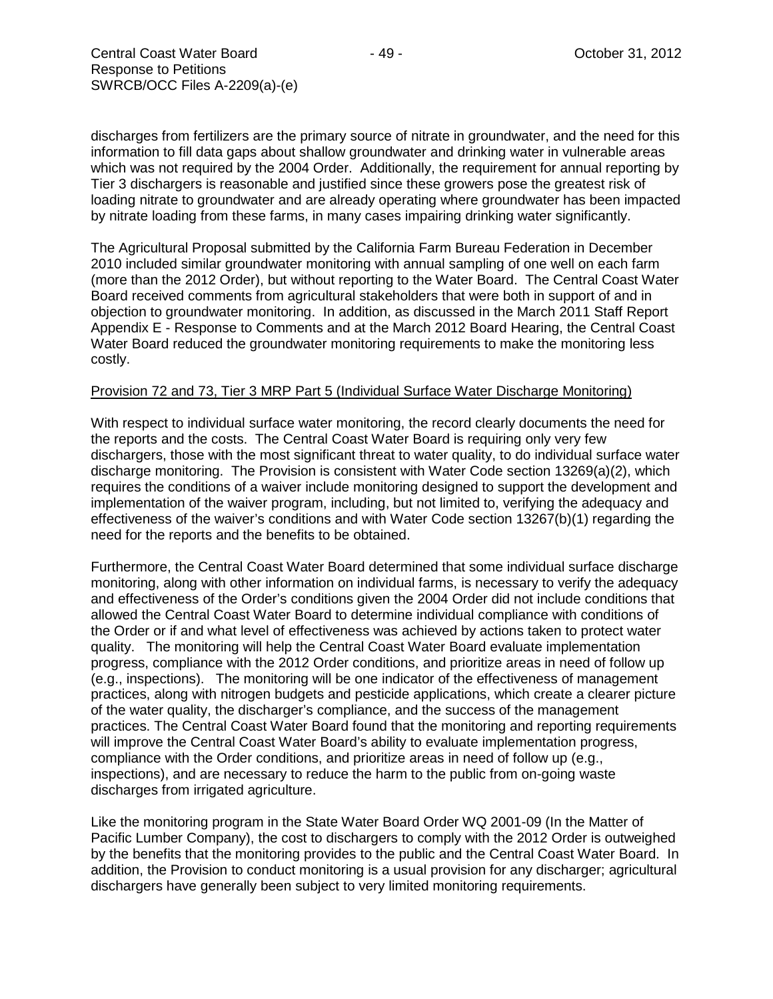discharges from fertilizers are the primary source of nitrate in groundwater, and the need for this information to fill data gaps about shallow groundwater and drinking water in vulnerable areas which was not required by the 2004 Order. Additionally, the requirement for annual reporting by Tier 3 dischargers is reasonable and justified since these growers pose the greatest risk of loading nitrate to groundwater and are already operating where groundwater has been impacted by nitrate loading from these farms, in many cases impairing drinking water significantly.

The Agricultural Proposal submitted by the California Farm Bureau Federation in December 2010 included similar groundwater monitoring with annual sampling of one well on each farm (more than the 2012 Order), but without reporting to the Water Board. The Central Coast Water Board received comments from agricultural stakeholders that were both in support of and in objection to groundwater monitoring. In addition, as discussed in the March 2011 Staff Report Appendix E - Response to Comments and at the March 2012 Board Hearing, the Central Coast Water Board reduced the groundwater monitoring requirements to make the monitoring less costly.

### Provision 72 and 73, Tier 3 MRP Part 5 (Individual Surface Water Discharge Monitoring)

With respect to individual surface water monitoring, the record clearly documents the need for the reports and the costs. The Central Coast Water Board is requiring only very few dischargers, those with the most significant threat to water quality, to do individual surface water discharge monitoring. The Provision is consistent with Water Code section 13269(a)(2), which requires the conditions of a waiver include monitoring designed to support the development and implementation of the waiver program, including, but not limited to, verifying the adequacy and effectiveness of the waiver's conditions and with Water Code section 13267(b)(1) regarding the need for the reports and the benefits to be obtained.

Furthermore, the Central Coast Water Board determined that some individual surface discharge monitoring, along with other information on individual farms, is necessary to verify the adequacy and effectiveness of the Order's conditions given the 2004 Order did not include conditions that allowed the Central Coast Water Board to determine individual compliance with conditions of the Order or if and what level of effectiveness was achieved by actions taken to protect water quality. The monitoring will help the Central Coast Water Board evaluate implementation progress, compliance with the 2012 Order conditions, and prioritize areas in need of follow up (e.g., inspections). The monitoring will be one indicator of the effectiveness of management practices, along with nitrogen budgets and pesticide applications, which create a clearer picture of the water quality, the discharger's compliance, and the success of the management practices. The Central Coast Water Board found that the monitoring and reporting requirements will improve the Central Coast Water Board's ability to evaluate implementation progress, compliance with the Order conditions, and prioritize areas in need of follow up (e.g., inspections), and are necessary to reduce the harm to the public from on-going waste discharges from irrigated agriculture.

Like the monitoring program in the State Water Board Order WQ 2001-09 (In the Matter of Pacific Lumber Company), the cost to dischargers to comply with the 2012 Order is outweighed by the benefits that the monitoring provides to the public and the Central Coast Water Board. In addition, the Provision to conduct monitoring is a usual provision for any discharger; agricultural dischargers have generally been subject to very limited monitoring requirements.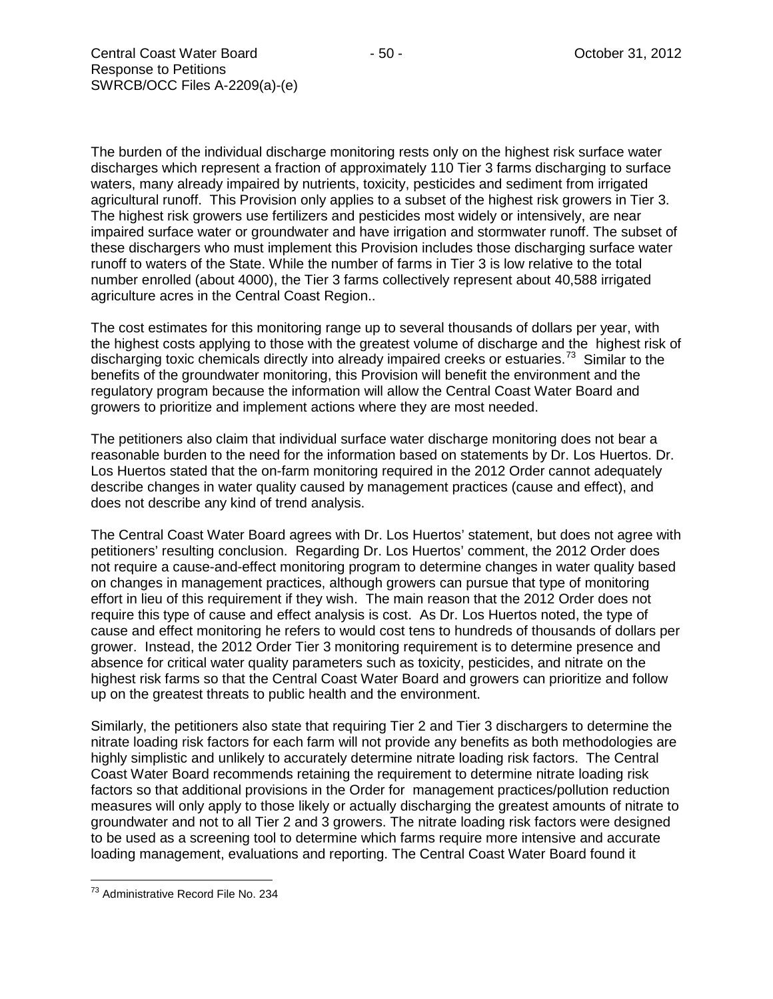The burden of the individual discharge monitoring rests only on the highest risk surface water discharges which represent a fraction of approximately 110 Tier 3 farms discharging to surface waters, many already impaired by nutrients, toxicity, pesticides and sediment from irrigated agricultural runoff. This Provision only applies to a subset of the highest risk growers in Tier 3. The highest risk growers use fertilizers and pesticides most widely or intensively, are near impaired surface water or groundwater and have irrigation and stormwater runoff. The subset of these dischargers who must implement this Provision includes those discharging surface water runoff to waters of the State. While the number of farms in Tier 3 is low relative to the total number enrolled (about 4000), the Tier 3 farms collectively represent about 40,588 irrigated agriculture acres in the Central Coast Region..

The cost estimates for this monitoring range up to several thousands of dollars per year, with the highest costs applying to those with the greatest volume of discharge and the highest risk of discharging toxic chemicals directly into already impaired creeks or estuaries.<sup>[73](#page-49-0)</sup> Similar to the benefits of the groundwater monitoring, this Provision will benefit the environment and the regulatory program because the information will allow the Central Coast Water Board and growers to prioritize and implement actions where they are most needed.

The petitioners also claim that individual surface water discharge monitoring does not bear a reasonable burden to the need for the information based on statements by Dr. Los Huertos. Dr. Los Huertos stated that the on-farm monitoring required in the 2012 Order cannot adequately describe changes in water quality caused by management practices (cause and effect), and does not describe any kind of trend analysis.

The Central Coast Water Board agrees with Dr. Los Huertos' statement, but does not agree with petitioners' resulting conclusion. Regarding Dr. Los Huertos' comment, the 2012 Order does not require a cause-and-effect monitoring program to determine changes in water quality based on changes in management practices, although growers can pursue that type of monitoring effort in lieu of this requirement if they wish. The main reason that the 2012 Order does not require this type of cause and effect analysis is cost. As Dr. Los Huertos noted, the type of cause and effect monitoring he refers to would cost tens to hundreds of thousands of dollars per grower. Instead, the 2012 Order Tier 3 monitoring requirement is to determine presence and absence for critical water quality parameters such as toxicity, pesticides, and nitrate on the highest risk farms so that the Central Coast Water Board and growers can prioritize and follow up on the greatest threats to public health and the environment.

Similarly, the petitioners also state that requiring Tier 2 and Tier 3 dischargers to determine the nitrate loading risk factors for each farm will not provide any benefits as both methodologies are highly simplistic and unlikely to accurately determine nitrate loading risk factors. The Central Coast Water Board recommends retaining the requirement to determine nitrate loading risk factors so that additional provisions in the Order for management practices/pollution reduction measures will only apply to those likely or actually discharging the greatest amounts of nitrate to groundwater and not to all Tier 2 and 3 growers. The nitrate loading risk factors were designed to be used as a screening tool to determine which farms require more intensive and accurate loading management, evaluations and reporting. The Central Coast Water Board found it

<span id="page-49-0"></span><sup>73</sup> Administrative Record File No. 234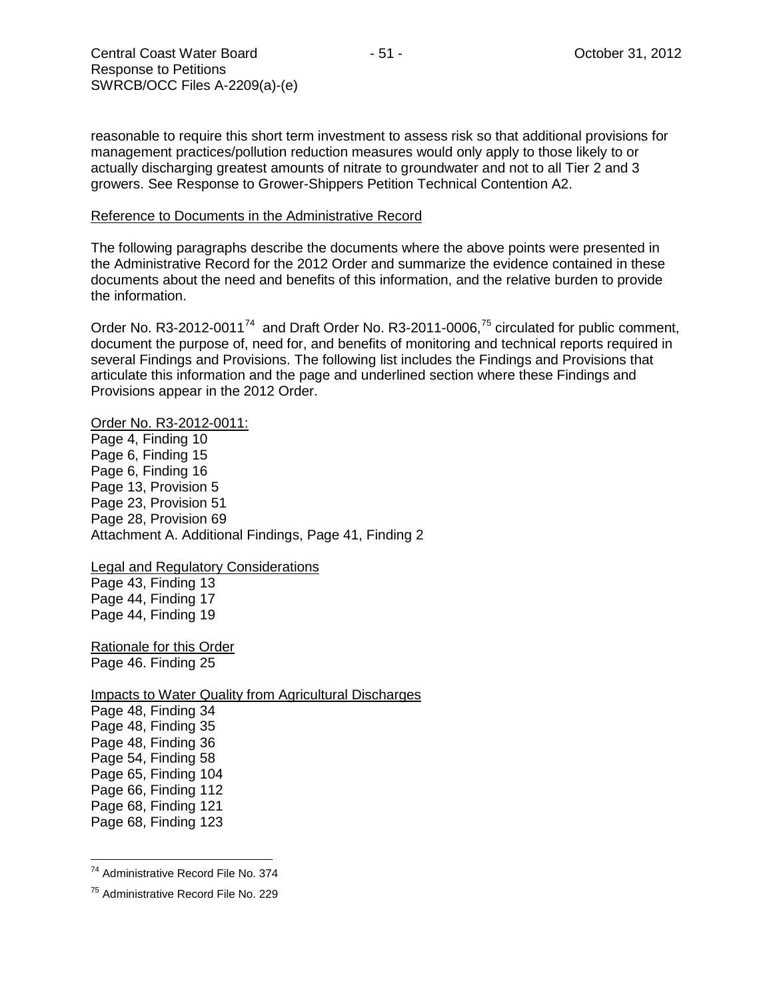reasonable to require this short term investment to assess risk so that additional provisions for management practices/pollution reduction measures would only apply to those likely to or actually discharging greatest amounts of nitrate to groundwater and not to all Tier 2 and 3 growers. See Response to Grower-Shippers Petition Technical Contention A2.

#### Reference to Documents in the Administrative Record

The following paragraphs describe the documents where the above points were presented in the Administrative Record for the 2012 Order and summarize the evidence contained in these documents about the need and benefits of this information, and the relative burden to provide the information.

Order No. R3-2012-0011<sup>74</sup> and Draft Order No. R3-2011-0006,<sup>[75](#page-50-1)</sup> circulated for public comment, document the purpose of, need for, and benefits of monitoring and technical reports required in several Findings and Provisions. The following list includes the Findings and Provisions that articulate this information and the page and underlined section where these Findings and Provisions appear in the 2012 Order.

#### Order No. R3-2012-0011:

Page 4, Finding 10 Page 6, Finding 15 Page 6, Finding 16 Page 13, Provision 5 Page 23, Provision 51 Page 28, Provision 69 Attachment A. Additional Findings, Page 41, Finding 2

### Legal and Regulatory Considerations

Page 43, Finding 13 Page 44, Finding 17 Page 44, Finding 19

Rationale for this Order Page 46. Finding 25

Impacts to Water Quality from Agricultural Discharges Page 48, Finding 34 Page 48, Finding 35 Page 48, Finding 36 Page 54, Finding 58 Page 65, Finding 104 Page 66, Finding 112 Page 68, Finding 121 Page 68, Finding 123

<span id="page-50-0"></span><sup>74</sup> Administrative Record File No. 374

<span id="page-50-1"></span><sup>75</sup> Administrative Record File No. 229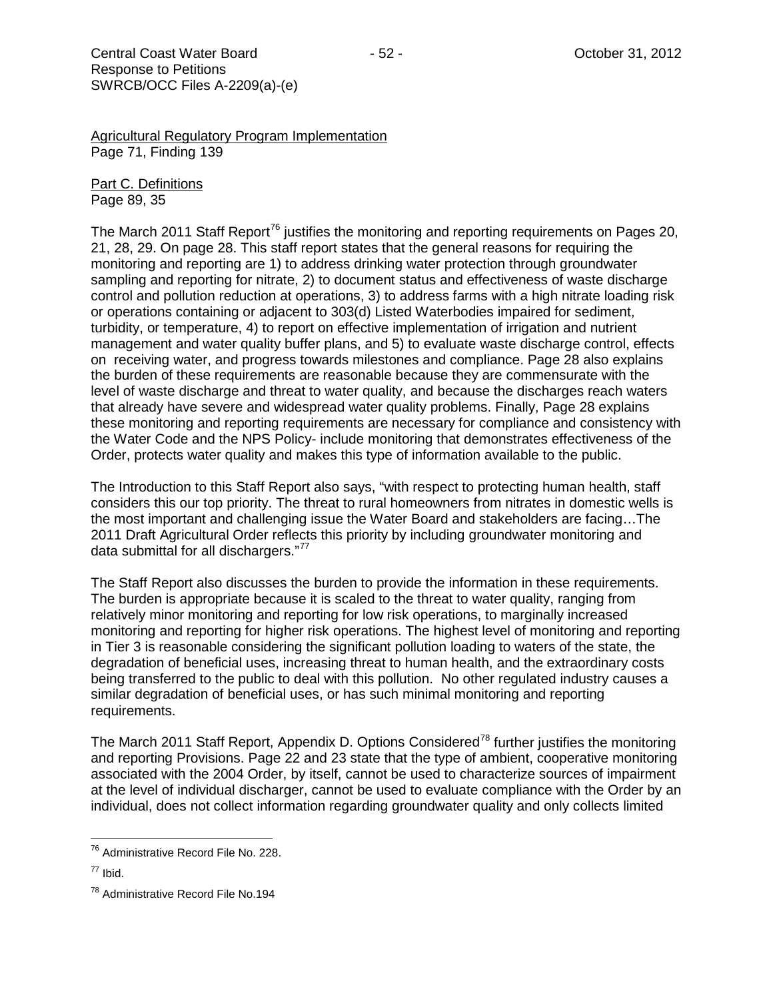Agricultural Regulatory Program Implementation Page 71, Finding 139

Part C. Definitions Page 89, 35

The March 2011 Staff Report<sup>[76](#page-51-0)</sup> justifies the monitoring and reporting requirements on Pages 20, 21, 28, 29. On page 28. This staff report states that the general reasons for requiring the monitoring and reporting are 1) to address drinking water protection through groundwater sampling and reporting for nitrate, 2) to document status and effectiveness of waste discharge control and pollution reduction at operations, 3) to address farms with a high nitrate loading risk or operations containing or adjacent to 303(d) Listed Waterbodies impaired for sediment, turbidity, or temperature, 4) to report on effective implementation of irrigation and nutrient management and water quality buffer plans, and 5) to evaluate waste discharge control, effects on receiving water, and progress towards milestones and compliance. Page 28 also explains the burden of these requirements are reasonable because they are commensurate with the level of waste discharge and threat to water quality, and because the discharges reach waters that already have severe and widespread water quality problems. Finally, Page 28 explains these monitoring and reporting requirements are necessary for compliance and consistency with the Water Code and the NPS Policy- include monitoring that demonstrates effectiveness of the Order, protects water quality and makes this type of information available to the public.

The Introduction to this Staff Report also says, "with respect to protecting human health, staff considers this our top priority. The threat to rural homeowners from nitrates in domestic wells is the most important and challenging issue the Water Board and stakeholders are facing…The 2011 Draft Agricultural Order reflects this priority by including groundwater monitoring and data submittal for all dischargers."<sup>[77](#page-51-1)</sup>

The Staff Report also discusses the burden to provide the information in these requirements. The burden is appropriate because it is scaled to the threat to water quality, ranging from relatively minor monitoring and reporting for low risk operations, to marginally increased monitoring and reporting for higher risk operations. The highest level of monitoring and reporting in Tier 3 is reasonable considering the significant pollution loading to waters of the state, the degradation of beneficial uses, increasing threat to human health, and the extraordinary costs being transferred to the public to deal with this pollution. No other regulated industry causes a similar degradation of beneficial uses, or has such minimal monitoring and reporting requirements.

The March 2011 Staff Report, Appendix D. Options Considered<sup>[78](#page-51-2)</sup> further justifies the monitoring and reporting Provisions. Page 22 and 23 state that the type of ambient, cooperative monitoring associated with the 2004 Order, by itself, cannot be used to characterize sources of impairment at the level of individual discharger, cannot be used to evaluate compliance with the Order by an individual, does not collect information regarding groundwater quality and only collects limited

<span id="page-51-0"></span><sup>&</sup>lt;sup>76</sup> Administrative Record File No. 228.

<span id="page-51-1"></span> $77$  Ibid.

<span id="page-51-2"></span><sup>&</sup>lt;sup>78</sup> Administrative Record File No.194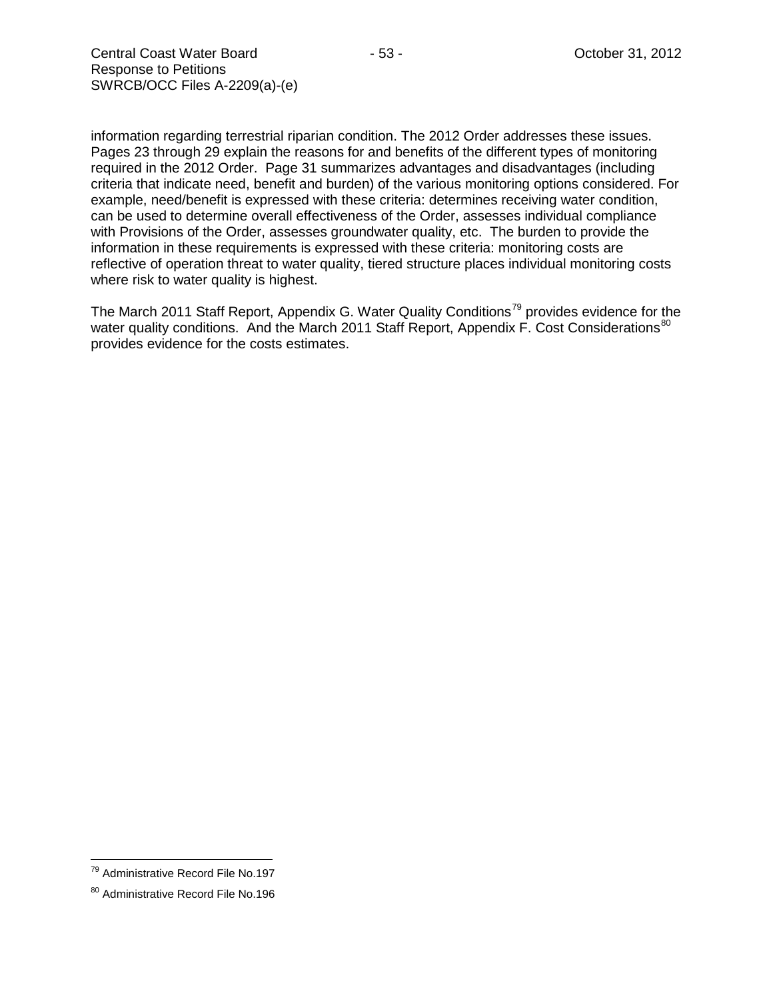information regarding terrestrial riparian condition. The 2012 Order addresses these issues. Pages 23 through 29 explain the reasons for and benefits of the different types of monitoring required in the 2012 Order. Page 31 summarizes advantages and disadvantages (including criteria that indicate need, benefit and burden) of the various monitoring options considered. For example, need/benefit is expressed with these criteria: determines receiving water condition, can be used to determine overall effectiveness of the Order, assesses individual compliance with Provisions of the Order, assesses groundwater quality, etc. The burden to provide the information in these requirements is expressed with these criteria: monitoring costs are reflective of operation threat to water quality, tiered structure places individual monitoring costs where risk to water quality is highest.

The March 2011 Staff Report, Appendix G. Water Quality Conditions<sup>[79](#page-52-0)</sup> provides evidence for the water quality conditions. And the March 2011 Staff Report, Appendix F. Cost Considerations<sup>[80](#page-52-1)</sup> provides evidence for the costs estimates.

<span id="page-52-0"></span><sup>79</sup> Administrative Record File No.197

<span id="page-52-1"></span><sup>80</sup> Administrative Record File No.196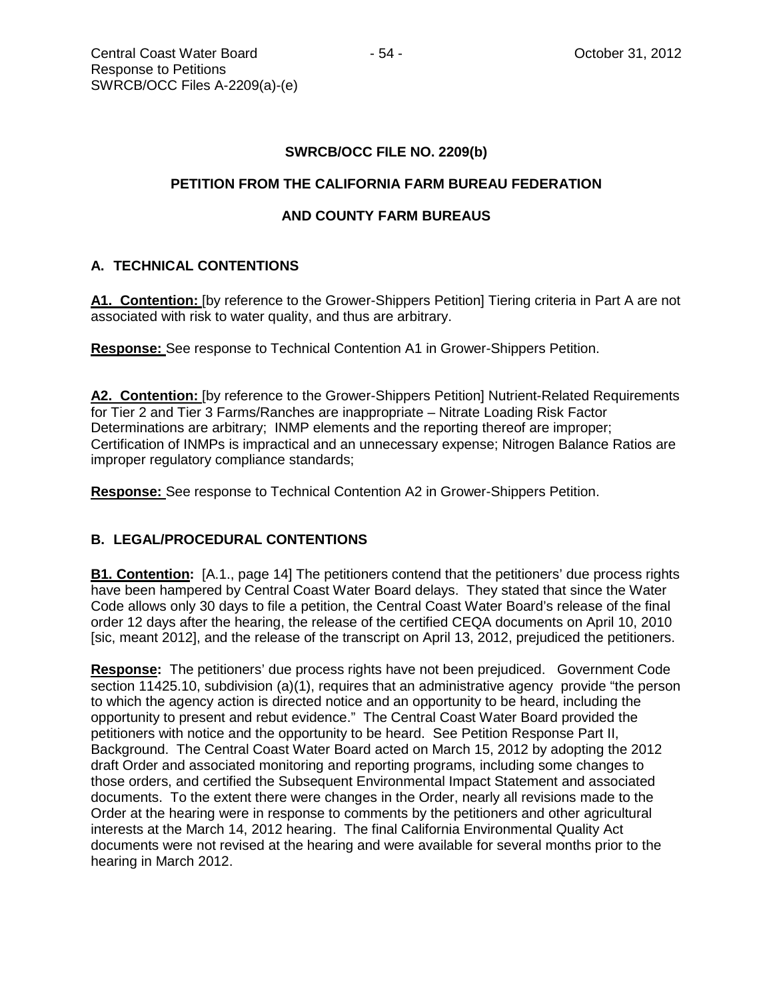# **SWRCB/OCC FILE NO. 2209(b)**

## **PETITION FROM THE CALIFORNIA FARM BUREAU FEDERATION**

# **AND COUNTY FARM BUREAUS**

# **A. TECHNICAL CONTENTIONS**

**A1. Contention:** [by reference to the Grower-Shippers Petition] Tiering criteria in Part A are not associated with risk to water quality, and thus are arbitrary.

**Response:** See response to Technical Contention A1 in Grower-Shippers Petition.

A2. Contention: [by reference to the Grower-Shippers Petition] Nutrient-Related Requirements for Tier 2 and Tier 3 Farms/Ranches are inappropriate – Nitrate Loading Risk Factor Determinations are arbitrary; INMP elements and the reporting thereof are improper; Certification of INMPs is impractical and an unnecessary expense; Nitrogen Balance Ratios are improper regulatory compliance standards;

**Response:** See response to Technical Contention A2 in Grower-Shippers Petition.

### **B. LEGAL/PROCEDURAL CONTENTIONS**

**B1. Contention:** [A.1., page 14] The petitioners contend that the petitioners' due process rights have been hampered by Central Coast Water Board delays. They stated that since the Water Code allows only 30 days to file a petition, the Central Coast Water Board's release of the final order 12 days after the hearing, the release of the certified CEQA documents on April 10, 2010 [sic, meant 2012], and the release of the transcript on April 13, 2012, prejudiced the petitioners.

**Response:** The petitioners' due process rights have not been prejudiced. Government Code section 11425.10, subdivision (a)(1), requires that an administrative agency provide "the person to which the agency action is directed notice and an opportunity to be heard, including the opportunity to present and rebut evidence." The Central Coast Water Board provided the petitioners with notice and the opportunity to be heard. See Petition Response Part II, Background. The Central Coast Water Board acted on March 15, 2012 by adopting the 2012 draft Order and associated monitoring and reporting programs, including some changes to those orders, and certified the Subsequent Environmental Impact Statement and associated documents. To the extent there were changes in the Order, nearly all revisions made to the Order at the hearing were in response to comments by the petitioners and other agricultural interests at the March 14, 2012 hearing. The final California Environmental Quality Act documents were not revised at the hearing and were available for several months prior to the hearing in March 2012.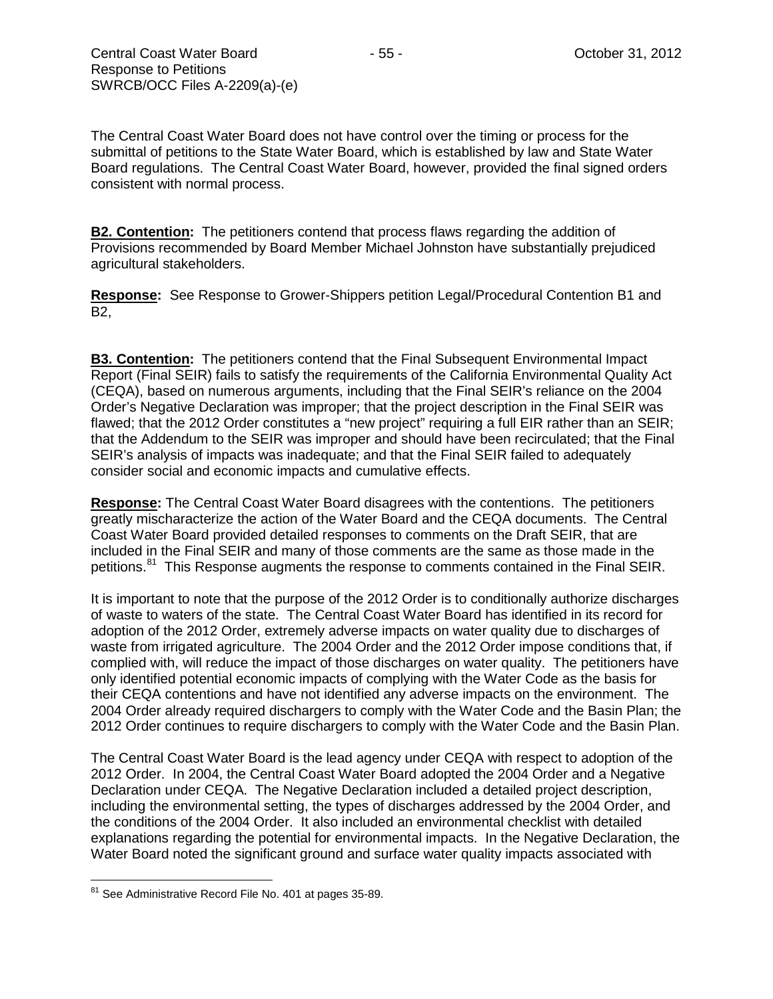The Central Coast Water Board does not have control over the timing or process for the submittal of petitions to the State Water Board, which is established by law and State Water Board regulations. The Central Coast Water Board, however, provided the final signed orders consistent with normal process.

**B2. Contention:** The petitioners contend that process flaws regarding the addition of Provisions recommended by Board Member Michael Johnston have substantially prejudiced agricultural stakeholders.

**Response:** See Response to Grower-Shippers petition Legal/Procedural Contention B1 and B2,

**B3. Contention:** The petitioners contend that the Final Subsequent Environmental Impact Report (Final SEIR) fails to satisfy the requirements of the California Environmental Quality Act (CEQA), based on numerous arguments, including that the Final SEIR's reliance on the 2004 Order's Negative Declaration was improper; that the project description in the Final SEIR was flawed; that the 2012 Order constitutes a "new project" requiring a full EIR rather than an SEIR; that the Addendum to the SEIR was improper and should have been recirculated; that the Final SEIR's analysis of impacts was inadequate; and that the Final SEIR failed to adequately consider social and economic impacts and cumulative effects.

**Response:** The Central Coast Water Board disagrees with the contentions. The petitioners greatly mischaracterize the action of the Water Board and the CEQA documents. The Central Coast Water Board provided detailed responses to comments on the Draft SEIR, that are included in the Final SEIR and many of those comments are the same as those made in the petitions.<sup>[81](#page-54-0)</sup> This Response augments the response to comments contained in the Final SEIR.

It is important to note that the purpose of the 2012 Order is to conditionally authorize discharges of waste to waters of the state. The Central Coast Water Board has identified in its record for adoption of the 2012 Order, extremely adverse impacts on water quality due to discharges of waste from irrigated agriculture. The 2004 Order and the 2012 Order impose conditions that, if complied with, will reduce the impact of those discharges on water quality. The petitioners have only identified potential economic impacts of complying with the Water Code as the basis for their CEQA contentions and have not identified any adverse impacts on the environment. The 2004 Order already required dischargers to comply with the Water Code and the Basin Plan; the 2012 Order continues to require dischargers to comply with the Water Code and the Basin Plan.

The Central Coast Water Board is the lead agency under CEQA with respect to adoption of the 2012 Order. In 2004, the Central Coast Water Board adopted the 2004 Order and a Negative Declaration under CEQA. The Negative Declaration included a detailed project description, including the environmental setting, the types of discharges addressed by the 2004 Order, and the conditions of the 2004 Order. It also included an environmental checklist with detailed explanations regarding the potential for environmental impacts. In the Negative Declaration, the Water Board noted the significant ground and surface water quality impacts associated with

<span id="page-54-0"></span><sup>&</sup>lt;sup>81</sup> See Administrative Record File No. 401 at pages 35-89.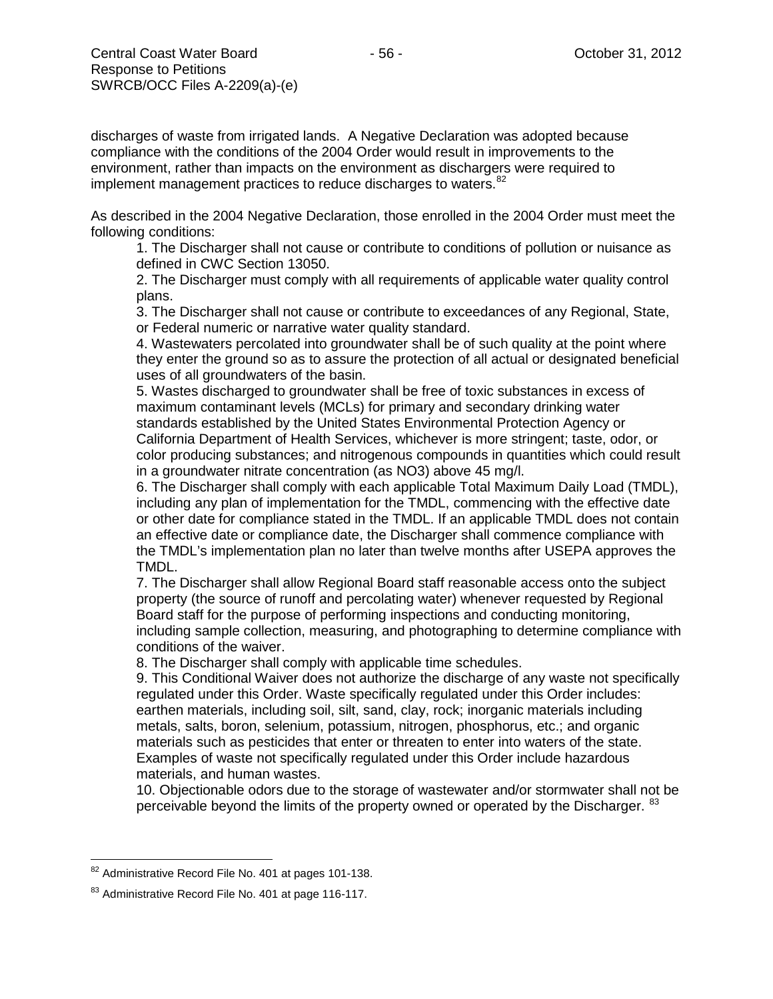discharges of waste from irrigated lands. A Negative Declaration was adopted because compliance with the conditions of the 2004 Order would result in improvements to the environment, rather than impacts on the environment as dischargers were required to implement management practices to reduce discharges to waters.<sup>[82](#page-55-0)</sup>

As described in the 2004 Negative Declaration, those enrolled in the 2004 Order must meet the following conditions:

1. The Discharger shall not cause or contribute to conditions of pollution or nuisance as defined in CWC Section 13050.

2. The Discharger must comply with all requirements of applicable water quality control plans.

3. The Discharger shall not cause or contribute to exceedances of any Regional, State, or Federal numeric or narrative water quality standard.

4. Wastewaters percolated into groundwater shall be of such quality at the point where they enter the ground so as to assure the protection of all actual or designated beneficial uses of all groundwaters of the basin.

5. Wastes discharged to groundwater shall be free of toxic substances in excess of maximum contaminant levels (MCLs) for primary and secondary drinking water standards established by the United States Environmental Protection Agency or California Department of Health Services, whichever is more stringent; taste, odor, or color producing substances; and nitrogenous compounds in quantities which could result in a groundwater nitrate concentration (as NO3) above 45 mg/l.

6. The Discharger shall comply with each applicable Total Maximum Daily Load (TMDL), including any plan of implementation for the TMDL, commencing with the effective date or other date for compliance stated in the TMDL. If an applicable TMDL does not contain an effective date or compliance date, the Discharger shall commence compliance with the TMDL's implementation plan no later than twelve months after USEPA approves the TMDL.

7. The Discharger shall allow Regional Board staff reasonable access onto the subject property (the source of runoff and percolating water) whenever requested by Regional Board staff for the purpose of performing inspections and conducting monitoring, including sample collection, measuring, and photographing to determine compliance with conditions of the waiver.

8. The Discharger shall comply with applicable time schedules.

9. This Conditional Waiver does not authorize the discharge of any waste not specifically regulated under this Order. Waste specifically regulated under this Order includes: earthen materials, including soil, silt, sand, clay, rock; inorganic materials including metals, salts, boron, selenium, potassium, nitrogen, phosphorus, etc.; and organic materials such as pesticides that enter or threaten to enter into waters of the state. Examples of waste not specifically regulated under this Order include hazardous materials, and human wastes.

10. Objectionable odors due to the storage of wastewater and/or stormwater shall not be perceivable beyond the limits of the property owned or operated by the Discharger. <sup>[83](#page-55-1)</sup>

<span id="page-55-0"></span><sup>&</sup>lt;sup>82</sup> Administrative Record File No. 401 at pages 101-138.

<span id="page-55-1"></span><sup>83</sup> Administrative Record File No. 401 at page 116-117.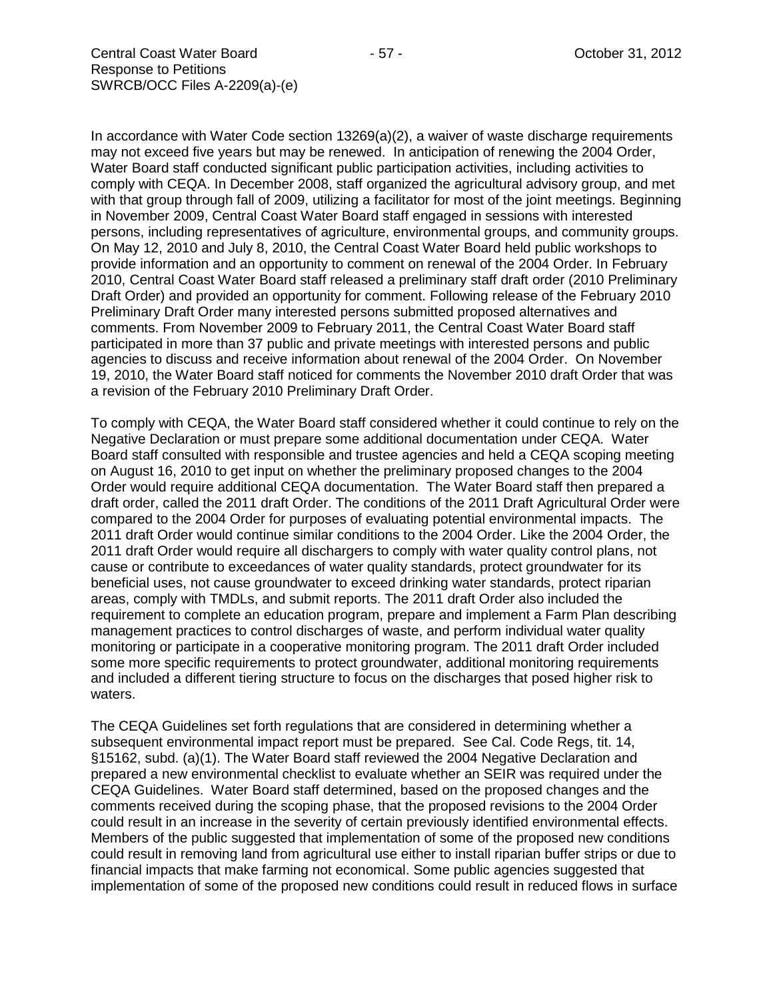In accordance with Water Code section 13269(a)(2), a waiver of waste discharge requirements may not exceed five years but may be renewed. In anticipation of renewing the 2004 Order, Water Board staff conducted significant public participation activities, including activities to comply with CEQA. In December 2008, staff organized the agricultural advisory group, and met with that group through fall of 2009, utilizing a facilitator for most of the joint meetings. Beginning in November 2009, Central Coast Water Board staff engaged in sessions with interested persons, including representatives of agriculture, environmental groups, and community groups. On May 12, 2010 and July 8, 2010, the Central Coast Water Board held public workshops to provide information and an opportunity to comment on renewal of the 2004 Order. In February 2010, Central Coast Water Board staff released a preliminary staff draft order (2010 Preliminary Draft Order) and provided an opportunity for comment. Following release of the February 2010 Preliminary Draft Order many interested persons submitted proposed alternatives and comments. From November 2009 to February 2011, the Central Coast Water Board staff participated in more than 37 public and private meetings with interested persons and public agencies to discuss and receive information about renewal of the 2004 Order. On November 19, 2010, the Water Board staff noticed for comments the November 2010 draft Order that was a revision of the February 2010 Preliminary Draft Order.

To comply with CEQA, the Water Board staff considered whether it could continue to rely on the Negative Declaration or must prepare some additional documentation under CEQA. Water Board staff consulted with responsible and trustee agencies and held a CEQA scoping meeting on August 16, 2010 to get input on whether the preliminary proposed changes to the 2004 Order would require additional CEQA documentation. The Water Board staff then prepared a draft order, called the 2011 draft Order. The conditions of the 2011 Draft Agricultural Order were compared to the 2004 Order for purposes of evaluating potential environmental impacts. The 2011 draft Order would continue similar conditions to the 2004 Order. Like the 2004 Order, the 2011 draft Order would require all dischargers to comply with water quality control plans, not cause or contribute to exceedances of water quality standards, protect groundwater for its beneficial uses, not cause groundwater to exceed drinking water standards, protect riparian areas, comply with TMDLs, and submit reports. The 2011 draft Order also included the requirement to complete an education program, prepare and implement a Farm Plan describing management practices to control discharges of waste, and perform individual water quality monitoring or participate in a cooperative monitoring program. The 2011 draft Order included some more specific requirements to protect groundwater, additional monitoring requirements and included a different tiering structure to focus on the discharges that posed higher risk to waters.

The CEQA Guidelines set forth regulations that are considered in determining whether a subsequent environmental impact report must be prepared. See Cal. Code Regs, tit. 14, §15162, subd. (a)(1). The Water Board staff reviewed the 2004 Negative Declaration and prepared a new environmental checklist to evaluate whether an SEIR was required under the CEQA Guidelines. Water Board staff determined, based on the proposed changes and the comments received during the scoping phase, that the proposed revisions to the 2004 Order could result in an increase in the severity of certain previously identified environmental effects. Members of the public suggested that implementation of some of the proposed new conditions could result in removing land from agricultural use either to install riparian buffer strips or due to financial impacts that make farming not economical. Some public agencies suggested that implementation of some of the proposed new conditions could result in reduced flows in surface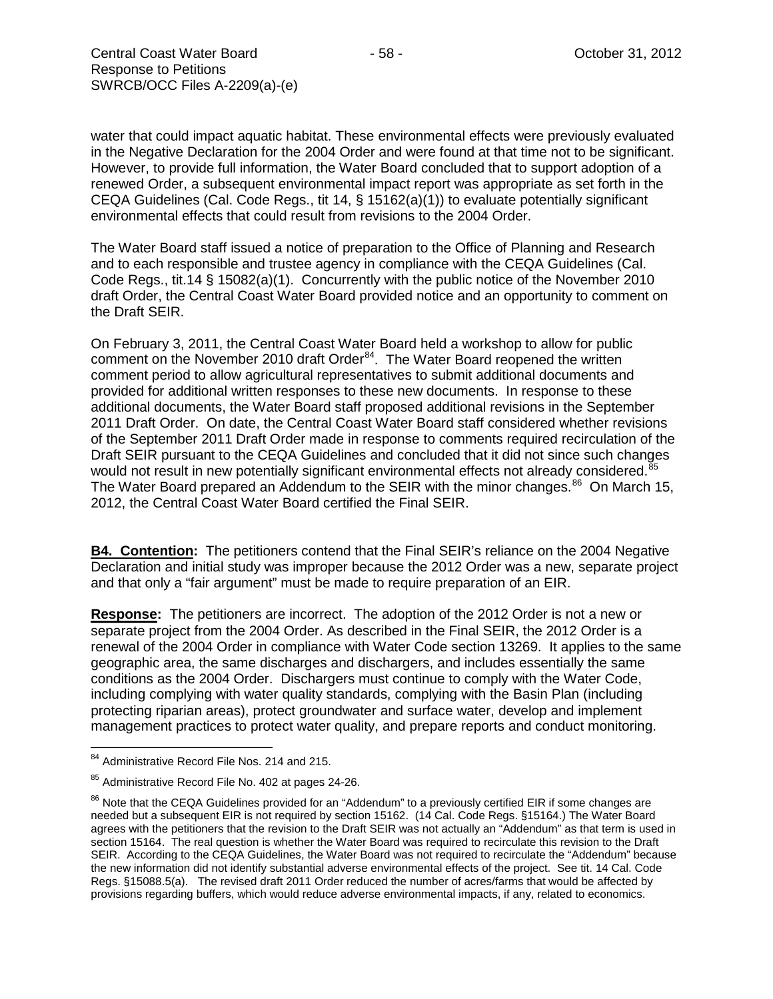water that could impact aquatic habitat. These environmental effects were previously evaluated in the Negative Declaration for the 2004 Order and were found at that time not to be significant. However, to provide full information, the Water Board concluded that to support adoption of a renewed Order, a subsequent environmental impact report was appropriate as set forth in the CEQA Guidelines (Cal. Code Regs., tit 14,  $\S$  15162(a)(1)) to evaluate potentially significant environmental effects that could result from revisions to the 2004 Order.

The Water Board staff issued a notice of preparation to the Office of Planning and Research and to each responsible and trustee agency in compliance with the CEQA Guidelines (Cal. Code Regs., tit.14 § 15082(a)(1). Concurrently with the public notice of the November 2010 draft Order, the Central Coast Water Board provided notice and an opportunity to comment on the Draft SEIR.

On February 3, 2011, the Central Coast Water Board held a workshop to allow for public comment on the November 2010 draft Order<sup>84</sup>. The Water Board reopened the written comment period to allow agricultural representatives to submit additional documents and provided for additional written responses to these new documents. In response to these additional documents, the Water Board staff proposed additional revisions in the September 2011 Draft Order. On date, the Central Coast Water Board staff considered whether revisions of the September 2011 Draft Order made in response to comments required recirculation of the Draft SEIR pursuant to the CEQA Guidelines and concluded that it did not since such changes would not result in new potentially significant environmental effects not already considered.<sup>85</sup> The Water Board prepared an Addendum to the SEIR with the minor changes.<sup>[86](#page-57-2)</sup> On March 15, 2012, the Central Coast Water Board certified the Final SEIR.

**B4. Contention:** The petitioners contend that the Final SEIR's reliance on the 2004 Negative Declaration and initial study was improper because the 2012 Order was a new, separate project and that only a "fair argument" must be made to require preparation of an EIR.

**Response:** The petitioners are incorrect. The adoption of the 2012 Order is not a new or separate project from the 2004 Order. As described in the Final SEIR, the 2012 Order is a renewal of the 2004 Order in compliance with Water Code section 13269. It applies to the same geographic area, the same discharges and dischargers, and includes essentially the same conditions as the 2004 Order. Dischargers must continue to comply with the Water Code, including complying with water quality standards, complying with the Basin Plan (including protecting riparian areas), protect groundwater and surface water, develop and implement management practices to protect water quality, and prepare reports and conduct monitoring.

<span id="page-57-0"></span><sup>&</sup>lt;sup>84</sup> Administrative Record File Nos. 214 and 215.

<span id="page-57-1"></span><sup>&</sup>lt;sup>85</sup> Administrative Record File No. 402 at pages 24-26.

<span id="page-57-2"></span><sup>&</sup>lt;sup>86</sup> Note that the CEQA Guidelines provided for an "Addendum" to a previously certified EIR if some changes are needed but a subsequent EIR is not required by section 15162. (14 Cal. Code Regs. §15164.) The Water Board agrees with the petitioners that the revision to the Draft SEIR was not actually an "Addendum" as that term is used in section 15164. The real question is whether the Water Board was required to recirculate this revision to the Draft SEIR. According to the CEQA Guidelines, the Water Board was not required to recirculate the "Addendum" because the new information did not identify substantial adverse environmental effects of the project. See tit. 14 Cal. Code Regs. §15088.5(a). The revised draft 2011 Order reduced the number of acres/farms that would be affected by provisions regarding buffers, which would reduce adverse environmental impacts, if any, related to economics.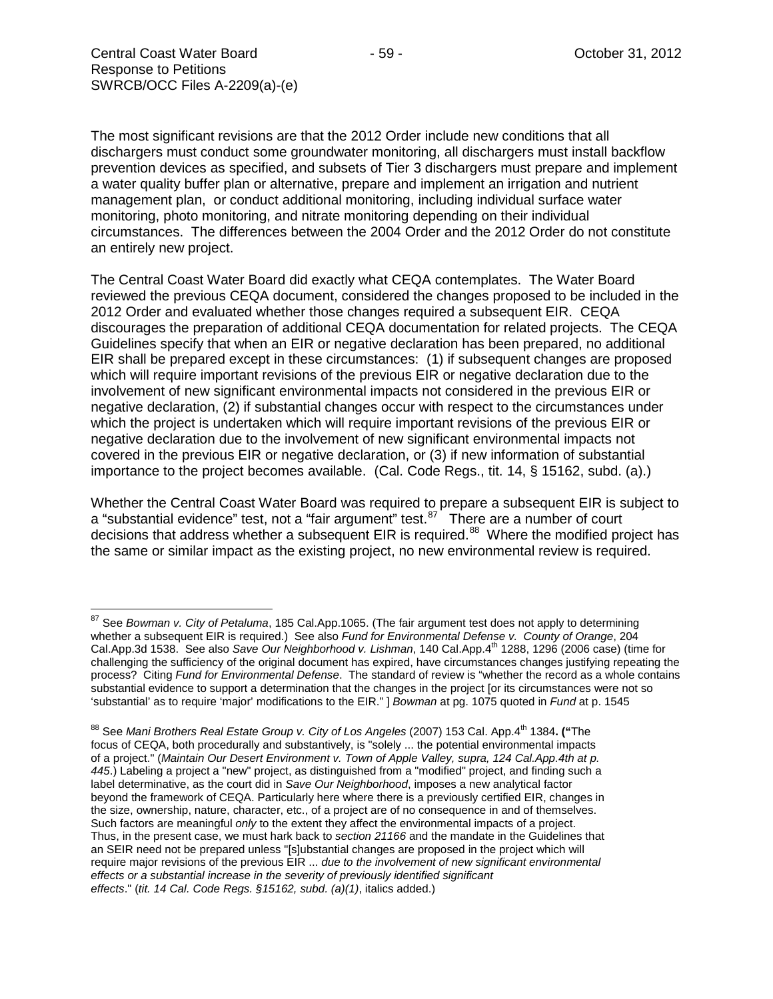The most significant revisions are that the 2012 Order include new conditions that all dischargers must conduct some groundwater monitoring, all dischargers must install backflow prevention devices as specified, and subsets of Tier 3 dischargers must prepare and implement a water quality buffer plan or alternative, prepare and implement an irrigation and nutrient management plan, or conduct additional monitoring, including individual surface water monitoring, photo monitoring, and nitrate monitoring depending on their individual circumstances. The differences between the 2004 Order and the 2012 Order do not constitute an entirely new project.

The Central Coast Water Board did exactly what CEQA contemplates. The Water Board reviewed the previous CEQA document, considered the changes proposed to be included in the 2012 Order and evaluated whether those changes required a subsequent EIR. CEQA discourages the preparation of additional CEQA documentation for related projects. The CEQA Guidelines specify that when an EIR or negative declaration has been prepared, no additional EIR shall be prepared except in these circumstances: (1) if subsequent changes are proposed which will require important revisions of the previous EIR or negative declaration due to the involvement of new significant environmental impacts not considered in the previous EIR or negative declaration, (2) if substantial changes occur with respect to the circumstances under which the project is undertaken which will require important revisions of the previous EIR or negative declaration due to the involvement of new significant environmental impacts not covered in the previous EIR or negative declaration, or (3) if new information of substantial importance to the project becomes available. (Cal. Code Regs., tit. 14, § 15162, subd. (a).)

Whether the Central Coast Water Board was required to prepare a subsequent EIR is subject to a "substantial evidence" test, not a "fair argument" test.<sup>87</sup> There are a number of court decisions that address whether a subsequent EIR is required.<sup>88</sup> Where the modified project has the same or similar impact as the existing project, no new environmental review is required.

<span id="page-58-0"></span><sup>87</sup> See *Bowman v. City of Petaluma*, 185 Cal.App.1065. (The fair argument test does not apply to determining whether a subsequent EIR is required.) See also *Fund for Environmental Defense v. County of Orange*, 204 Cal.App.3d 1538. See also *Save Our Neighborhood v. Lishman*, 140 Cal.App.4<sup>th</sup> 1288, 1296 (2006 case) (time for challenging the sufficiency of the original document has expired, have circumstances changes justifying repeating the process? Citing *Fund for Environmental Defense*. The standard of review is "whether the record as a whole contains substantial evidence to support a determination that the changes in the project [or its circumstances were not so 'substantial' as to require 'major' modifications to the EIR." ] *Bowman* at pg. 1075 quoted in *Fund* at p. 1545

<span id="page-58-1"></span><sup>&</sup>lt;sup>88</sup> See *Mani Brothers Real Estate Group v. City of Los Angeles* (2007) 153 Cal. App.4<sup>th</sup> 1384. ("The focus of CEQA, both procedurally and substantively, is "solely ... the potential environmental impacts of a project." (*Maintain Our Desert Environment v. Town of Apple Valley, supra, 124 Cal.App.4th at p. 445*.) Labeling a project a "new" project, as distinguished from a "modified" project, and finding such a label determinative, as the court did in *Save Our Neighborhood*, imposes a new analytical factor beyond the framework of CEQA. Particularly here where there is a previously certified EIR, changes in the size, ownership, nature, character, etc., of a project are of no consequence in and of themselves. Such factors are meaningful *only* to the extent they affect the environmental impacts of a project. Thus, in the present case, we must hark back to *section 21166* and the mandate in the Guidelines that an SEIR need not be prepared unless "[s]ubstantial changes are proposed in the project which will require major revisions of the previous EIR ... *due to the involvement of new significant environmental effects or a substantial increase in the severity of previously identified significant effects*." (*tit. 14 Cal. Code Regs. §15162, subd. (a)(1)*, italics added.)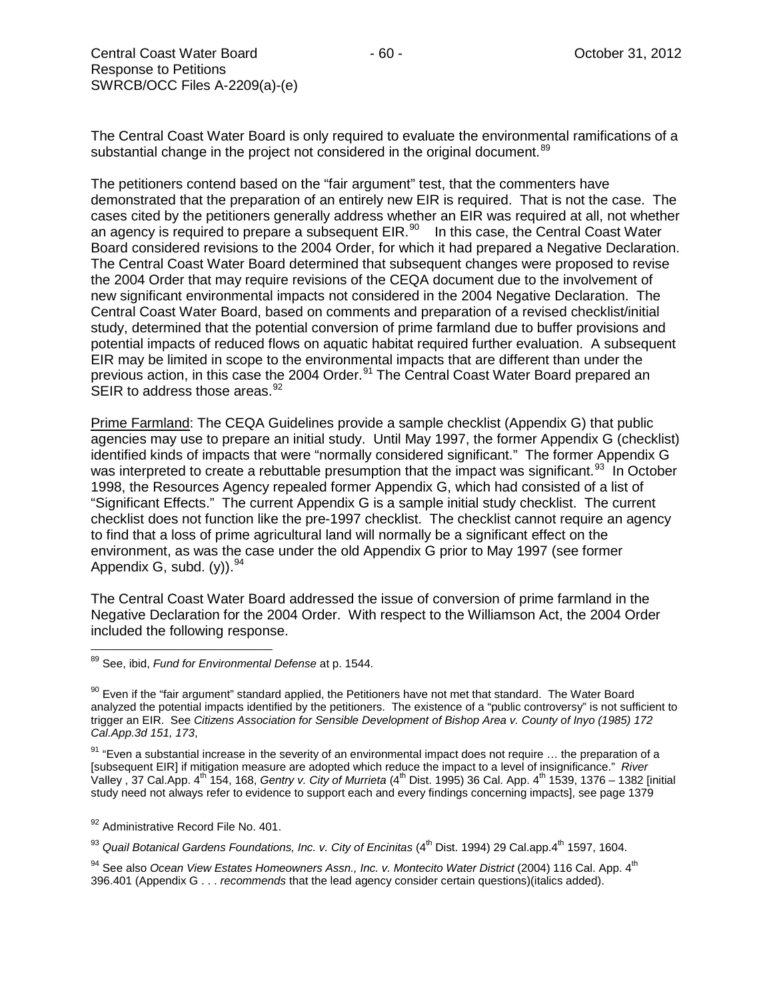The Central Coast Water Board is only required to evaluate the environmental ramifications of a substantial change in the project not considered in the original document.<sup>[89](#page-59-0)</sup>

The petitioners contend based on the "fair argument" test, that the commenters have demonstrated that the preparation of an entirely new EIR is required. That is not the case. The cases cited by the petitioners generally address whether an EIR was required at all, not whether an agency is required to prepare a subsequent  $EIR.^{90}$  $EIR.^{90}$  $EIR.^{90}$  In this case, the Central Coast Water Board considered revisions to the 2004 Order, for which it had prepared a Negative Declaration. The Central Coast Water Board determined that subsequent changes were proposed to revise the 2004 Order that may require revisions of the CEQA document due to the involvement of new significant environmental impacts not considered in the 2004 Negative Declaration. The Central Coast Water Board, based on comments and preparation of a revised checklist/initial study, determined that the potential conversion of prime farmland due to buffer provisions and potential impacts of reduced flows on aquatic habitat required further evaluation. A subsequent EIR may be limited in scope to the environmental impacts that are different than under the previous action, in this case the 2004 Order.<sup>[91](#page-59-2)</sup> The Central Coast Water Board prepared an SEIR to address those areas.  $92$ 

Prime Farmland: The CEQA Guidelines provide a sample checklist (Appendix G) that public agencies may use to prepare an initial study. Until May 1997, the former Appendix G (checklist) identified kinds of impacts that were "normally considered significant." The former Appendix G was interpreted to create a rebuttable presumption that the impact was significant.<sup>93</sup> In October 1998, the Resources Agency repealed former Appendix G, which had consisted of a list of "Significant Effects." The current Appendix G is a sample initial study checklist. The current checklist does not function like the pre-1997 checklist. The checklist cannot require an agency to find that a loss of prime agricultural land will normally be a significant effect on the environment, as was the case under the old Appendix G prior to May 1997 (see former Appendix G, subd.  $(y)$ ). <sup>[94](#page-59-5)</sup>

The Central Coast Water Board addressed the issue of conversion of prime farmland in the Negative Declaration for the 2004 Order. With respect to the Williamson Act, the 2004 Order included the following response.

<span id="page-59-2"></span> $91$  "Even a substantial increase in the severity of an environmental impact does not require ... the preparation of a [subsequent EIR] if mitigation measure are adopted which reduce the impact to a level of insignificance." *River*  Valley , 37 Cal.App. 4th 154, 168, *Gentry v. City of Murrieta* (4th Dist. 1995) 36 Cal. App. 4th 1539, 1376 – 1382 [initial study need not always refer to evidence to support each and every findings concerning impacts], see page 1379

<span id="page-59-3"></span>92 Administrative Record File No. 401.

<span id="page-59-4"></span><sup>93</sup> Quail Botanical Gardens Foundations, Inc. v. City of Encinitas (4<sup>th</sup> Dist. 1994) 29 Cal.app.4<sup>th</sup> 1597, 1604.

<span id="page-59-5"></span><sup>94</sup> See also *Ocean View Estates Homeowners Assn., Inc. v. Montecito Water District* (2004) 116 Cal. App. 4<sup>th</sup> 396.401 (Appendix G . . . *recommends* that the lead agency consider certain questions)(italics added).

<span id="page-59-0"></span><sup>89</sup> See, ibid, *Fund for Environmental Defense* at p. 1544.

<span id="page-59-1"></span><sup>&</sup>lt;sup>90</sup> Even if the "fair argument" standard applied, the Petitioners have not met that standard. The Water Board analyzed the potential impacts identified by the petitioners. The existence of a "public controversy" is not sufficient to trigger an EIR. See *Citizens Association for Sensible Development of Bishop Area v. County of Inyo (1985) 172 Cal.App.3d 151, 173*,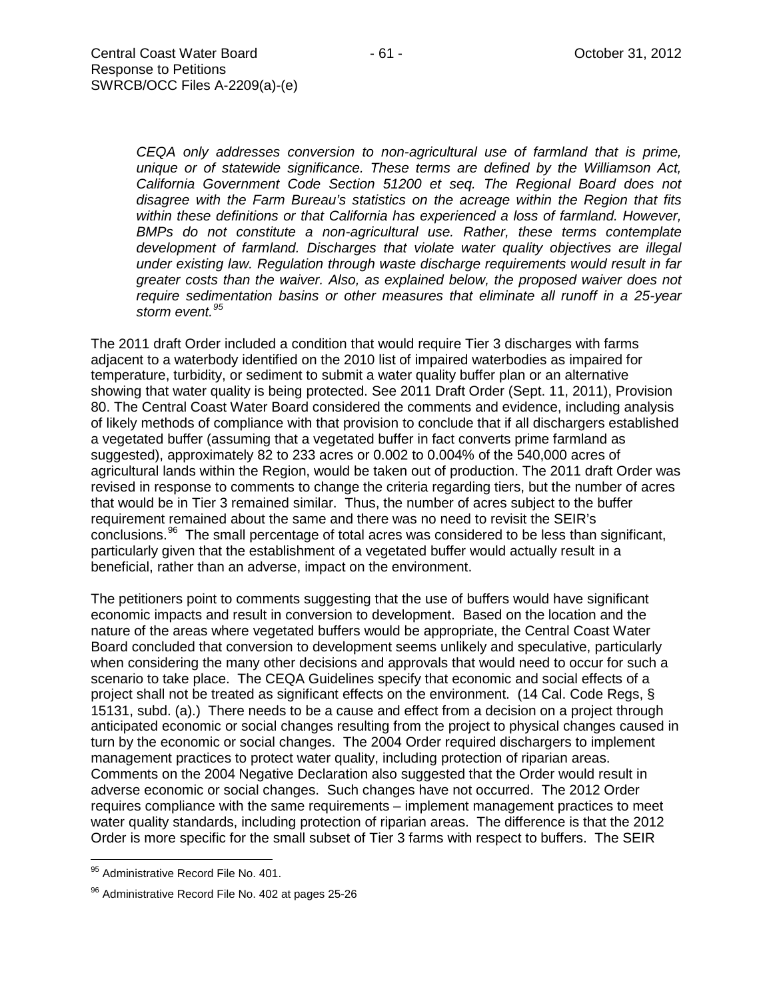*CEQA only addresses conversion to non-agricultural use of farmland that is prime, unique or of statewide significance. These terms are defined by the Williamson Act, California Government Code Section 51200 et seq. The Regional Board does not disagree with the Farm Bureau's statistics on the acreage within the Region that fits within these definitions or that California has experienced a loss of farmland. However, BMPs do not constitute a non-agricultural use. Rather, these terms contemplate development of farmland. Discharges that violate water quality objectives are illegal under existing law. Regulation through waste discharge requirements would result in far greater costs than the waiver. Also, as explained below, the proposed waiver does not require sedimentation basins or other measures that eliminate all runoff in a 25-year storm event.[95](#page-60-0)*

The 2011 draft Order included a condition that would require Tier 3 discharges with farms adjacent to a waterbody identified on the 2010 list of impaired waterbodies as impaired for temperature, turbidity, or sediment to submit a water quality buffer plan or an alternative showing that water quality is being protected. See 2011 Draft Order (Sept. 11, 2011), Provision 80. The Central Coast Water Board considered the comments and evidence, including analysis of likely methods of compliance with that provision to conclude that if all dischargers established a vegetated buffer (assuming that a vegetated buffer in fact converts prime farmland as suggested), approximately 82 to 233 acres or 0.002 to 0.004% of the 540,000 acres of agricultural lands within the Region, would be taken out of production. The 2011 draft Order was revised in response to comments to change the criteria regarding tiers, but the number of acres that would be in Tier 3 remained similar. Thus, the number of acres subject to the buffer requirement remained about the same and there was no need to revisit the SEIR's conclusions.<sup>96</sup> The small percentage of total acres was considered to be less than significant, particularly given that the establishment of a vegetated buffer would actually result in a beneficial, rather than an adverse, impact on the environment.

The petitioners point to comments suggesting that the use of buffers would have significant economic impacts and result in conversion to development. Based on the location and the nature of the areas where vegetated buffers would be appropriate, the Central Coast Water Board concluded that conversion to development seems unlikely and speculative, particularly when considering the many other decisions and approvals that would need to occur for such a scenario to take place. The CEQA Guidelines specify that economic and social effects of a project shall not be treated as significant effects on the environment. (14 Cal. Code Regs, § 15131, subd. (a).) There needs to be a cause and effect from a decision on a project through anticipated economic or social changes resulting from the project to physical changes caused in turn by the economic or social changes. The 2004 Order required dischargers to implement management practices to protect water quality, including protection of riparian areas. Comments on the 2004 Negative Declaration also suggested that the Order would result in adverse economic or social changes. Such changes have not occurred. The 2012 Order requires compliance with the same requirements – implement management practices to meet water quality standards, including protection of riparian areas. The difference is that the 2012 Order is more specific for the small subset of Tier 3 farms with respect to buffers. The SEIR

<span id="page-60-0"></span><sup>95</sup> Administrative Record File No. 401.

<span id="page-60-1"></span><sup>&</sup>lt;sup>96</sup> Administrative Record File No. 402 at pages 25-26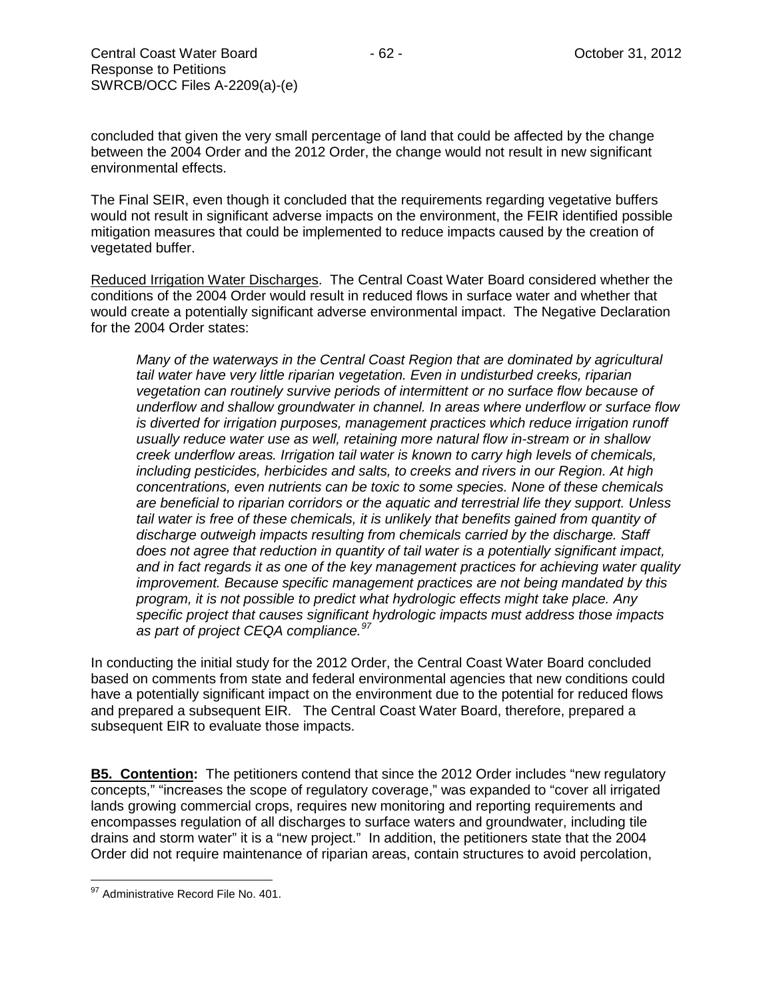concluded that given the very small percentage of land that could be affected by the change between the 2004 Order and the 2012 Order, the change would not result in new significant environmental effects.

The Final SEIR, even though it concluded that the requirements regarding vegetative buffers would not result in significant adverse impacts on the environment, the FEIR identified possible mitigation measures that could be implemented to reduce impacts caused by the creation of vegetated buffer.

Reduced Irrigation Water Discharges. The Central Coast Water Board considered whether the conditions of the 2004 Order would result in reduced flows in surface water and whether that would create a potentially significant adverse environmental impact. The Negative Declaration for the 2004 Order states:

*Many of the waterways in the Central Coast Region that are dominated by agricultural tail water have very little riparian vegetation. Even in undisturbed creeks, riparian vegetation can routinely survive periods of intermittent or no surface flow because of underflow and shallow groundwater in channel. In areas where underflow or surface flow is diverted for irrigation purposes, management practices which reduce irrigation runoff usually reduce water use as well, retaining more natural flow in-stream or in shallow creek underflow areas. Irrigation tail water is known to carry high levels of chemicals, including pesticides, herbicides and salts, to creeks and rivers in our Region. At high concentrations, even nutrients can be toxic to some species. None of these chemicals are beneficial to riparian corridors or the aquatic and terrestrial life they support. Unless tail water is free of these chemicals, it is unlikely that benefits gained from quantity of discharge outweigh impacts resulting from chemicals carried by the discharge. Staff does not agree that reduction in quantity of tail water is a potentially significant impact, and in fact regards it as one of the key management practices for achieving water quality improvement. Because specific management practices are not being mandated by this program, it is not possible to predict what hydrologic effects might take place. Any specific project that causes significant hydrologic impacts must address those impacts as part of project CEQA compliance. [97](#page-61-0)*

In conducting the initial study for the 2012 Order, the Central Coast Water Board concluded based on comments from state and federal environmental agencies that new conditions could have a potentially significant impact on the environment due to the potential for reduced flows and prepared a subsequent EIR. The Central Coast Water Board, therefore, prepared a subsequent EIR to evaluate those impacts.

**B5. Contention:** The petitioners contend that since the 2012 Order includes "new regulatory concepts," "increases the scope of regulatory coverage," was expanded to "cover all irrigated lands growing commercial crops, requires new monitoring and reporting requirements and encompasses regulation of all discharges to surface waters and groundwater, including tile drains and storm water" it is a "new project." In addition, the petitioners state that the 2004 Order did not require maintenance of riparian areas, contain structures to avoid percolation,

<span id="page-61-0"></span><sup>97</sup> Administrative Record File No. 401.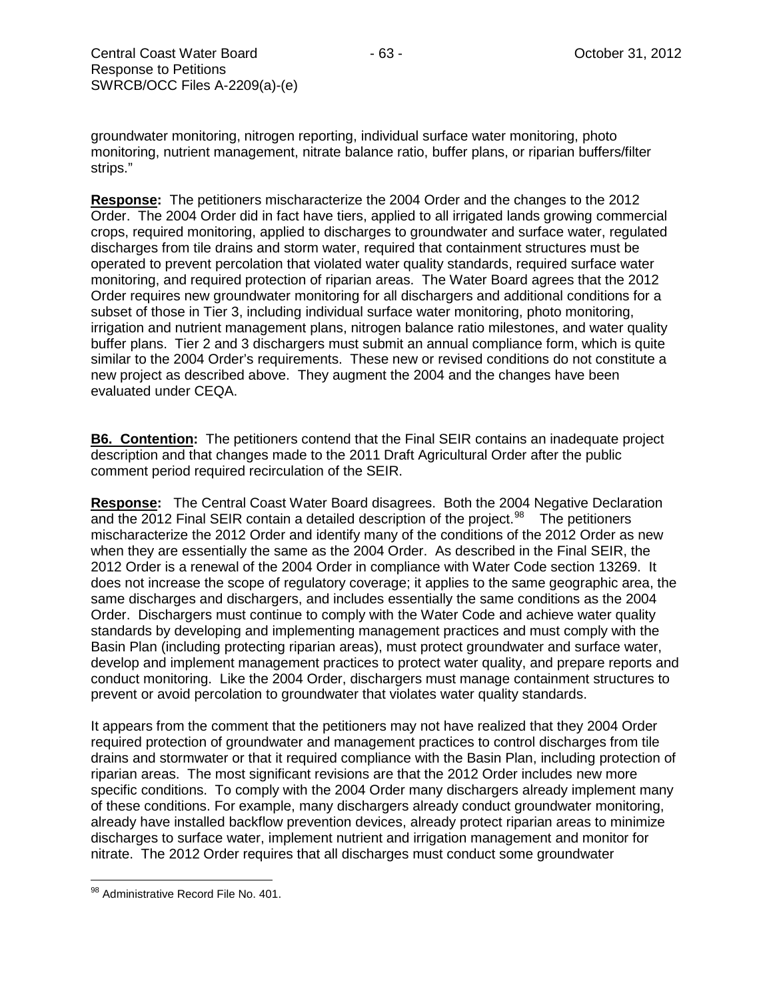groundwater monitoring, nitrogen reporting, individual surface water monitoring, photo monitoring, nutrient management, nitrate balance ratio, buffer plans, or riparian buffers/filter strips."

**Response:** The petitioners mischaracterize the 2004 Order and the changes to the 2012 Order. The 2004 Order did in fact have tiers, applied to all irrigated lands growing commercial crops, required monitoring, applied to discharges to groundwater and surface water, regulated discharges from tile drains and storm water, required that containment structures must be operated to prevent percolation that violated water quality standards, required surface water monitoring, and required protection of riparian areas. The Water Board agrees that the 2012 Order requires new groundwater monitoring for all dischargers and additional conditions for a subset of those in Tier 3, including individual surface water monitoring, photo monitoring, irrigation and nutrient management plans, nitrogen balance ratio milestones, and water quality buffer plans. Tier 2 and 3 dischargers must submit an annual compliance form, which is quite similar to the 2004 Order's requirements. These new or revised conditions do not constitute a new project as described above. They augment the 2004 and the changes have been evaluated under CEQA.

**B6. Contention:** The petitioners contend that the Final SEIR contains an inadequate project description and that changes made to the 2011 Draft Agricultural Order after the public comment period required recirculation of the SEIR.

**Response:** The Central Coast Water Board disagrees. Both the 2004 Negative Declaration and the 2012 Final SEIR contain a detailed description of the project.<sup>[98](#page-62-0)</sup> The petitioners mischaracterize the 2012 Order and identify many of the conditions of the 2012 Order as new when they are essentially the same as the 2004 Order. As described in the Final SEIR, the 2012 Order is a renewal of the 2004 Order in compliance with Water Code section 13269. It does not increase the scope of regulatory coverage; it applies to the same geographic area, the same discharges and dischargers, and includes essentially the same conditions as the 2004 Order. Dischargers must continue to comply with the Water Code and achieve water quality standards by developing and implementing management practices and must comply with the Basin Plan (including protecting riparian areas), must protect groundwater and surface water, develop and implement management practices to protect water quality, and prepare reports and conduct monitoring. Like the 2004 Order, dischargers must manage containment structures to prevent or avoid percolation to groundwater that violates water quality standards.

It appears from the comment that the petitioners may not have realized that they 2004 Order required protection of groundwater and management practices to control discharges from tile drains and stormwater or that it required compliance with the Basin Plan, including protection of riparian areas. The most significant revisions are that the 2012 Order includes new more specific conditions. To comply with the 2004 Order many dischargers already implement many of these conditions. For example, many dischargers already conduct groundwater monitoring, already have installed backflow prevention devices, already protect riparian areas to minimize discharges to surface water, implement nutrient and irrigation management and monitor for nitrate. The 2012 Order requires that all discharges must conduct some groundwater

<span id="page-62-0"></span><sup>98</sup> Administrative Record File No. 401.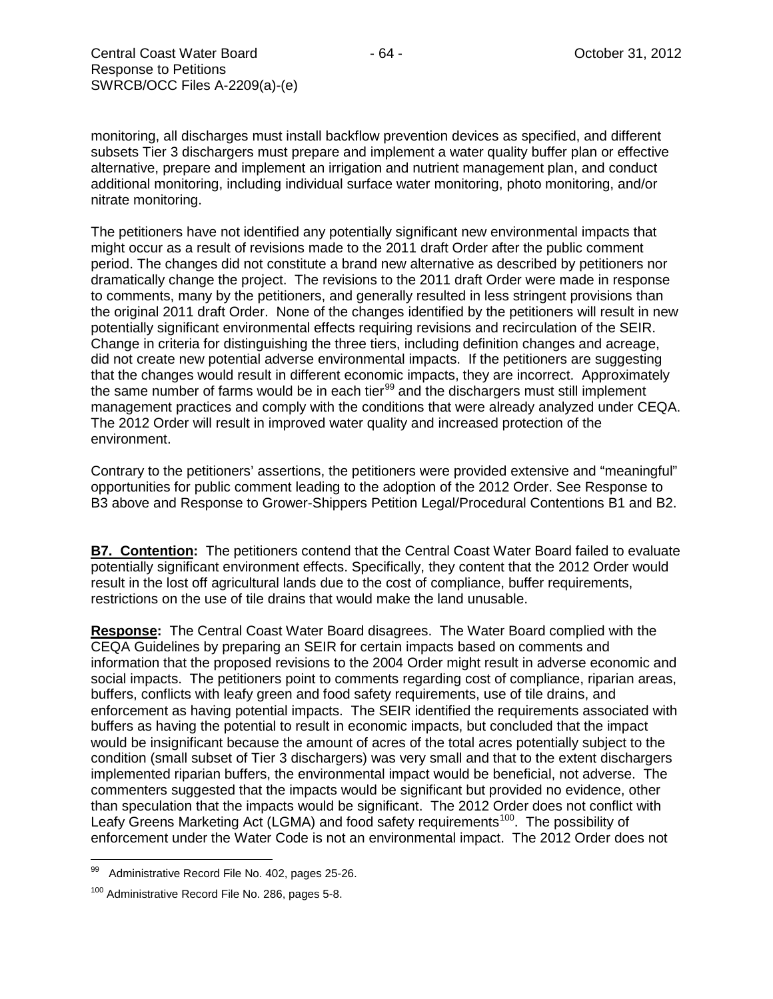monitoring, all discharges must install backflow prevention devices as specified, and different subsets Tier 3 dischargers must prepare and implement a water quality buffer plan or effective alternative, prepare and implement an irrigation and nutrient management plan, and conduct additional monitoring, including individual surface water monitoring, photo monitoring, and/or nitrate monitoring.

The petitioners have not identified any potentially significant new environmental impacts that might occur as a result of revisions made to the 2011 draft Order after the public comment period. The changes did not constitute a brand new alternative as described by petitioners nor dramatically change the project. The revisions to the 2011 draft Order were made in response to comments, many by the petitioners, and generally resulted in less stringent provisions than the original 2011 draft Order. None of the changes identified by the petitioners will result in new potentially significant environmental effects requiring revisions and recirculation of the SEIR. Change in criteria for distinguishing the three tiers, including definition changes and acreage, did not create new potential adverse environmental impacts. If the petitioners are suggesting that the changes would result in different economic impacts, they are incorrect. Approximately the same number of farms would be in each tier $99$  and the dischargers must still implement management practices and comply with the conditions that were already analyzed under CEQA. The 2012 Order will result in improved water quality and increased protection of the environment.

Contrary to the petitioners' assertions, the petitioners were provided extensive and "meaningful" opportunities for public comment leading to the adoption of the 2012 Order. See Response to B3 above and Response to Grower-Shippers Petition Legal/Procedural Contentions B1 and B2.

**B7. Contention:** The petitioners contend that the Central Coast Water Board failed to evaluate potentially significant environment effects. Specifically, they content that the 2012 Order would result in the lost off agricultural lands due to the cost of compliance, buffer requirements, restrictions on the use of tile drains that would make the land unusable.

**Response:** The Central Coast Water Board disagrees. The Water Board complied with the CEQA Guidelines by preparing an SEIR for certain impacts based on comments and information that the proposed revisions to the 2004 Order might result in adverse economic and social impacts. The petitioners point to comments regarding cost of compliance, riparian areas, buffers, conflicts with leafy green and food safety requirements, use of tile drains, and enforcement as having potential impacts. The SEIR identified the requirements associated with buffers as having the potential to result in economic impacts, but concluded that the impact would be insignificant because the amount of acres of the total acres potentially subject to the condition (small subset of Tier 3 dischargers) was very small and that to the extent dischargers implemented riparian buffers, the environmental impact would be beneficial, not adverse. The commenters suggested that the impacts would be significant but provided no evidence, other than speculation that the impacts would be significant. The 2012 Order does not conflict with Leafy Greens Marketing Act (LGMA) and food safety requirements<sup>100</sup>. The possibility of enforcement under the Water Code is not an environmental impact. The 2012 Order does not

<span id="page-63-0"></span>Administrative Record File No. 402, pages 25-26.

<span id="page-63-1"></span><sup>100</sup> Administrative Record File No. 286, pages 5-8.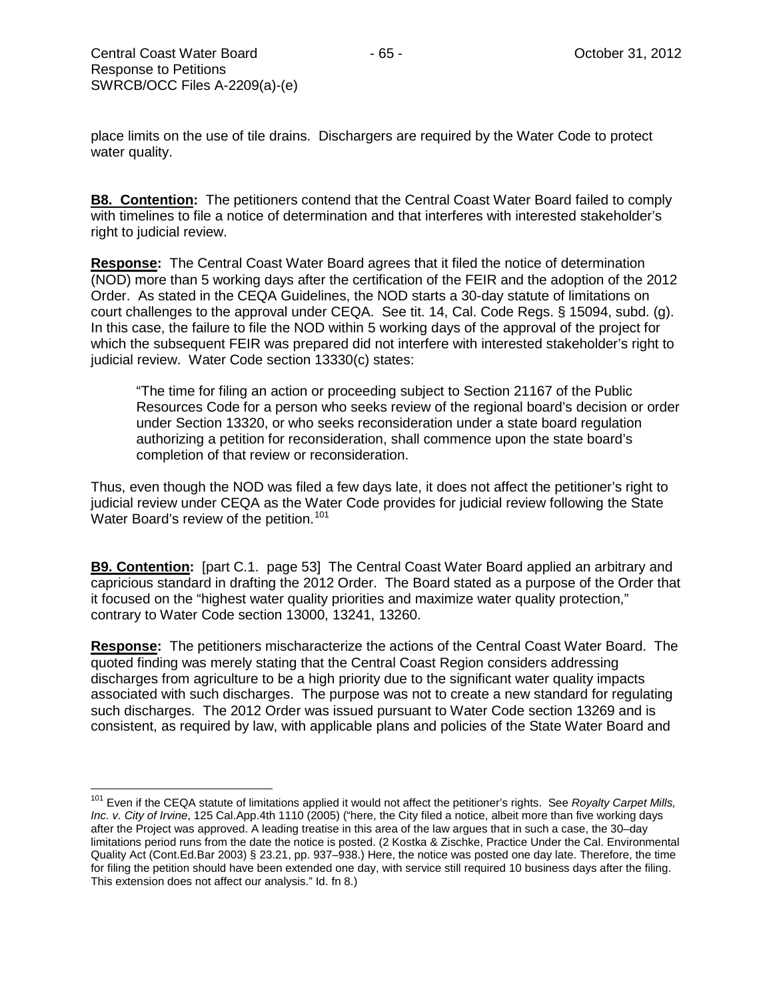place limits on the use of tile drains. Dischargers are required by the Water Code to protect water quality.

**B8. Contention:** The petitioners contend that the Central Coast Water Board failed to comply with timelines to file a notice of determination and that interferes with interested stakeholder's right to judicial review.

**Response:** The Central Coast Water Board agrees that it filed the notice of determination (NOD) more than 5 working days after the certification of the FEIR and the adoption of the 2012 Order. As stated in the CEQA Guidelines, the NOD starts a 30-day statute of limitations on court challenges to the approval under CEQA. See tit. 14, Cal. Code Regs. § 15094, subd. (g). In this case, the failure to file the NOD within 5 working days of the approval of the project for which the subsequent FEIR was prepared did not interfere with interested stakeholder's right to judicial review. Water Code section 13330(c) states:

"The time for filing an action or proceeding subject to Section 21167 of the Public Resources Code for a person who seeks review of the regional board's decision or order under Section 13320, or who seeks reconsideration under a state board regulation authorizing a petition for reconsideration, shall commence upon the state board's completion of that review or reconsideration.

Thus, even though the NOD was filed a few days late, it does not affect the petitioner's right to judicial review under CEQA as the Water Code provides for judicial review following the State Water Board's review of the petition.<sup>[101](#page-64-0)</sup>

**B9. Contention:** [part C.1. page 53] The Central Coast Water Board applied an arbitrary and capricious standard in drafting the 2012 Order. The Board stated as a purpose of the Order that it focused on the "highest water quality priorities and maximize water quality protection," contrary to Water Code section 13000, 13241, 13260.

**Response:** The petitioners mischaracterize the actions of the Central Coast Water Board. The quoted finding was merely stating that the Central Coast Region considers addressing discharges from agriculture to be a high priority due to the significant water quality impacts associated with such discharges. The purpose was not to create a new standard for regulating such discharges. The 2012 Order was issued pursuant to Water Code section 13269 and is consistent, as required by law, with applicable plans and policies of the State Water Board and

<span id="page-64-0"></span><sup>101</sup> Even if the CEQA statute of limitations applied it would not affect the petitioner's rights. See *Royalty Carpet Mills, Inc. v. City of Irvine*, 125 Cal.App.4th 1110 (2005) ("here, the City filed a notice, albeit more than five working days after the Project was approved. A leading treatise in this area of the law argues that in such a case, the 30–day limitations period runs from the date the notice is posted. (2 Kostka & Zischke, Practice Under the Cal. Environmental Quality Act (Cont.Ed.Bar 2003) § 23.21, pp. 937–938.) Here, the notice was posted one day late. Therefore, the time for filing the petition should have been extended one day, with service still required 10 business days after the filing. This extension does not affect our analysis." Id. fn 8.)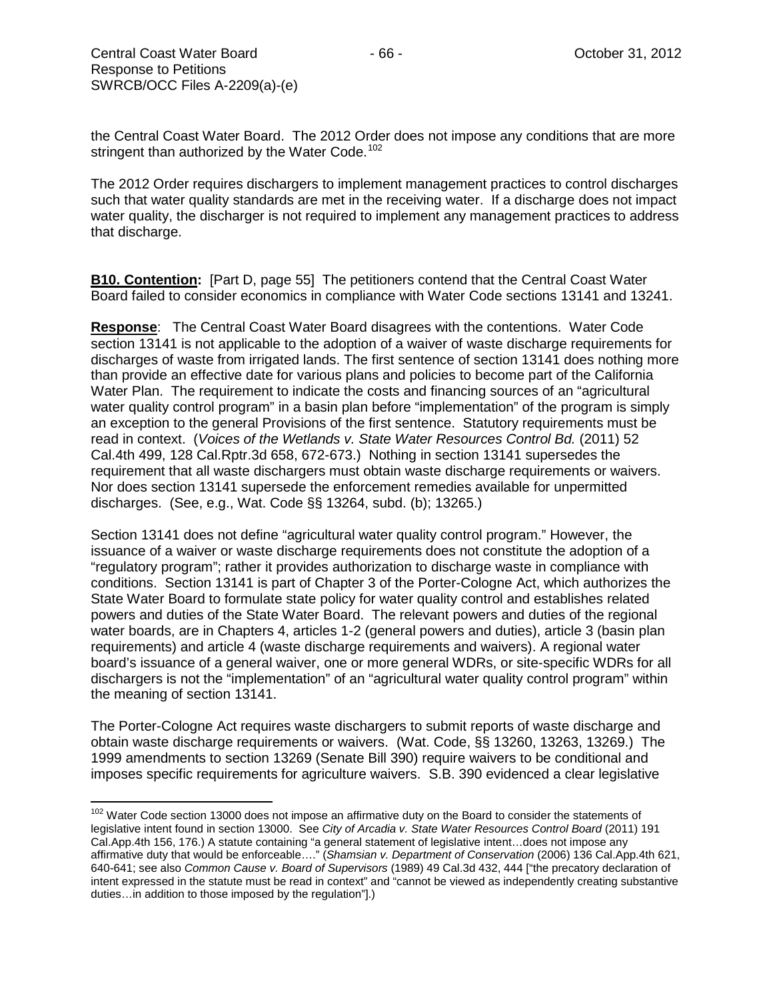the Central Coast Water Board. The 2012 Order does not impose any conditions that are more stringent than authorized by the Water Code.<sup>[102](#page-65-0)</sup>

The 2012 Order requires dischargers to implement management practices to control discharges such that water quality standards are met in the receiving water. If a discharge does not impact water quality, the discharger is not required to implement any management practices to address that discharge.

**B10. Contention:** [Part D, page 55] The petitioners contend that the Central Coast Water Board failed to consider economics in compliance with Water Code sections 13141 and 13241.

**Response**: The Central Coast Water Board disagrees with the contentions. Water Code section 13141 is not applicable to the adoption of a waiver of waste discharge requirements for discharges of waste from irrigated lands. The first sentence of section 13141 does nothing more than provide an effective date for various plans and policies to become part of the California Water Plan. The requirement to indicate the costs and financing sources of an "agricultural water quality control program" in a basin plan before "implementation" of the program is simply an exception to the general Provisions of the first sentence. Statutory requirements must be read in context. (*Voices of the Wetlands v. State Water Resources Control Bd.* (2011) 52 Cal.4th 499, 128 Cal.Rptr.3d 658, 672-673.) Nothing in section 13141 supersedes the requirement that all waste dischargers must obtain waste discharge requirements or waivers. Nor does section 13141 supersede the enforcement remedies available for unpermitted discharges. (See, e.g., Wat. Code §§ 13264, subd. (b); 13265.)

Section 13141 does not define "agricultural water quality control program." However, the issuance of a waiver or waste discharge requirements does not constitute the adoption of a "regulatory program"; rather it provides authorization to discharge waste in compliance with conditions. Section 13141 is part of Chapter 3 of the Porter-Cologne Act, which authorizes the State Water Board to formulate state policy for water quality control and establishes related powers and duties of the State Water Board. The relevant powers and duties of the regional water boards, are in Chapters 4, articles 1-2 (general powers and duties), article 3 (basin plan requirements) and article 4 (waste discharge requirements and waivers). A regional water board's issuance of a general waiver, one or more general WDRs, or site-specific WDRs for all dischargers is not the "implementation" of an "agricultural water quality control program" within the meaning of section 13141.

The Porter-Cologne Act requires waste dischargers to submit reports of waste discharge and obtain waste discharge requirements or waivers. (Wat. Code, §§ 13260, 13263, 13269.) The 1999 amendments to section 13269 (Senate Bill 390) require waivers to be conditional and imposes specific requirements for agriculture waivers. S.B. 390 evidenced a clear legislative

<span id="page-65-0"></span><sup>&</sup>lt;sup>102</sup> Water Code section 13000 does not impose an affirmative duty on the Board to consider the statements of legislative intent found in section 13000. See *City of Arcadia v. State Water Resources Control Board* (2011) 191 Cal.App.4th 156, 176.) A statute containing "a general statement of legislative intent…does not impose any affirmative duty that would be enforceable…." (*Shamsian v. Department of Conservation* (2006) 136 Cal.App.4th 621, 640-641; see also *Common Cause v. Board of Supervisors* (1989) 49 Cal.3d 432, 444 ["the precatory declaration of intent expressed in the statute must be read in context" and "cannot be viewed as independently creating substantive duties…in addition to those imposed by the regulation"].)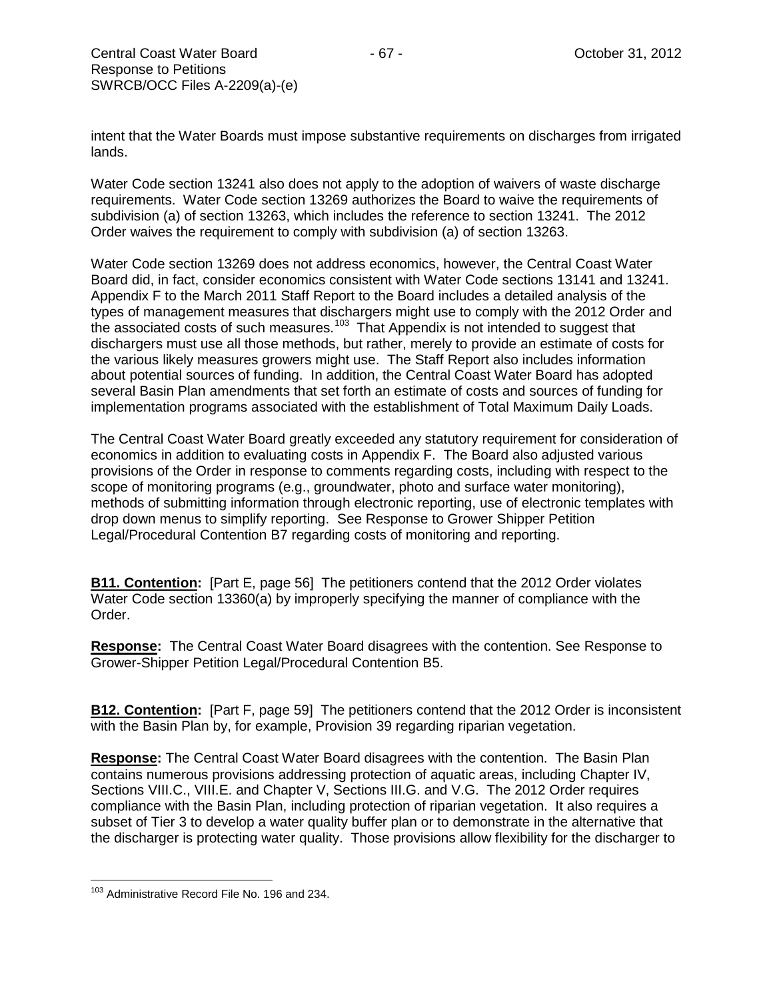intent that the Water Boards must impose substantive requirements on discharges from irrigated lands.

Water Code section 13241 also does not apply to the adoption of waivers of waste discharge requirements. Water Code section 13269 authorizes the Board to waive the requirements of subdivision (a) of section 13263, which includes the reference to section 13241. The 2012 Order waives the requirement to comply with subdivision (a) of section 13263.

Water Code section 13269 does not address economics, however, the Central Coast Water Board did, in fact, consider economics consistent with Water Code sections 13141 and 13241. Appendix F to the March 2011 Staff Report to the Board includes a detailed analysis of the types of management measures that dischargers might use to comply with the 2012 Order and the associated costs of such measures.<sup>103</sup> That Appendix is not intended to suggest that dischargers must use all those methods, but rather, merely to provide an estimate of costs for the various likely measures growers might use. The Staff Report also includes information about potential sources of funding. In addition, the Central Coast Water Board has adopted several Basin Plan amendments that set forth an estimate of costs and sources of funding for implementation programs associated with the establishment of Total Maximum Daily Loads.

The Central Coast Water Board greatly exceeded any statutory requirement for consideration of economics in addition to evaluating costs in Appendix F. The Board also adjusted various provisions of the Order in response to comments regarding costs, including with respect to the scope of monitoring programs (e.g., groundwater, photo and surface water monitoring), methods of submitting information through electronic reporting, use of electronic templates with drop down menus to simplify reporting. See Response to Grower Shipper Petition Legal/Procedural Contention B7 regarding costs of monitoring and reporting.

**B11. Contention:** [Part E, page 56] The petitioners contend that the 2012 Order violates Water Code section 13360(a) by improperly specifying the manner of compliance with the Order.

**Response:** The Central Coast Water Board disagrees with the contention. See Response to Grower-Shipper Petition Legal/Procedural Contention B5.

**B12. Contention:** [Part F, page 59] The petitioners contend that the 2012 Order is inconsistent with the Basin Plan by, for example, Provision 39 regarding riparian vegetation.

**Response:** The Central Coast Water Board disagrees with the contention. The Basin Plan contains numerous provisions addressing protection of aquatic areas, including Chapter IV, Sections VIII.C., VIII.E. and Chapter V, Sections III.G. and V.G. The 2012 Order requires compliance with the Basin Plan, including protection of riparian vegetation. It also requires a subset of Tier 3 to develop a water quality buffer plan or to demonstrate in the alternative that the discharger is protecting water quality. Those provisions allow flexibility for the discharger to

<span id="page-66-0"></span><sup>&</sup>lt;sup>103</sup> Administrative Record File No. 196 and 234.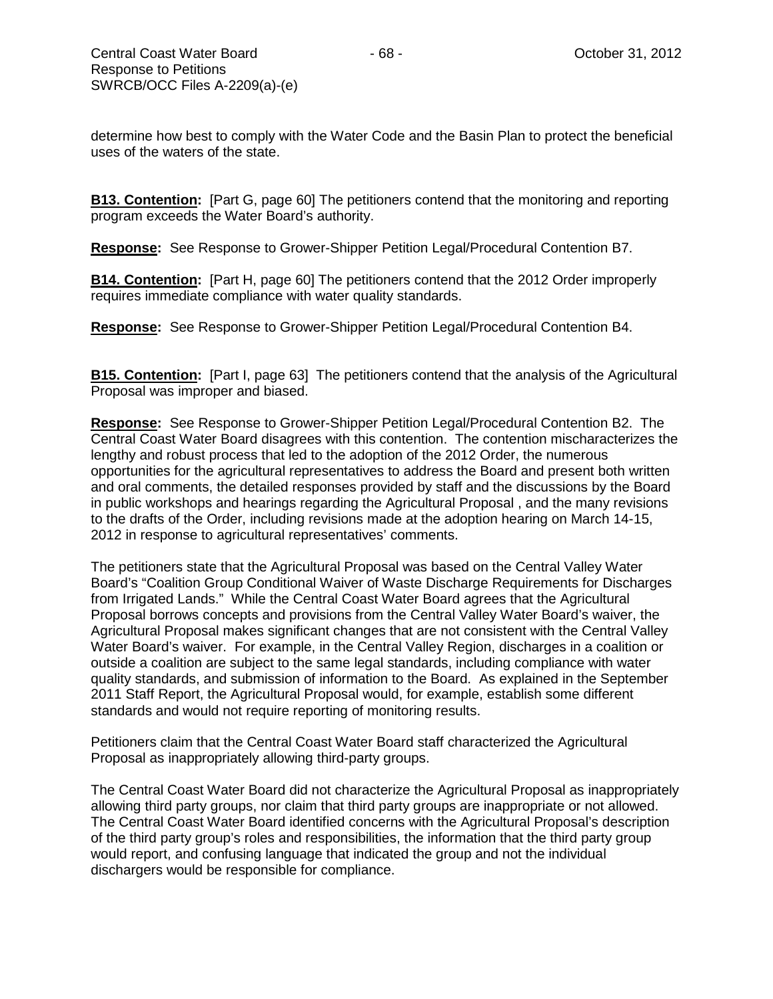determine how best to comply with the Water Code and the Basin Plan to protect the beneficial uses of the waters of the state.

**B13. Contention:** [Part G, page 60] The petitioners contend that the monitoring and reporting program exceeds the Water Board's authority.

**Response:** See Response to Grower-Shipper Petition Legal/Procedural Contention B7.

**B14. Contention:** [Part H, page 60] The petitioners contend that the 2012 Order improperly requires immediate compliance with water quality standards.

**Response:** See Response to Grower-Shipper Petition Legal/Procedural Contention B4.

**B15. Contention:** [Part I, page 63] The petitioners contend that the analysis of the Agricultural Proposal was improper and biased.

**Response:** See Response to Grower-Shipper Petition Legal/Procedural Contention B2. The Central Coast Water Board disagrees with this contention. The contention mischaracterizes the lengthy and robust process that led to the adoption of the 2012 Order, the numerous opportunities for the agricultural representatives to address the Board and present both written and oral comments, the detailed responses provided by staff and the discussions by the Board in public workshops and hearings regarding the Agricultural Proposal , and the many revisions to the drafts of the Order, including revisions made at the adoption hearing on March 14-15, 2012 in response to agricultural representatives' comments.

The petitioners state that the Agricultural Proposal was based on the Central Valley Water Board's "Coalition Group Conditional Waiver of Waste Discharge Requirements for Discharges from Irrigated Lands." While the Central Coast Water Board agrees that the Agricultural Proposal borrows concepts and provisions from the Central Valley Water Board's waiver, the Agricultural Proposal makes significant changes that are not consistent with the Central Valley Water Board's waiver. For example, in the Central Valley Region, discharges in a coalition or outside a coalition are subject to the same legal standards, including compliance with water quality standards, and submission of information to the Board. As explained in the September 2011 Staff Report, the Agricultural Proposal would, for example, establish some different standards and would not require reporting of monitoring results.

Petitioners claim that the Central Coast Water Board staff characterized the Agricultural Proposal as inappropriately allowing third-party groups.

The Central Coast Water Board did not characterize the Agricultural Proposal as inappropriately allowing third party groups, nor claim that third party groups are inappropriate or not allowed. The Central Coast Water Board identified concerns with the Agricultural Proposal's description of the third party group's roles and responsibilities, the information that the third party group would report, and confusing language that indicated the group and not the individual dischargers would be responsible for compliance.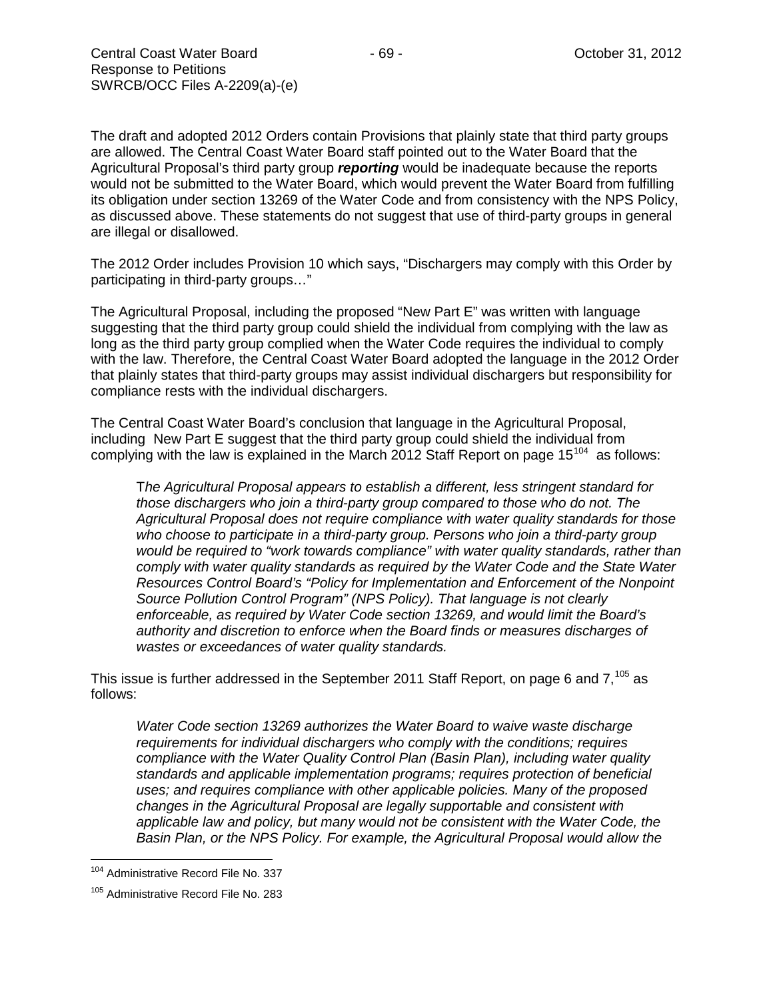The draft and adopted 2012 Orders contain Provisions that plainly state that third party groups are allowed. The Central Coast Water Board staff pointed out to the Water Board that the Agricultural Proposal's third party group *reporting* would be inadequate because the reports would not be submitted to the Water Board, which would prevent the Water Board from fulfilling its obligation under section 13269 of the Water Code and from consistency with the NPS Policy, as discussed above. These statements do not suggest that use of third-party groups in general are illegal or disallowed.

The 2012 Order includes Provision 10 which says, "Dischargers may comply with this Order by participating in third-party groups…"

The Agricultural Proposal, including the proposed "New Part E" was written with language suggesting that the third party group could shield the individual from complying with the law as long as the third party group complied when the Water Code requires the individual to comply with the law. Therefore, the Central Coast Water Board adopted the language in the 2012 Order that plainly states that third-party groups may assist individual dischargers but responsibility for compliance rests with the individual dischargers.

The Central Coast Water Board's conclusion that language in the Agricultural Proposal, including New Part E suggest that the third party group could shield the individual from complying with the law is explained in the March 2012 Staff Report on page  $15^{104}$  $15^{104}$  $15^{104}$  as follows:

T*he Agricultural Proposal appears to establish a different, less stringent standard for those dischargers who join a third-party group compared to those who do not. The Agricultural Proposal does not require compliance with water quality standards for those*  who choose to participate in a third-party group. Persons who join a third-party group *would be required to "work towards compliance" with water quality standards, rather than comply with water quality standards as required by the Water Code and the State Water Resources Control Board's "Policy for Implementation and Enforcement of the Nonpoint Source Pollution Control Program" (NPS Policy). That language is not clearly enforceable, as required by Water Code section 13269, and would limit the Board's authority and discretion to enforce when the Board finds or measures discharges of wastes or exceedances of water quality standards.* 

This issue is further addressed in the September 2011 Staff Report, on page 6 and  $7^{105}$  $7^{105}$  $7^{105}$  as follows:

*Water Code section 13269 authorizes the Water Board to waive waste discharge requirements for individual dischargers who comply with the conditions; requires compliance with the Water Quality Control Plan (Basin Plan), including water quality standards and applicable implementation programs; requires protection of beneficial uses; and requires compliance with other applicable policies. Many of the proposed changes in the Agricultural Proposal are legally supportable and consistent with applicable law and policy, but many would not be consistent with the Water Code, the Basin Plan, or the NPS Policy. For example, the Agricultural Proposal would allow the* 

<span id="page-68-0"></span><sup>&</sup>lt;sup>104</sup> Administrative Record File No. 337

<span id="page-68-1"></span><sup>&</sup>lt;sup>105</sup> Administrative Record File No. 283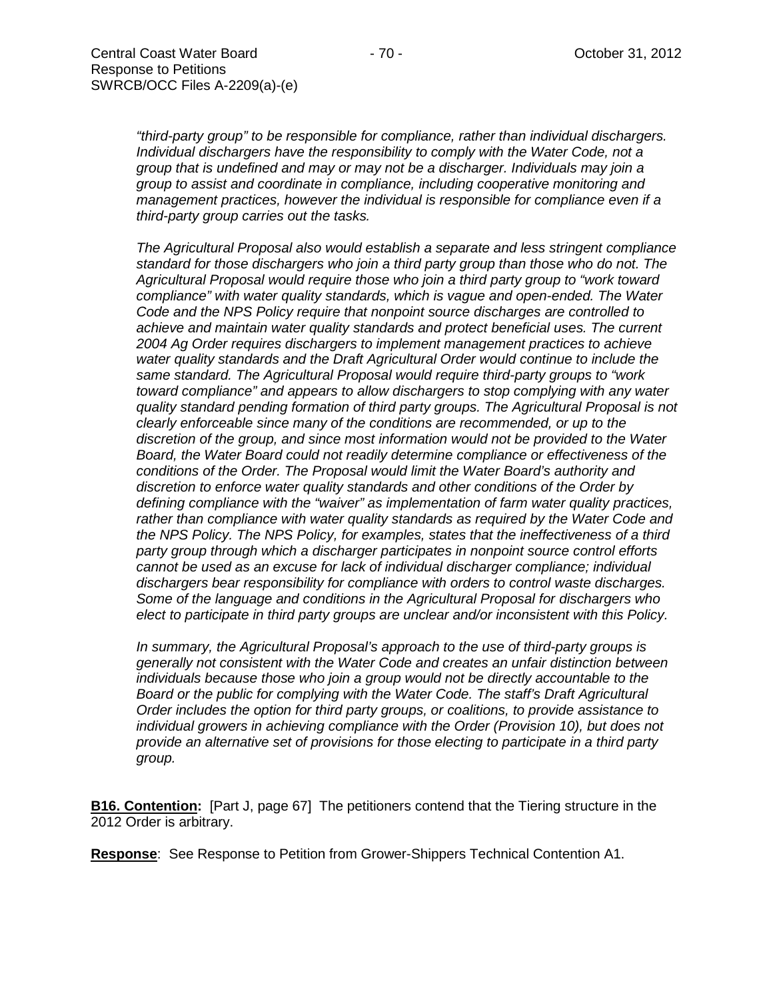*"third-party group" to be responsible for compliance, rather than individual dischargers. Individual dischargers have the responsibility to comply with the Water Code, not a group that is undefined and may or may not be a discharger. Individuals may join a group to assist and coordinate in compliance, including cooperative monitoring and management practices, however the individual is responsible for compliance even if a third-party group carries out the tasks.*

*The Agricultural Proposal also would establish a separate and less stringent compliance standard for those dischargers who join a third party group than those who do not. The Agricultural Proposal would require those who join a third party group to "work toward compliance" with water quality standards, which is vague and open-ended. The Water Code and the NPS Policy require that nonpoint source discharges are controlled to achieve and maintain water quality standards and protect beneficial uses. The current 2004 Ag Order requires dischargers to implement management practices to achieve water quality standards and the Draft Agricultural Order would continue to include the same standard. The Agricultural Proposal would require third-party groups to "work toward compliance" and appears to allow dischargers to stop complying with any water quality standard pending formation of third party groups. The Agricultural Proposal is not clearly enforceable since many of the conditions are recommended, or up to the discretion of the group, and since most information would not be provided to the Water Board, the Water Board could not readily determine compliance or effectiveness of the conditions of the Order. The Proposal would limit the Water Board's authority and discretion to enforce water quality standards and other conditions of the Order by defining compliance with the "waiver" as implementation of farm water quality practices, rather than compliance with water quality standards as required by the Water Code and the NPS Policy. The NPS Policy, for examples, states that the ineffectiveness of a third party group through which a discharger participates in nonpoint source control efforts cannot be used as an excuse for lack of individual discharger compliance; individual dischargers bear responsibility for compliance with orders to control waste discharges. Some of the language and conditions in the Agricultural Proposal for dischargers who elect to participate in third party groups are unclear and/or inconsistent with this Policy.*

*In summary, the Agricultural Proposal's approach to the use of third-party groups is generally not consistent with the Water Code and creates an unfair distinction between individuals because those who join a group would not be directly accountable to the Board or the public for complying with the Water Code. The staff's Draft Agricultural Order includes the option for third party groups, or coalitions, to provide assistance to individual growers in achieving compliance with the Order (Provision 10), but does not provide an alternative set of provisions for those electing to participate in a third party group.*

**B16. Contention:** [Part J, page 67] The petitioners contend that the Tiering structure in the 2012 Order is arbitrary.

**Response**: See Response to Petition from Grower-Shippers Technical Contention A1.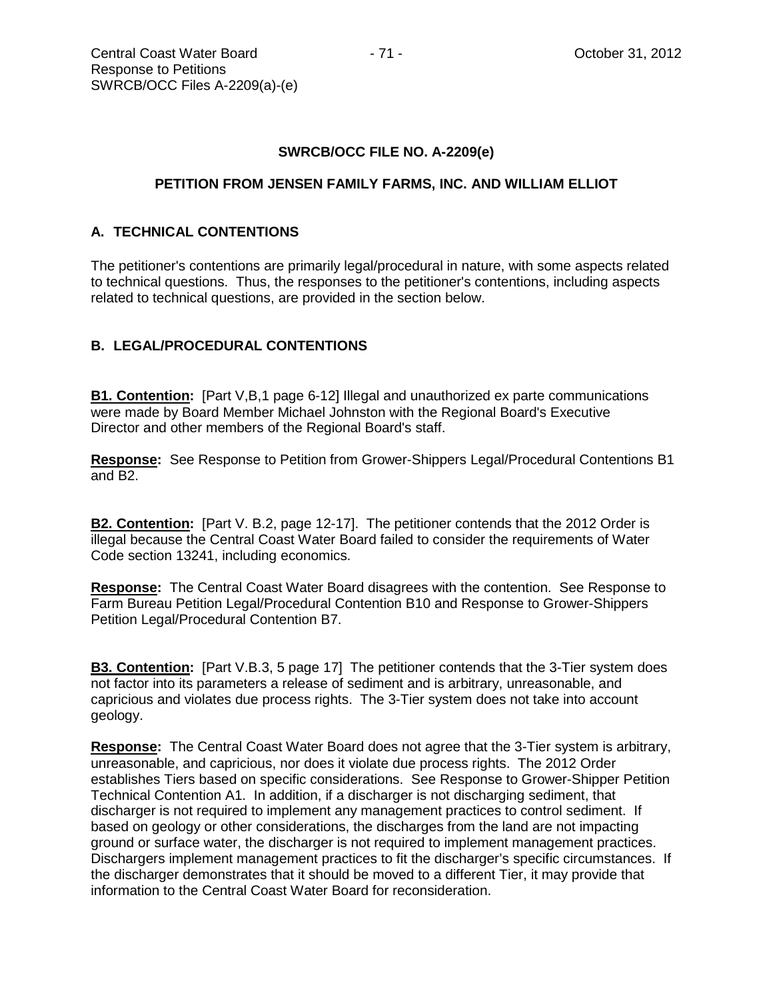# **SWRCB/OCC FILE NO. A-2209(e)**

#### **PETITION FROM JENSEN FAMILY FARMS, INC. AND WILLIAM ELLIOT**

# **A. TECHNICAL CONTENTIONS**

The petitioner's contentions are primarily legal/procedural in nature, with some aspects related to technical questions. Thus, the responses to the petitioner's contentions, including aspects related to technical questions, are provided in the section below.

# **B. LEGAL/PROCEDURAL CONTENTIONS**

**B1. Contention:** [Part V,B,1 page 6-12] Illegal and unauthorized ex parte communications were made by Board Member Michael Johnston with the Regional Board's Executive Director and other members of the Regional Board's staff.

**Response:** See Response to Petition from Grower-Shippers Legal/Procedural Contentions B1 and B2.

**B2. Contention:** [Part V. B.2, page 12-17]. The petitioner contends that the 2012 Order is illegal because the Central Coast Water Board failed to consider the requirements of Water Code section 13241, including economics.

**Response:** The Central Coast Water Board disagrees with the contention. See Response to Farm Bureau Petition Legal/Procedural Contention B10 and Response to Grower-Shippers Petition Legal/Procedural Contention B7.

**B3. Contention:** [Part V.B.3, 5 page 17] The petitioner contends that the 3-Tier system does not factor into its parameters a release of sediment and is arbitrary, unreasonable, and capricious and violates due process rights. The 3-Tier system does not take into account geology.

**Response:** The Central Coast Water Board does not agree that the 3-Tier system is arbitrary, unreasonable, and capricious, nor does it violate due process rights. The 2012 Order establishes Tiers based on specific considerations. See Response to Grower-Shipper Petition Technical Contention A1. In addition, if a discharger is not discharging sediment, that discharger is not required to implement any management practices to control sediment. If based on geology or other considerations, the discharges from the land are not impacting ground or surface water, the discharger is not required to implement management practices. Dischargers implement management practices to fit the discharger's specific circumstances. If the discharger demonstrates that it should be moved to a different Tier, it may provide that information to the Central Coast Water Board for reconsideration.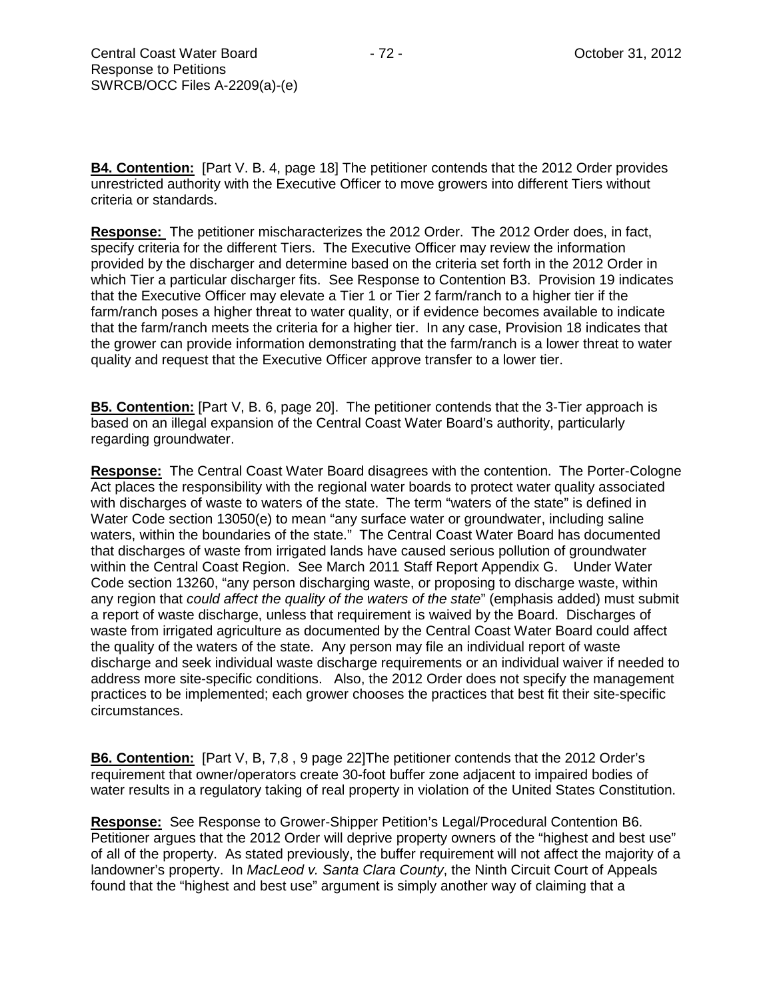**B4. Contention:** [Part V. B. 4, page 18] The petitioner contends that the 2012 Order provides unrestricted authority with the Executive Officer to move growers into different Tiers without criteria or standards.

**Response:** The petitioner mischaracterizes the 2012 Order. The 2012 Order does, in fact, specify criteria for the different Tiers. The Executive Officer may review the information provided by the discharger and determine based on the criteria set forth in the 2012 Order in which Tier a particular discharger fits. See Response to Contention B3. Provision 19 indicates that the Executive Officer may elevate a Tier 1 or Tier 2 farm/ranch to a higher tier if the farm/ranch poses a higher threat to water quality, or if evidence becomes available to indicate that the farm/ranch meets the criteria for a higher tier. In any case, Provision 18 indicates that the grower can provide information demonstrating that the farm/ranch is a lower threat to water quality and request that the Executive Officer approve transfer to a lower tier.

**B5. Contention:** [Part V, B. 6, page 20]. The petitioner contends that the 3-Tier approach is based on an illegal expansion of the Central Coast Water Board's authority, particularly regarding groundwater.

**Response:** The Central Coast Water Board disagrees with the contention. The Porter-Cologne Act places the responsibility with the regional water boards to protect water quality associated with discharges of waste to waters of the state. The term "waters of the state" is defined in Water Code section 13050(e) to mean "any surface water or groundwater, including saline waters, within the boundaries of the state." The Central Coast Water Board has documented that discharges of waste from irrigated lands have caused serious pollution of groundwater within the Central Coast Region. See March 2011 Staff Report Appendix G. Under Water Code section 13260, "any person discharging waste, or proposing to discharge waste, within any region that *could affect the quality of the waters of the state*" (emphasis added) must submit a report of waste discharge, unless that requirement is waived by the Board. Discharges of waste from irrigated agriculture as documented by the Central Coast Water Board could affect the quality of the waters of the state. Any person may file an individual report of waste discharge and seek individual waste discharge requirements or an individual waiver if needed to address more site-specific conditions. Also, the 2012 Order does not specify the management practices to be implemented; each grower chooses the practices that best fit their site-specific circumstances.

**B6. Contention:** [Part V, B, 7,8 , 9 page 22]The petitioner contends that the 2012 Order's requirement that owner/operators create 30-foot buffer zone adjacent to impaired bodies of water results in a regulatory taking of real property in violation of the United States Constitution.

**Response:** See Response to Grower-Shipper Petition's Legal/Procedural Contention B6. Petitioner argues that the 2012 Order will deprive property owners of the "highest and best use" of all of the property. As stated previously, the buffer requirement will not affect the majority of a landowner's property. In *MacLeod v. Santa Clara County*, the Ninth Circuit Court of Appeals found that the "highest and best use" argument is simply another way of claiming that a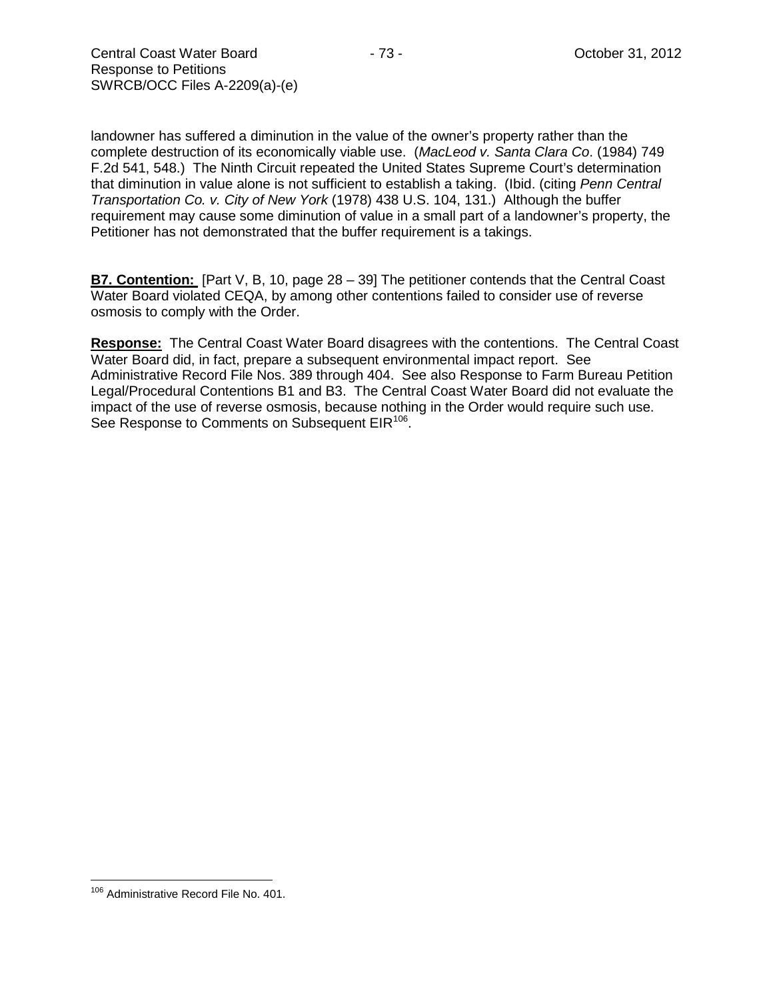landowner has suffered a diminution in the value of the owner's property rather than the complete destruction of its economically viable use. (*MacLeod v. Santa Clara Co*. (1984) 749 F.2d 541, 548.) The Ninth Circuit repeated the United States Supreme Court's determination that diminution in value alone is not sufficient to establish a taking. (Ibid. (citing *Penn Central Transportation Co. v. City of New York* (1978) 438 U.S. 104, 131.) Although the buffer requirement may cause some diminution of value in a small part of a landowner's property, the Petitioner has not demonstrated that the buffer requirement is a takings.

**B7. Contention:** [Part V, B, 10, page 28 – 39] The petitioner contends that the Central Coast Water Board violated CEQA, by among other contentions failed to consider use of reverse osmosis to comply with the Order.

**Response:** The Central Coast Water Board disagrees with the contentions. The Central Coast Water Board did, in fact, prepare a subsequent environmental impact report. See Administrative Record File Nos. 389 through 404. See also Response to Farm Bureau Petition Legal/Procedural Contentions B1 and B3. The Central Coast Water Board did not evaluate the impact of the use of reverse osmosis, because nothing in the Order would require such use. See Response to Comments on Subsequent EIR<sup>[106](#page-72-0)</sup>.

<span id="page-72-0"></span><sup>106</sup> Administrative Record File No. 401.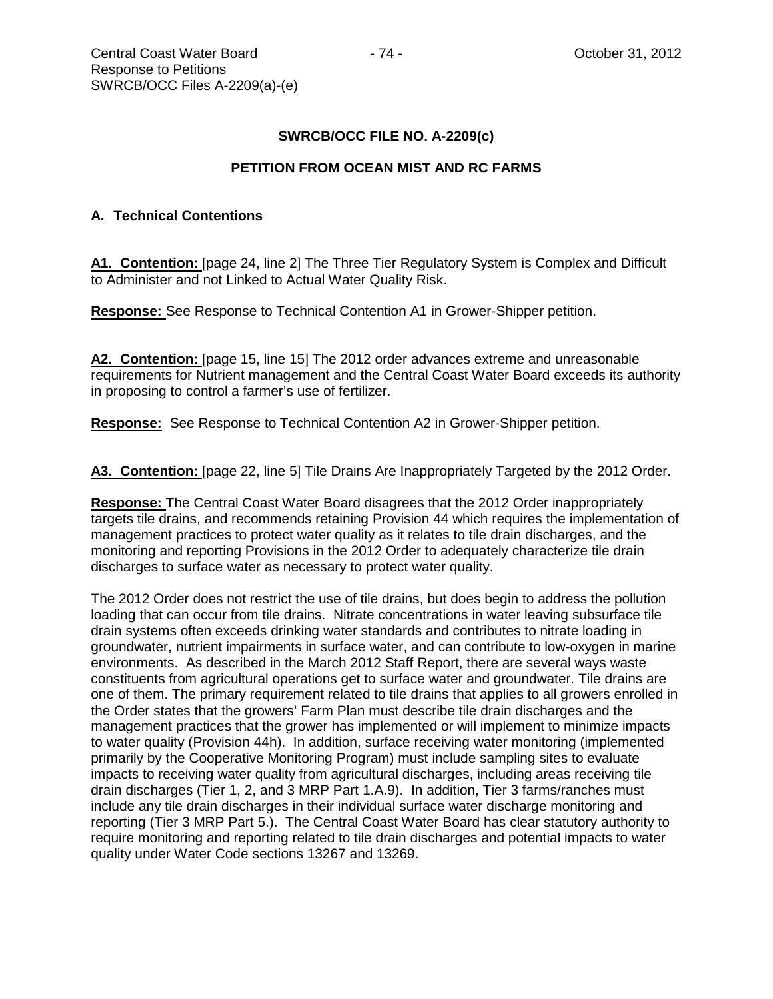#### **PETITION FROM OCEAN MIST AND RC FARMS**

## **A. Technical Contentions**

**A1. Contention:** [page 24, line 2] The Three Tier Regulatory System is Complex and Difficult to Administer and not Linked to Actual Water Quality Risk.

**Response:** See Response to Technical Contention A1 in Grower-Shipper petition.

**A2. Contention:** [page 15, line 15] The 2012 order advances extreme and unreasonable requirements for Nutrient management and the Central Coast Water Board exceeds its authority in proposing to control a farmer's use of fertilizer.

**Response:** See Response to Technical Contention A2 in Grower-Shipper petition.

**A3. Contention:** [page 22, line 5] Tile Drains Are Inappropriately Targeted by the 2012 Order.

**Response:** The Central Coast Water Board disagrees that the 2012 Order inappropriately targets tile drains, and recommends retaining Provision 44 which requires the implementation of management practices to protect water quality as it relates to tile drain discharges, and the monitoring and reporting Provisions in the 2012 Order to adequately characterize tile drain discharges to surface water as necessary to protect water quality.

The 2012 Order does not restrict the use of tile drains, but does begin to address the pollution loading that can occur from tile drains. Nitrate concentrations in water leaving subsurface tile drain systems often exceeds drinking water standards and contributes to nitrate loading in groundwater, nutrient impairments in surface water, and can contribute to low-oxygen in marine environments. As described in the March 2012 Staff Report, there are several ways waste constituents from agricultural operations get to surface water and groundwater. Tile drains are one of them. The primary requirement related to tile drains that applies to all growers enrolled in the Order states that the growers' Farm Plan must describe tile drain discharges and the management practices that the grower has implemented or will implement to minimize impacts to water quality (Provision 44h). In addition, surface receiving water monitoring (implemented primarily by the Cooperative Monitoring Program) must include sampling sites to evaluate impacts to receiving water quality from agricultural discharges, including areas receiving tile drain discharges (Tier 1, 2, and 3 MRP Part 1.A.9). In addition, Tier 3 farms/ranches must include any tile drain discharges in their individual surface water discharge monitoring and reporting (Tier 3 MRP Part 5.). The Central Coast Water Board has clear statutory authority to require monitoring and reporting related to tile drain discharges and potential impacts to water quality under Water Code sections 13267 and 13269.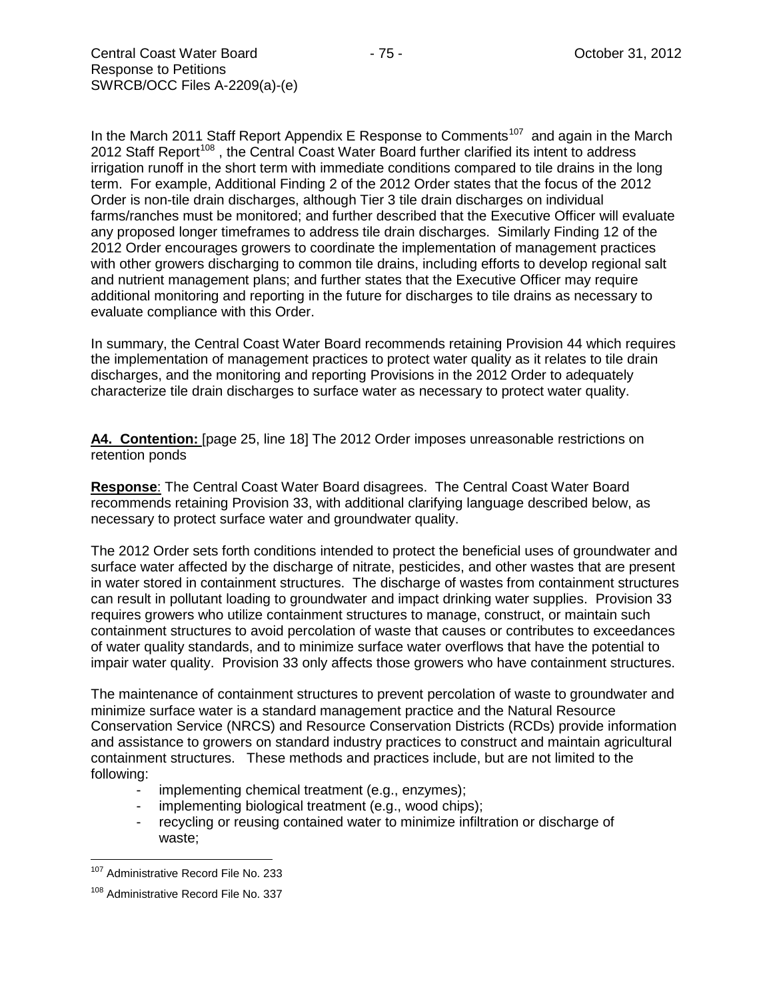In the March 2011 Staff Report Appendix E Response to Comments<sup>107</sup> and again in the March 2012 Staff Report<sup>[108](#page-74-1)</sup>, the Central Coast Water Board further clarified its intent to address irrigation runoff in the short term with immediate conditions compared to tile drains in the long term. For example, Additional Finding 2 of the 2012 Order states that the focus of the 2012 Order is non-tile drain discharges, although Tier 3 tile drain discharges on individual farms/ranches must be monitored; and further described that the Executive Officer will evaluate any proposed longer timeframes to address tile drain discharges. Similarly Finding 12 of the 2012 Order encourages growers to coordinate the implementation of management practices with other growers discharging to common tile drains, including efforts to develop regional salt and nutrient management plans; and further states that the Executive Officer may require additional monitoring and reporting in the future for discharges to tile drains as necessary to evaluate compliance with this Order.

In summary, the Central Coast Water Board recommends retaining Provision 44 which requires the implementation of management practices to protect water quality as it relates to tile drain discharges, and the monitoring and reporting Provisions in the 2012 Order to adequately characterize tile drain discharges to surface water as necessary to protect water quality.

A4. Contention: [page 25, line 18] The 2012 Order imposes unreasonable restrictions on retention ponds

**Response**: The Central Coast Water Board disagrees. The Central Coast Water Board recommends retaining Provision 33, with additional clarifying language described below, as necessary to protect surface water and groundwater quality.

The 2012 Order sets forth conditions intended to protect the beneficial uses of groundwater and surface water affected by the discharge of nitrate, pesticides, and other wastes that are present in water stored in containment structures. The discharge of wastes from containment structures can result in pollutant loading to groundwater and impact drinking water supplies. Provision 33 requires growers who utilize containment structures to manage, construct, or maintain such containment structures to avoid percolation of waste that causes or contributes to exceedances of water quality standards, and to minimize surface water overflows that have the potential to impair water quality. Provision 33 only affects those growers who have containment structures.

The maintenance of containment structures to prevent percolation of waste to groundwater and minimize surface water is a standard management practice and the Natural Resource Conservation Service (NRCS) and Resource Conservation Districts (RCDs) provide information and assistance to growers on standard industry practices to construct and maintain agricultural containment structures. These methods and practices include, but are not limited to the following:

- implementing chemical treatment (e.g., enzymes);
- implementing biological treatment (e.g., wood chips);
- recycling or reusing contained water to minimize infiltration or discharge of waste;

<span id="page-74-0"></span><sup>&</sup>lt;sup>107</sup> Administrative Record File No. 233

<span id="page-74-1"></span><sup>&</sup>lt;sup>108</sup> Administrative Record File No. 337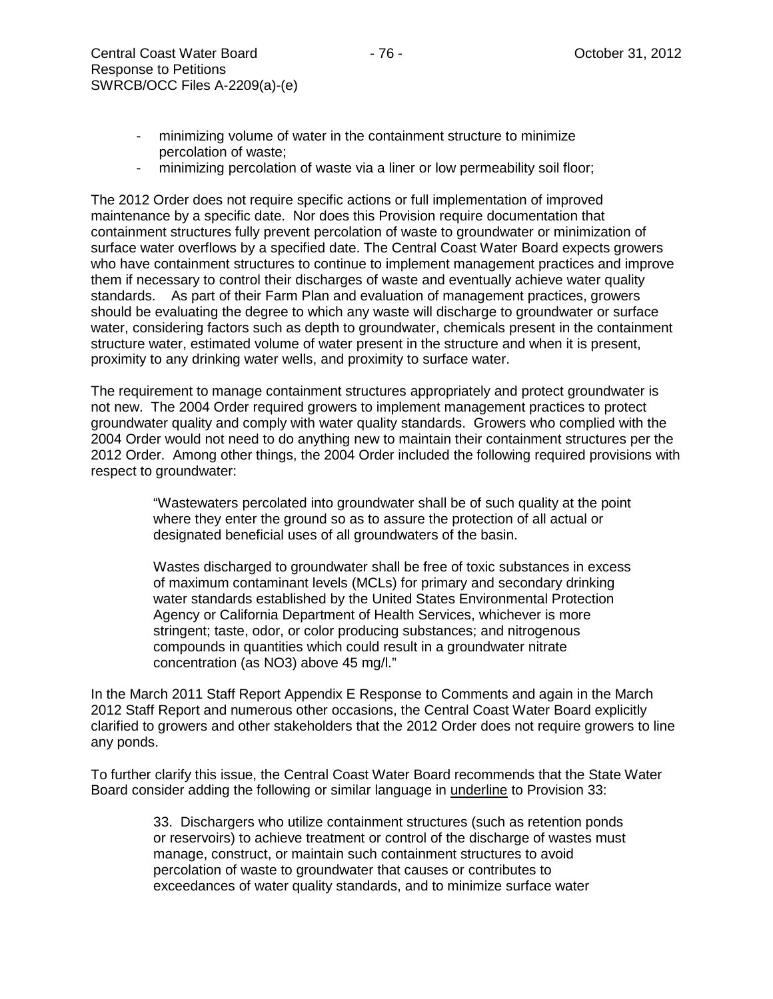- minimizing percolation of waste via a liner or low permeability soil floor;

The 2012 Order does not require specific actions or full implementation of improved maintenance by a specific date. Nor does this Provision require documentation that containment structures fully prevent percolation of waste to groundwater or minimization of surface water overflows by a specified date. The Central Coast Water Board expects growers who have containment structures to continue to implement management practices and improve them if necessary to control their discharges of waste and eventually achieve water quality standards. As part of their Farm Plan and evaluation of management practices, growers should be evaluating the degree to which any waste will discharge to groundwater or surface water, considering factors such as depth to groundwater, chemicals present in the containment structure water, estimated volume of water present in the structure and when it is present, proximity to any drinking water wells, and proximity to surface water.

The requirement to manage containment structures appropriately and protect groundwater is not new. The 2004 Order required growers to implement management practices to protect groundwater quality and comply with water quality standards. Growers who complied with the 2004 Order would not need to do anything new to maintain their containment structures per the 2012 Order. Among other things, the 2004 Order included the following required provisions with respect to groundwater:

> "Wastewaters percolated into groundwater shall be of such quality at the point where they enter the ground so as to assure the protection of all actual or designated beneficial uses of all groundwaters of the basin.

> Wastes discharged to groundwater shall be free of toxic substances in excess of maximum contaminant levels (MCLs) for primary and secondary drinking water standards established by the United States Environmental Protection Agency or California Department of Health Services, whichever is more stringent; taste, odor, or color producing substances; and nitrogenous compounds in quantities which could result in a groundwater nitrate concentration (as NO3) above 45 mg/l."

In the March 2011 Staff Report Appendix E Response to Comments and again in the March 2012 Staff Report and numerous other occasions, the Central Coast Water Board explicitly clarified to growers and other stakeholders that the 2012 Order does not require growers to line any ponds.

To further clarify this issue, the Central Coast Water Board recommends that the State Water Board consider adding the following or similar language in underline to Provision 33:

> 33. Dischargers who utilize containment structures (such as retention ponds or reservoirs) to achieve treatment or control of the discharge of wastes must manage, construct, or maintain such containment structures to avoid percolation of waste to groundwater that causes or contributes to exceedances of water quality standards, and to minimize surface water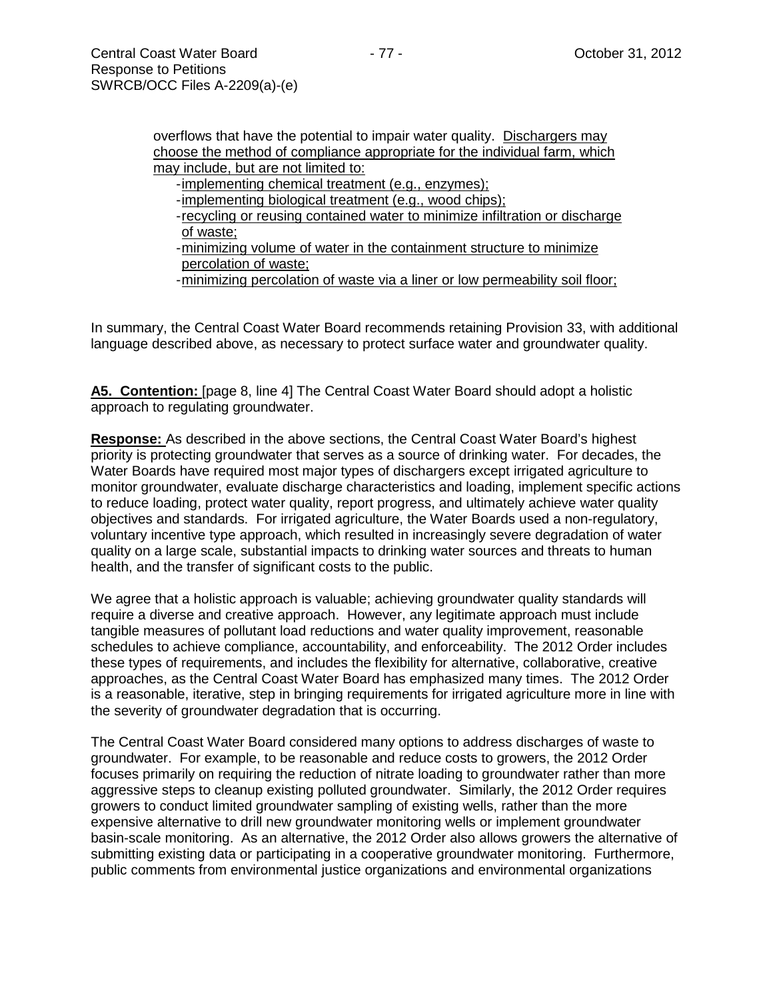overflows that have the potential to impair water quality. Dischargers may choose the method of compliance appropriate for the individual farm, which may include, but are not limited to:

- -implementing chemical treatment (e.g., enzymes);
- -implementing biological treatment (e.g., wood chips);
- -recycling or reusing contained water to minimize infiltration or discharge of waste;
- -minimizing volume of water in the containment structure to minimize percolation of waste;
- -minimizing percolation of waste via a liner or low permeability soil floor;

In summary, the Central Coast Water Board recommends retaining Provision 33, with additional language described above, as necessary to protect surface water and groundwater quality.

**A5. Contention:** [page 8, line 4] The Central Coast Water Board should adopt a holistic approach to regulating groundwater.

**Response:** As described in the above sections, the Central Coast Water Board's highest priority is protecting groundwater that serves as a source of drinking water. For decades, the Water Boards have required most major types of dischargers except irrigated agriculture to monitor groundwater, evaluate discharge characteristics and loading, implement specific actions to reduce loading, protect water quality, report progress, and ultimately achieve water quality objectives and standards. For irrigated agriculture, the Water Boards used a non-regulatory, voluntary incentive type approach, which resulted in increasingly severe degradation of water quality on a large scale, substantial impacts to drinking water sources and threats to human health, and the transfer of significant costs to the public.

We agree that a holistic approach is valuable; achieving groundwater quality standards will require a diverse and creative approach. However, any legitimate approach must include tangible measures of pollutant load reductions and water quality improvement, reasonable schedules to achieve compliance, accountability, and enforceability. The 2012 Order includes these types of requirements, and includes the flexibility for alternative, collaborative, creative approaches, as the Central Coast Water Board has emphasized many times. The 2012 Order is a reasonable, iterative, step in bringing requirements for irrigated agriculture more in line with the severity of groundwater degradation that is occurring.

The Central Coast Water Board considered many options to address discharges of waste to groundwater. For example, to be reasonable and reduce costs to growers, the 2012 Order focuses primarily on requiring the reduction of nitrate loading to groundwater rather than more aggressive steps to cleanup existing polluted groundwater. Similarly, the 2012 Order requires growers to conduct limited groundwater sampling of existing wells, rather than the more expensive alternative to drill new groundwater monitoring wells or implement groundwater basin-scale monitoring. As an alternative, the 2012 Order also allows growers the alternative of submitting existing data or participating in a cooperative groundwater monitoring. Furthermore, public comments from environmental justice organizations and environmental organizations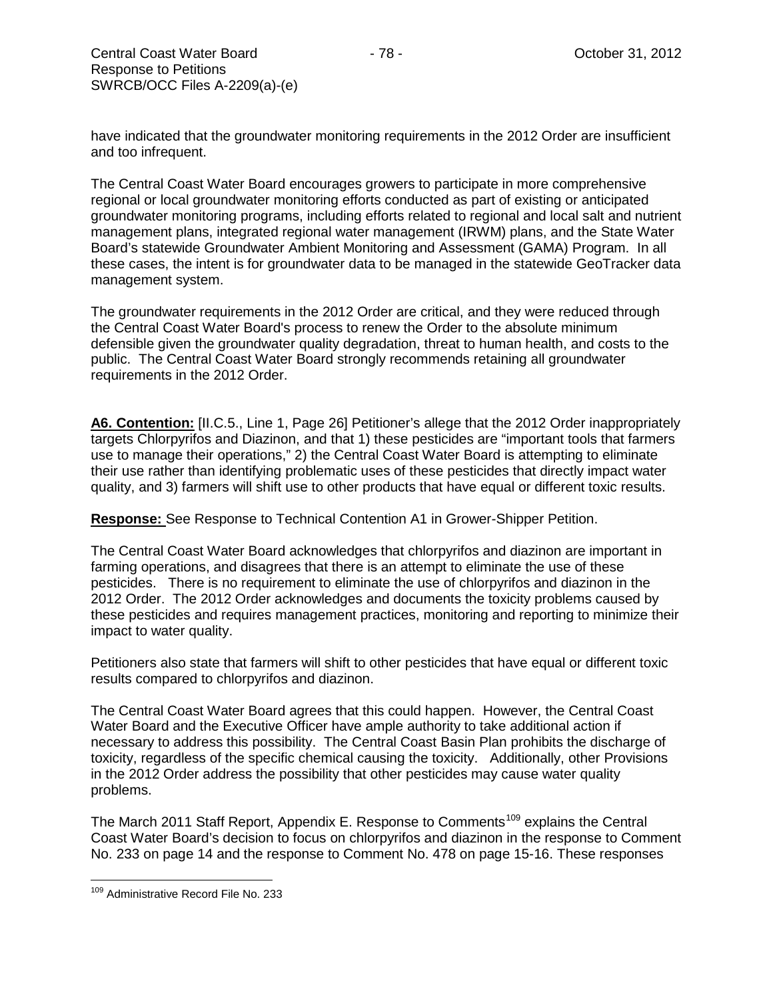have indicated that the groundwater monitoring requirements in the 2012 Order are insufficient and too infrequent.

The Central Coast Water Board encourages growers to participate in more comprehensive regional or local groundwater monitoring efforts conducted as part of existing or anticipated groundwater monitoring programs, including efforts related to regional and local salt and nutrient management plans, integrated regional water management (IRWM) plans, and the State Water Board's statewide Groundwater Ambient Monitoring and Assessment (GAMA) Program. In all these cases, the intent is for groundwater data to be managed in the statewide GeoTracker data management system.

The groundwater requirements in the 2012 Order are critical, and they were reduced through the Central Coast Water Board's process to renew the Order to the absolute minimum defensible given the groundwater quality degradation, threat to human health, and costs to the public. The Central Coast Water Board strongly recommends retaining all groundwater requirements in the 2012 Order.

**A6. Contention:** [II.C.5., Line 1, Page 26] Petitioner's allege that the 2012 Order inappropriately targets Chlorpyrifos and Diazinon, and that 1) these pesticides are "important tools that farmers use to manage their operations," 2) the Central Coast Water Board is attempting to eliminate their use rather than identifying problematic uses of these pesticides that directly impact water quality, and 3) farmers will shift use to other products that have equal or different toxic results.

**Response:** See Response to Technical Contention A1 in Grower-Shipper Petition.

The Central Coast Water Board acknowledges that chlorpyrifos and diazinon are important in farming operations, and disagrees that there is an attempt to eliminate the use of these pesticides. There is no requirement to eliminate the use of chlorpyrifos and diazinon in the 2012 Order. The 2012 Order acknowledges and documents the toxicity problems caused by these pesticides and requires management practices, monitoring and reporting to minimize their impact to water quality.

Petitioners also state that farmers will shift to other pesticides that have equal or different toxic results compared to chlorpyrifos and diazinon.

The Central Coast Water Board agrees that this could happen. However, the Central Coast Water Board and the Executive Officer have ample authority to take additional action if necessary to address this possibility. The Central Coast Basin Plan prohibits the discharge of toxicity, regardless of the specific chemical causing the toxicity. Additionally, other Provisions in the 2012 Order address the possibility that other pesticides may cause water quality problems.

The March 2011 Staff Report, Appendix E. Response to Comments<sup>[109](#page-77-0)</sup> explains the Central Coast Water Board's decision to focus on chlorpyrifos and diazinon in the response to Comment No. 233 on page 14 and the response to Comment No. 478 on page 15-16. These responses

<span id="page-77-0"></span><sup>109</sup> Administrative Record File No. 233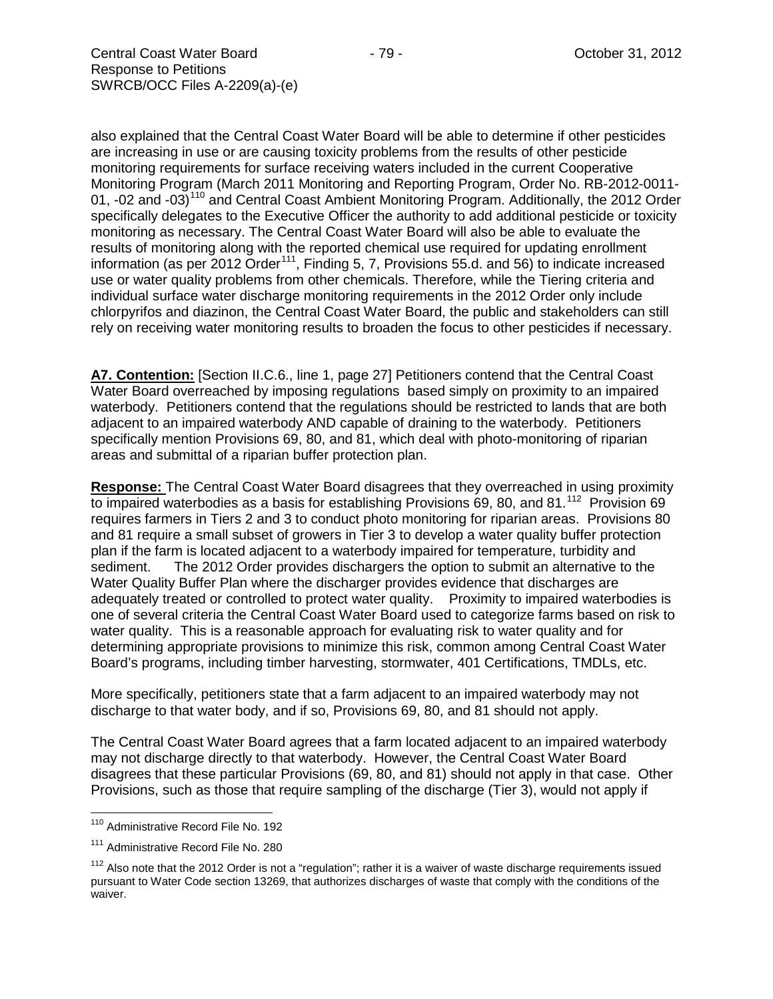also explained that the Central Coast Water Board will be able to determine if other pesticides are increasing in use or are causing toxicity problems from the results of other pesticide monitoring requirements for surface receiving waters included in the current Cooperative Monitoring Program (March 2011 Monitoring and Reporting Program, Order No. RB-2012-0011- 01, -02 and -03)<sup>[110](#page-78-0)</sup> and Central Coast Ambient Monitoring Program. Additionally, the 2012 Order specifically delegates to the Executive Officer the authority to add additional pesticide or toxicity monitoring as necessary. The Central Coast Water Board will also be able to evaluate the results of monitoring along with the reported chemical use required for updating enrollment information (as per 2012 Order<sup>[111](#page-78-1)</sup>, Finding 5, 7, Provisions 55.d. and 56) to indicate increased use or water quality problems from other chemicals. Therefore, while the Tiering criteria and individual surface water discharge monitoring requirements in the 2012 Order only include chlorpyrifos and diazinon, the Central Coast Water Board, the public and stakeholders can still rely on receiving water monitoring results to broaden the focus to other pesticides if necessary.

**A7. Contention:** [Section II.C.6., line 1, page 27] Petitioners contend that the Central Coast Water Board overreached by imposing regulations based simply on proximity to an impaired waterbody. Petitioners contend that the regulations should be restricted to lands that are both adjacent to an impaired waterbody AND capable of draining to the waterbody. Petitioners specifically mention Provisions 69, 80, and 81, which deal with photo-monitoring of riparian areas and submittal of a riparian buffer protection plan.

**Response:** The Central Coast Water Board disagrees that they overreached in using proximity to impaired waterbodies as a basis for establishing Provisions 69, 80, and 81.<sup>112</sup> Provision 69 requires farmers in Tiers 2 and 3 to conduct photo monitoring for riparian areas. Provisions 80 and 81 require a small subset of growers in Tier 3 to develop a water quality buffer protection plan if the farm is located adjacent to a waterbody impaired for temperature, turbidity and sediment. The 2012 Order provides dischargers the option to submit an alternative to the Water Quality Buffer Plan where the discharger provides evidence that discharges are adequately treated or controlled to protect water quality. Proximity to impaired waterbodies is one of several criteria the Central Coast Water Board used to categorize farms based on risk to water quality. This is a reasonable approach for evaluating risk to water quality and for determining appropriate provisions to minimize this risk, common among Central Coast Water Board's programs, including timber harvesting, stormwater, 401 Certifications, TMDLs, etc.

More specifically, petitioners state that a farm adjacent to an impaired waterbody may not discharge to that water body, and if so, Provisions 69, 80, and 81 should not apply.

The Central Coast Water Board agrees that a farm located adjacent to an impaired waterbody may not discharge directly to that waterbody. However, the Central Coast Water Board disagrees that these particular Provisions (69, 80, and 81) should not apply in that case. Other Provisions, such as those that require sampling of the discharge (Tier 3), would not apply if

<span id="page-78-0"></span><sup>110</sup> Administrative Record File No. 192

<span id="page-78-1"></span><sup>&</sup>lt;sup>111</sup> Administrative Record File No. 280

<span id="page-78-2"></span> $112$  Also note that the 2012 Order is not a "regulation"; rather it is a waiver of waste discharge requirements issued pursuant to Water Code section 13269, that authorizes discharges of waste that comply with the conditions of the waiver.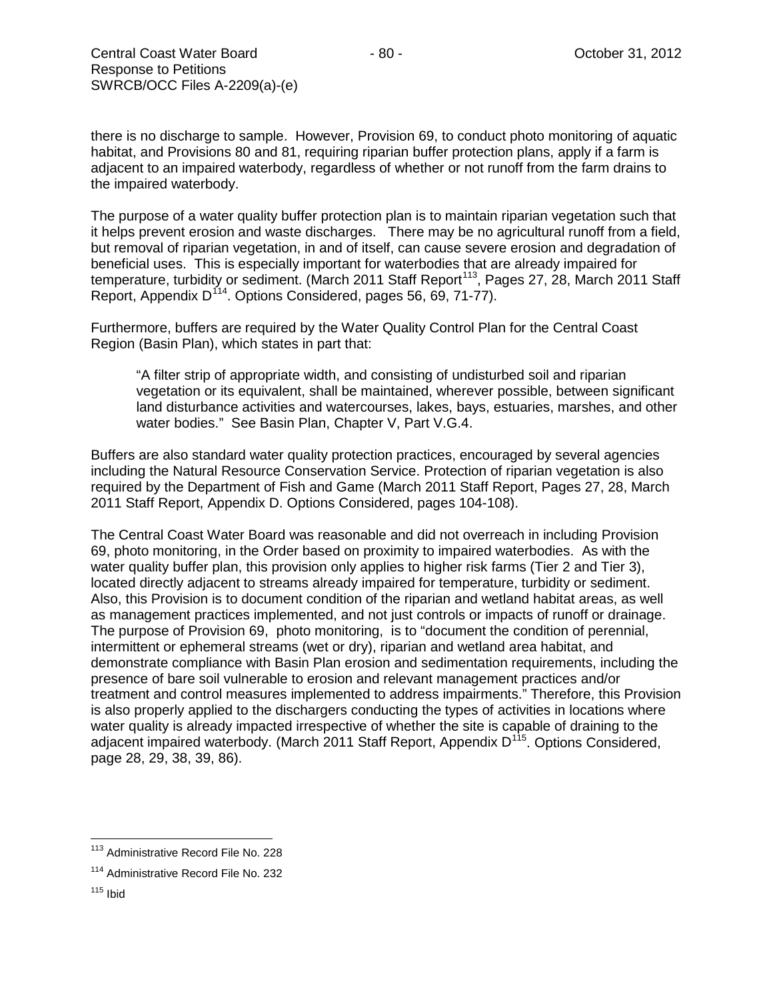there is no discharge to sample. However, Provision 69, to conduct photo monitoring of aquatic habitat, and Provisions 80 and 81, requiring riparian buffer protection plans, apply if a farm is adjacent to an impaired waterbody, regardless of whether or not runoff from the farm drains to the impaired waterbody.

The purpose of a water quality buffer protection plan is to maintain riparian vegetation such that it helps prevent erosion and waste discharges. There may be no agricultural runoff from a field, but removal of riparian vegetation, in and of itself, can cause severe erosion and degradation of beneficial uses. This is especially important for waterbodies that are already impaired for temperature, turbidity or sediment. (March 2011 Staff Report<sup>[113](#page-79-0)</sup>, Pages 27, 28, March 2011 Staff Report, Appendix D<sup>[114](#page-79-1)</sup>. Options Considered, pages 56, 69, 71-77).

Furthermore, buffers are required by the Water Quality Control Plan for the Central Coast Region (Basin Plan), which states in part that:

"A filter strip of appropriate width, and consisting of undisturbed soil and riparian vegetation or its equivalent, shall be maintained, wherever possible, between significant land disturbance activities and watercourses, lakes, bays, estuaries, marshes, and other water bodies." See Basin Plan, Chapter V, Part V.G.4.

Buffers are also standard water quality protection practices, encouraged by several agencies including the Natural Resource Conservation Service. Protection of riparian vegetation is also required by the Department of Fish and Game (March 2011 Staff Report, Pages 27, 28, March 2011 Staff Report, Appendix D. Options Considered, pages 104-108).

The Central Coast Water Board was reasonable and did not overreach in including Provision 69, photo monitoring, in the Order based on proximity to impaired waterbodies. As with the water quality buffer plan, this provision only applies to higher risk farms (Tier 2 and Tier 3), located directly adjacent to streams already impaired for temperature, turbidity or sediment. Also, this Provision is to document condition of the riparian and wetland habitat areas, as well as management practices implemented, and not just controls or impacts of runoff or drainage. The purpose of Provision 69, photo monitoring, is to "document the condition of perennial, intermittent or ephemeral streams (wet or dry), riparian and wetland area habitat, and demonstrate compliance with Basin Plan erosion and sedimentation requirements, including the presence of bare soil vulnerable to erosion and relevant management practices and/or treatment and control measures implemented to address impairments." Therefore, this Provision is also properly applied to the dischargers conducting the types of activities in locations where water quality is already impacted irrespective of whether the site is capable of draining to the adjacent impaired waterbody. (March 2011 Staff Report, Appendix D<sup>[115](#page-79-2)</sup>. Options Considered, page 28, 29, 38, 39, 86).

<span id="page-79-0"></span><sup>&</sup>lt;sup>113</sup> Administrative Record File No. 228

<span id="page-79-1"></span><sup>&</sup>lt;sup>114</sup> Administrative Record File No. 232

<span id="page-79-2"></span> $115$  Ibid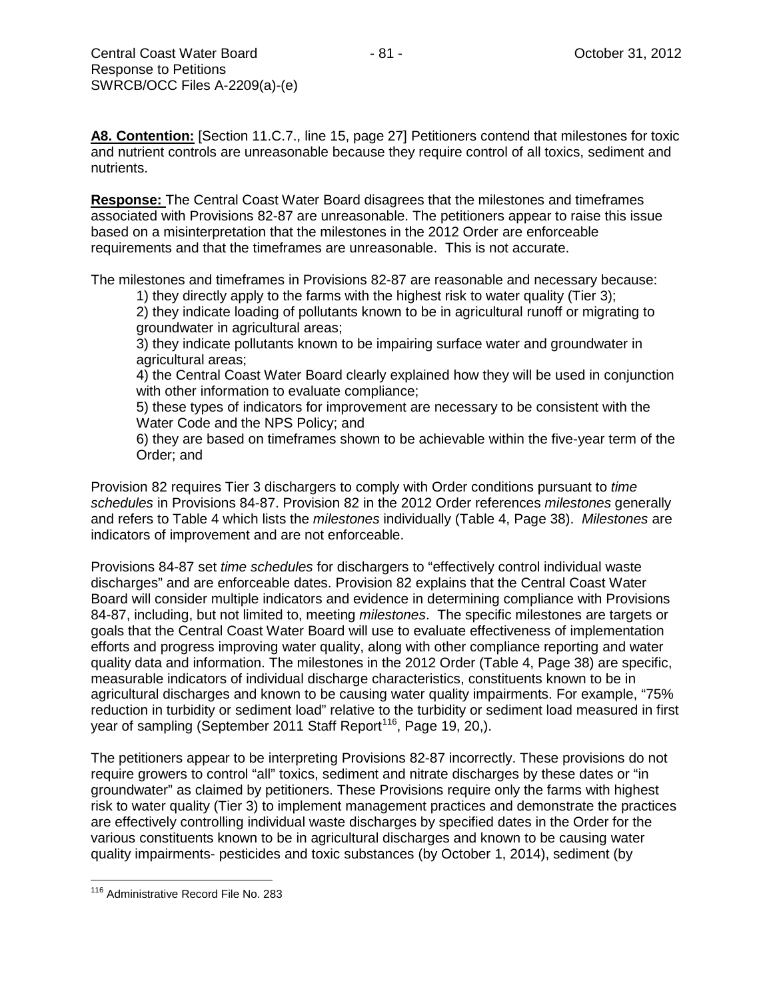**A8. Contention:** [Section 11.C.7., line 15, page 27] Petitioners contend that milestones for toxic and nutrient controls are unreasonable because they require control of all toxics, sediment and nutrients.

**Response:** The Central Coast Water Board disagrees that the milestones and timeframes associated with Provisions 82-87 are unreasonable. The petitioners appear to raise this issue based on a misinterpretation that the milestones in the 2012 Order are enforceable requirements and that the timeframes are unreasonable. This is not accurate.

The milestones and timeframes in Provisions 82-87 are reasonable and necessary because:

1) they directly apply to the farms with the highest risk to water quality (Tier 3);

2) they indicate loading of pollutants known to be in agricultural runoff or migrating to groundwater in agricultural areas;

3) they indicate pollutants known to be impairing surface water and groundwater in agricultural areas;

4) the Central Coast Water Board clearly explained how they will be used in conjunction with other information to evaluate compliance;

5) these types of indicators for improvement are necessary to be consistent with the Water Code and the NPS Policy; and

6) they are based on timeframes shown to be achievable within the five-year term of the Order; and

Provision 82 requires Tier 3 dischargers to comply with Order conditions pursuant to *time schedules* in Provisions 84-87. Provision 82 in the 2012 Order references *milestones* generally and refers to Table 4 which lists the *milestones* individually (Table 4, Page 38). *Milestones* are indicators of improvement and are not enforceable.

Provisions 84-87 set *time schedules* for dischargers to "effectively control individual waste discharges" and are enforceable dates. Provision 82 explains that the Central Coast Water Board will consider multiple indicators and evidence in determining compliance with Provisions 84-87, including, but not limited to, meeting *milestones*. The specific milestones are targets or goals that the Central Coast Water Board will use to evaluate effectiveness of implementation efforts and progress improving water quality, along with other compliance reporting and water quality data and information. The milestones in the 2012 Order (Table 4, Page 38) are specific, measurable indicators of individual discharge characteristics, constituents known to be in agricultural discharges and known to be causing water quality impairments. For example, "75% reduction in turbidity or sediment load" relative to the turbidity or sediment load measured in first year of sampling (September 2011 Staff Report<sup>116</sup>, Page 19, 20,).

The petitioners appear to be interpreting Provisions 82-87 incorrectly. These provisions do not require growers to control "all" toxics, sediment and nitrate discharges by these dates or "in groundwater" as claimed by petitioners. These Provisions require only the farms with highest risk to water quality (Tier 3) to implement management practices and demonstrate the practices are effectively controlling individual waste discharges by specified dates in the Order for the various constituents known to be in agricultural discharges and known to be causing water quality impairments- pesticides and toxic substances (by October 1, 2014), sediment (by

<span id="page-80-0"></span><sup>116</sup> Administrative Record File No. 283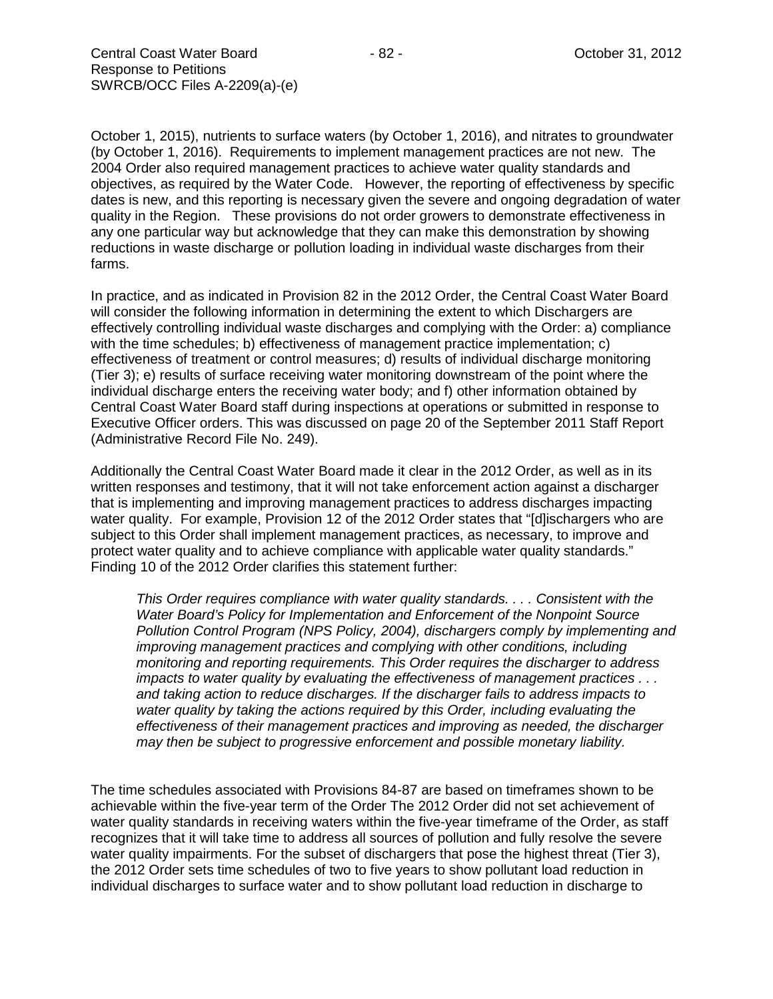October 1, 2015), nutrients to surface waters (by October 1, 2016), and nitrates to groundwater (by October 1, 2016). Requirements to implement management practices are not new. The 2004 Order also required management practices to achieve water quality standards and objectives, as required by the Water Code. However, the reporting of effectiveness by specific dates is new, and this reporting is necessary given the severe and ongoing degradation of water quality in the Region. These provisions do not order growers to demonstrate effectiveness in any one particular way but acknowledge that they can make this demonstration by showing reductions in waste discharge or pollution loading in individual waste discharges from their farms.

In practice, and as indicated in Provision 82 in the 2012 Order, the Central Coast Water Board will consider the following information in determining the extent to which Dischargers are effectively controlling individual waste discharges and complying with the Order: a) compliance with the time schedules; b) effectiveness of management practice implementation; c) effectiveness of treatment or control measures; d) results of individual discharge monitoring (Tier 3); e) results of surface receiving water monitoring downstream of the point where the individual discharge enters the receiving water body; and f) other information obtained by Central Coast Water Board staff during inspections at operations or submitted in response to Executive Officer orders. This was discussed on page 20 of the September 2011 Staff Report (Administrative Record File No. 249).

Additionally the Central Coast Water Board made it clear in the 2012 Order, as well as in its written responses and testimony, that it will not take enforcement action against a discharger that is implementing and improving management practices to address discharges impacting water quality. For example, Provision 12 of the 2012 Order states that "[d]ischargers who are subject to this Order shall implement management practices, as necessary, to improve and protect water quality and to achieve compliance with applicable water quality standards." Finding 10 of the 2012 Order clarifies this statement further:

*This Order requires compliance with water quality standards. . . . Consistent with the Water Board's Policy for Implementation and Enforcement of the Nonpoint Source Pollution Control Program (NPS Policy, 2004), dischargers comply by implementing and improving management practices and complying with other conditions, including monitoring and reporting requirements. This Order requires the discharger to address impacts to water quality by evaluating the effectiveness of management practices . . . and taking action to reduce discharges. If the discharger fails to address impacts to water quality by taking the actions required by this Order, including evaluating the effectiveness of their management practices and improving as needed, the discharger may then be subject to progressive enforcement and possible monetary liability.*

The time schedules associated with Provisions 84-87 are based on timeframes shown to be achievable within the five-year term of the Order The 2012 Order did not set achievement of water quality standards in receiving waters within the five-year timeframe of the Order, as staff recognizes that it will take time to address all sources of pollution and fully resolve the severe water quality impairments. For the subset of dischargers that pose the highest threat (Tier 3), the 2012 Order sets time schedules of two to five years to show pollutant load reduction in individual discharges to surface water and to show pollutant load reduction in discharge to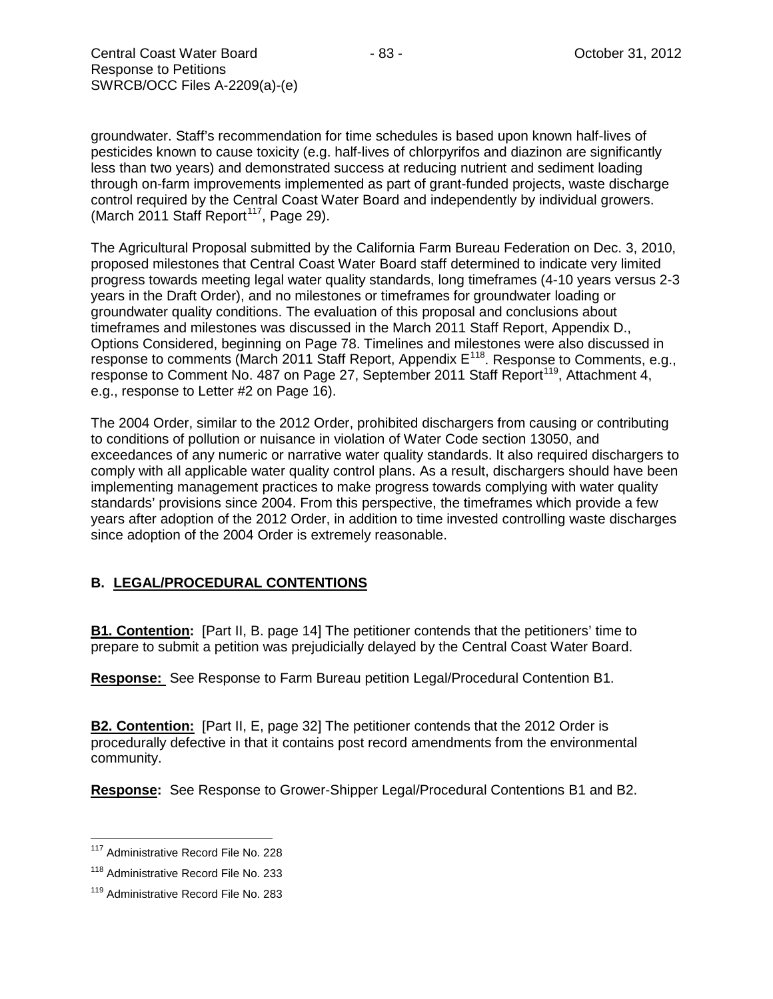groundwater. Staff's recommendation for time schedules is based upon known half-lives of pesticides known to cause toxicity (e.g. half-lives of chlorpyrifos and diazinon are significantly less than two years) and demonstrated success at reducing nutrient and sediment loading through on-farm improvements implemented as part of grant-funded projects, waste discharge control required by the Central Coast Water Board and independently by individual growers. (March 2011 Staff Report<sup>117</sup>, Page 29).

The Agricultural Proposal submitted by the California Farm Bureau Federation on Dec. 3, 2010, proposed milestones that Central Coast Water Board staff determined to indicate very limited progress towards meeting legal water quality standards, long timeframes (4-10 years versus 2-3 years in the Draft Order), and no milestones or timeframes for groundwater loading or groundwater quality conditions. The evaluation of this proposal and conclusions about timeframes and milestones was discussed in the March 2011 Staff Report, Appendix D., Options Considered, beginning on Page 78. Timelines and milestones were also discussed in response to comments (March 2011 Staff Report, Appendix E<sup>[118](#page-82-1)</sup>. Response to Comments, e.g., response to Comment No. 487 on Page 27, September 2011 Staff Report<sup>[119](#page-82-2)</sup>, Attachment 4, e.g., response to Letter #2 on Page 16).

The 2004 Order, similar to the 2012 Order, prohibited dischargers from causing or contributing to conditions of pollution or nuisance in violation of Water Code section 13050, and exceedances of any numeric or narrative water quality standards. It also required dischargers to comply with all applicable water quality control plans. As a result, dischargers should have been implementing management practices to make progress towards complying with water quality standards' provisions since 2004. From this perspective, the timeframes which provide a few years after adoption of the 2012 Order, in addition to time invested controlling waste discharges since adoption of the 2004 Order is extremely reasonable.

# **B. LEGAL/PROCEDURAL CONTENTIONS**

**B1. Contention:** [Part II, B. page 14] The petitioner contends that the petitioners' time to prepare to submit a petition was prejudicially delayed by the Central Coast Water Board.

**Response:** See Response to Farm Bureau petition Legal/Procedural Contention B1.

**B2. Contention:** [Part II, E, page 32] The petitioner contends that the 2012 Order is procedurally defective in that it contains post record amendments from the environmental community.

**Response:** See Response to Grower-Shipper Legal/Procedural Contentions B1 and B2.

<span id="page-82-0"></span><sup>&</sup>lt;sup>117</sup> Administrative Record File No. 228

<span id="page-82-1"></span><sup>&</sup>lt;sup>118</sup> Administrative Record File No. 233

<span id="page-82-2"></span><sup>&</sup>lt;sup>119</sup> Administrative Record File No. 283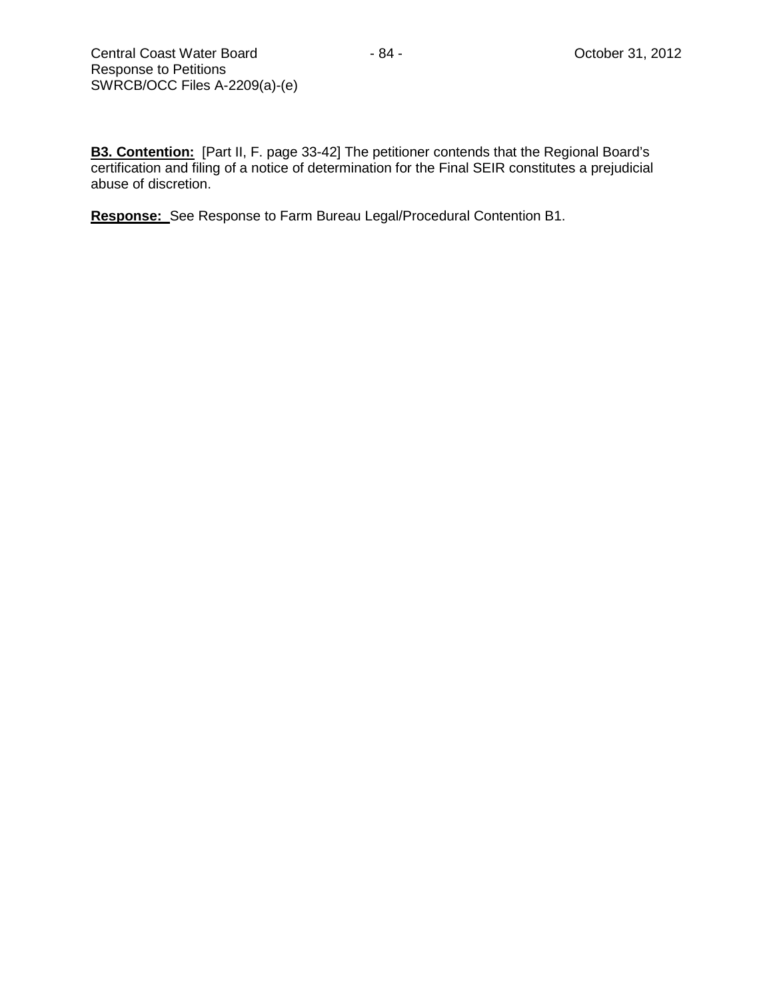**B3. Contention:** [Part II, F. page 33-42] The petitioner contends that the Regional Board's certification and filing of a notice of determination for the Final SEIR constitutes a prejudicial abuse of discretion.

**Response:** See Response to Farm Bureau Legal/Procedural Contention B1.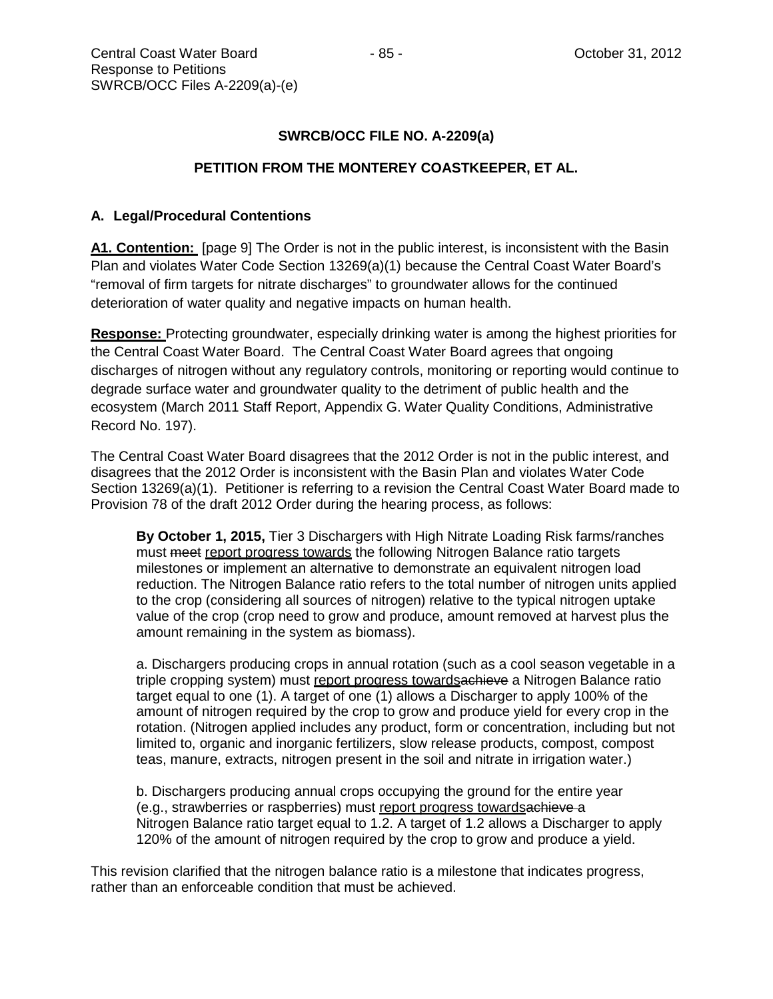## **SWRCB/OCC FILE NO. A-2209(a)**

#### **PETITION FROM THE MONTEREY COASTKEEPER, ET AL.**

## **A. Legal/Procedural Contentions**

**A1. Contention:** [page 9] The Order is not in the public interest, is inconsistent with the Basin Plan and violates Water Code Section 13269(a)(1) because the Central Coast Water Board's "removal of firm targets for nitrate discharges" to groundwater allows for the continued deterioration of water quality and negative impacts on human health.

**Response:** Protecting groundwater, especially drinking water is among the highest priorities for the Central Coast Water Board. The Central Coast Water Board agrees that ongoing discharges of nitrogen without any regulatory controls, monitoring or reporting would continue to degrade surface water and groundwater quality to the detriment of public health and the ecosystem (March 2011 Staff Report, Appendix G. Water Quality Conditions, Administrative Record No. 197).

The Central Coast Water Board disagrees that the 2012 Order is not in the public interest, and disagrees that the 2012 Order is inconsistent with the Basin Plan and violates Water Code Section 13269(a)(1). Petitioner is referring to a revision the Central Coast Water Board made to Provision 78 of the draft 2012 Order during the hearing process, as follows:

**By October 1, 2015,** Tier 3 Dischargers with High Nitrate Loading Risk farms/ranches must meet report progress towards the following Nitrogen Balance ratio targets milestones or implement an alternative to demonstrate an equivalent nitrogen load reduction. The Nitrogen Balance ratio refers to the total number of nitrogen units applied to the crop (considering all sources of nitrogen) relative to the typical nitrogen uptake value of the crop (crop need to grow and produce, amount removed at harvest plus the amount remaining in the system as biomass).

a. Dischargers producing crops in annual rotation (such as a cool season vegetable in a triple cropping system) must report progress towardsachieve a Nitrogen Balance ratio target equal to one (1). A target of one (1) allows a Discharger to apply 100% of the amount of nitrogen required by the crop to grow and produce yield for every crop in the rotation. (Nitrogen applied includes any product, form or concentration, including but not limited to, organic and inorganic fertilizers, slow release products, compost, compost teas, manure, extracts, nitrogen present in the soil and nitrate in irrigation water.)

b. Dischargers producing annual crops occupying the ground for the entire year (e.g., strawberries or raspberries) must report progress towardsachieve a Nitrogen Balance ratio target equal to 1.2. A target of 1.2 allows a Discharger to apply 120% of the amount of nitrogen required by the crop to grow and produce a yield.

This revision clarified that the nitrogen balance ratio is a milestone that indicates progress, rather than an enforceable condition that must be achieved.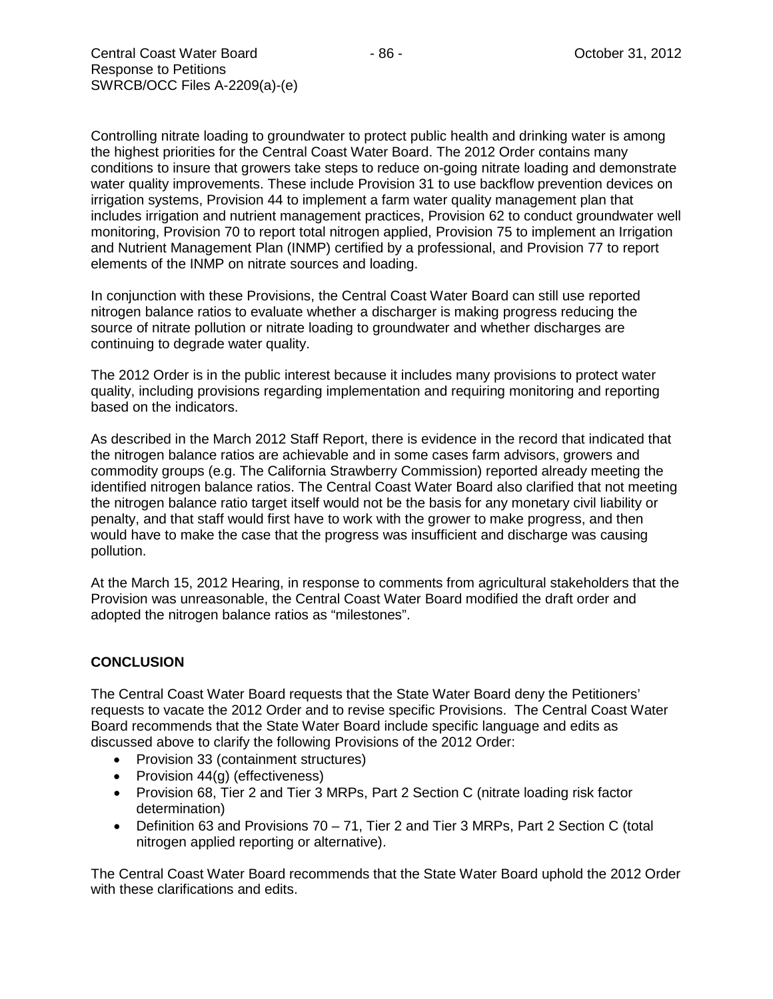Controlling nitrate loading to groundwater to protect public health and drinking water is among the highest priorities for the Central Coast Water Board. The 2012 Order contains many conditions to insure that growers take steps to reduce on-going nitrate loading and demonstrate water quality improvements. These include Provision 31 to use backflow prevention devices on irrigation systems, Provision 44 to implement a farm water quality management plan that includes irrigation and nutrient management practices, Provision 62 to conduct groundwater well monitoring, Provision 70 to report total nitrogen applied, Provision 75 to implement an Irrigation and Nutrient Management Plan (INMP) certified by a professional, and Provision 77 to report elements of the INMP on nitrate sources and loading.

In conjunction with these Provisions, the Central Coast Water Board can still use reported nitrogen balance ratios to evaluate whether a discharger is making progress reducing the source of nitrate pollution or nitrate loading to groundwater and whether discharges are continuing to degrade water quality.

The 2012 Order is in the public interest because it includes many provisions to protect water quality, including provisions regarding implementation and requiring monitoring and reporting based on the indicators.

As described in the March 2012 Staff Report, there is evidence in the record that indicated that the nitrogen balance ratios are achievable and in some cases farm advisors, growers and commodity groups (e.g. The California Strawberry Commission) reported already meeting the identified nitrogen balance ratios. The Central Coast Water Board also clarified that not meeting the nitrogen balance ratio target itself would not be the basis for any monetary civil liability or penalty, and that staff would first have to work with the grower to make progress, and then would have to make the case that the progress was insufficient and discharge was causing pollution.

At the March 15, 2012 Hearing, in response to comments from agricultural stakeholders that the Provision was unreasonable, the Central Coast Water Board modified the draft order and adopted the nitrogen balance ratios as "milestones".

# **CONCLUSION**

The Central Coast Water Board requests that the State Water Board deny the Petitioners' requests to vacate the 2012 Order and to revise specific Provisions. The Central Coast Water Board recommends that the State Water Board include specific language and edits as discussed above to clarify the following Provisions of the 2012 Order:

- Provision 33 (containment structures)
- Provision 44(g) (effectiveness)
- Provision 68, Tier 2 and Tier 3 MRPs, Part 2 Section C (nitrate loading risk factor determination)
- Definition 63 and Provisions 70 71, Tier 2 and Tier 3 MRPs, Part 2 Section C (total nitrogen applied reporting or alternative).

The Central Coast Water Board recommends that the State Water Board uphold the 2012 Order with these clarifications and edits.